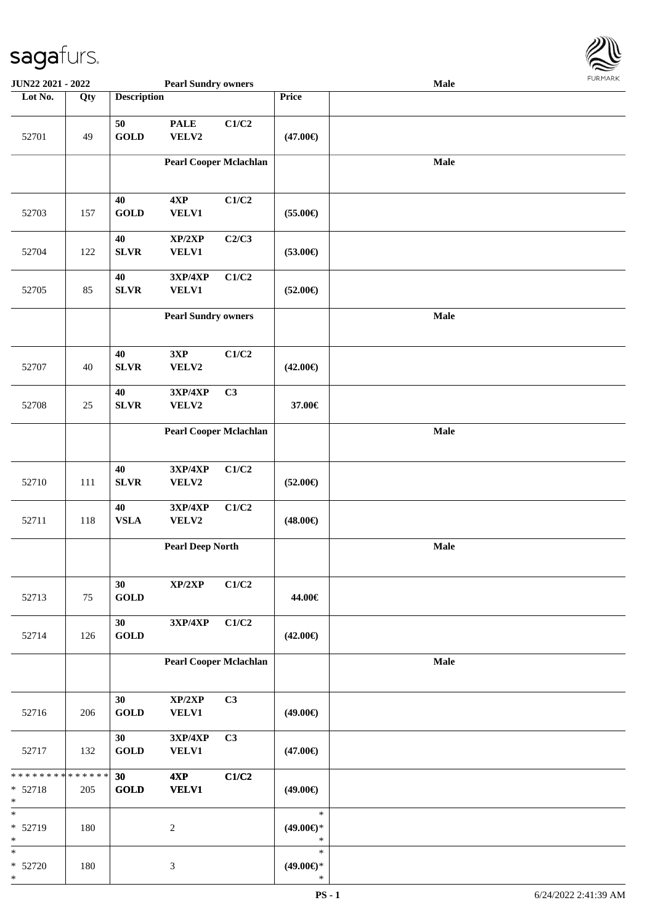

| <b>JUN22 2021 - 2022</b>                          |     |                    | <b>Pearl Sundry owners</b>        |       |                                         | Male        |  |
|---------------------------------------------------|-----|--------------------|-----------------------------------|-------|-----------------------------------------|-------------|--|
| Lot No.                                           | Qty | <b>Description</b> |                                   |       | Price                                   |             |  |
| 52701                                             | 49  | 50<br><b>GOLD</b>  | <b>PALE</b><br>VELV2              | C1/C2 | $(47.00\epsilon)$                       |             |  |
|                                                   |     |                    | <b>Pearl Cooper Mclachlan</b>     |       |                                         | Male        |  |
| 52703                                             | 157 | 40<br><b>GOLD</b>  | 4XP<br><b>VELV1</b>               | C1/C2 | $(55.00\epsilon)$                       |             |  |
| 52704                                             | 122 | 40<br><b>SLVR</b>  | XP/2XP<br>VELV1                   | C2/C3 | $(53.00\epsilon)$                       |             |  |
| 52705                                             | 85  | 40<br><b>SLVR</b>  | 3XP/4XP<br>VELV1                  | C1/C2 | $(52.00\epsilon)$                       |             |  |
|                                                   |     |                    | <b>Pearl Sundry owners</b>        |       |                                         | <b>Male</b> |  |
| 52707                                             | 40  | 40<br><b>SLVR</b>  | 3XP<br>VELV2                      | C1/C2 | $(42.00\epsilon)$                       |             |  |
| 52708                                             | 25  | 40<br><b>SLVR</b>  | 3XP/4XP<br>VELV2                  | C3    | 37.00€                                  |             |  |
|                                                   |     |                    | <b>Pearl Cooper Mclachlan</b>     |       |                                         | Male        |  |
| 52710                                             | 111 | 40<br><b>SLVR</b>  | <b>3XP/4XP</b><br>VELV2           | C1/C2 | $(52.00\epsilon)$                       |             |  |
| 52711                                             | 118 | 40<br>${\bf VSLA}$ | 3XP/4XP<br>VELV2                  | C1/C2 | $(48.00\epsilon)$                       |             |  |
|                                                   |     |                    | <b>Pearl Deep North</b>           |       |                                         | Male        |  |
| 52713                                             | 75  | 30<br><b>GOLD</b>  | $\mathbf{XP}/2\mathbf{XP}$        | C1/C2 | 44.00€                                  |             |  |
| 52714                                             | 126 | 30<br><b>GOLD</b>  | $3{\bf X}{\bf P}/4{\bf X}{\bf P}$ | C1/C2 | $(42.00\epsilon)$                       |             |  |
|                                                   |     |                    | <b>Pearl Cooper Mclachlan</b>     |       |                                         | Male        |  |
| 52716                                             | 206 | 30<br>GOLD         | XP/2XP<br><b>VELV1</b>            | C3    | $(49.00\epsilon)$                       |             |  |
| 52717                                             | 132 | 30<br><b>GOLD</b>  | 3XP/4XP<br><b>VELV1</b>           | C3    | $(47.00\epsilon)$                       |             |  |
| ******** <mark>******</mark><br>* 52718<br>$\ast$ | 205 | 30<br><b>GOLD</b>  | 4XP<br><b>VELV1</b>               | C1/C2 | $(49.00\epsilon)$                       |             |  |
| $\ast$<br>* 52719<br>$\ast$                       | 180 |                    | $\boldsymbol{2}$                  |       | $\ast$<br>$(49.00\epsilon)$ *<br>$\ast$ |             |  |
| $\ast$<br>$* 52720$<br>$\ast$                     | 180 |                    | $\mathfrak{Z}$                    |       | $\ast$<br>$(49.00\epsilon)$ *<br>$\ast$ |             |  |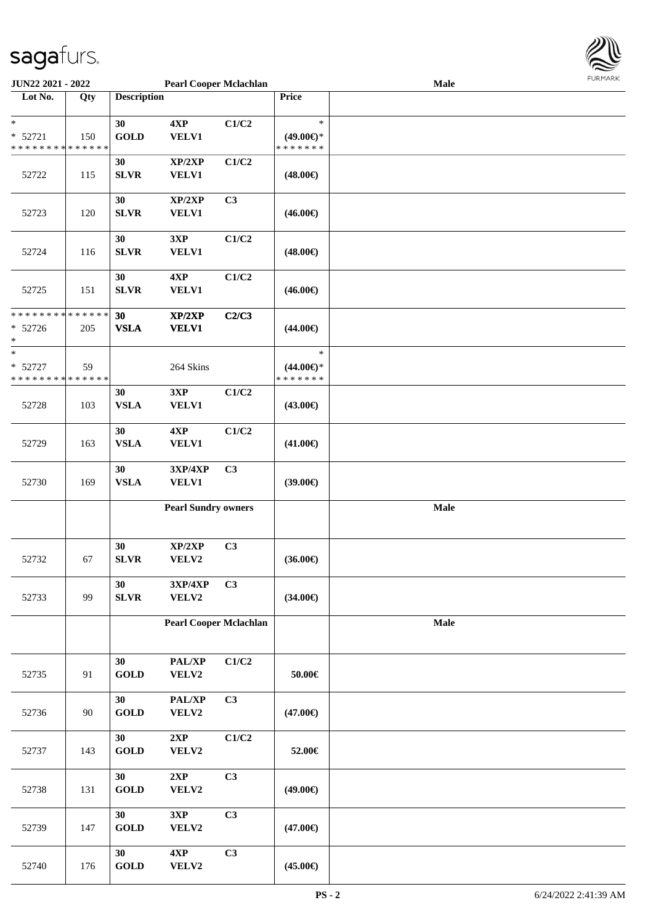

| <b>JUN22 2021 - 2022</b>                   |     |                       | <b>Pearl Cooper Mclachlan</b> |                |                     | Male |  |
|--------------------------------------------|-----|-----------------------|-------------------------------|----------------|---------------------|------|--|
| Lot No.                                    | Qty | <b>Description</b>    |                               |                | Price               |      |  |
|                                            |     |                       |                               |                |                     |      |  |
| $\ast$                                     |     | 30                    | 4XP                           | C1/C2          | $\ast$              |      |  |
| $* 52721$                                  | 150 | <b>GOLD</b>           | VELV1                         |                | $(49.00\epsilon)$ * |      |  |
| * * * * * * * * <mark>* * * * * * *</mark> |     |                       |                               |                | * * * * * * *       |      |  |
|                                            |     | 30                    | XP/2XP                        | C1/C2          |                     |      |  |
| 52722                                      | 115 | <b>SLVR</b>           | VELV1                         |                | $(48.00\epsilon)$   |      |  |
|                                            |     |                       |                               |                |                     |      |  |
|                                            |     | 30                    | XP/2XP                        | C3             |                     |      |  |
| 52723                                      | 120 | <b>SLVR</b>           | VELV1                         |                | $(46.00\epsilon)$   |      |  |
|                                            |     |                       |                               |                |                     |      |  |
|                                            |     | 30                    | 3XP                           | C1/C2          |                     |      |  |
| 52724                                      | 116 | <b>SLVR</b>           | VELV1                         |                | $(48.00\epsilon)$   |      |  |
|                                            |     |                       |                               |                |                     |      |  |
|                                            |     | 30                    | 4XP                           | C1/C2          |                     |      |  |
|                                            |     |                       |                               |                |                     |      |  |
| 52725                                      | 151 | <b>SLVR</b>           | VELV1                         |                | $(46.00\epsilon)$   |      |  |
| * * * * * * * * <mark>* * * * * *</mark>   |     |                       |                               |                |                     |      |  |
|                                            |     | 30                    | XP/2XP                        | C2/C3          |                     |      |  |
| $* 52726$                                  | 205 | <b>VSLA</b>           | <b>VELV1</b>                  |                | $(44.00\epsilon)$   |      |  |
| *<br>*                                     |     |                       |                               |                |                     |      |  |
|                                            |     |                       |                               |                | $\ast$              |      |  |
| * 52727                                    | 59  |                       | 264 Skins                     |                | $(44.00\epsilon)$ * |      |  |
| * * * * * * * * * * * * * * *              |     |                       |                               |                | * * * * * * *       |      |  |
|                                            |     | 30                    | 3XP                           | C1/C2          |                     |      |  |
| 52728                                      | 103 | <b>VSLA</b>           | <b>VELV1</b>                  |                | $(43.00\epsilon)$   |      |  |
|                                            |     |                       |                               |                |                     |      |  |
|                                            |     | 30                    | 4XP                           | C1/C2          |                     |      |  |
| 52729                                      | 163 | <b>VSLA</b>           | VELV1                         |                | $(41.00\epsilon)$   |      |  |
|                                            |     |                       |                               |                |                     |      |  |
|                                            |     | 30                    | 3XP/4XP                       | C3             |                     |      |  |
| 52730                                      | 169 | <b>VSLA</b>           | <b>VELV1</b>                  |                | $(39.00\epsilon)$   |      |  |
|                                            |     |                       |                               |                |                     |      |  |
|                                            |     |                       | <b>Pearl Sundry owners</b>    |                |                     | Male |  |
|                                            |     |                       |                               |                |                     |      |  |
|                                            |     |                       |                               |                |                     |      |  |
|                                            |     | 30                    | XP/2XP                        | C3             |                     |      |  |
| 52732                                      | 67  | ${\bf SLVR}$          | VELV2                         |                | $(36.00\epsilon)$   |      |  |
|                                            |     |                       |                               |                |                     |      |  |
|                                            |     | 30                    | 3XP/4XP                       | C3             |                     |      |  |
| 52733                                      | 99  | ${\bf SLVR}$          | VELV2                         |                | $(34.00\epsilon)$   |      |  |
|                                            |     |                       |                               |                |                     |      |  |
|                                            |     |                       | <b>Pearl Cooper Mclachlan</b> |                |                     | Male |  |
|                                            |     |                       |                               |                |                     |      |  |
|                                            |     |                       |                               |                |                     |      |  |
|                                            |     | 30                    | PAL/XP                        | C1/C2          |                     |      |  |
| 52735                                      | 91  | GOLD                  | VELV2                         |                | $50.00 \in$         |      |  |
|                                            |     |                       |                               |                |                     |      |  |
|                                            |     | 30                    | PAL/XP                        | C <sub>3</sub> |                     |      |  |
| 52736                                      | 90  | $\operatorname{GOLD}$ | VELV2                         |                | $(47.00\epsilon)$   |      |  |
|                                            |     |                       |                               |                |                     |      |  |
|                                            |     | 30                    | 2XP                           | C1/C2          |                     |      |  |
| 52737                                      | 143 | <b>GOLD</b>           | VELV2                         |                | 52.00€              |      |  |
|                                            |     |                       |                               |                |                     |      |  |
|                                            |     | 30                    | 2XP                           | C3             |                     |      |  |
| 52738                                      | 131 | <b>GOLD</b>           | VELV2                         |                | $(49.00\epsilon)$   |      |  |
|                                            |     |                       |                               |                |                     |      |  |
|                                            |     | 30                    | 3XP                           | C3             |                     |      |  |
| 52739                                      |     | <b>GOLD</b>           | VELV2                         |                |                     |      |  |
|                                            | 147 |                       |                               |                | $(47.00\epsilon)$   |      |  |
|                                            |     |                       |                               |                |                     |      |  |
|                                            |     | 30                    | 4XP                           | C3             |                     |      |  |
| 52740                                      | 176 | GOLD                  | VELV2                         |                | $(45.00\epsilon)$   |      |  |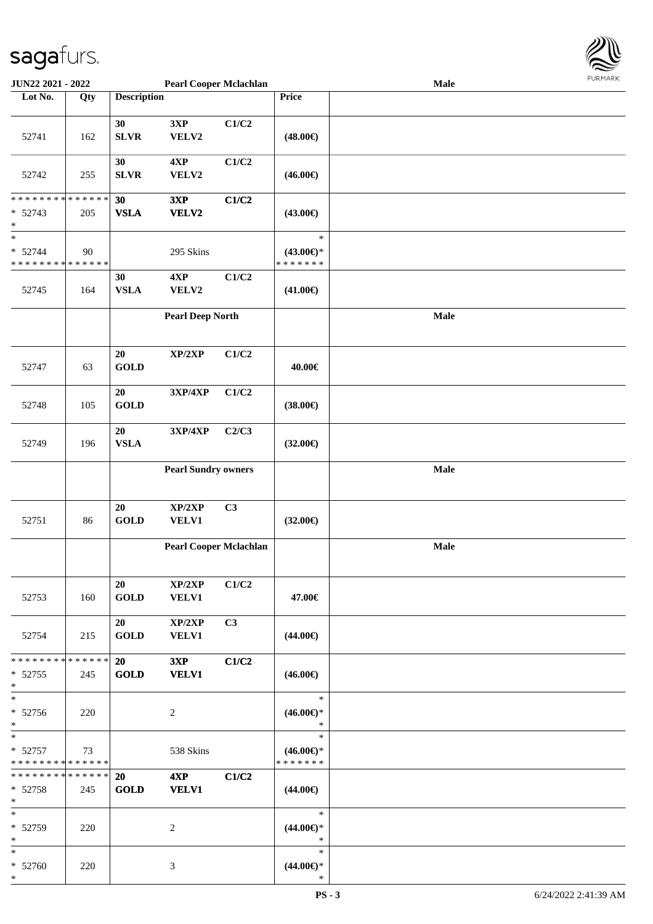

| <b>JUN22 2021 - 2022</b>                              |             |                    | <b>Pearl Cooper Mclachlan</b> |       |                                      | Male |  |
|-------------------------------------------------------|-------------|--------------------|-------------------------------|-------|--------------------------------------|------|--|
| Lot No.                                               | Qty         | <b>Description</b> |                               |       | Price                                |      |  |
|                                                       |             |                    |                               |       |                                      |      |  |
| 52741                                                 | 162         | 30<br><b>SLVR</b>  | 3XP<br>VELV2                  | C1/C2 | $(48.00\epsilon)$                    |      |  |
|                                                       |             |                    |                               |       |                                      |      |  |
| 52742                                                 | 255         | 30<br><b>SLVR</b>  | 4XP<br>VELV2                  | C1/C2 | $(46.00\epsilon)$                    |      |  |
| * * * * * * * * * * * * * *                           |             | 30                 | 3XP                           | C1/C2 |                                      |      |  |
| $* 52743$<br>$\ast$                                   | 205         | <b>VSLA</b>        | VELV2                         |       | $(43.00\epsilon)$                    |      |  |
| $\ast$                                                |             |                    |                               |       | $\ast$                               |      |  |
| $* 52744$<br>* * * * * * * * * * * * * *              | 90          |                    | 295 Skins                     |       | $(43.00\epsilon)$ *<br>* * * * * * * |      |  |
|                                                       |             | 30                 | 4XP                           | C1/C2 |                                      |      |  |
| 52745                                                 | 164         | <b>VSLA</b>        | VELV2                         |       | $(41.00\epsilon)$                    |      |  |
|                                                       |             |                    | <b>Pearl Deep North</b>       |       |                                      | Male |  |
| 52747                                                 | 63          | 20<br><b>GOLD</b>  | XP/2XP                        | C1/C2 | 40.00€                               |      |  |
|                                                       |             |                    |                               |       |                                      |      |  |
| 52748                                                 | 105         | 20<br><b>GOLD</b>  | 3XP/4XP                       | C1/C2 | $(38.00\epsilon)$                    |      |  |
|                                                       |             | 20                 | 3XP/4XP                       | C2/C3 |                                      |      |  |
| 52749                                                 | 196         | <b>VSLA</b>        |                               |       | $(32.00\epsilon)$                    |      |  |
|                                                       |             |                    | <b>Pearl Sundry owners</b>    |       |                                      | Male |  |
|                                                       |             |                    |                               |       |                                      |      |  |
| 52751                                                 | 86          | 20<br><b>GOLD</b>  | XP/2XP<br><b>VELV1</b>        | C3    | $(32.00\epsilon)$                    |      |  |
|                                                       |             |                    |                               |       |                                      |      |  |
|                                                       |             |                    | <b>Pearl Cooper Mclachlan</b> |       |                                      | Male |  |
|                                                       |             | 20                 | XP/2XP                        | C1/C2 |                                      |      |  |
| 52753                                                 | 160         | <b>GOLD</b>        | <b>VELV1</b>                  |       | 47.00€                               |      |  |
| 52754                                                 | 215         | 20<br><b>GOLD</b>  | XP/2XP<br><b>VELV1</b>        | C3    | $(44.00\epsilon)$                    |      |  |
| * * * * * * * *                                       | * * * * * * | <b>20</b>          | 3XP                           | C1/C2 |                                      |      |  |
| $* 52755$<br>$\ast$                                   | 245         | <b>GOLD</b>        | <b>VELV1</b>                  |       | $(46.00\epsilon)$                    |      |  |
| $*$                                                   |             |                    |                               |       | $\ast$                               |      |  |
| * 52756<br>$*$                                        | 220         |                    | 2                             |       | $(46.00\epsilon)$ *<br>$\ast$        |      |  |
| $*$ $-$                                               |             |                    |                               |       | $\ast$                               |      |  |
| $* 52757$<br>* * * * * * * * <mark>* * * * * *</mark> | 73          |                    | 538 Skins                     |       | $(46.00€)$ *<br>* * * * * * *        |      |  |
| * * * * * * * * * * * * * * <mark>*</mark>            |             | <b>20</b>          | 4XP                           | C1/C2 |                                      |      |  |
| $* 52758$<br>$*$                                      | 245         | <b>GOLD</b>        | <b>VELV1</b>                  |       | $(44.00\epsilon)$                    |      |  |
| $*$                                                   |             |                    |                               |       | $\ast$                               |      |  |
| * 52759<br>$*$                                        | 220         |                    | 2                             |       | $(44.00\epsilon)$ *<br>∗             |      |  |
| $*$                                                   |             |                    |                               |       | $\ast$                               |      |  |
| * 52760<br>*                                          | 220         |                    | 3                             |       | $(44.00\epsilon)$ *<br>$\ast$        |      |  |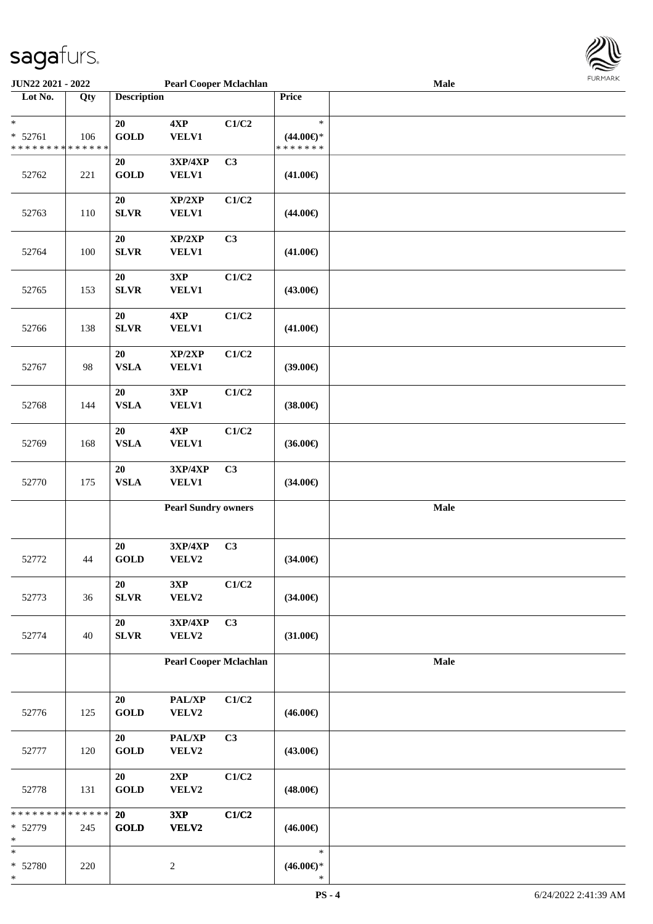

| <b>JUN22 2021 - 2022</b>                   |     |                    | <b>Pearl Cooper Mclachlan</b> |                |                     | <b>Male</b> |  |
|--------------------------------------------|-----|--------------------|-------------------------------|----------------|---------------------|-------------|--|
| Lot No.                                    | Qty | <b>Description</b> |                               |                | Price               |             |  |
|                                            |     |                    |                               |                |                     |             |  |
| $\ast$                                     |     | 20                 | 4XP                           | C1/C2          | $\ast$              |             |  |
| $* 52761$                                  | 106 | <b>GOLD</b>        | <b>VELV1</b>                  |                | $(44.00ε)$ *        |             |  |
| * * * * * * * * <mark>* * * * * * *</mark> |     |                    |                               |                | * * * * * * *       |             |  |
|                                            |     | 20                 | 3XP/4XP                       | C3             |                     |             |  |
|                                            |     | <b>GOLD</b>        |                               |                |                     |             |  |
| 52762                                      | 221 |                    | <b>VELV1</b>                  |                | $(41.00\epsilon)$   |             |  |
|                                            |     |                    |                               |                |                     |             |  |
|                                            |     | 20                 | XP/2XP                        | C1/C2          |                     |             |  |
| 52763                                      | 110 | <b>SLVR</b>        | VELV1                         |                | $(44.00\epsilon)$   |             |  |
|                                            |     |                    |                               |                |                     |             |  |
|                                            |     | 20                 | XP/2XP                        | C3             |                     |             |  |
| 52764                                      | 100 | SLVR               | VELV1                         |                | $(41.00\epsilon)$   |             |  |
|                                            |     |                    |                               |                |                     |             |  |
|                                            |     | 20                 | 3XP                           | C1/C2          |                     |             |  |
| 52765                                      | 153 | SLVR               | VELV1                         |                | $(43.00\epsilon)$   |             |  |
|                                            |     |                    |                               |                |                     |             |  |
|                                            |     | 20                 | 4XP                           | C1/C2          |                     |             |  |
| 52766                                      | 138 | SLVR               | <b>VELV1</b>                  |                | $(41.00\epsilon)$   |             |  |
|                                            |     |                    |                               |                |                     |             |  |
|                                            |     | 20                 | XP/2XP                        | C1/C2          |                     |             |  |
|                                            | 98  | <b>VSLA</b>        | <b>VELV1</b>                  |                | $(39.00\epsilon)$   |             |  |
| 52767                                      |     |                    |                               |                |                     |             |  |
|                                            |     |                    |                               |                |                     |             |  |
|                                            |     | 20                 | 3XP                           | C1/C2          |                     |             |  |
| 52768                                      | 144 | <b>VSLA</b>        | VELV1                         |                | $(38.00\epsilon)$   |             |  |
|                                            |     |                    |                               |                |                     |             |  |
|                                            |     | 20                 | 4XP                           | C1/C2          |                     |             |  |
| 52769                                      | 168 | <b>VSLA</b>        | <b>VELV1</b>                  |                | $(36.00\epsilon)$   |             |  |
|                                            |     |                    |                               |                |                     |             |  |
|                                            |     | 20                 | 3XP/4XP                       | C <sub>3</sub> |                     |             |  |
| 52770                                      | 175 | <b>VSLA</b>        | <b>VELV1</b>                  |                | $(34.00\epsilon)$   |             |  |
|                                            |     |                    |                               |                |                     |             |  |
|                                            |     |                    | <b>Pearl Sundry owners</b>    |                |                     | Male        |  |
|                                            |     |                    |                               |                |                     |             |  |
|                                            |     |                    |                               |                |                     |             |  |
|                                            |     | 20                 | 3XP/4XP                       | C3             |                     |             |  |
| 52772                                      | 44  | <b>GOLD</b>        | VELV2                         |                | $(34.00\epsilon)$   |             |  |
|                                            |     |                    |                               |                |                     |             |  |
|                                            |     | 20                 | 3XP                           | C1/C2          |                     |             |  |
| 52773                                      | 36  | SLVR               | VELV2                         |                | $(34.00\epsilon)$   |             |  |
|                                            |     |                    |                               |                |                     |             |  |
|                                            |     |                    |                               |                |                     |             |  |
|                                            |     | 20                 | 3XP/4XP                       | C3             |                     |             |  |
| 52774                                      | 40  | <b>SLVR</b>        | VELV2                         |                | $(31.00\epsilon)$   |             |  |
|                                            |     |                    |                               |                |                     |             |  |
|                                            |     |                    | <b>Pearl Cooper Mclachlan</b> |                |                     | Male        |  |
|                                            |     |                    |                               |                |                     |             |  |
|                                            |     |                    |                               |                |                     |             |  |
|                                            |     | 20                 | PAL/XP                        | C1/C2          |                     |             |  |
| 52776                                      | 125 | <b>GOLD</b>        | VELV2                         |                | $(46.00\epsilon)$   |             |  |
|                                            |     |                    |                               |                |                     |             |  |
|                                            |     | 20                 | PAL/XP                        | C <sub>3</sub> |                     |             |  |
| 52777                                      | 120 | <b>GOLD</b>        | VELV2                         |                | $(43.00\epsilon)$   |             |  |
|                                            |     |                    |                               |                |                     |             |  |
|                                            |     | 20                 | 2XP                           | C1/C2          |                     |             |  |
| 52778                                      | 131 | <b>GOLD</b>        | VELV2                         |                | $(48.00\epsilon)$   |             |  |
|                                            |     |                    |                               |                |                     |             |  |
| * * * * * * * * <mark>* * * * * *</mark>   |     |                    |                               |                |                     |             |  |
|                                            |     | 20                 | 3XP                           | C1/C2          |                     |             |  |
| * 52779                                    | 245 | <b>GOLD</b>        | VELV2                         |                | $(46.00\epsilon)$   |             |  |
| ∗                                          |     |                    |                               |                |                     |             |  |
| *                                          |     |                    |                               |                | $\ast$              |             |  |
| * 52780                                    | 220 |                    | $\sqrt{2}$                    |                | $(46.00\epsilon)$ * |             |  |
| *                                          |     |                    |                               |                | $\ast$              |             |  |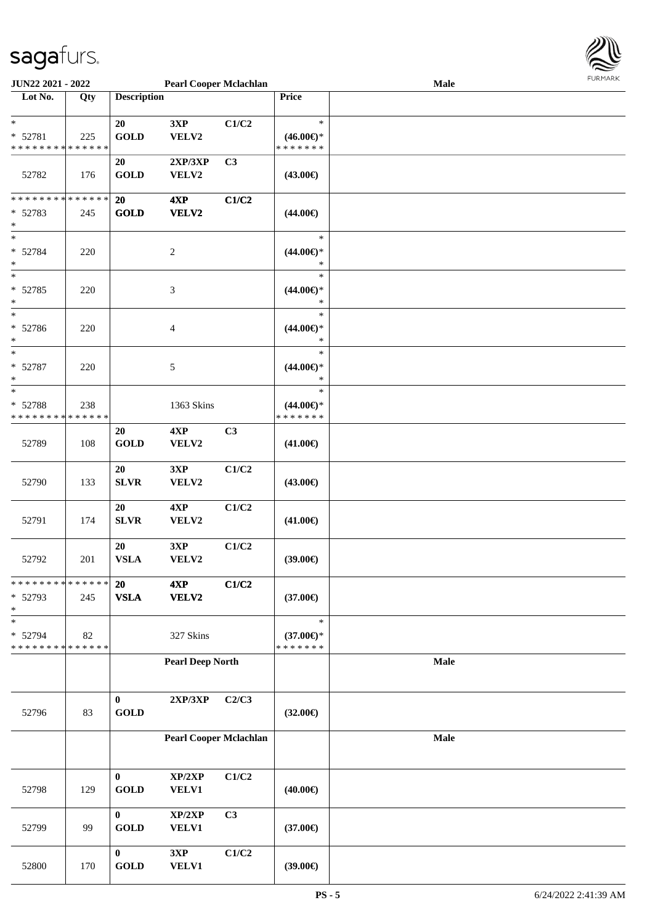

| <b>JUN22 2021 - 2022</b>                   |     |                    | <b>Pearl Cooper Mclachlan</b> |       |                     | Male        |  |
|--------------------------------------------|-----|--------------------|-------------------------------|-------|---------------------|-------------|--|
| Lot No.                                    | Qty | <b>Description</b> |                               |       | Price               |             |  |
|                                            |     |                    |                               |       |                     |             |  |
| $\ast$                                     |     | 20                 | 3XP                           | C1/C2 | $\ast$              |             |  |
| * 52781                                    | 225 | <b>GOLD</b>        | VELV2                         |       | $(46.00\epsilon)$ * |             |  |
| * * * * * * * * <mark>* * * * * * *</mark> |     |                    |                               |       | * * * * * * *       |             |  |
|                                            |     | 20                 | 2XP/3XP                       | C3    |                     |             |  |
| 52782                                      | 176 | <b>GOLD</b>        | VELV2                         |       | $(43.00\epsilon)$   |             |  |
|                                            |     |                    |                               |       |                     |             |  |
| * * * * * * * * <mark>* * * * * *</mark>   |     | 20                 | 4XP                           | C1/C2 |                     |             |  |
| * 52783                                    | 245 | <b>GOLD</b>        | VELV2                         |       | $(44.00\epsilon)$   |             |  |
| $\ast$                                     |     |                    |                               |       |                     |             |  |
| $\ast$                                     |     |                    |                               |       | $\ast$              |             |  |
|                                            |     |                    |                               |       |                     |             |  |
| * 52784                                    | 220 |                    | $\boldsymbol{2}$              |       | $(44.00ε)$ *        |             |  |
| $\ast$                                     |     |                    |                               |       | $\ast$              |             |  |
| $\ast$                                     |     |                    |                               |       | $\ast$              |             |  |
| * 52785                                    | 220 |                    | 3                             |       | $(44.00\epsilon)$ * |             |  |
| $\ast$                                     |     |                    |                               |       | $\ast$              |             |  |
| $\ast$                                     |     |                    |                               |       | $\ast$              |             |  |
| * 52786                                    | 220 |                    | 4                             |       | $(44.00\epsilon)$ * |             |  |
| *                                          |     |                    |                               |       | $\ast$              |             |  |
| $\ast$                                     |     |                    |                               |       | $\ast$              |             |  |
| * 52787                                    | 220 |                    | 5                             |       | $(44.00\epsilon)$ * |             |  |
| $\ast$                                     |     |                    |                               |       | $\ast$              |             |  |
| $\overline{\ast}$                          |     |                    |                               |       | $\ast$              |             |  |
| * 52788                                    | 238 |                    | 1363 Skins                    |       | $(44.00\epsilon)$ * |             |  |
| * * * * * * * * <mark>* * * * * * *</mark> |     |                    |                               |       | * * * * * * *       |             |  |
|                                            |     | 20                 | 4XP                           | C3    |                     |             |  |
| 52789                                      | 108 | <b>GOLD</b>        | VELV2                         |       | $(41.00\epsilon)$   |             |  |
|                                            |     |                    |                               |       |                     |             |  |
|                                            |     | 20                 | 3XP                           | C1/C2 |                     |             |  |
|                                            |     | <b>SLVR</b>        | VELV2                         |       |                     |             |  |
| 52790                                      | 133 |                    |                               |       | $(43.00\epsilon)$   |             |  |
|                                            |     |                    |                               |       |                     |             |  |
|                                            |     | 20                 | 4XP                           | C1/C2 |                     |             |  |
| 52791                                      | 174 | <b>SLVR</b>        | VELV2                         |       | $(41.00\epsilon)$   |             |  |
|                                            |     |                    |                               |       |                     |             |  |
|                                            |     | 20                 | 3XP                           | C1/C2 |                     |             |  |
| 52792                                      | 201 | <b>VSLA</b>        | VELV2                         |       | $(39.00\epsilon)$   |             |  |
|                                            |     |                    |                               |       |                     |             |  |
| * * * * * * * * <mark>* * * * * * *</mark> |     | 20                 | 4XP                           | C1/C2 |                     |             |  |
| * 52793                                    | 245 | <b>VSLA</b>        | VELV2                         |       | $(37.00\epsilon)$   |             |  |
| $\ast$                                     |     |                    |                               |       |                     |             |  |
| *                                          |     |                    |                               |       | $\ast$              |             |  |
| * 52794                                    | 82  |                    | 327 Skins                     |       | $(37.00\epsilon)$ * |             |  |
| * * * * * * * * * * * * * *                |     |                    |                               |       | * * * * * * *       |             |  |
|                                            |     |                    | <b>Pearl Deep North</b>       |       |                     | <b>Male</b> |  |
|                                            |     |                    |                               |       |                     |             |  |
|                                            |     |                    |                               |       |                     |             |  |
|                                            |     | $\pmb{0}$          | 2XP/3XP                       | C2/C3 |                     |             |  |
| 52796                                      | 83  | GOLD               |                               |       | $(32.00\epsilon)$   |             |  |
|                                            |     |                    |                               |       |                     |             |  |
|                                            |     |                    | <b>Pearl Cooper Mclachlan</b> |       |                     | Male        |  |
|                                            |     |                    |                               |       |                     |             |  |
|                                            |     |                    |                               |       |                     |             |  |
|                                            |     | $\bf{0}$           | XP/2XP                        | C1/C2 |                     |             |  |
| 52798                                      | 129 | <b>GOLD</b>        | VELV1                         |       | $(40.00\epsilon)$   |             |  |
|                                            |     |                    |                               |       |                     |             |  |
|                                            |     |                    |                               |       |                     |             |  |
|                                            |     | $\bf{0}$           | XP/2XP                        | C3    |                     |             |  |
| 52799                                      | 99  | <b>GOLD</b>        | <b>VELV1</b>                  |       | $(37.00\epsilon)$   |             |  |
|                                            |     |                    |                               |       |                     |             |  |
|                                            |     | $\bf{0}$           | 3XP                           | C1/C2 |                     |             |  |
| 52800                                      | 170 | GOLD               | VELV1                         |       | (39.00)             |             |  |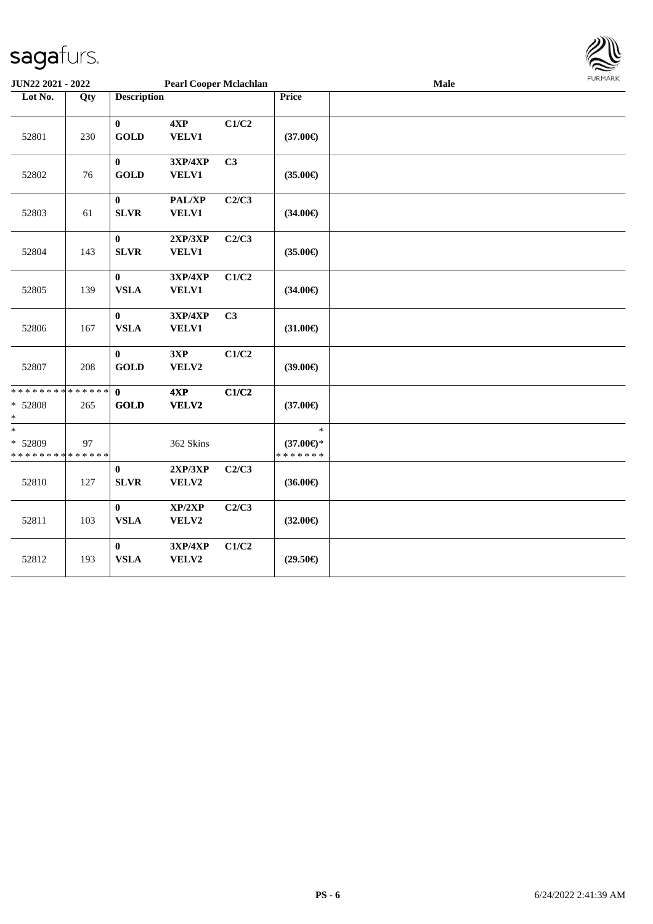

| <b>JUN22 2021 - 2022</b>                         |     |                             | <b>Pearl Cooper Mclachlan</b> |       |                                                | Male | <b>FURMARK</b> |
|--------------------------------------------------|-----|-----------------------------|-------------------------------|-------|------------------------------------------------|------|----------------|
| Lot No.                                          | Qty | <b>Description</b>          |                               |       | Price                                          |      |                |
| 52801                                            | 230 | $\bf{0}$<br><b>GOLD</b>     | 4XP<br><b>VELV1</b>           | C1/C2 | $(37.00\epsilon)$                              |      |                |
| 52802                                            | 76  | $\mathbf{0}$<br><b>GOLD</b> | 3XP/4XP<br><b>VELV1</b>       | C3    | $(35.00\epsilon)$                              |      |                |
| 52803                                            | 61  | $\mathbf{0}$<br><b>SLVR</b> | PAL/XP<br><b>VELV1</b>        | C2/C3 | $(34.00\epsilon)$                              |      |                |
| 52804                                            | 143 | $\bf{0}$<br><b>SLVR</b>     | 2XP/3XP<br>VELV1              | C2/C3 | $(35.00\epsilon)$                              |      |                |
| 52805                                            | 139 | $\bf{0}$<br><b>VSLA</b>     | 3XP/4XP<br><b>VELV1</b>       | C1/C2 | $(34.00\epsilon)$                              |      |                |
| 52806                                            | 167 | $\bf{0}$<br><b>VSLA</b>     | 3XP/4XP<br><b>VELV1</b>       | C3    | $(31.00\epsilon)$                              |      |                |
| 52807                                            | 208 | $\bf{0}$<br><b>GOLD</b>     | 3XP<br>VELV2                  | C1/C2 | $(39.00\epsilon)$                              |      |                |
| * * * * * * * * * * * * * *<br>* 52808<br>$\ast$ | 265 | $\mathbf{0}$<br><b>GOLD</b> | 4XP<br><b>VELV2</b>           | C1/C2 | $(37.00\epsilon)$                              |      |                |
| $\ast$<br>* 52809<br>* * * * * * * * * * * * * * | 97  |                             | 362 Skins                     |       | $\ast$<br>$(37.00\epsilon)$ *<br>* * * * * * * |      |                |
| 52810                                            | 127 | $\bf{0}$<br><b>SLVR</b>     | 2XP/3XP<br>VELV2              | C2/C3 | $(36.00\epsilon)$                              |      |                |
| 52811                                            | 103 | $\bf{0}$<br><b>VSLA</b>     | XP/2XP<br>VELV2               | C2/C3 | $(32.00\epsilon)$                              |      |                |
| 52812                                            | 193 | $\bf{0}$<br><b>VSLA</b>     | 3XP/4XP<br>VELV2              | C1/C2 | $(29.50\epsilon)$                              |      |                |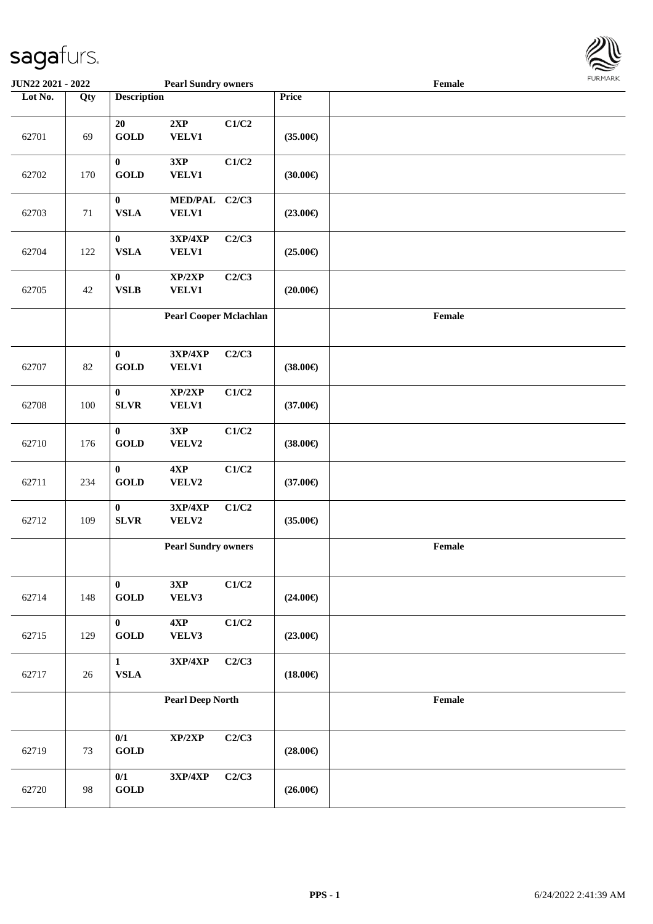

| <b>JUN22 2021 - 2022</b> |        |                                            | <b>Pearl Sundry owners</b>        |       |                   | Female                                      |  |
|--------------------------|--------|--------------------------------------------|-----------------------------------|-------|-------------------|---------------------------------------------|--|
| Lot No.                  | Qty    | <b>Description</b>                         |                                   |       | Price             |                                             |  |
| 62701                    | 69     | 20<br><b>GOLD</b>                          | 2XP<br>VELV1                      | C1/C2 | $(35.00\epsilon)$ |                                             |  |
| 62702                    | 170    | $\bf{0}$<br><b>GOLD</b>                    | 3XP<br><b>VELV1</b>               | C1/C2 | $(30.00\epsilon)$ |                                             |  |
| 62703                    | 71     | $\bf{0}$<br><b>VSLA</b>                    | MED/PAL C2/C3<br><b>VELV1</b>     |       | $(23.00\epsilon)$ |                                             |  |
| 62704                    | 122    | $\pmb{0}$<br><b>VSLA</b>                   | 3XP/4XP<br><b>VELV1</b>           | C2/C3 | $(25.00\epsilon)$ |                                             |  |
| 62705                    | $42\,$ | $\bf{0}$<br><b>VSLB</b>                    | XP/2XP<br><b>VELV1</b>            | C2/C3 | $(20.00\epsilon)$ |                                             |  |
|                          |        |                                            | <b>Pearl Cooper Mclachlan</b>     |       |                   | $\ensuremath{\textnormal{\textbf{Female}}}$ |  |
| 62707                    | 82     | $\bf{0}$<br><b>GOLD</b>                    | 3XP/4XP<br><b>VELV1</b>           | C2/C3 | $(38.00\epsilon)$ |                                             |  |
| 62708                    | 100    | $\boldsymbol{0}$<br><b>SLVR</b>            | XP/2XP<br><b>VELV1</b>            | C1/C2 | $(37.00\epsilon)$ |                                             |  |
| 62710                    | 176    | $\bf{0}$<br><b>GOLD</b>                    | 3XP<br>VELV2                      | C1/C2 | $(38.00\epsilon)$ |                                             |  |
| 62711                    | 234    | $\bf{0}$<br><b>GOLD</b>                    | 4XP<br>VELV2                      | C1/C2 | $(37.00\epsilon)$ |                                             |  |
| 62712                    | 109    | $\boldsymbol{0}$<br><b>SLVR</b>            | 3XP/4XP<br>VELV2                  | C1/C2 | $(35.00\epsilon)$ |                                             |  |
|                          |        |                                            | <b>Pearl Sundry owners</b>        |       |                   | Female                                      |  |
| 62714                    | 148    | $\bf{0}$<br>$\operatorname{\mathbf{GOLD}}$ | 3XP<br>VELV3                      | C1/C2 | $(24.00\epsilon)$ |                                             |  |
| 62715                    | 129    | $\bf{0}$<br>$\operatorname{GOLD}$          | 4XP<br>VELV3                      | C1/C2 | $(23.00\epsilon)$ |                                             |  |
| 62717                    | 26     | $\mathbf{1}$<br>${\bf VSLA}$               | $3{\bf X}{\bf P}/4{\bf X}{\bf P}$ | C2/C3 | $(18.00\epsilon)$ |                                             |  |
|                          |        |                                            | <b>Pearl Deep North</b>           |       |                   | Female                                      |  |
| 62719                    | 73     | 0/1<br><b>GOLD</b>                         | XP/2XP                            | C2/C3 | $(28.00\epsilon)$ |                                             |  |
| 62720                    | 98     | 0/1<br>$\operatorname{GOLD}$               | $3{\bf X}{\bf P}/4{\bf X}{\bf P}$ | C2/C3 | $(26.00\epsilon)$ |                                             |  |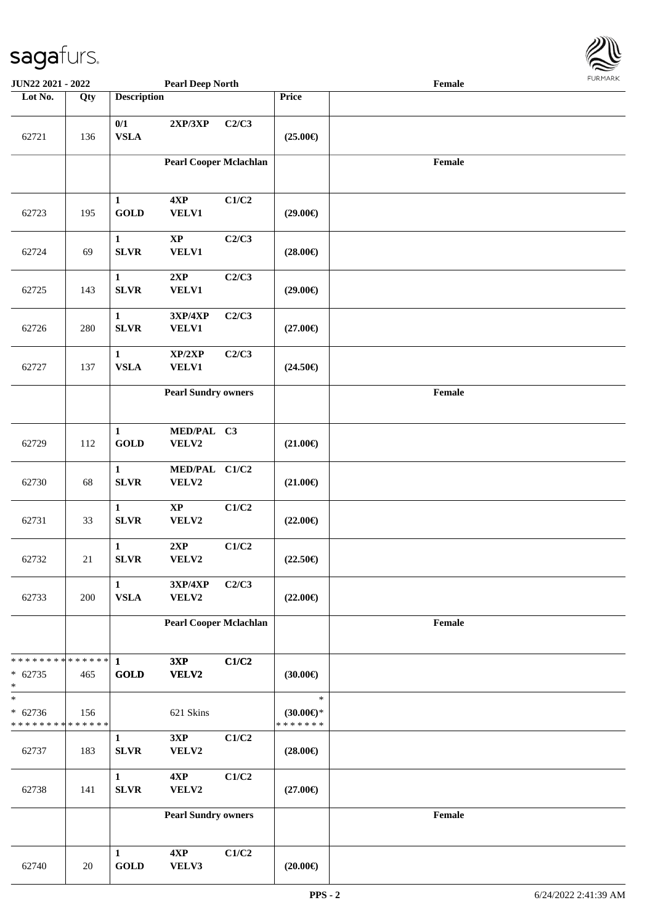

| <b>JUN22 2021 - 2022</b>                           |        |                             | <b>Pearl Deep North</b>       |       |                                                | Female |  |
|----------------------------------------------------|--------|-----------------------------|-------------------------------|-------|------------------------------------------------|--------|--|
| Lot No.                                            | Qty    | <b>Description</b>          |                               |       | Price                                          |        |  |
| 62721                                              | 136    | 0/1<br><b>VSLA</b>          | 2XP/3XP                       | C2/C3 | $(25.00\epsilon)$                              |        |  |
|                                                    |        |                             | <b>Pearl Cooper Mclachlan</b> |       |                                                | Female |  |
| 62723                                              | 195    | $\mathbf{1}$<br><b>GOLD</b> | 4XP<br><b>VELV1</b>           | C1/C2 | $(29.00\epsilon)$                              |        |  |
| 62724                                              | 69     | $\mathbf{1}$<br><b>SLVR</b> | $\bold{XP}$<br><b>VELV1</b>   | C2/C3 | $(28.00\epsilon)$                              |        |  |
| 62725                                              | 143    | $\mathbf{1}$<br><b>SLVR</b> | 2XP<br><b>VELV1</b>           | C2/C3 | $(29.00\epsilon)$                              |        |  |
| 62726                                              | 280    | $\mathbf{1}$<br><b>SLVR</b> | 3XP/4XP<br>VELV1              | C2/C3 | $(27.00\epsilon)$                              |        |  |
| 62727                                              | 137    | $\mathbf{1}$<br><b>VSLA</b> | XP/2XP<br><b>VELV1</b>        | C2/C3 | $(24.50\epsilon)$                              |        |  |
|                                                    |        |                             | <b>Pearl Sundry owners</b>    |       |                                                | Female |  |
| 62729                                              | 112    | $\mathbf{1}$<br><b>GOLD</b> | MED/PAL C3<br>VELV2           |       | $(21.00\epsilon)$                              |        |  |
| 62730                                              | 68     | $\mathbf 1$<br><b>SLVR</b>  | MED/PAL C1/C2<br>VELV2        |       | $(21.00\epsilon)$                              |        |  |
| 62731                                              | 33     | $\mathbf 1$<br><b>SLVR</b>  | $\bold{XP}$<br>VELV2          | C1/C2 | $(22.00\epsilon)$                              |        |  |
| 62732                                              | $21\,$ | $\mathbf 1$<br>${\bf SLVR}$ | 2XP<br>VELV2                  | C1/C2 | $(22.50\epsilon)$                              |        |  |
| 62733                                              | 200    | $\mathbf{1}$<br><b>VSLA</b> | 3XP/4XP<br>VELV2              | C2/C3 | $(22.00\epsilon)$                              |        |  |
|                                                    |        |                             | <b>Pearl Cooper Mclachlan</b> |       |                                                | Female |  |
| * * * * * * * * * * * * * *<br>$* 62735$<br>$\ast$ | 465    | 1<br><b>GOLD</b>            | 3XP<br>VELV2                  | C1/C2 | $(30.00\epsilon)$                              |        |  |
| $_{*}$<br>$* 62736$<br>* * * * * * * * * * * * * * | 156    |                             | 621 Skins                     |       | $\ast$<br>$(30.00\epsilon)$ *<br>* * * * * * * |        |  |
| 62737                                              | 183    | $\mathbf{1}$<br><b>SLVR</b> | 3XP<br>VELV2                  | C1/C2 | $(28.00\epsilon)$                              |        |  |
| 62738                                              | 141    | $\mathbf{1}$<br><b>SLVR</b> | 4XP<br>VELV2                  | C1/C2 | $(27.00\epsilon)$                              |        |  |
|                                                    |        |                             | <b>Pearl Sundry owners</b>    |       |                                                | Female |  |
| 62740                                              | 20     | $\mathbf{1}$<br><b>GOLD</b> | 4XP<br>VELV3                  | C1/C2 | $(20.00\epsilon)$                              |        |  |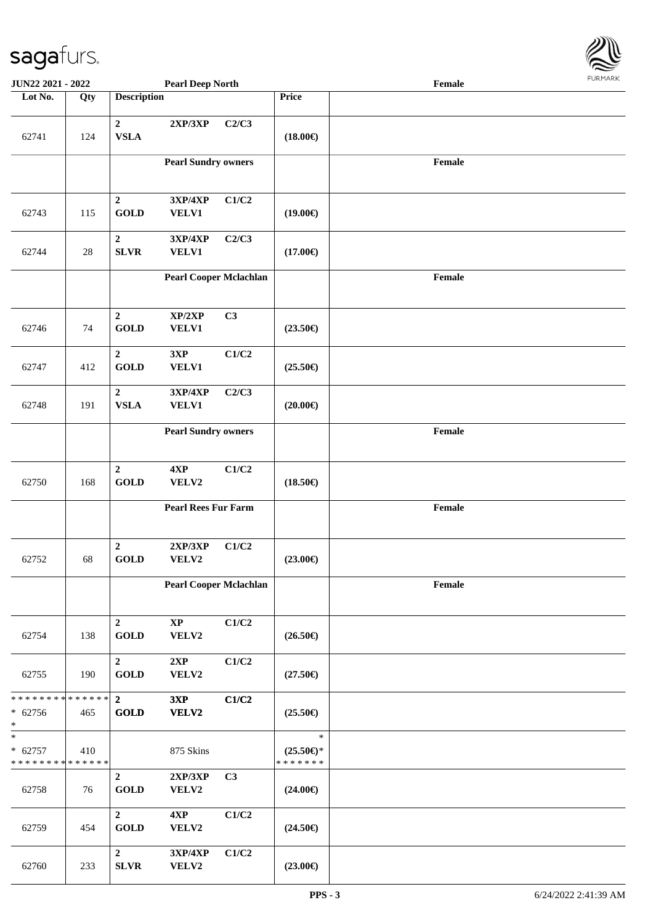

| <b>JUN22 2021 - 2022</b>                           |                    |                                           | <b>Pearl Deep North</b>                           |                |                                                | Female                                      |  |
|----------------------------------------------------|--------------------|-------------------------------------------|---------------------------------------------------|----------------|------------------------------------------------|---------------------------------------------|--|
| Lot No.                                            | $\overline{Q}$ ty  | <b>Description</b>                        |                                                   |                | Price                                          |                                             |  |
| 62741                                              | 124                | $\boldsymbol{2}$<br><b>VSLA</b>           | 2XP/3XP                                           | C2/C3          | $(18.00\epsilon)$                              |                                             |  |
|                                                    |                    |                                           | <b>Pearl Sundry owners</b>                        |                |                                                | Female                                      |  |
| 62743                                              | 115                | $\boldsymbol{2}$<br><b>GOLD</b>           | 3XP/4XP<br>VELV1                                  | C1/C2          | $(19.00\epsilon)$                              |                                             |  |
| 62744                                              | $28\,$             | $\boldsymbol{2}$<br><b>SLVR</b>           | 3XP/4XP<br>VELV1                                  | C2/C3          | $(17.00\epsilon)$                              |                                             |  |
|                                                    |                    |                                           | <b>Pearl Cooper Mclachlan</b>                     |                |                                                | $\ensuremath{\textnormal{\textbf{Female}}}$ |  |
| 62746                                              | 74                 | $\overline{2}$<br><b>GOLD</b>             | XP/2XP<br>VELV1                                   | C3             | $(23.50\epsilon)$                              |                                             |  |
| 62747                                              | 412                | $\boldsymbol{2}$<br><b>GOLD</b>           | 3XP<br>VELV1                                      | C1/C2          | $(25.50\epsilon)$                              |                                             |  |
| 62748                                              | 191                | $\mathbf 2$<br><b>VSLA</b>                | $3{\bf X}{\bf P}/4{\bf X}{\bf P}$<br><b>VELV1</b> | C2/C3          | $(20.00\epsilon)$                              |                                             |  |
|                                                    |                    |                                           | <b>Pearl Sundry owners</b>                        |                |                                                | Female                                      |  |
| 62750                                              | 168                | $\overline{2}$<br>$\operatorname{GOLD}$   | 4XP<br>VELV2                                      | C1/C2          | $(18.50\epsilon)$                              |                                             |  |
|                                                    |                    |                                           | <b>Pearl Rees Fur Farm</b>                        |                |                                                | Female                                      |  |
| 62752                                              | 68                 | $\overline{2}$<br><b>GOLD</b>             | 2XP/3XP<br>VELV2                                  | C1/C2          | $(23.00\epsilon)$                              |                                             |  |
|                                                    |                    |                                           | <b>Pearl Cooper Mclachlan</b>                     |                |                                                | Female                                      |  |
| 62754                                              | 138                | $\boldsymbol{2}$<br>$\operatorname{GOLD}$ | $\bold{XP}$<br>VELV2                              | C1/C2          | $(26.50\epsilon)$                              |                                             |  |
| 62755                                              | 190                | $\mathbf{2}$<br><b>GOLD</b>               | 2XP<br>VELV2                                      | C1/C2          | $(27.50\epsilon)$                              |                                             |  |
| * * * * * * * *<br>$* 62756$<br>$*$                | * * * * * *<br>465 | $\overline{2}$<br>GOLD                    | 3XP<br>VELV2                                      | C1/C2          | $(25.50\epsilon)$                              |                                             |  |
| $\ast$<br>$* 62757$<br>* * * * * * * * * * * * * * | 410                |                                           | 875 Skins                                         |                | $\ast$<br>$(25.50\epsilon)$ *<br>* * * * * * * |                                             |  |
| 62758                                              | 76                 | $\mathbf{2}$<br><b>GOLD</b>               | 2XP/3XP<br>VELV2                                  | C <sub>3</sub> | $(24.00\epsilon)$                              |                                             |  |
| 62759                                              | 454                | $\mathbf{2}$<br><b>GOLD</b>               | 4XP<br>VELV2                                      | C1/C2          | $(24.50\epsilon)$                              |                                             |  |
| 62760                                              | 233                | $\boldsymbol{2}$<br>${\bf SLVR}$          | 3XP/4XP<br>VELV2                                  | C1/C2          | $(23.00\epsilon)$                              |                                             |  |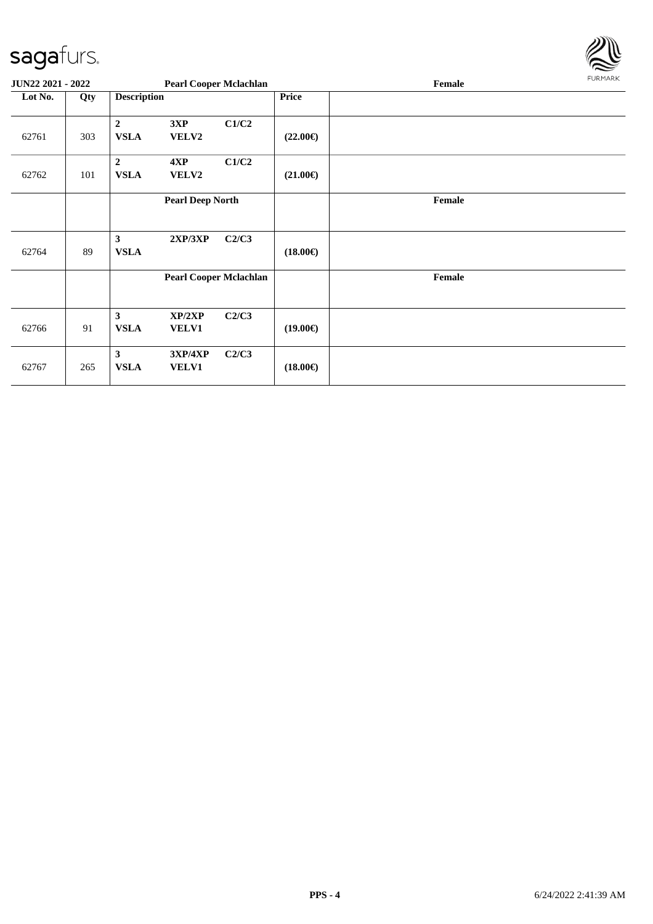

| JUN22 2021 - 2022 |     |                                 |                         | <b>Pearl Cooper Mclachlan</b> |                   | Female | FURMARK |
|-------------------|-----|---------------------------------|-------------------------|-------------------------------|-------------------|--------|---------|
| Lot No.           | Qty | <b>Description</b>              |                         |                               | Price             |        |         |
| 62761             | 303 | $\boldsymbol{2}$<br><b>VSLA</b> | 3XP<br>VELV2            | C1/C2                         | $(22.00\epsilon)$ |        |         |
| 62762             | 101 | $\overline{2}$<br><b>VSLA</b>   | 4XP<br>VELV2            | C1/C2                         | $(21.00\epsilon)$ |        |         |
|                   |     |                                 | <b>Pearl Deep North</b> |                               |                   | Female |         |
| 62764             | 89  | $\mathbf{3}$<br><b>VSLA</b>     | 2XP/3XP                 | C2/C3                         | $(18.00\epsilon)$ |        |         |
|                   |     |                                 |                         | <b>Pearl Cooper Mclachlan</b> |                   | Female |         |
| 62766             | 91  | $\mathbf{3}$<br><b>VSLA</b>     | XP/2XP<br><b>VELV1</b>  | C2/C3                         | $(19.00\epsilon)$ |        |         |
| 62767             | 265 | $\mathbf{3}$<br><b>VSLA</b>     | 3XP/4XP<br>VELV1        | C2/C3                         | $(18.00\epsilon)$ |        |         |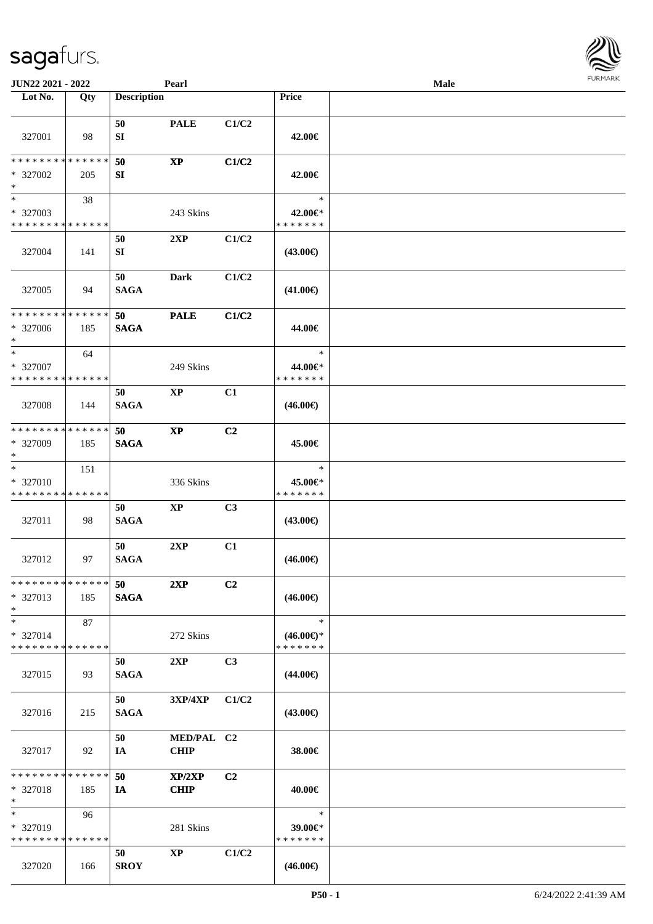| <b>JUN22 2021 - 2022</b>                                            |     |                    | Pearl                     |                |                                                | Male |  |
|---------------------------------------------------------------------|-----|--------------------|---------------------------|----------------|------------------------------------------------|------|--|
| Lot No.                                                             | Qty | <b>Description</b> |                           |                | Price                                          |      |  |
| 327001                                                              | 98  | 50<br>SI           | <b>PALE</b>               | C1/C2          | 42.00€                                         |      |  |
| * * * * * * * * * * * * * *<br>* 327002<br>$*$                      | 205 | 50<br>SI           | $\mathbf{X}\mathbf{P}$    | C1/C2          | 42.00€                                         |      |  |
| $\ast$<br>* 327003<br>* * * * * * * * * * * * * *                   | 38  |                    | 243 Skins                 |                | $\ast$<br>42.00€*<br>* * * * * * *             |      |  |
| 327004                                                              | 141 | 50<br>SI           | 2XP                       | C1/C2          | (43.00€)                                       |      |  |
| 327005                                                              | 94  | 50<br><b>SAGA</b>  | Dark                      | C1/C2          | $(41.00\epsilon)$                              |      |  |
| * * * * * * * * * * * * * *<br>* 327006<br>$*$                      | 185 | 50<br><b>SAGA</b>  | <b>PALE</b>               | C1/C2          | 44.00€                                         |      |  |
| $\ast$<br>* 327007<br>* * * * * * * * * * * * * *                   | 64  |                    | 249 Skins                 |                | $\ast$<br>44.00€*<br>* * * * * * *             |      |  |
| 327008                                                              | 144 | 50<br><b>SAGA</b>  | <b>XP</b>                 | C1             | $(46.00\epsilon)$                              |      |  |
| * * * * * * * * * * * * * *<br>* 327009<br>$*$                      | 185 | 50<br><b>SAGA</b>  | $\bold{XP}$               | C <sub>2</sub> | 45.00€                                         |      |  |
| $*$<br>* 327010<br>* * * * * * * * * * * * * *                      | 151 |                    | 336 Skins                 |                | $\ast$<br>45.00€*<br>* * * * * * *             |      |  |
| 327011                                                              | 98  | 50<br><b>SAGA</b>  | $\bold{XP}$               | C <sub>3</sub> | $(43.00\epsilon)$                              |      |  |
| 327012                                                              | 97  | 50<br><b>SAGA</b>  | 2XP                       | C1             | $(46.00\epsilon)$                              |      |  |
| * * * * * * * * * * * * * *<br>* 327013<br>$*$                      | 185 | 50<br><b>SAGA</b>  | 2XP                       | C2             | $(46.00\epsilon)$                              |      |  |
| $*$<br>* 327014<br>* * * * * * * * * * * * * *                      | 87  |                    | 272 Skins                 |                | $\ast$<br>$(46.00\epsilon)$ *<br>* * * * * * * |      |  |
| 327015                                                              | 93  | 50<br><b>SAGA</b>  | 2XP                       | C3             | $(44.00\epsilon)$                              |      |  |
| 327016                                                              | 215 | 50<br><b>SAGA</b>  | 3XP/4XP                   | C1/C2          | $(43.00\epsilon)$                              |      |  |
| 327017                                                              | 92  | 50<br>IA           | MED/PAL C2<br><b>CHIP</b> |                | 38.00€                                         |      |  |
| * * * * * * * * * * * * * *<br>* 327018<br>$*$                      | 185 | 50<br>IA           | XP/2XP<br><b>CHIP</b>     | C2             | 40.00€                                         |      |  |
| $\overline{\phantom{0}}$<br>* 327019<br>* * * * * * * * * * * * * * | 96  |                    | 281 Skins                 |                | $\ast$<br>39.00€*<br>* * * * * * *             |      |  |
| 327020                                                              | 166 | 50<br><b>SROY</b>  | $\mathbf{XP}$             | C1/C2          | $(46.00\epsilon)$                              |      |  |

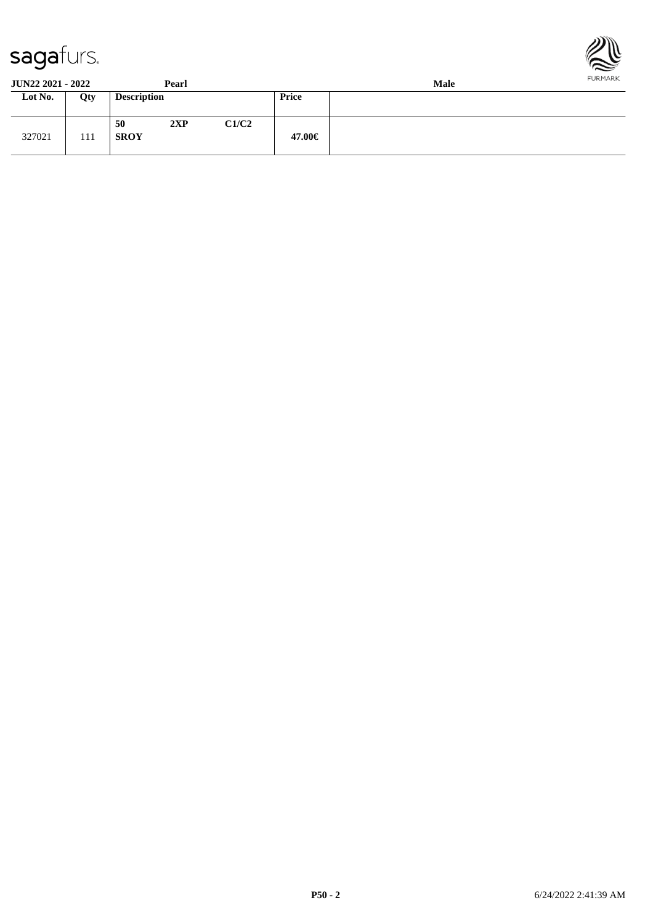



**JUN22 2021 - 2022 Pearl Male**<br> **Lot No. Qty Description Price Price Lot No. Qty Description**  $\overline{\phantom{a}}$ 

|        |     | 50          | 2XP | C1/C2 |        |
|--------|-----|-------------|-----|-------|--------|
| 327021 | 111 | <b>SROY</b> |     |       | 47.00€ |
|        |     |             |     |       |        |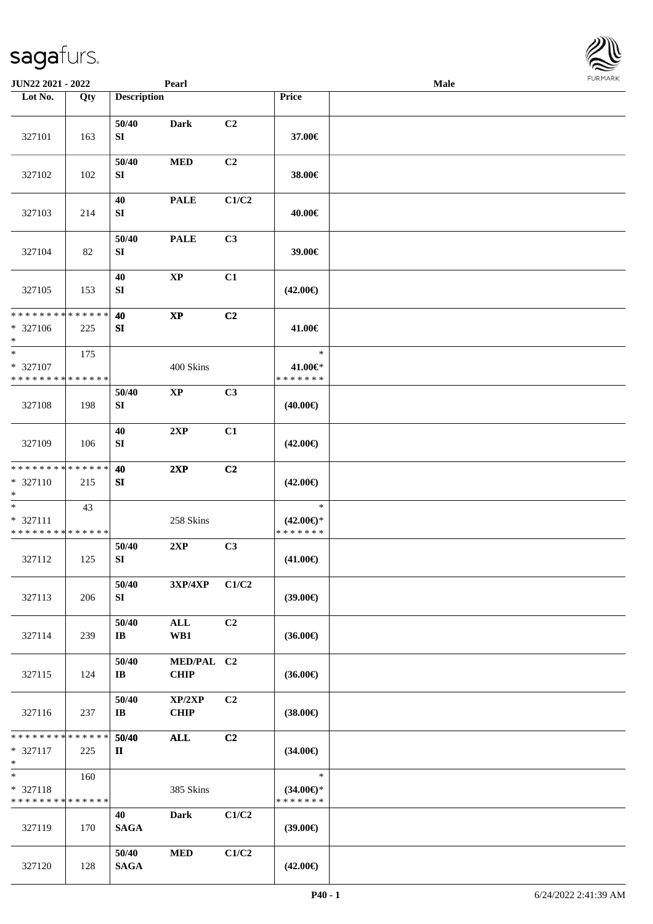| <b>JUN22 2021 - 2022</b>                                         |                    |                                  | Pearl                     |                |                                                | Male | 1.91111111 |
|------------------------------------------------------------------|--------------------|----------------------------------|---------------------------|----------------|------------------------------------------------|------|------------|
| Lot No.                                                          | Qty                | <b>Description</b>               |                           |                | Price                                          |      |            |
| 327101                                                           | 163                | 50/40<br>${\bf S}{\bf I}$        | <b>Dark</b>               | C <sub>2</sub> | 37.00€                                         |      |            |
| 327102                                                           | 102                | 50/40<br>${\bf S}{\bf I}$        | <b>MED</b>                | C2             | 38.00€                                         |      |            |
| 327103                                                           | 214                | 40<br>SI                         | <b>PALE</b>               | C1/C2          | 40.00€                                         |      |            |
| 327104                                                           | 82                 | 50/40<br>SI                      | <b>PALE</b>               | C3             | 39.00€                                         |      |            |
| 327105                                                           | 153                | 40<br>${\bf S}{\bf I}$           | $\mathbf{XP}$             | C1             | $(42.00\epsilon)$                              |      |            |
| * * * * * * * * * * * * * *<br>* 327106<br>$\ast$                | 225                | 40<br>SI                         | $\bold{XP}$               | C2             | 41.00€                                         |      |            |
| $\ast$<br>* 327107<br>* * * * * * * * * * * * * *                | 175                |                                  | 400 Skins                 |                | $\ast$<br>41.00€*<br>* * * * * * *             |      |            |
| 327108                                                           | 198                | 50/40<br>SI                      | $\mathbf{X}\mathbf{P}$    | C3             | $(40.00\epsilon)$                              |      |            |
| 327109                                                           | 106                | 40<br>SI                         | 2XP                       | C1             | $(42.00\epsilon)$                              |      |            |
| * * * * * * * * <mark>* * * * * * *</mark><br>* 327110<br>$\ast$ | 215                | 40<br>SI                         | 2XP                       | C2             | $(42.00\epsilon)$                              |      |            |
| $\ast$<br>* 327111<br>* * * * * * * * <mark>* * * * * * *</mark> | 43                 |                                  | 258 Skins                 |                | $\ast$<br>$(42.00\epsilon)$ *<br>* * * * * * * |      |            |
| 327112                                                           | 125                | 50/40<br>SI                      | 2XP                       | C3             | $(41.00\epsilon)$                              |      |            |
| 327113                                                           | 206                | 50/40<br>SI                      | 3XP/4XP                   | C1/C2          | (39.00)                                        |      |            |
| 327114                                                           | 239                | 50/40<br>$\mathbf{I} \mathbf{B}$ | ALL<br>WB1                | C2             | $(36.00\epsilon)$                              |      |            |
| 327115                                                           | 124                | 50/40<br>$\mathbf{I} \mathbf{B}$ | MED/PAL C2<br><b>CHIP</b> |                | $(36.00\epsilon)$                              |      |            |
| 327116                                                           | 237                | 50/40<br>IB                      | XP/2XP<br><b>CHIP</b>     | C <sub>2</sub> | $(38.00\epsilon)$                              |      |            |
| * * * * * * * *<br>$* 327117$<br>$\ast$                          | * * * * * *<br>225 | 50/40<br>$\mathbf{I}$            | <b>ALL</b>                | C2             | $(34.00\epsilon)$                              |      |            |
| $*$<br>$* 327118$<br>* * * * * * * * * * * * * *                 | 160                |                                  | 385 Skins                 |                | $\ast$<br>$(34.00\epsilon)$ *<br>* * * * * * * |      |            |
| 327119                                                           | 170                | 40<br><b>SAGA</b>                | Dark                      | C1/C2          | (39.00)                                        |      |            |
| 327120                                                           | 128                | 50/40<br><b>SAGA</b>             | <b>MED</b>                | C1/C2          | $(42.00\epsilon)$                              |      |            |

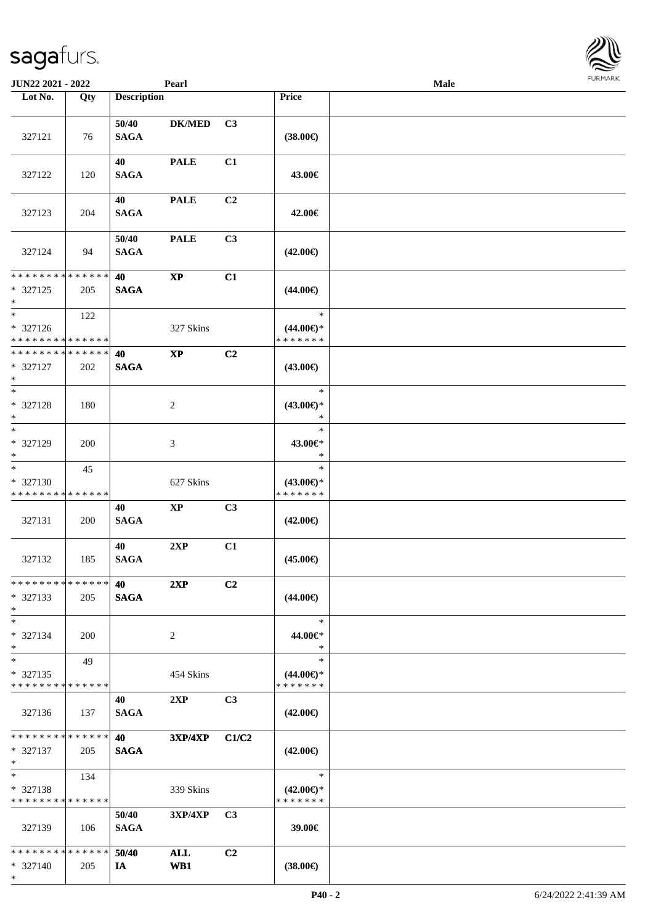| <b>JUN22 2021 - 2022</b>                                           |     |                      | Pearl                  |                |                                                | Male | <b>FURPIARA</b> |
|--------------------------------------------------------------------|-----|----------------------|------------------------|----------------|------------------------------------------------|------|-----------------|
| Lot No.                                                            | Qty | <b>Description</b>   |                        |                | Price                                          |      |                 |
| 327121                                                             | 76  | 50/40<br><b>SAGA</b> | <b>DK/MED</b>          | C3             | $(38.00\epsilon)$                              |      |                 |
| 327122                                                             | 120 | 40<br><b>SAGA</b>    | <b>PALE</b>            | C1             | 43.00€                                         |      |                 |
| 327123                                                             | 204 | 40<br><b>SAGA</b>    | <b>PALE</b>            | C <sub>2</sub> | 42.00€                                         |      |                 |
| 327124                                                             | 94  | 50/40<br><b>SAGA</b> | <b>PALE</b>            | C3             | $(42.00\epsilon)$                              |      |                 |
| * * * * * * * * <mark>* * * * * * *</mark><br>* 327125<br>$*$      | 205 | 40<br><b>SAGA</b>    | $\mathbf{X}\mathbf{P}$ | C1             | $(44.00\epsilon)$                              |      |                 |
| $*$<br>* 327126<br>* * * * * * * * <mark>* * * * * *</mark>        | 122 |                      | 327 Skins              |                | $\ast$<br>$(44.00\epsilon)$ *<br>* * * * * * * |      |                 |
| * * * * * * * * <mark>* * * * * * *</mark><br>* 327127<br>$*$      | 202 | 40<br><b>SAGA</b>    | $\mathbf{X}\mathbf{P}$ | C2             | $(43.00\epsilon)$                              |      |                 |
| $\overline{\phantom{0}}$<br>* 327128<br>$*$                        | 180 |                      | 2                      |                | $\ast$<br>$(43.00\epsilon)$ *<br>$\ast$        |      |                 |
| $*$<br>* 327129<br>$*$                                             | 200 |                      | 3                      |                | $\ast$<br>43.00€*<br>$\ast$                    |      |                 |
| $*$<br>* 327130<br>* * * * * * * * * * * * * *                     | 45  |                      | 627 Skins              |                | $\ast$<br>$(43.00\epsilon)$ *<br>* * * * * * * |      |                 |
| 327131                                                             | 200 | 40<br><b>SAGA</b>    | <b>XP</b>              | C3             | $(42.00\epsilon)$                              |      |                 |
| 327132                                                             | 185 | 40<br><b>SAGA</b>    | 2XP                    | C1             | $(45.00\in)$                                   |      |                 |
| * * * * * * * * * * * * * * *<br>$*327133$<br>$\ast$               | 205 | 40<br><b>SAGA</b>    | 2XP                    | C2             | $(44.00\epsilon)$                              |      |                 |
| $*$<br>* 327134<br>$*$                                             | 200 |                      | 2                      |                | $\ast$<br>44.00€*<br>$\ast$                    |      |                 |
| $*$<br>$*327135$<br>* * * * * * * * * * * * * * *                  | 49  |                      | 454 Skins              |                | $\ast$<br>$(44.00\epsilon)$ *<br>* * * * * * * |      |                 |
| 327136                                                             | 137 | 40<br><b>SAGA</b>    | 2XP                    | C3             | $(42.00\epsilon)$                              |      |                 |
| * * * * * * * * * * * * * * *<br>$* 327137$<br>$*$                 | 205 | 40<br><b>SAGA</b>    | $3XP/4XP$ $C1/C2$      |                | $(42.00\epsilon)$                              |      |                 |
| $*$ $-$<br>* 327138<br>* * * * * * * * * * * * * * *               | 134 |                      | 339 Skins              |                | $\ast$<br>$(42.00\epsilon)$ *<br>* * * * * * * |      |                 |
| 327139                                                             | 106 | 50/40<br><b>SAGA</b> | $3XP/4XP$ C3           |                | 39.00€                                         |      |                 |
| * * * * * * * * <mark>* * * * * *</mark> *<br>$* 327140$<br>$\ast$ | 205 | 50/40<br><b>IA</b>   | ALL<br>WB1             | C <sub>2</sub> | $(38.00\epsilon)$                              |      |                 |

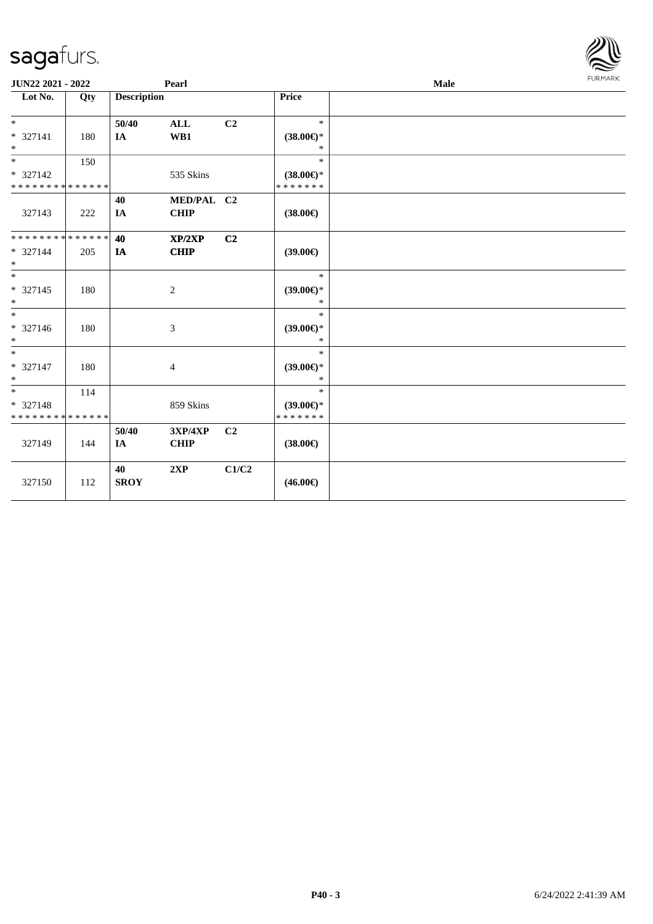| JUN22 2021 - 2022                       |     |                    | Pearl                     |                |                                      | Male |  |  |  |  |
|-----------------------------------------|-----|--------------------|---------------------------|----------------|--------------------------------------|------|--|--|--|--|
| Lot No.                                 | Qty | <b>Description</b> |                           |                | Price                                |      |  |  |  |  |
| $*$                                     |     | 50/40              | $\mathbf{ALL}$            | C2             | $\ast$                               |      |  |  |  |  |
| * 327141<br>$*$                         | 180 | IA                 | WB1                       |                | $(38.00\epsilon)$ *<br>$\ast$        |      |  |  |  |  |
| $*$                                     | 150 |                    |                           |                | $\ast$                               |      |  |  |  |  |
| * 327142                                |     |                    | 535 Skins                 |                | $(38.00\epsilon)$ *                  |      |  |  |  |  |
| * * * * * * * * * * * * * *             |     |                    |                           |                | * * * * * * *                        |      |  |  |  |  |
| 327143                                  | 222 | 40<br>IA           | MED/PAL C2<br><b>CHIP</b> |                | $(38.00\epsilon)$                    |      |  |  |  |  |
| * * * * * * * * * * * * * * *           |     | 40                 | XP/2XP                    | C2             |                                      |      |  |  |  |  |
| * 327144<br>$*$                         | 205 | $I\!\!A$           | <b>CHIP</b>               |                | $(39.00\epsilon)$                    |      |  |  |  |  |
| $\overline{\ }$                         |     |                    |                           |                | $\ast$                               |      |  |  |  |  |
| $* 327145$<br>$*$                       | 180 |                    | $\overline{c}$            |                | $(39.00\epsilon)$ *<br>$\ast$        |      |  |  |  |  |
| $*$                                     |     |                    |                           |                | $\ast$                               |      |  |  |  |  |
| * 327146<br>$*$                         | 180 |                    | 3                         |                | $(39.00\epsilon)$ *<br>$\ast$        |      |  |  |  |  |
| $\ast$                                  |     |                    |                           |                | $\ast$                               |      |  |  |  |  |
| $* 327147$<br>$*$                       | 180 |                    | $\overline{4}$            |                | $(39.00\epsilon)$ *<br>$\ast$        |      |  |  |  |  |
| $*$                                     | 114 |                    |                           |                | $*$                                  |      |  |  |  |  |
| * 327148<br>* * * * * * * * * * * * * * |     |                    | 859 Skins                 |                | $(39.00\epsilon)$ *<br>* * * * * * * |      |  |  |  |  |
| 327149                                  | 144 | 50/40<br>IA        | 3XP/4XP<br><b>CHIP</b>    | C <sub>2</sub> | $(38.00\epsilon)$                    |      |  |  |  |  |
| 327150                                  | 112 | 40<br><b>SROY</b>  | 2XP                       | C1/C2          | $(46.00\epsilon)$                    |      |  |  |  |  |

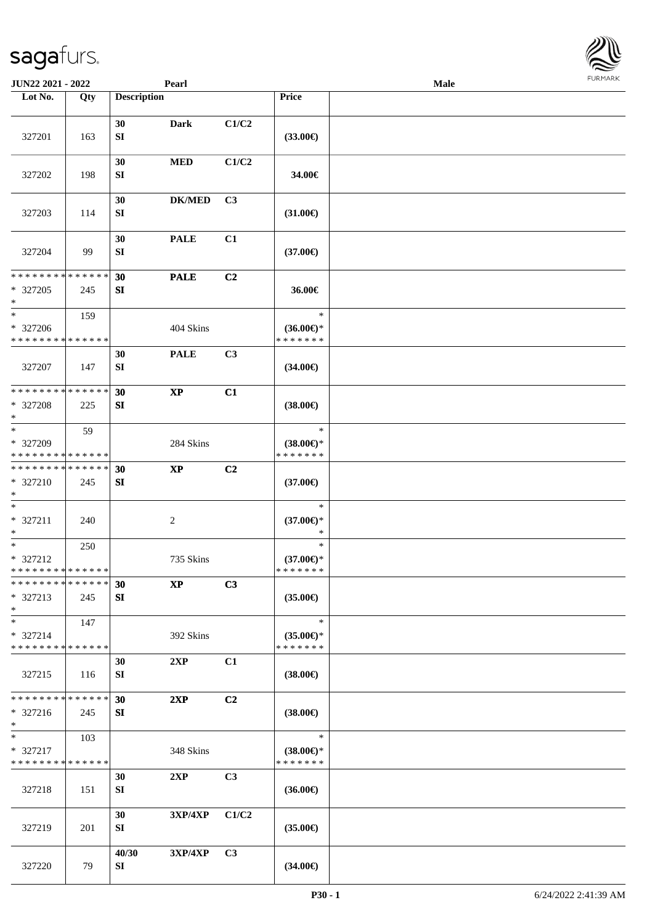| <b>JUN22 2021 - 2022</b>                                                  |             |                    | Pearl                  |                |                                         | Male | <b>FUNITANN</b> |
|---------------------------------------------------------------------------|-------------|--------------------|------------------------|----------------|-----------------------------------------|------|-----------------|
| Lot No.                                                                   | Qty         | <b>Description</b> |                        |                | Price                                   |      |                 |
|                                                                           |             | 30                 | <b>Dark</b>            | C1/C2          |                                         |      |                 |
| 327201                                                                    | 163         | SI                 |                        |                | $(33.00\epsilon)$                       |      |                 |
| 327202                                                                    | 198         | 30<br>SI           | <b>MED</b>             | C1/C2          | 34.00€                                  |      |                 |
| 327203                                                                    | 114         | 30<br>SI           | <b>DK/MED</b>          | C3             | $(31.00\epsilon)$                       |      |                 |
| 327204                                                                    | 99          | 30<br>SI           | <b>PALE</b>            | C1             | $(37.00\epsilon)$                       |      |                 |
| * * * * * * * *                                                           | * * * * * * | 30                 | <b>PALE</b>            | C2             |                                         |      |                 |
| * 327205<br>$\ast$                                                        | 245         | SI                 |                        |                | 36.00€                                  |      |                 |
| $\ast$                                                                    | 159         |                    |                        |                | $\ast$                                  |      |                 |
| * 327206                                                                  |             |                    | 404 Skins              |                | $(36.00\epsilon)$ *                     |      |                 |
| * * * * * * * * * * * * * *                                               |             |                    |                        |                | * * * * * * *                           |      |                 |
| 327207                                                                    | 147         | 30<br>SI           | <b>PALE</b>            | C <sub>3</sub> | $(34.00\epsilon)$                       |      |                 |
| __<br>* * * * * * * * <mark>*</mark>                                      | * * * * * * | 30                 | $\mathbf{X}\mathbf{P}$ | C1             |                                         |      |                 |
| * 327208<br>$\ast$                                                        | 225         | SI                 |                        |                | $(38.00\epsilon)$                       |      |                 |
| $\overline{\ast}$<br>* 327209                                             | 59          |                    | 284 Skins              |                | $\ast$<br>$(38.00\epsilon)$ *           |      |                 |
| * * * * * * * *                                                           | * * * * * * |                    |                        |                | * * * * * * *                           |      |                 |
| * * * * * * * * <mark>* * * * * * *</mark>                                |             | 30                 | $\mathbf{X}\mathbf{P}$ | C2             |                                         |      |                 |
| * 327210<br>$\ast$                                                        | 245         | SI                 |                        |                | $(37.00\epsilon)$                       |      |                 |
| $\ast$<br>* 327211<br>$\ast$                                              | 240         |                    | $\overline{c}$         |                | $\ast$<br>$(37.00\epsilon)$ *<br>$\ast$ |      |                 |
| $\overline{\ast}$                                                         | 250         |                    |                        |                | $\ast$                                  |      |                 |
| * 327212                                                                  |             |                    | 735 Skins              |                | $(37.00\epsilon)$ *                     |      |                 |
| * * * * * * * * * * * * * *<br>* * * * * * * * <mark>* * * * * *</mark> * |             |                    |                        |                | * * * * * * *                           |      |                 |
| * 327213<br>$\ast$                                                        | 245         | 30<br>SI           | $\mathbf{X}\mathbf{P}$ | C3             | $(35.00\epsilon)$                       |      |                 |
| $\ast$                                                                    | 147         |                    |                        |                | $\ast$                                  |      |                 |
| * 327214<br>* * * * * * * * <mark>* * * * * *</mark>                      |             |                    | 392 Skins              |                | $(35.00\epsilon)$ *<br>* * * * * * *    |      |                 |
|                                                                           |             | 30                 | 2XP                    | C1             |                                         |      |                 |
| 327215                                                                    | 116         | SI                 |                        |                | $(38.00\epsilon)$                       |      |                 |
| * * * * * * * * * * * * * * *                                             |             | 30                 | 2XP                    | C <sub>2</sub> |                                         |      |                 |
| $* 327216$<br>$\ast$                                                      | 245         | SI                 |                        |                | $(38.00\epsilon)$                       |      |                 |
| $*$                                                                       | 103         |                    |                        |                | $\ast$                                  |      |                 |
| * 327217<br>* * * * * * * * * * * * * *                                   |             |                    | 348 Skins              |                | $(38.00\epsilon)$ *<br>* * * * * * *    |      |                 |
| 327218                                                                    | 151         | 30<br>SI           | 2XP                    | C <sub>3</sub> | $(36.00\epsilon)$                       |      |                 |
| 327219                                                                    | 201         | 30<br>SI           | <b>3XP/4XP</b>         | C1/C2          | $(35.00\epsilon)$                       |      |                 |
| 327220                                                                    | 79          | 40/30<br>SI        | 3XP/4XP                | C3             | $(34.00\epsilon)$                       |      |                 |

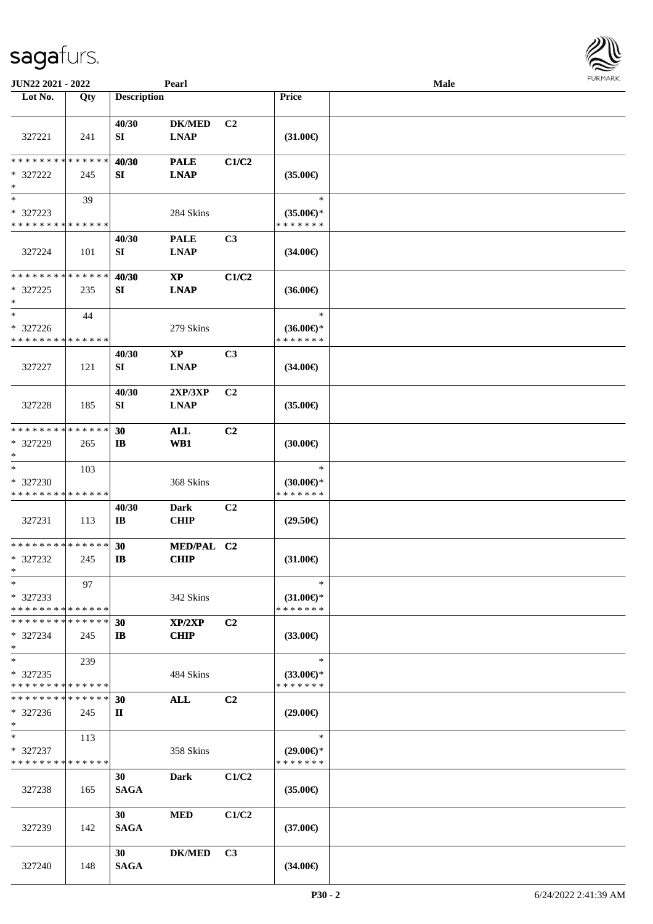| JUN22 2021 - 2022                                 |     |                             | Pearl                                 |                |                                                | Male |  |
|---------------------------------------------------|-----|-----------------------------|---------------------------------------|----------------|------------------------------------------------|------|--|
| Lot No.                                           | Qty | <b>Description</b>          |                                       |                | <b>Price</b>                                   |      |  |
| 327221                                            | 241 | 40/30<br>SI                 | <b>DK/MED</b><br><b>LNAP</b>          | C <sub>2</sub> | $(31.00\epsilon)$                              |      |  |
| * * * * * * * * * * * * * *<br>* 327222<br>$\ast$ | 245 | 40/30<br>SI                 | <b>PALE</b><br><b>LNAP</b>            | C1/C2          | $(35.00\epsilon)$                              |      |  |
| $*$<br>* 327223<br>* * * * * * * * * * * * * *    | 39  |                             | 284 Skins                             |                | $\ast$<br>$(35.00\epsilon)$ *<br>* * * * * * * |      |  |
| 327224                                            | 101 | 40/30<br>SI                 | <b>PALE</b><br><b>LNAP</b>            | C3             | $(34.00\epsilon)$                              |      |  |
| * * * * * * * * * * * * * *<br>* 327225<br>$\ast$ | 235 | 40/30<br>SI                 | $\mathbf{X}\mathbf{P}$<br><b>LNAP</b> | C1/C2          | $(36.00\epsilon)$                              |      |  |
| $*$<br>* 327226<br>* * * * * * * * * * * * * *    | 44  |                             | 279 Skins                             |                | $\ast$<br>$(36.00\epsilon)$ *<br>* * * * * * * |      |  |
| 327227                                            | 121 | 40/30<br>SI                 | <b>XP</b><br><b>LNAP</b>              | C3             | $(34.00\epsilon)$                              |      |  |
| 327228                                            | 185 | 40/30<br>SI                 | 2XP/3XP<br><b>LNAP</b>                | C <sub>2</sub> | $(35.00\epsilon)$                              |      |  |
| * * * * * * * * * * * * * *<br>* 327229<br>$*$    | 265 | 30<br>$\mathbf{I}$          | ALL<br>WB1                            | C2             | (30.00)                                        |      |  |
| $*$<br>* 327230<br>* * * * * * * * * * * * * *    | 103 |                             | 368 Skins                             |                | $\ast$<br>$(30.00\epsilon)$ *<br>* * * * * * * |      |  |
| 327231                                            | 113 | 40/30<br>$\bf{IB}$          | <b>Dark</b><br><b>CHIP</b>            | C2             | $(29.50\epsilon)$                              |      |  |
| * * * * * * * * * * * * * *<br>* 327232<br>$*$    | 245 | 30<br>$\mathbf{I}$ <b>B</b> | MED/PAL C2<br><b>CHIP</b>             |                | $(31.00\epsilon)$                              |      |  |
| $\ast$<br>* 327233<br>* * * * * * * * * * * * * * | 97  |                             | 342 Skins                             |                | $\ast$<br>$(31.00\epsilon)$ *<br>* * * * * * * |      |  |
| * * * * * * * * * * * * * *<br>* 327234<br>$*$    | 245 | 30<br>IB                    | XP/2XP<br><b>CHIP</b>                 | C <sub>2</sub> | $(33.00\epsilon)$                              |      |  |
| $*$<br>* 327235<br>* * * * * * * * * * * * * *    | 239 |                             | 484 Skins                             |                | $\ast$<br>$(33.00\epsilon)$ *<br>* * * * * * * |      |  |
| * * * * * * * * * * * * * *<br>* 327236<br>$*$    | 245 | 30<br>П                     | <b>ALL</b>                            | C2             | $(29.00\epsilon)$                              |      |  |
| $*$<br>* 327237<br>* * * * * * * * * * * * * *    | 113 |                             | 358 Skins                             |                | $\ast$<br>$(29.00\epsilon)$ *<br>* * * * * * * |      |  |
| 327238                                            | 165 | 30<br><b>SAGA</b>           | Dark                                  | C1/C2          | $(35.00\epsilon)$                              |      |  |
| 327239                                            | 142 | 30<br><b>SAGA</b>           | <b>MED</b>                            | C1/C2          | $(37.00\epsilon)$                              |      |  |
| 327240                                            | 148 | 30<br><b>SAGA</b>           | <b>DK/MED</b>                         | C <sub>3</sub> | $(34.00\epsilon)$                              |      |  |

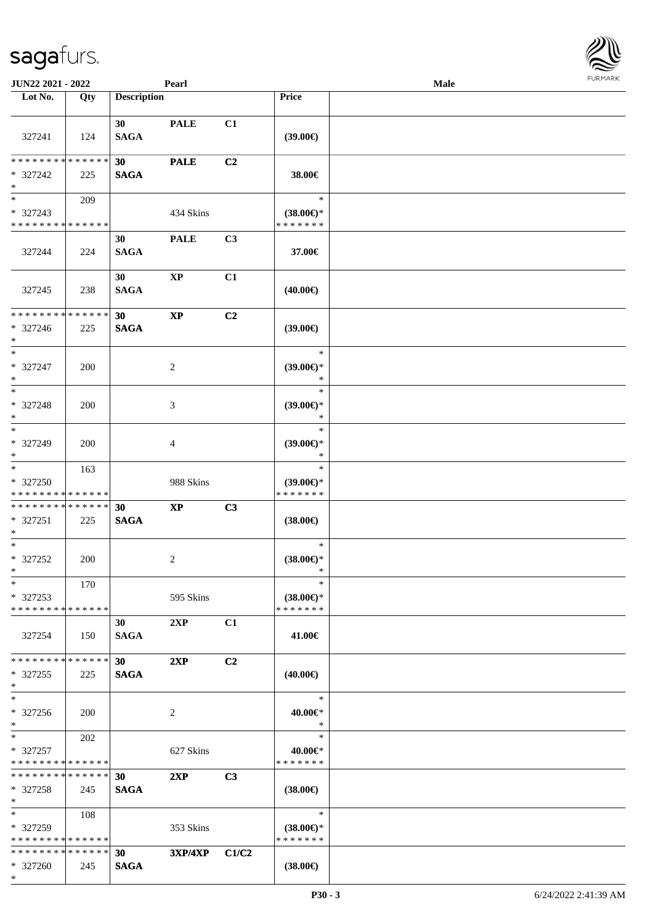\*

| JUN22 2021 - 2022                                             |     |                                | Pearl                  |                |                                                | <b>Male</b> |  |
|---------------------------------------------------------------|-----|--------------------------------|------------------------|----------------|------------------------------------------------|-------------|--|
| Lot No.                                                       | Qty | <b>Description</b>             |                        |                | Price                                          |             |  |
| 327241                                                        | 124 | 30 <sup>1</sup><br><b>SAGA</b> | <b>PALE</b>            | C1             | $(39.00\epsilon)$                              |             |  |
| * * * * * * * * * * * * * *<br>* 327242<br>$*$                | 225 | 30<br><b>SAGA</b>              | <b>PALE</b>            | C2             | 38.00€                                         |             |  |
| $*$<br>* 327243<br>* * * * * * * * * * * * * *                | 209 |                                | 434 Skins              |                | $\ast$<br>$(38.00\epsilon)$ *<br>* * * * * * * |             |  |
| 327244                                                        | 224 | 30<br><b>SAGA</b>              | <b>PALE</b>            | C3             | 37.00€                                         |             |  |
| 327245                                                        | 238 | 30<br><b>SAGA</b>              | $\mathbf{XP}$          | C1             | $(40.00\epsilon)$                              |             |  |
| * * * * * * * * * * * * * *<br>* 327246<br>$*$                | 225 | 30<br><b>SAGA</b>              | $\mathbf{X}\mathbf{P}$ | C2             | (39.00)                                        |             |  |
| $*$<br>* 327247<br>$*$                                        | 200 |                                | 2                      |                | $\ast$<br>$(39.00\epsilon)$ *<br>$\ast$        |             |  |
| $\overline{\phantom{0}}$<br>* 327248<br>$*$                   | 200 |                                | 3                      |                | $\ast$<br>$(39.00\epsilon)$ *<br>$\ast$        |             |  |
| $*$<br>* 327249<br>$*$                                        | 200 |                                | 4                      |                | $\ast$<br>$(39.00\epsilon)$ *<br>$\ast$        |             |  |
| $*$<br>* 327250<br>* * * * * * * * <mark>* * * * * * *</mark> | 163 |                                | 988 Skins              |                | $\ast$<br>$(39.00\epsilon)$ *<br>* * * * * * * |             |  |
| ******** <mark>******</mark><br>* 327251<br>$*$               | 225 | 30<br><b>SAGA</b>              | $\mathbf{X}\mathbf{P}$ | C3             | $(38.00\epsilon)$                              |             |  |
| $*$<br>* 327252<br>$*$ $-$                                    | 200 |                                | 2                      |                | $\ast$<br>$(38.00\epsilon)$ *<br>$\ast$        |             |  |
| $*$<br>* 327253<br>* * * * * * * * * * * * * * *              | 170 |                                | 595 Skins              |                | $\ast$<br>$(38.00\epsilon)$ *<br>* * * * * * * |             |  |
| 327254                                                        | 150 | 30<br><b>SAGA</b>              | 2XP                    | C1             | 41.00€                                         |             |  |
| * * * * * * * * * * * * * * *<br>$*327255$<br>$*$             | 225 | 30 <sup>1</sup><br><b>SAGA</b> | 2XP                    | C <sub>2</sub> | $(40.00\epsilon)$                              |             |  |
| $*$<br>* 327256<br>$\ast$                                     | 200 |                                | 2                      |                | $\ast$<br>40.00€*<br>$\ast$                    |             |  |
| $*$<br>* 327257<br>* * * * * * * * * * * * * *                | 202 |                                | 627 Skins              |                | $\ast$<br>40.00€*<br>* * * * * * *             |             |  |
| * * * * * * * * * * * * * * *<br>$*327258$<br>$*$             | 245 | 30<br><b>SAGA</b>              | 2XP                    | C3             | $(38.00\epsilon)$                              |             |  |
| $*$ and $*$<br>* 327259<br>* * * * * * * * * * * * * * *      | 108 |                                | 353 Skins              |                | $\ast$<br>$(38.00\epsilon)$ *<br>* * * * * * * |             |  |
| * * * * * * * * * * * * * *<br>* 327260                       | 245 | 30<br><b>SAGA</b>              | 3XP/4XP C1/C2          |                | $(38.00\epsilon)$                              |             |  |

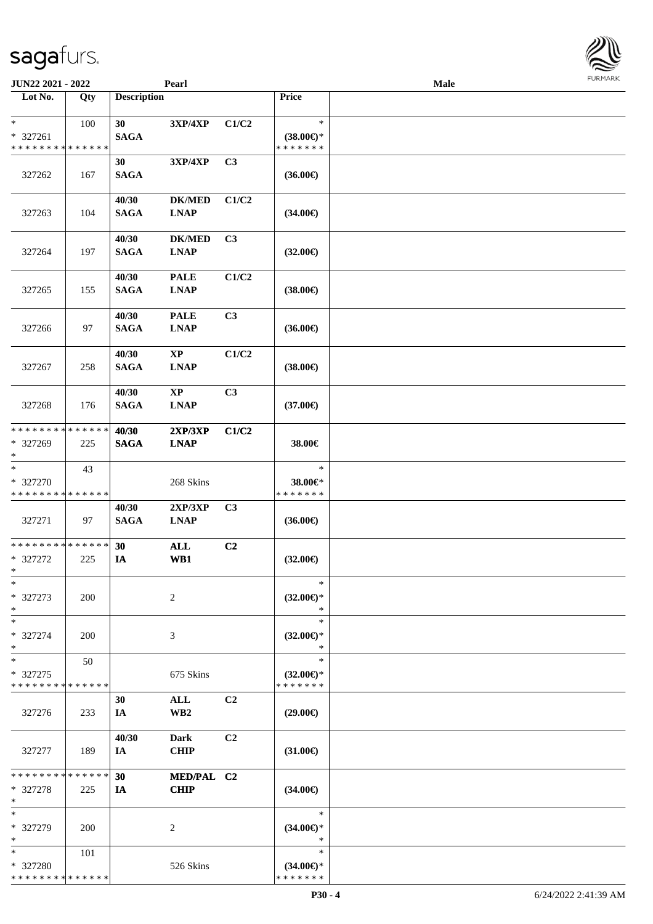| JUN22 2021 - 2022                                 |                    |                      | Pearl                                 |                |                                                | <b>Male</b> | <b>FURMARK</b> |
|---------------------------------------------------|--------------------|----------------------|---------------------------------------|----------------|------------------------------------------------|-------------|----------------|
| $\overline{\phantom{1}}$ Lot No.                  | Qty                | <b>Description</b>   |                                       |                | Price                                          |             |                |
| $\ast$<br>* 327261                                | 100                | 30<br><b>SAGA</b>    | $3XP/4XP$                             | C1/C2          | $\ast$<br>$(38.00\epsilon)$ *                  |             |                |
| * * * * * * * * * * * * * *<br>327262             | 167                | 30<br><b>SAGA</b>    | 3XP/4XP                               | C <sub>3</sub> | * * * * * * *<br>$(36.00\epsilon)$             |             |                |
| 327263                                            | 104                | 40/30<br><b>SAGA</b> | <b>DK/MED</b><br><b>LNAP</b>          | C1/C2          | $(34.00\epsilon)$                              |             |                |
| 327264                                            | 197                | 40/30<br><b>SAGA</b> | <b>DK/MED</b><br><b>LNAP</b>          | C3             | $(32.00\epsilon)$                              |             |                |
| 327265                                            | 155                | 40/30<br><b>SAGA</b> | <b>PALE</b><br><b>LNAP</b>            | C1/C2          | $(38.00\epsilon)$                              |             |                |
| 327266                                            | 97                 | 40/30<br><b>SAGA</b> | <b>PALE</b><br><b>LNAP</b>            | C3             | $(36.00\epsilon)$                              |             |                |
| 327267                                            | 258                | 40/30<br><b>SAGA</b> | $\mathbf{X}\mathbf{P}$<br><b>LNAP</b> | C1/C2          | $(38.00\epsilon)$                              |             |                |
| 327268                                            | 176                | 40/30<br><b>SAGA</b> | $\mathbf{X}\mathbf{P}$<br><b>LNAP</b> | C3             | $(37.00\epsilon)$                              |             |                |
| * * * * * * * * * * * * * *<br>* 327269<br>$\ast$ | 225                | 40/30<br><b>SAGA</b> | 2XP/3XP<br><b>LNAP</b>                | C1/C2          | 38.00€                                         |             |                |
| $\ast$<br>* 327270<br>* * * * * * * * * * * * * * | 43                 |                      | 268 Skins                             |                | $\ast$<br>38.00€*<br>* * * * * * *             |             |                |
| 327271                                            | 97                 | 40/30<br><b>SAGA</b> | 2XP/3XP<br><b>LNAP</b>                | C <sub>3</sub> | $(36.00\epsilon)$                              |             |                |
| * * * * * * * * * * * * * *<br>* 327272<br>$\ast$ | 225                | 30<br>IA             | <b>ALL</b><br>WB1                     | C2             | $(32.00\epsilon)$                              |             |                |
| $\ast$<br>* 327273<br>$\ast$                      | 200                |                      | $\overline{c}$                        |                | $\ast$<br>$(32.00\epsilon)$ *<br>$\ast$        |             |                |
| $\ast$<br>* 327274<br>$\ast$                      | <b>200</b>         |                      | 3                                     |                | $\ast$<br>$(32.00\epsilon)$ *<br>$\ast$        |             |                |
| $\ast$<br>* 327275<br>* * * * * * * * * * * * * * | 50                 |                      | 675 Skins                             |                | $\ast$<br>$(32.00\epsilon)$ *<br>* * * * * * * |             |                |
| 327276                                            | 233                | 30<br>IA             | <b>ALL</b><br>WB <sub>2</sub>         | C <sub>2</sub> | $(29.00\epsilon)$                              |             |                |
| 327277                                            | 189                | 40/30<br>IA          | <b>Dark</b><br><b>CHIP</b>            | C <sub>2</sub> | $(31.00\epsilon)$                              |             |                |
| * * * * * * * *<br>* 327278<br>$\ast$             | * * * * * *<br>225 | 30<br>IA             | MED/PAL C2<br><b>CHIP</b>             |                | $(34.00\epsilon)$                              |             |                |
| $\ast$<br>* 327279<br>$\ast$                      | <b>200</b>         |                      | 2                                     |                | $\ast$<br>$(34.00\epsilon)$ *<br>$\ast$        |             |                |
| $\ast$<br>* 327280<br>* * * * * * * * * * * * * * | 101                |                      | 526 Skins                             |                | $\ast$<br>$(34.00\epsilon)$ *<br>* * * * * * * |             |                |

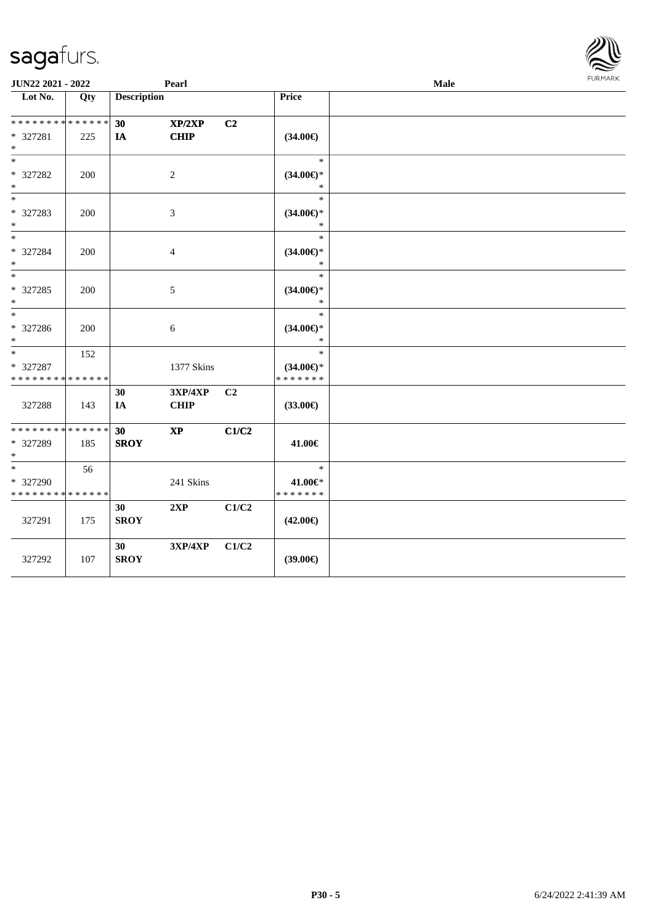| JUN22 2021 - 2022<br>Pearl                     |     |                    |                        |                |                                                | Male | <b>FURMARK</b> |
|------------------------------------------------|-----|--------------------|------------------------|----------------|------------------------------------------------|------|----------------|
| Lot No.                                        | Qty | <b>Description</b> |                        |                | Price                                          |      |                |
| * * * * * * * * * * * * * *<br>* 327281<br>$*$ | 225 | 30<br>IA           | XP/2XP<br><b>CHIP</b>  | C <sub>2</sub> | $(34.00\epsilon)$                              |      |                |
| $*$<br>* 327282<br>$*$                         | 200 |                    | 2                      |                | $\ast$<br>$(34.00\epsilon)$ *<br>$\ast$        |      |                |
| $*$<br>* 327283<br>$*$                         | 200 |                    | 3                      |                | $\ast$<br>$(34.00\epsilon)$ *<br>$\ast$        |      |                |
| $*$<br>* 327284<br>$\ast$                      | 200 |                    | $\overline{4}$         |                | $\ast$<br>$(34.00\epsilon)$ *<br>$\ast$        |      |                |
| $*$<br>* 327285<br>$*$                         | 200 |                    | 5                      |                | $\ast$<br>$(34.00\epsilon)$ *<br>$\ast$        |      |                |
| * 327286<br>$*$                                | 200 |                    | 6                      |                | $\ast$<br>$(34.00\epsilon)$ *<br>$\ast$        |      |                |
| $*$<br>* 327287<br>* * * * * * * * * * * * * * | 152 |                    | 1377 Skins             |                | $\ast$<br>$(34.00\epsilon)$ *<br>* * * * * * * |      |                |
| 327288                                         | 143 | 30<br>IA           | 3XP/4XP<br><b>CHIP</b> | C2             | $(33.00\epsilon)$                              |      |                |
| * * * * * * * * * * * * * *<br>* 327289<br>$*$ | 185 | 30<br><b>SROY</b>  | $\bold{XP}$            | C1/C2          | 41.00€                                         |      |                |
| $*$<br>* 327290<br>* * * * * * * * * * * * * * | 56  |                    | 241 Skins              |                | $\ast$<br>41.00€*<br>* * * * * * *             |      |                |
| 327291                                         | 175 | 30<br><b>SROY</b>  | 2XP                    | C1/C2          | $(42.00\epsilon)$                              |      |                |
| 327292                                         | 107 | 30<br><b>SROY</b>  | 3XP/4XP                | C1/C2          | $(39.00\epsilon)$                              |      |                |

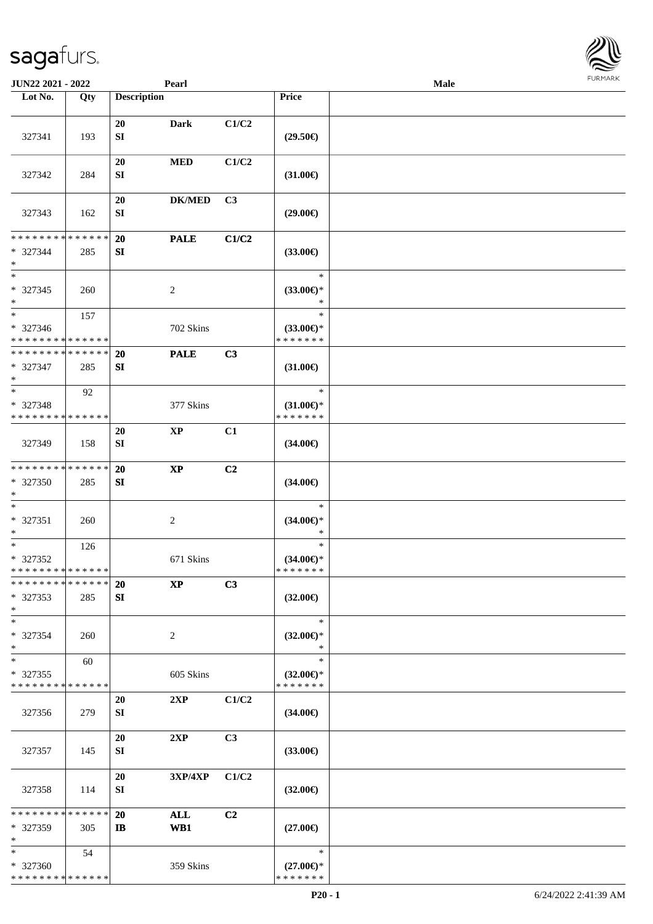| JUN22 2021 - 2022                                |     |                        | Pearl          |                |                                                | <b>Male</b> |  |
|--------------------------------------------------|-----|------------------------|----------------|----------------|------------------------------------------------|-------------|--|
| Lot No.                                          | Qty | <b>Description</b>     |                |                | Price                                          |             |  |
| 327341                                           | 193 | 20<br>${\bf S}{\bf I}$ | <b>Dark</b>    | C1/C2          | $(29.50\epsilon)$                              |             |  |
| 327342                                           | 284 | 20<br>SI               | <b>MED</b>     | C1/C2          | $(31.00\epsilon)$                              |             |  |
| 327343                                           | 162 | 20<br>SI               | <b>DK/MED</b>  | C3             | $(29.00\epsilon)$                              |             |  |
| * * * * * * * * * * * * * *<br>* 327344<br>$*$   | 285 | 20<br>SI               | <b>PALE</b>    | C1/C2          | $(33.00\epsilon)$                              |             |  |
| $*$<br>* 327345<br>$*$                           | 260 |                        | $\overline{2}$ |                | $\ast$<br>$(33.00\epsilon)$ *<br>$\ast$        |             |  |
| $*$<br>* 327346<br>* * * * * * * * * * * * * *   | 157 |                        | 702 Skins      |                | $\ast$<br>$(33.00\epsilon)$ *<br>* * * * * * * |             |  |
| * * * * * * * * * * * * * *<br>* 327347<br>$*$   | 285 | 20<br>SI               | <b>PALE</b>    | C3             | $(31.00\epsilon)$                              |             |  |
| $*$<br>* 327348<br>* * * * * * * * * * * * * *   | 92  |                        | 377 Skins      |                | $\ast$<br>$(31.00\epsilon)$ *<br>* * * * * * * |             |  |
| 327349                                           | 158 | 20<br>SI               | <b>XP</b>      | C1             | $(34.00\epsilon)$                              |             |  |
| * * * * * * * * * * * * * *<br>* 327350<br>$*$   | 285 | 20<br>${\bf SI}$       | $\bold{XP}$    | C2             | $(34.00\epsilon)$                              |             |  |
| $*$<br>* 327351<br>$*$                           | 260 |                        | $\sqrt{2}$     |                | $\ast$<br>$(34.00\epsilon)$ *<br>$\ast$        |             |  |
| $*$<br>$* 327352$<br>* * * * * * * * * * * * * * | 126 |                        | 671 Skins      |                | $\ast$<br>$(34.00\epsilon)$ *<br>* * * * * * * |             |  |
| * * * * * * * * * * * * * *<br>* 327353<br>$*$   | 285 | <b>20</b><br>SI        | <b>XP</b>      | C3             | $(32.00\epsilon)$                              |             |  |
| $*$<br>* 327354<br>$*$                           | 260 |                        | 2              |                | $\ast$<br>$(32.00\epsilon)$ *<br>∗             |             |  |
| $*$<br>* 327355<br>* * * * * * * * * * * * * *   | 60  |                        | 605 Skins      |                | $\ast$<br>$(32.00\epsilon)$ *<br>* * * * * * * |             |  |
| 327356                                           | 279 | 20<br>SI               | 2XP            | C1/C2          | $(34.00\epsilon)$                              |             |  |
| 327357                                           | 145 | 20<br>SI               | 2XP            | C3             | $(33.00\epsilon)$                              |             |  |
| 327358                                           | 114 | 20<br>SI               | 3XP/4XP        | C1/C2          | $(32.00\epsilon)$                              |             |  |
| * * * * * * * * * * * * * *<br>* 327359<br>$*$   | 305 | 20<br>IB               | ALL<br>WB1     | C <sub>2</sub> | $(27.00\epsilon)$                              |             |  |
| $*$<br>* 327360<br>* * * * * * * * * * * * * *   | 54  |                        | 359 Skins      |                | $\ast$<br>$(27.00\epsilon)$ *<br>* * * * * * * |             |  |

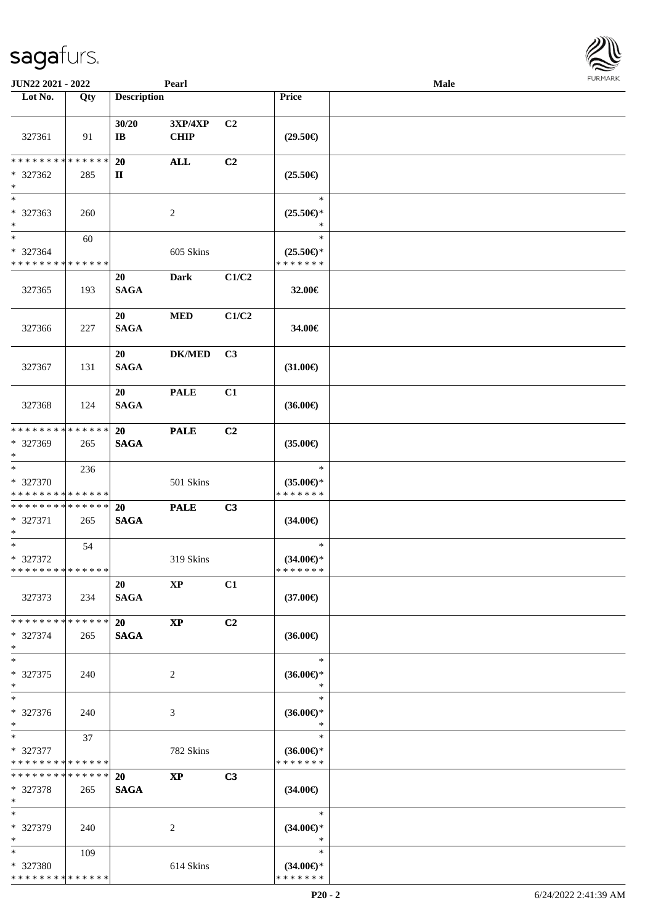| <b>JUN22 2021 - 2022</b>                           |                    |                    | Pearl                  |                |                                                | Male |  |
|----------------------------------------------------|--------------------|--------------------|------------------------|----------------|------------------------------------------------|------|--|
| Lot No.                                            | Qty                | <b>Description</b> |                        |                | Price                                          |      |  |
| 327361                                             | 91                 | 30/20<br>IB        | 3XP/4XP<br><b>CHIP</b> | C <sub>2</sub> | $(29.50\epsilon)$                              |      |  |
| * * * * * * * * * * * * * *<br>* 327362<br>$\ast$  | 285                | <b>20</b><br>П     | <b>ALL</b>             | C2             | $(25.50\epsilon)$                              |      |  |
| $*$<br>* 327363<br>$*$                             | 260                |                    | 2                      |                | $\ast$<br>$(25.50\epsilon)$ *                  |      |  |
| $*$<br>* 327364<br>* * * * * * * * * * * * * *     | 60                 |                    | 605 Skins              |                | $\ast$<br>$(25.50\epsilon)$ *<br>* * * * * * * |      |  |
| 327365                                             | 193                | 20<br><b>SAGA</b>  | <b>Dark</b>            | C1/C2          | 32.00€                                         |      |  |
| 327366                                             | 227                | 20<br><b>SAGA</b>  | <b>MED</b>             | C1/C2          | 34.00€                                         |      |  |
| 327367                                             | 131                | 20<br><b>SAGA</b>  | <b>DK/MED</b>          | C3             | $(31.00\epsilon)$                              |      |  |
| 327368                                             | 124                | 20<br><b>SAGA</b>  | <b>PALE</b>            | C1             | $(36.00\epsilon)$                              |      |  |
| * * * * * * * * * * * * * *<br>* 327369<br>$*$     | 265                | 20<br><b>SAGA</b>  | <b>PALE</b>            | C2             | $(35.00\epsilon)$                              |      |  |
| $*$<br>* 327370<br>* * * * * * * * * * * * * *     | 236                |                    | 501 Skins              |                | $\ast$<br>$(35.00\epsilon)$ *<br>* * * * * * * |      |  |
| * * * * * * * * * * * * * *<br>* 327371<br>$*$     | 265                | 20<br><b>SAGA</b>  | <b>PALE</b>            | C3             | $(34.00\epsilon)$                              |      |  |
| $*$<br>* 327372<br>* * * * * * * * * * * * * *     | 54                 |                    | 319 Skins              |                | $\ast$<br>$(34.00\epsilon)$ *<br>*******       |      |  |
| 327373                                             | 234                | 20<br><b>SAGA</b>  | $\mathbf{X}\mathbf{P}$ | C1             | $(37.00\epsilon)$                              |      |  |
| * * * * * * * * * * * * * *<br>* 327374<br>$*$     | 265                | 20<br><b>SAGA</b>  | $\mathbf{X}\mathbf{P}$ | C <sub>2</sub> | $(36.00\epsilon)$                              |      |  |
| $*$<br>* 327375<br>$*$                             | 240                |                    | 2                      |                | $\ast$<br>$(36.00\epsilon)$ *<br>$\ast$        |      |  |
| $\ast$<br>* 327376<br>$*$                          | 240                |                    | 3                      |                | $\ast$<br>$(36.00\epsilon)$ *<br>$\ast$        |      |  |
| $*$ $-$<br>* 327377<br>* * * * * * * * * * * * * * | 37                 |                    | 782 Skins              |                | $\ast$<br>$(36.00\epsilon)$ *<br>* * * * * * * |      |  |
| * * * * * * * *<br>* 327378<br>$*$                 | * * * * * *<br>265 | 20<br><b>SAGA</b>  | <b>XP</b>              | C3             | $(34.00\epsilon)$                              |      |  |
| $*$<br>* 327379<br>$*$                             | 240                |                    | 2                      |                | $\ast$<br>$(34.00\epsilon)$ *<br>$\ast$        |      |  |
| $*$<br>* 327380<br>* * * * * * * * * * * * * *     | 109                |                    | 614 Skins              |                | $\ast$<br>$(34.00\epsilon)$ *<br>* * * * * * * |      |  |

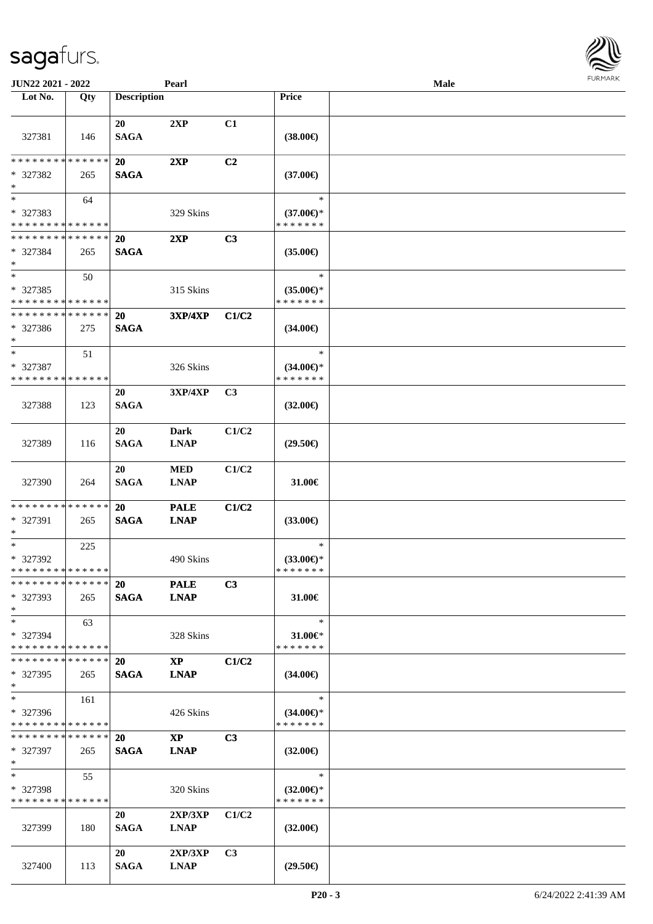327400 113

| 327381                                  | 146 | 20<br><b>SAGA</b> | 2XP                        | C1    | $(38.00\epsilon)$                        |  |
|-----------------------------------------|-----|-------------------|----------------------------|-------|------------------------------------------|--|
| **************                          |     | 20                | 2XP                        | C2    |                                          |  |
| $*327382$<br>$\ast$                     | 265 | <b>SAGA</b>       |                            |       | $(37.00\epsilon)$                        |  |
| $\ast$                                  | 64  |                   |                            |       | $\ast$                                   |  |
| $*327383$                               |     |                   | 329 Skins                  |       | $(37.00\epsilon)$ *                      |  |
| * * * * * * * * * * * * * *             |     |                   |                            |       | * * * * * * *                            |  |
| * * * * * * * * * * * * * * *           |     | <b>20</b>         | 2XP                        | C3    |                                          |  |
| $* 327384$<br>$\ast$                    | 265 | <b>SAGA</b>       |                            |       | $(35.00\epsilon)$                        |  |
| $\ast$                                  | 50  |                   |                            |       | $\ast$                                   |  |
| * 327385<br>* * * * * * * * * * * * * * |     |                   | 315 Skins                  |       | $(35.00\epsilon)$ *<br>* * * * * * *     |  |
| * * * * * * * * * * * * * *             |     | 20                | <b>3XP/4XP</b>             | C1/C2 |                                          |  |
| $* 327386$<br>$\ast$                    | 275 | <b>SAGA</b>       |                            |       | $(34.00\epsilon)$                        |  |
| $\ast$                                  | 51  |                   |                            |       | $\ast$                                   |  |
| $* 327387$                              |     |                   | 326 Skins                  |       | $(34.00\epsilon)$ *                      |  |
| * * * * * * * * * * * * * *             |     |                   |                            |       | * * * * * * *                            |  |
| 327388                                  | 123 | 20<br><b>SAGA</b> | 3XP/4XP                    | C3    | $(32.00\epsilon)$                        |  |
|                                         |     |                   |                            |       |                                          |  |
| 327389                                  | 116 | 20<br><b>SAGA</b> | <b>Dark</b><br><b>LNAP</b> | C1/C2 | $(29.50\epsilon)$                        |  |
| 327390                                  | 264 | 20<br><b>SAGA</b> | <b>MED</b><br><b>LNAP</b>  | C1/C2 | 31.00€                                   |  |
| **************                          |     | 20                | <b>PALE</b>                | C1/C2 |                                          |  |
| * 327391                                | 265 | <b>SAGA</b>       | <b>LNAP</b>                |       | $(33.00\epsilon)$                        |  |
| $\ast$                                  | 225 |                   |                            |       | $\ast$                                   |  |
| * 327392<br>**************              |     |                   | 490 Skins                  |       | $(33.00€)$ <sup>*</sup><br>* * * * * * * |  |
| ************** 20                       |     |                   | <b>PALE</b>                | C3    |                                          |  |
| * 327393<br>$\ast$                      | 265 | <b>SAGA</b>       | <b>LNAP</b>                |       | 31.00€                                   |  |
| $\ast$                                  | 63  |                   |                            |       | $\ast$                                   |  |
| * 327394                                |     |                   | 328 Skins                  |       | 31.00€*                                  |  |
| * * * * * * * * * * * * * *             |     |                   |                            |       | * * * * * * *                            |  |
| * * * * * * * * * * * * * *             |     | 20                | $\mathbf{X}\mathbf{P}$     | C1/C2 |                                          |  |
| $*327395$<br>$\ast$                     | 265 | <b>SAGA</b>       | <b>LNAP</b>                |       | $(34.00\epsilon)$                        |  |
| $\ast$                                  | 161 |                   |                            |       | $\ast$                                   |  |
| $* 327396$                              |     |                   | 426 Skins                  |       | $(34.00\epsilon)$ *                      |  |
| * * * * * * * * * * * * * *             |     |                   |                            |       | * * * * * * *                            |  |
| * * * * * * * * * * * * * * *           |     | 20                | $\mathbf{X}\mathbf{P}$     | C3    |                                          |  |
| * 327397<br>$\ast$                      | 265 | <b>SAGA</b>       | <b>LNAP</b>                |       | $(32.00\epsilon)$                        |  |
| $\ast$                                  | 55  |                   |                            |       | $\ast$                                   |  |
| * 327398<br>* * * * * * * * * * * * * * |     |                   | 320 Skins                  |       | $(32.00\epsilon)$ *<br>* * * * * * *     |  |
|                                         |     | 20                | 2XP/3XP                    | C1/C2 |                                          |  |
| 327399                                  | 180 | <b>SAGA</b>       | <b>LNAP</b>                |       | $(32.00\epsilon)$                        |  |
|                                         |     | 20                | 2XP/3XP                    | C3    |                                          |  |

 $\overline{\phantom{a}}$ 

**JUN22 2021 - 2022 Pearl Male**

**Lot No. Qty Description Price**

**FURMARK** 

**SAGA LNAP (29.50€)**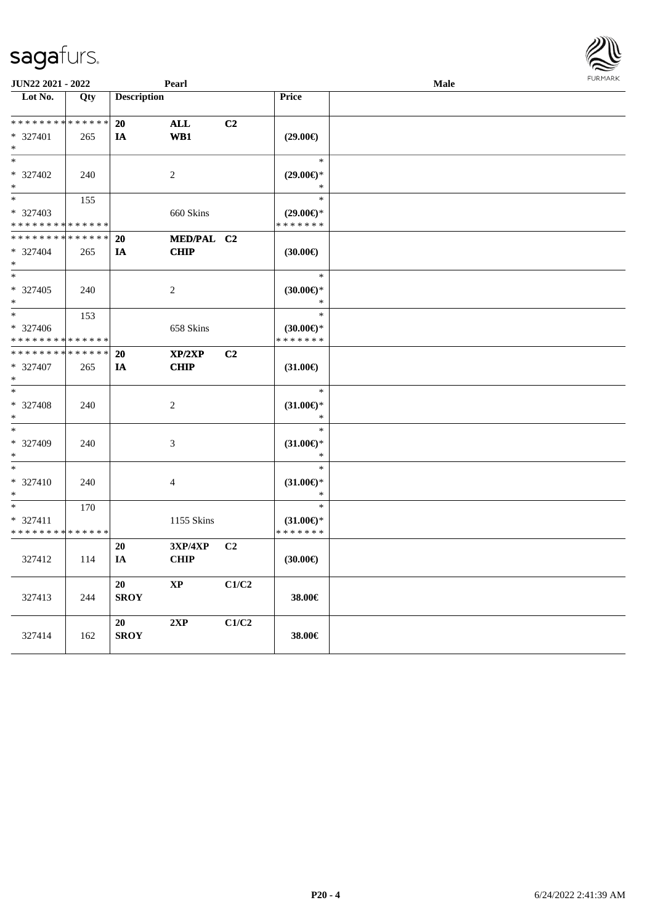| JUN22 2021 - 2022                       |             |                    | Pearl           |                |                                         | Male | <b>FURPIARR</b> |
|-----------------------------------------|-------------|--------------------|-----------------|----------------|-----------------------------------------|------|-----------------|
| Lot No.                                 | Qty         | <b>Description</b> |                 |                | Price                                   |      |                 |
| * * * * * * * * * * * * * *             |             | 20                 | <b>ALL</b>      | C2             |                                         |      |                 |
| * 327401                                | 265         | IA                 | W <sub>B1</sub> |                | $(29.00\epsilon)$                       |      |                 |
| $*$                                     |             |                    |                 |                |                                         |      |                 |
| $*$                                     |             |                    |                 |                | $\ast$                                  |      |                 |
| * 327402                                | 240         |                    | $\sqrt{2}$      |                | $(29.00\epsilon)$ *                     |      |                 |
| $*$                                     |             |                    |                 |                | $\ast$                                  |      |                 |
| $\ast$                                  | 155         |                    |                 |                | $\ast$                                  |      |                 |
| * 327403                                |             |                    |                 |                | $(29.00\epsilon)$ *                     |      |                 |
| * * * * * * * * * * * * * *             |             |                    | 660 Skins       |                | * * * * * * *                           |      |                 |
| * * * * * * * *                         | * * * * * * | 20                 | MED/PAL C2      |                |                                         |      |                 |
|                                         |             |                    | <b>CHIP</b>     |                |                                         |      |                 |
| * 327404<br>$*$                         | 265         | IA                 |                 |                | (30.00)                                 |      |                 |
| $*$                                     |             |                    |                 |                | $\ast$                                  |      |                 |
|                                         |             |                    |                 |                |                                         |      |                 |
| $* 327405$<br>$*$                       | 240         |                    | $\overline{c}$  |                | $(30.00\epsilon)$ *<br>$\ast$           |      |                 |
| $\ast$                                  |             |                    |                 |                | $\ast$                                  |      |                 |
|                                         | 153         |                    |                 |                |                                         |      |                 |
| * 327406<br>* * * * * * * * * * * * * * |             |                    | 658 Skins       |                | $(30.00\varepsilon)$ *<br>* * * * * * * |      |                 |
| * * * * * * * * * * * * * *             |             |                    |                 |                |                                         |      |                 |
|                                         |             | 20                 | XP/2XP          | C2             |                                         |      |                 |
| * 327407<br>$*$                         | 265         | IA                 | <b>CHIP</b>     |                | $(31.00\epsilon)$                       |      |                 |
| $\ast$                                  |             |                    |                 |                | $\ast$                                  |      |                 |
|                                         |             |                    |                 |                |                                         |      |                 |
| * 327408<br>$\ast$                      | 240         |                    | 2               |                | $(31.00\epsilon)$ *<br>$\ast$           |      |                 |
| $\ast$                                  |             |                    |                 |                | $\ast$                                  |      |                 |
| * 327409                                |             |                    |                 |                |                                         |      |                 |
| $\ast$                                  | 240         |                    | 3               |                | $(31.00\epsilon)$ *<br>$\ast$           |      |                 |
| $\ast$                                  |             |                    |                 |                | $\ast$                                  |      |                 |
| * 327410                                | 240         |                    | 4               |                | $(31.00\epsilon)$ *                     |      |                 |
| $\ast$                                  |             |                    |                 |                | $\ast$                                  |      |                 |
| $\ast$                                  | 170         |                    |                 |                | $\ast$                                  |      |                 |
| * 327411                                |             |                    | 1155 Skins      |                | $(31.00\epsilon)$ *                     |      |                 |
| * * * * * * * * * * * * * *             |             |                    |                 |                | * * * * * * *                           |      |                 |
|                                         |             | 20                 | 3XP/4XP         | C <sub>2</sub> |                                         |      |                 |
| 327412                                  | 114         | IA                 | <b>CHIP</b>     |                | $(30.00\epsilon)$                       |      |                 |
|                                         |             |                    |                 |                |                                         |      |                 |
|                                         |             | 20                 | <b>XP</b>       | C1/C2          |                                         |      |                 |
| 327413                                  | 244         | <b>SROY</b>        |                 |                | 38.00€                                  |      |                 |
|                                         |             |                    |                 |                |                                         |      |                 |
|                                         |             | 20                 | 2XP             | C1/C2          |                                         |      |                 |
| 327414                                  | 162         | <b>SROY</b>        |                 |                | 38.00€                                  |      |                 |
|                                         |             |                    |                 |                |                                         |      |                 |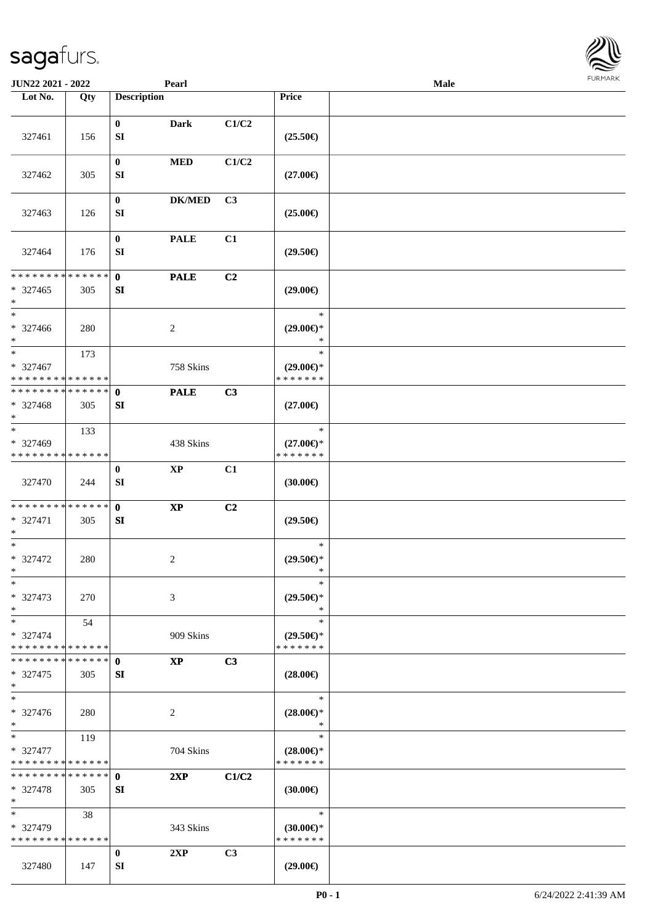| <b>JUN22 2021 - 2022</b>                                     |             |                           | Pearl         |                |                                      | Male |  |
|--------------------------------------------------------------|-------------|---------------------------|---------------|----------------|--------------------------------------|------|--|
| Lot No.                                                      | Qty         | <b>Description</b>        |               |                | Price                                |      |  |
|                                                              |             |                           |               |                |                                      |      |  |
|                                                              |             | $\bf{0}$                  | <b>Dark</b>   | C1/C2          |                                      |      |  |
| 327461                                                       | 156         | ${\bf SI}$                |               |                | $(25.50\epsilon)$                    |      |  |
|                                                              |             | $\bf{0}$                  | <b>MED</b>    | C1/C2          |                                      |      |  |
| 327462                                                       | 305         | ${\bf SI}$                |               |                | $(27.00\epsilon)$                    |      |  |
|                                                              |             |                           |               |                |                                      |      |  |
|                                                              |             | $\bf{0}$                  | <b>DK/MED</b> | C <sub>3</sub> |                                      |      |  |
| 327463                                                       | 126         | ${\bf SI}$                |               |                | $(25.00\epsilon)$                    |      |  |
|                                                              |             |                           |               |                |                                      |      |  |
|                                                              |             | $\bf{0}$                  | <b>PALE</b>   | C1             |                                      |      |  |
| 327464                                                       | 176         | ${\bf SI}$                |               |                | $(29.50\epsilon)$                    |      |  |
| * * * * * * * * <mark>* * * * * *</mark>                     |             | $\mathbf{0}$              | <b>PALE</b>   | C2             |                                      |      |  |
| $* 327465$                                                   | 305         | SI                        |               |                | $(29.00\epsilon)$                    |      |  |
| $\ast$                                                       |             |                           |               |                |                                      |      |  |
| $*$                                                          |             |                           |               |                | $\ast$                               |      |  |
| * 327466                                                     | 280         |                           | 2             |                | $(29.00\epsilon)$ *                  |      |  |
| $*$                                                          |             |                           |               |                | $\ast$                               |      |  |
| $*$                                                          | 173         |                           |               |                | $\ast$                               |      |  |
| * 327467<br>* * * * * * * * <mark>* * * * * * *</mark>       |             |                           | 758 Skins     |                | $(29.00\epsilon)$ *<br>* * * * * * * |      |  |
| * * * * * * * * * * * * * * *                                |             | $\mathbf 0$               | <b>PALE</b>   | C3             |                                      |      |  |
| * 327468                                                     | 305         | SI                        |               |                | $(27.00\epsilon)$                    |      |  |
| $\ast$                                                       |             |                           |               |                |                                      |      |  |
| $*$                                                          | 133         |                           |               |                | $\ast$                               |      |  |
| * 327469                                                     |             |                           | 438 Skins     |                | $(27.00\epsilon)$ *                  |      |  |
| * * * * * * * * <mark>* * * * * * *</mark>                   |             |                           |               |                | * * * * * * *                        |      |  |
|                                                              |             | $\bf{0}$<br>SI            | $\bold{XP}$   | C1             |                                      |      |  |
| 327470                                                       | 244         |                           |               |                | (30.00)                              |      |  |
| * * * * * * * * * * * * * * <mark>*</mark>                   |             | $\mathbf{0}$              | $\bold{XP}$   | C2             |                                      |      |  |
| * 327471                                                     | 305         | SI                        |               |                | $(29.50\epsilon)$                    |      |  |
| $\ast$                                                       |             |                           |               |                |                                      |      |  |
| $*$                                                          |             |                           |               |                | $\ast$                               |      |  |
| * 327472<br>$*$                                              | 280         |                           | 2             |                | $(29.50\epsilon)$ *<br>$\ast$        |      |  |
| $\ast$                                                       |             |                           |               |                | $\ast$                               |      |  |
| * 327473                                                     | 270         |                           | 3             |                | $(29.50\epsilon)$ *                  |      |  |
| $*$                                                          |             |                           |               |                | $\ast$                               |      |  |
| $*$                                                          | 54          |                           |               |                | $\ast$                               |      |  |
| * 327474                                                     |             |                           | 909 Skins     |                | $(29.50 \in )^*$                     |      |  |
| * * * * * * * * * * * * * *                                  |             |                           |               |                | * * * * * * *                        |      |  |
| * * * * * * * *                                              | * * * * * * | $\mathbf{0}$              | <b>XP</b>     | C3             |                                      |      |  |
| * 327475<br>$\ast$                                           | 305         | SI                        |               |                | $(28.00\epsilon)$                    |      |  |
| $*$                                                          |             |                           |               |                | $\ast$                               |      |  |
| * 327476                                                     | 280         |                           | 2             |                | $(28.00\epsilon)$ *                  |      |  |
| $*$                                                          |             |                           |               |                | $\ast$                               |      |  |
| $*$ $*$                                                      | 119         |                           |               |                | $\ast$                               |      |  |
| * 327477                                                     |             |                           | 704 Skins     |                | $(28.00\epsilon)$ *                  |      |  |
| * * * * * * * * * * * * * *<br>* * * * * * * * * * * * * * * |             |                           |               |                | * * * * * * *                        |      |  |
| * 327478                                                     | 305         | $\mathbf{0}$<br><b>SI</b> | 2XP           | C1/C2          | $(30.00\epsilon)$                    |      |  |
| $\ast$                                                       |             |                           |               |                |                                      |      |  |
| $*$                                                          | 38          |                           |               |                | $\ast$                               |      |  |
| * 327479                                                     |             |                           | 343 Skins     |                | $(30.00€)$ *                         |      |  |
| * * * * * * * * * * * * * *                                  |             |                           |               |                | * * * * * * *                        |      |  |
|                                                              |             | $\bf{0}$                  | 2XP           | C3             |                                      |      |  |
| 327480                                                       | 147         | SI                        |               |                | $(29.00\epsilon)$                    |      |  |

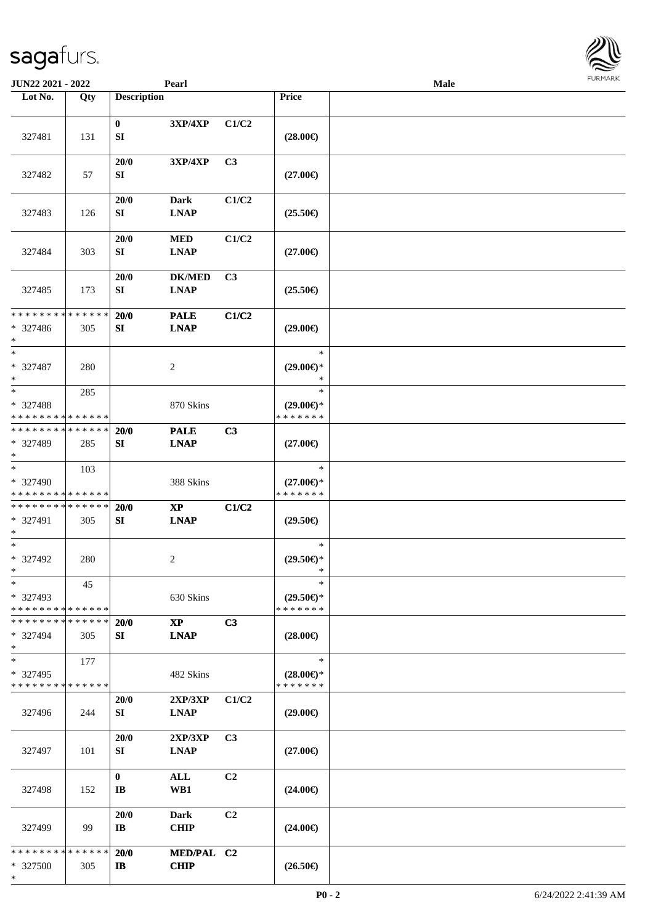| <b>JUN22 2021 - 2022</b>                                                    |                    |                                        | Pearl                                                 |                |                                                | <b>Male</b> |  |
|-----------------------------------------------------------------------------|--------------------|----------------------------------------|-------------------------------------------------------|----------------|------------------------------------------------|-------------|--|
| Lot No.                                                                     | Qty                | <b>Description</b>                     |                                                       |                | Price                                          |             |  |
| 327481                                                                      | 131                | $\mathbf{0}$<br>${\bf S}{\bf I}$       | 3XP/4XP                                               | C1/C2          | $(28.00\epsilon)$                              |             |  |
| 327482                                                                      | 57                 | 20/0<br>SI                             | <b>3XP/4XP</b>                                        | C3             | $(27.00\epsilon)$                              |             |  |
| 327483                                                                      | 126                | 20/0<br>SI                             | Dark<br><b>LNAP</b>                                   | C1/C2          | $(25.50\epsilon)$                              |             |  |
| 327484                                                                      | 303                | 20/0<br>SI                             | <b>MED</b><br><b>LNAP</b>                             | C1/C2          | $(27.00\epsilon)$                              |             |  |
| 327485                                                                      | 173                | 20/0<br>SI                             | <b>DK/MED</b><br><b>LNAP</b>                          | C3             | $(25.50\epsilon)$                              |             |  |
| * * * * * * * *<br>* 327486<br>$\ast$                                       | * * * * * *<br>305 | 20/0<br>SI                             | <b>PALE</b><br><b>LNAP</b>                            | C1/C2          | $(29.00\epsilon)$                              |             |  |
| $\ast$<br>* 327487<br>$\ast$                                                | 280                |                                        | 2                                                     |                | $\ast$<br>$(29.00\epsilon)$ *<br>$\ast$        |             |  |
| $\ddot{x}$<br>* 327488<br>* * * * * * * * <mark>* * * * * * *</mark>        | 285                |                                        | 870 Skins                                             |                | $\ast$<br>$(29.00\epsilon)$ *<br>* * * * * * * |             |  |
| * * * * * * * * <mark>* * * * * * *</mark><br>* 327489<br>$\ast$            | 285                | 20/0<br>SI                             | <b>PALE</b><br><b>LNAP</b>                            | C3             | $(27.00\epsilon)$                              |             |  |
| $\overline{\ast}$<br>* 327490<br>* * * * * * * * <mark>* * * * * * *</mark> | 103                |                                        | 388 Skins                                             |                | $\ast$<br>$(27.00\epsilon)$ *<br>* * * * * * * |             |  |
| * * * * * * * * <mark>* * * * * *</mark><br>* 327491<br>$\ast$              | 305                | 20/0<br>SI                             | $\mathbf{X}\mathbf{P}$<br><b>LNAP</b>                 | C1/C2          | $(29.50\epsilon)$                              |             |  |
| $\ast$<br>* 327492<br>$*$                                                   | 280                |                                        | 2                                                     |                | $\ast$<br>$(29.50\epsilon)$ *<br>$\ast$        |             |  |
| $\ast$<br>* 327493<br>* * * * * * * * <mark>* * * * * * *</mark>            | 45                 |                                        | 630 Skins                                             |                | $\ast$<br>$(29.50\epsilon)$ *<br>* * * * * * * |             |  |
| * * * * * * * * * * * * * *<br>* 327494<br>$\ast$                           | 305                | 20/0<br>SI                             | $\bold{X}\bold{P}$<br><b>LNAP</b>                     | C3             | $(28.00\epsilon)$                              |             |  |
| $\ast$<br>* 327495<br>* * * * * * * * <mark>* * * * * * *</mark>            | 177                |                                        | 482 Skins                                             |                | $\ast$<br>$(28.00\epsilon)$ *<br>* * * * * * * |             |  |
| 327496                                                                      | 244                | 20/0<br>SI                             | 2XP/3XP<br><b>LNAP</b>                                | C1/C2          | $(29.00\epsilon)$                              |             |  |
| 327497                                                                      | 101                | 20/0<br>SI                             | 2XP/3XP<br>$\mathbf{L}\mathbf{N}\mathbf{A}\mathbf{P}$ | C3             | $(27.00\epsilon)$                              |             |  |
| 327498                                                                      | 152                | $\mathbf{0}$<br>$\mathbf{I}\mathbf{B}$ | ALL<br>WB1                                            | C2             | $(24.00\epsilon)$                              |             |  |
| 327499                                                                      | 99                 | 20/0<br>$\bf{IB}$                      | <b>Dark</b><br><b>CHIP</b>                            | C <sub>2</sub> | $(24.00\epsilon)$                              |             |  |
| * * * * * * * * * * * * * *<br>* 327500<br>*                                | 305                | 20/0<br>$\bf{IB}$                      | MED/PAL C2<br><b>CHIP</b>                             |                | $(26.50\epsilon)$                              |             |  |

**FURMAR**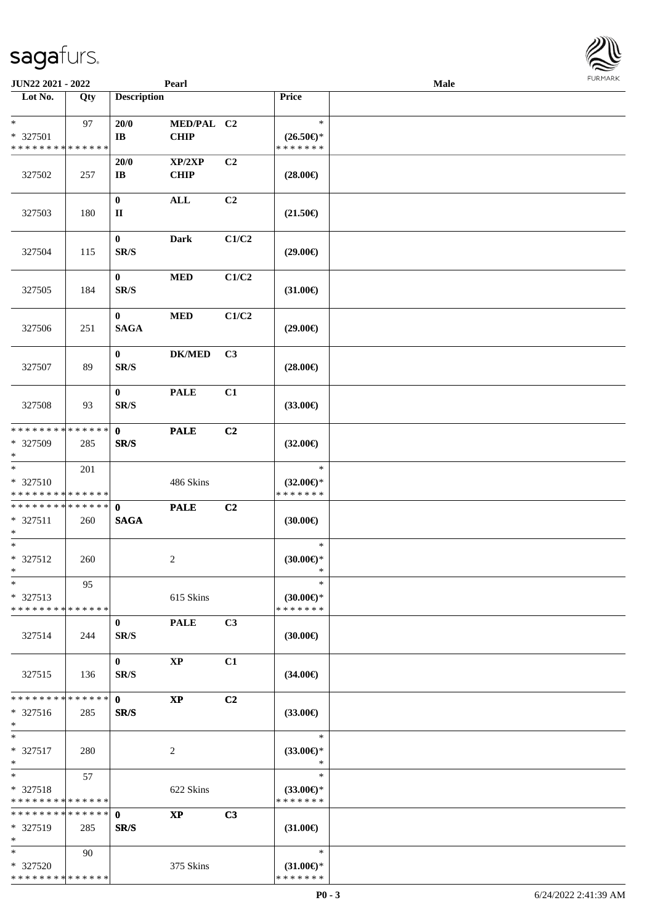| JUN22 2021 - 2022                                 |     |                             | Pearl                      |       |                                                | Male |  |
|---------------------------------------------------|-----|-----------------------------|----------------------------|-------|------------------------------------------------|------|--|
| Lot No.                                           | Qty | <b>Description</b>          |                            |       | Price                                          |      |  |
| $*$<br>* 327501<br>* * * * * * * * * * * * * *    | 97  | 20/0<br>IB                  | MED/PAL C2<br>CHIP         |       | $\ast$<br>$(26.50\epsilon)$ *<br>* * * * * * * |      |  |
| 327502                                            | 257 | 20/0<br>IB                  | XP/2XP<br><b>CHIP</b>      | C2    | $(28.00\epsilon)$                              |      |  |
| 327503                                            | 180 | $\bf{0}$<br>$\mathbf{I}$    | $\mathbf{ALL}$             | C2    | $(21.50\epsilon)$                              |      |  |
| 327504                                            | 115 | $\bf{0}$<br>SR/S            | <b>Dark</b>                | C1/C2 | $(29.00\epsilon)$                              |      |  |
| 327505                                            | 184 | $\mathbf{0}$<br>SR/S        | $\bf MED$                  | C1/C2 | $(31.00\epsilon)$                              |      |  |
| 327506                                            | 251 | $\mathbf{0}$<br><b>SAGA</b> | $\bf MED$                  | C1/C2 | $(29.00\epsilon)$                              |      |  |
| 327507                                            | 89  | $\bf{0}$<br>SR/S            | $\mathbf{DK}/\mathbf{MED}$ | C3    | $(28.00\epsilon)$                              |      |  |
| 327508                                            | 93  | $\bf{0}$<br>SR/S            | <b>PALE</b>                | C1    | $(33.00\epsilon)$                              |      |  |
| * * * * * * * * * * * * * *<br>* 327509<br>$*$    | 285 | $\bf{0}$<br>SR/S            | <b>PALE</b>                | C2    | $(32.00\epsilon)$                              |      |  |
| $\ast$<br>* 327510<br>* * * * * * * * * * * * * * | 201 |                             | 486 Skins                  |       | $\ast$<br>$(32.00\epsilon)$ *<br>* * * * * * * |      |  |
| * * * * * * * * * * * * * * *<br>* 327511<br>$*$  | 260 | $\mathbf{0}$<br><b>SAGA</b> | <b>PALE</b>                | C2    | $(30.00\epsilon)$                              |      |  |
| $*$<br>$* 327512$<br>$*$                          | 260 |                             | $\overline{c}$             |       | $\ast$<br>$(30.00\epsilon)$ *<br>$\ast$        |      |  |
| $\ast$<br>* 327513<br>* * * * * * * * * * * * * * | 95  |                             | 615 Skins                  |       | $\ast$<br>$(30.00\epsilon)$ *<br>* * * * * * * |      |  |
| 327514                                            | 244 | $\bf{0}$<br>SR/S            | <b>PALE</b>                | C3    | $(30.00\epsilon)$                              |      |  |
| 327515                                            | 136 | $\bf{0}$<br>SR/S            | <b>XP</b>                  | C1    | $(34.00\epsilon)$                              |      |  |
| * * * * * * * * * * * * * *<br>* 327516<br>$*$    | 285 | $\mathbf{0}$<br>SR/S        | $\bold{XP}$                | C2    | $(33.00\epsilon)$                              |      |  |
| $*$<br>* 327517<br>$*$                            | 280 |                             | $\overline{c}$             |       | $\ast$<br>$(33.00\epsilon)$ *<br>$\ast$        |      |  |
| $*$<br>* 327518<br>* * * * * * * * * * * * * *    | 57  |                             | 622 Skins                  |       | $\ast$<br>$(33.00\epsilon)$ *<br>* * * * * * * |      |  |
| * * * * * * * * * * * * * *<br>* 327519<br>$*$    | 285 | $\mathbf{0}$<br>SR/S        | <b>XP</b>                  | C3    | $(31.00\epsilon)$                              |      |  |
| $*$<br>* 327520<br>* * * * * * * * * * * * * *    | 90  |                             | 375 Skins                  |       | $\ast$<br>$(31.00\epsilon)$ *<br>* * * * * * * |      |  |

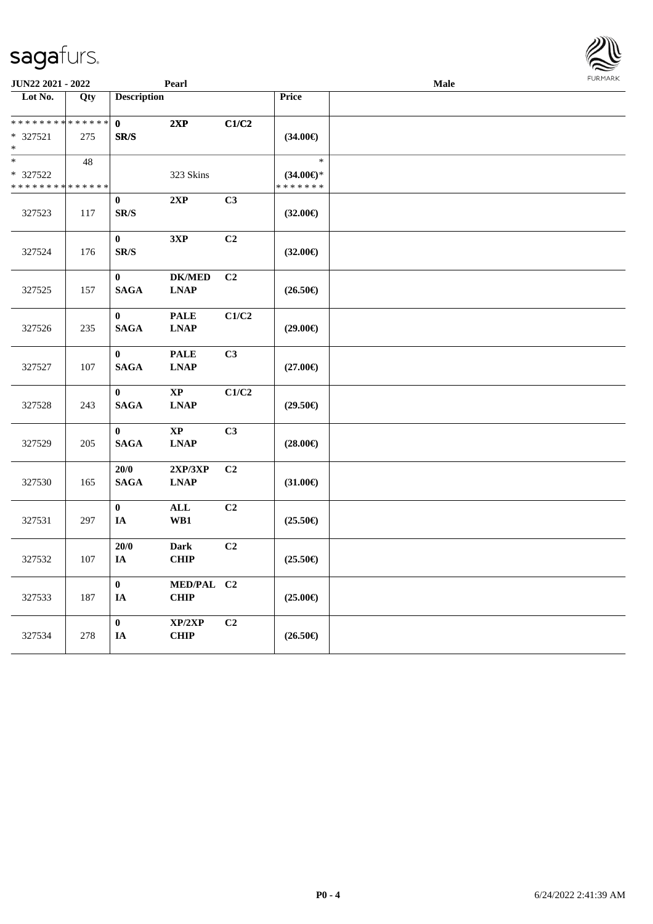| JUN22 2021 - 2022            |     |                                      | Pearl                                                                |                |                     | Male | <b>FURMA</b> |
|------------------------------|-----|--------------------------------------|----------------------------------------------------------------------|----------------|---------------------|------|--------------|
| Lot No.                      | Qty | <b>Description</b>                   |                                                                      |                | <b>Price</b>        |      |              |
| ******** <mark>******</mark> |     | $\mathbf{0}$                         | 2XP                                                                  | C1/C2          |                     |      |              |
| $*327521$<br>$\ast$          | 275 | SR/S                                 |                                                                      |                | $(34.00\epsilon)$   |      |              |
| $\ast$                       | 48  |                                      |                                                                      |                | $\ast$              |      |              |
| * 327522                     |     |                                      | 323 Skins                                                            |                | $(34.00\epsilon)$ * |      |              |
| * * * * * * * * * * * * * *  |     |                                      |                                                                      |                | * * * * * * *       |      |              |
| 327523                       | 117 | $\bf{0}$<br>$\mathbf{SR}/\mathbf{S}$ | 2XP                                                                  | C3             | $(32.00\epsilon)$   |      |              |
| 327524                       | 176 | $\bf{0}$<br>$\mathbf{SR}/\mathbf{S}$ | 3XP                                                                  | C2             | $(32.00\epsilon)$   |      |              |
| 327525                       | 157 | $\bf{0}$<br>$\mathbf{SAGA}$          | <b>DK/MED</b><br><b>LNAP</b>                                         | C <sub>2</sub> | $(26.50\epsilon)$   |      |              |
| 327526                       | 235 | $\bf{0}$<br>$\mathbf{SAGA}$          | <b>PALE</b><br><b>LNAP</b>                                           | C1/C2          | $(29.00\epsilon)$   |      |              |
| 327527                       | 107 | $\bf{0}$<br>$\mathbf{SAGA}$          | <b>PALE</b><br><b>LNAP</b>                                           | C3             | $(27.00\epsilon)$   |      |              |
| 327528                       | 243 | $\bf{0}$<br><b>SAGA</b>              | $\mathbf{X}\mathbf{P}$<br>$\mathbf{L}\mathbf{N}\mathbf{A}\mathbf{P}$ | C1/C2          | $(29.50\epsilon)$   |      |              |
| 327529                       | 205 | $\bf{0}$<br><b>SAGA</b>              | $\mathbf{X}\mathbf{P}$<br><b>LNAP</b>                                | C3             | $(28.00\epsilon)$   |      |              |
| 327530                       | 165 | 20/0<br><b>SAGA</b>                  | 2XP/3XP<br>$\mathbf{L}\mathbf{N}\mathbf{A}\mathbf{P}$                | C <sub>2</sub> | $(31.00\epsilon)$   |      |              |
| 327531                       | 297 | $\bf{0}$<br>IA                       | ALL<br>WB1                                                           | C <sub>2</sub> | $(25.50\epsilon)$   |      |              |
| 327532                       | 107 | 20/0<br>IA                           | <b>Dark</b><br><b>CHIP</b>                                           | C <sub>2</sub> | $(25.50\epsilon)$   |      |              |
| 327533                       | 187 | $\bf{0}$<br>IA                       | MED/PAL C2<br><b>CHIP</b>                                            |                | $(25.00\epsilon)$   |      |              |
| 327534                       | 278 | $\bf{0}$<br>IA                       | XP/2XP<br><b>CHIP</b>                                                | C <sub>2</sub> | $(26.50\epsilon)$   |      |              |

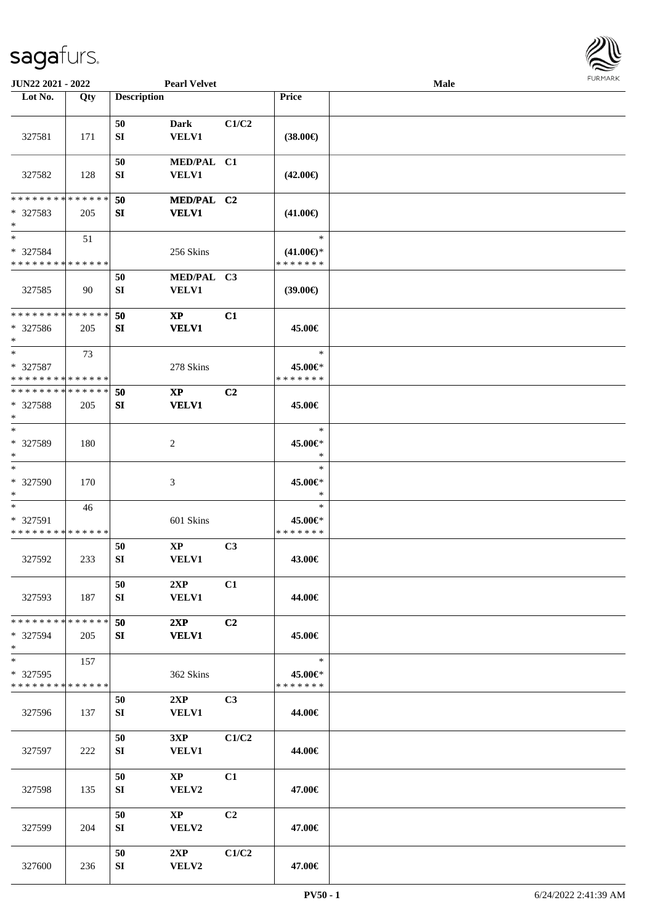

| <b>JUN22 2021 - 2022</b>                          |     |                    | <b>Pearl Velvet</b>                    |       |                                                | <b>Male</b> |  |
|---------------------------------------------------|-----|--------------------|----------------------------------------|-------|------------------------------------------------|-------------|--|
| Lot No.                                           | Qty | <b>Description</b> |                                        |       | Price                                          |             |  |
| 327581                                            | 171 | 50<br>SI           | <b>Dark</b><br><b>VELV1</b>            | C1/C2 | $(38.00\epsilon)$                              |             |  |
| 327582                                            | 128 | 50<br>SI           | MED/PAL C1<br><b>VELV1</b>             |       | $(42.00\epsilon)$                              |             |  |
| * * * * * * * * * * * * * *<br>* 327583<br>$*$    | 205 | 50<br>SI           | MED/PAL C2<br><b>VELV1</b>             |       | $(41.00\epsilon)$                              |             |  |
| $*$<br>* 327584<br>* * * * * * * * * * * * * *    | 51  |                    | 256 Skins                              |       | $\ast$<br>$(41.00\epsilon)$ *<br>* * * * * * * |             |  |
| 327585                                            | 90  | 50<br>SI           | MED/PAL C3<br>VELV1                    |       | (39.00)                                        |             |  |
| * * * * * * * * * * * * * *<br>* 327586<br>$*$    | 205 | 50<br>SI           | $\mathbf{XP}$<br><b>VELV1</b>          | C1    | 45.00€                                         |             |  |
| $*$<br>* 327587<br>* * * * * * * * * * * * * *    | 73  |                    | 278 Skins                              |       | $\ast$<br>45.00€*<br>* * * * * * *             |             |  |
| * * * * * * * * * * * * * *<br>* 327588<br>$\ast$ | 205 | 50<br>SI           | $\mathbf{XP}$<br><b>VELV1</b>          | C2    | 45.00€                                         |             |  |
| $*$<br>* 327589<br>$*$                            | 180 |                    | 2                                      |       | $\ast$<br>45.00€*<br>*                         |             |  |
| $*$<br>* 327590<br>$*$                            | 170 |                    | 3                                      |       | $\ast$<br>45.00€*<br>$\ast$                    |             |  |
| $*$<br>* 327591<br>* * * * * * * * * * * * * *    | 46  |                    | 601 Skins                              |       | $\ast$<br>45.00€*<br>* * * * * * *             |             |  |
| 327592                                            | 233 | 50<br>SI           | $\mathbf{X}\mathbf{P}$<br><b>VELV1</b> | C3    | 43.00€                                         |             |  |
| 327593                                            | 187 | 50<br>SI           | 2XP<br><b>VELV1</b>                    | C1    | 44.00€                                         |             |  |
| * * * * * * * * * * * * * *<br>* 327594<br>$*$    | 205 | 50<br>SI           | 2XP<br><b>VELV1</b>                    | C2    | 45.00€                                         |             |  |
| $*$<br>* 327595<br>* * * * * * * * * * * * * *    | 157 |                    | 362 Skins                              |       | $\ast$<br>45.00€*<br>* * * * * * *             |             |  |
| 327596                                            | 137 | 50<br>SI           | 2XP<br><b>VELV1</b>                    | C3    | 44.00€                                         |             |  |
| 327597                                            | 222 | 50<br>SI           | 3XP<br>VELV1                           | C1/C2 | 44.00€                                         |             |  |
| 327598                                            | 135 | 50<br>SI           | $\mathbf{X}\mathbf{P}$<br>VELV2        | C1    | 47.00€                                         |             |  |
| 327599                                            | 204 | 50<br>SI           | $\mathbf{X}\mathbf{P}$<br>VELV2        | C2    | 47.00€                                         |             |  |
| 327600                                            | 236 | 50<br>SI           | 2XP<br>VELV2                           | C1/C2 | 47.00€                                         |             |  |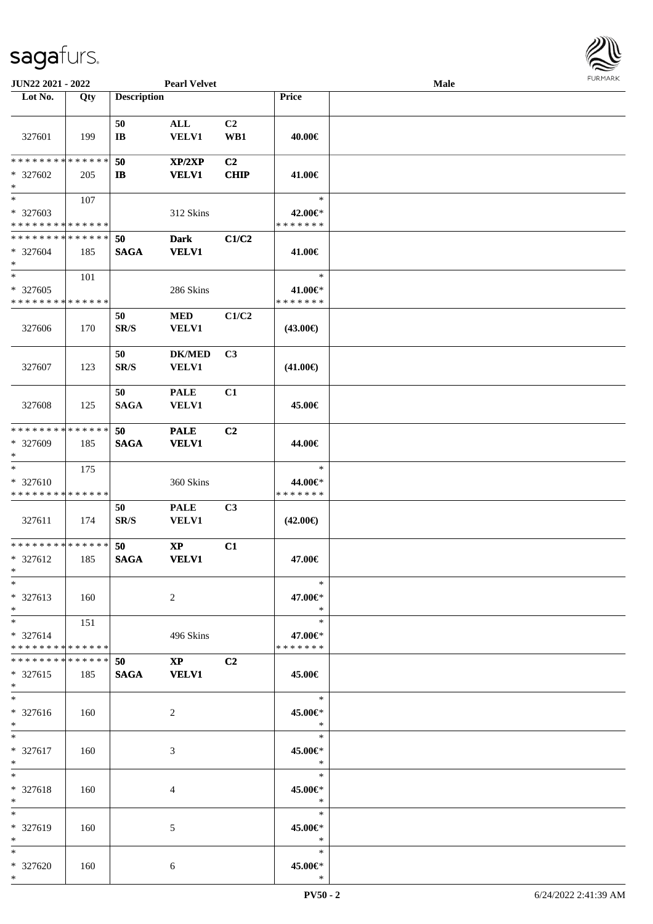

| JUN22 2021 - 2022                                            |     |                                | <b>Pearl Velvet</b>            |                       |                                    | Male |  |
|--------------------------------------------------------------|-----|--------------------------------|--------------------------------|-----------------------|------------------------------------|------|--|
| Lot No.                                                      | Qty | <b>Description</b>             |                                |                       | Price                              |      |  |
| 327601                                                       | 199 | 50<br>$\bf{IB}$                | $\mathbf{ALL}$<br><b>VELV1</b> | C <sub>2</sub><br>WB1 | 40.00€                             |      |  |
| * * * * * * * * * * * * * *<br>* 327602<br>$\ast$            | 205 | 50<br>$\mathbf{I}$             | XP/2XP<br><b>VELV1</b>         | C2<br><b>CHIP</b>     | 41.00€                             |      |  |
| $\overline{\ast}$<br>* 327603<br>* * * * * * * * * * * * * * | 107 |                                | 312 Skins                      |                       | $\ast$<br>42.00€*<br>* * * * * * * |      |  |
| * * * * * * * * * * * * * *<br>* 327604<br>$*$               | 185 | 50<br><b>SAGA</b>              | <b>Dark</b><br><b>VELV1</b>    | C1/C2                 | 41.00€                             |      |  |
| $\ast$<br>* 327605<br>* * * * * * * * * * * * * *            | 101 |                                | 286 Skins                      |                       | $\ast$<br>41.00€*<br>* * * * * * * |      |  |
| 327606                                                       | 170 | 50<br>$\mathbf{SR}/\mathbf{S}$ | <b>MED</b><br><b>VELV1</b>     | C1/C2                 | $(43.00\epsilon)$                  |      |  |
| 327607                                                       | 123 | 50<br>SR/S                     | <b>DK/MED</b><br>VELV1         | C3                    | $(41.00\epsilon)$                  |      |  |
| 327608                                                       | 125 | 50<br><b>SAGA</b>              | <b>PALE</b><br><b>VELV1</b>    | C1                    | 45.00€                             |      |  |
| * * * * * * * * * * * * * *<br>* 327609<br>$\ast$            | 185 | 50<br><b>SAGA</b>              | <b>PALE</b><br><b>VELV1</b>    | C2                    | 44.00€                             |      |  |
| $\ast$<br>* 327610<br>* * * * * * * * * * * * * *            | 175 |                                | 360 Skins                      |                       | $\ast$<br>44.00€*<br>* * * * * * * |      |  |
| 327611                                                       | 174 | 50<br>$\mathbf{SR}/\mathbf{S}$ | <b>PALE</b><br>VELV1           | C <sub>3</sub>        | $(42.00\epsilon)$                  |      |  |
| * * * * * * * * * * * * * *<br>* 327612<br>$*$               | 185 | 50<br><b>SAGA</b>              | $\bold{XP}$<br><b>VELV1</b>    | C1                    | 47.00€                             |      |  |
| $*$<br>* 327613<br>$*$                                       | 160 |                                | 2                              |                       | $\ast$<br>47.00€*<br>$\ast$        |      |  |
| $\ast$<br>* 327614<br>* * * * * * * * * * * * * *            | 151 |                                | 496 Skins                      |                       | $\ast$<br>47.00€*<br>* * * * * * * |      |  |
| * * * * * * * * * * * * * * *<br>* 327615<br>$*$             | 185 | 50<br><b>SAGA</b>              | $\mathbf{XP}$<br><b>VELV1</b>  | C <sub>2</sub>        | 45.00€                             |      |  |
| $\ast$<br>* 327616<br>$*$                                    | 160 |                                | 2                              |                       | $\ast$<br>45.00€*<br>$\ast$        |      |  |
| $*$<br>* 327617<br>$*$                                       | 160 |                                | 3                              |                       | $\ast$<br>45.00€*<br>$\ast$        |      |  |
| $*$<br>* 327618<br>$*$                                       | 160 |                                | 4                              |                       | $\ast$<br>45.00€*<br>$\ast$        |      |  |
| $*$<br>* 327619<br>$*$                                       | 160 |                                | 5                              |                       | $\ast$<br>45.00€*<br>$\ast$        |      |  |
| $*$<br>* 327620<br>$*$                                       | 160 |                                | 6                              |                       | $\ast$<br>45.00€*<br>$\ast$        |      |  |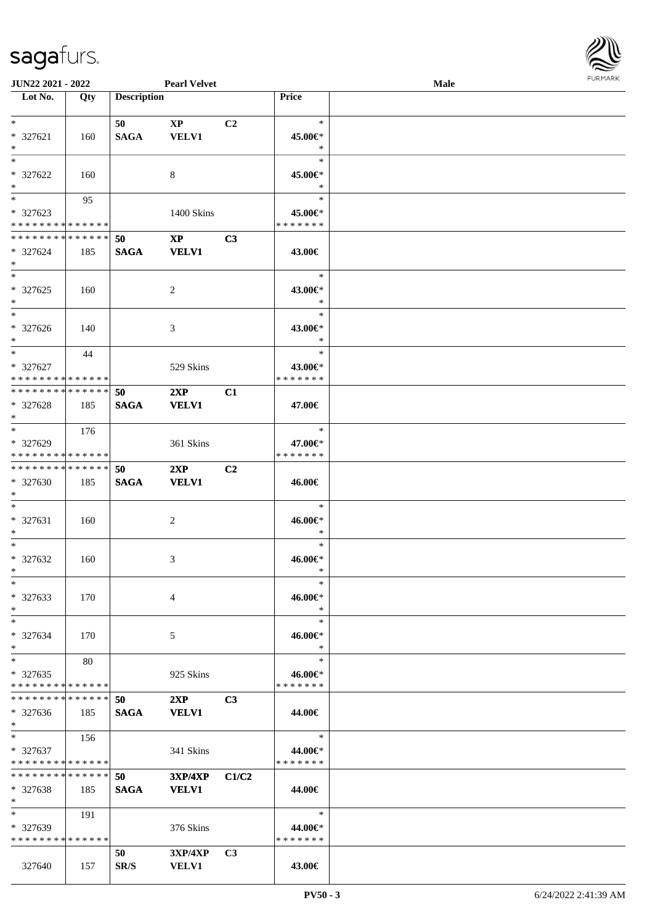

| <b>JUN22 2021 - 2022</b>      |     |                    | <b>Pearl Velvet</b>    |                |               | Male |  |
|-------------------------------|-----|--------------------|------------------------|----------------|---------------|------|--|
| Lot No.                       | Qty | <b>Description</b> |                        |                | Price         |      |  |
|                               |     |                    |                        |                |               |      |  |
| $*$                           |     | 50                 | $\mathbf{X}\mathbf{P}$ | C <sub>2</sub> | $\ast$        |      |  |
| * 327621                      | 160 | <b>SAGA</b>        | <b>VELV1</b>           |                | 45.00€*       |      |  |
| $*$                           |     |                    |                        |                | $\ast$        |      |  |
| $*$                           |     |                    |                        |                | $\ast$        |      |  |
| * 327622                      | 160 |                    | 8                      |                | 45.00€*       |      |  |
| $*$                           |     |                    |                        |                | $\ast$        |      |  |
| $\overline{\phantom{0}}$      |     |                    |                        |                | $\ast$        |      |  |
|                               | 95  |                    |                        |                |               |      |  |
| * 327623                      |     |                    | 1400 Skins             |                | 45.00€*       |      |  |
| * * * * * * * * * * * * * *   |     |                    |                        |                | * * * * * * * |      |  |
| * * * * * * * * * * * * * *   |     | 50                 | $\mathbf{X}\mathbf{P}$ | C3             |               |      |  |
| * 327624                      | 185 | <b>SAGA</b>        | <b>VELV1</b>           |                | 43.00€        |      |  |
| $*$                           |     |                    |                        |                |               |      |  |
| $*$                           |     |                    |                        |                | $\ast$        |      |  |
| $* 327625$                    | 160 |                    | $\overline{c}$         |                | 43.00€*       |      |  |
| $*$                           |     |                    |                        |                | $\ast$        |      |  |
| $\ast$                        |     |                    |                        |                | $\ast$        |      |  |
|                               |     |                    |                        |                |               |      |  |
| $*327626$                     | 140 |                    | 3                      |                | 43.00€*       |      |  |
| $*$                           |     |                    |                        |                | $\ast$        |      |  |
| $*$                           | 44  |                    |                        |                | $\ast$        |      |  |
| * 327627                      |     |                    | 529 Skins              |                | 43.00€*       |      |  |
| * * * * * * * * * * * * * *   |     |                    |                        |                | * * * * * * * |      |  |
| * * * * * * * * * * * * * *   |     | 50                 | 2XP                    | C1             |               |      |  |
| * 327628                      | 185 | <b>SAGA</b>        | <b>VELV1</b>           |                | 47.00€        |      |  |
| $*$                           |     |                    |                        |                |               |      |  |
| $*$                           | 176 |                    |                        |                | $\ast$        |      |  |
| * 327629                      |     |                    | 361 Skins              |                | 47.00€*       |      |  |
| * * * * * * * * * * * * * *   |     |                    |                        |                | * * * * * * * |      |  |
| * * * * * * * * * * * * * *   |     |                    |                        |                |               |      |  |
|                               |     | 50                 | 2XP                    | C2             |               |      |  |
| * 327630                      | 185 | <b>SAGA</b>        | <b>VELV1</b>           |                | 46.00€        |      |  |
| $*$                           |     |                    |                        |                |               |      |  |
| $*$                           |     |                    |                        |                | $\ast$        |      |  |
| $* 327631$                    | 160 |                    | $\overline{c}$         |                | 46.00€*       |      |  |
| $*$                           |     |                    |                        |                | $\ast$        |      |  |
| $*$                           |     |                    |                        |                | $\ast$        |      |  |
| $* 327632$                    | 160 |                    | 3                      |                | 46.00€*       |      |  |
| $*$                           |     |                    |                        |                | $\ast$        |      |  |
| $*$                           |     |                    |                        |                | $\ast$        |      |  |
|                               |     |                    |                        |                |               |      |  |
| $* 327633$                    | 170 |                    | 4                      |                | 46.00€*       |      |  |
| $*$                           |     |                    |                        |                | $\ast$        |      |  |
| $*$                           |     |                    |                        |                | $\ast$        |      |  |
| * 327634                      | 170 |                    | 5                      |                | 46.00€*       |      |  |
| $*$                           |     |                    |                        |                | $\ast$        |      |  |
| $\ast$                        | 80  |                    |                        |                | $\ast$        |      |  |
| $*327635$                     |     |                    | 925 Skins              |                | 46.00€*       |      |  |
| * * * * * * * * * * * * * *   |     |                    |                        |                | * * * * * * * |      |  |
| * * * * * * * * * * * * * *   |     | 50                 | 2XP                    | C3             |               |      |  |
| $* 327636$                    | 185 | <b>SAGA</b>        | <b>VELV1</b>           |                | 44.00€        |      |  |
| $*$                           |     |                    |                        |                |               |      |  |
| $*$                           | 156 |                    |                        |                | $\ast$        |      |  |
|                               |     |                    |                        |                |               |      |  |
| * 327637                      |     |                    | 341 Skins              |                | 44.00€*       |      |  |
| * * * * * * * * * * * * * *   |     |                    |                        |                | * * * * * * * |      |  |
| * * * * * * * * * * * * * * * |     | 50                 | <b>3XP/4XP</b>         | C1/C2          |               |      |  |
| $* 327638$                    | 185 | <b>SAGA</b>        | <b>VELV1</b>           |                | 44.00€        |      |  |
| $*$                           |     |                    |                        |                |               |      |  |
| $*$                           | 191 |                    |                        |                | $\ast$        |      |  |
| $* 327639$                    |     |                    | 376 Skins              |                | 44.00€*       |      |  |
| * * * * * * * * * * * * * *   |     |                    |                        |                | * * * * * * * |      |  |
|                               |     | 50                 | 3XP/4XP                | C <sub>3</sub> |               |      |  |
|                               |     |                    |                        |                |               |      |  |
| 327640                        | 157 | SR/S               | <b>VELV1</b>           |                | 43.00€        |      |  |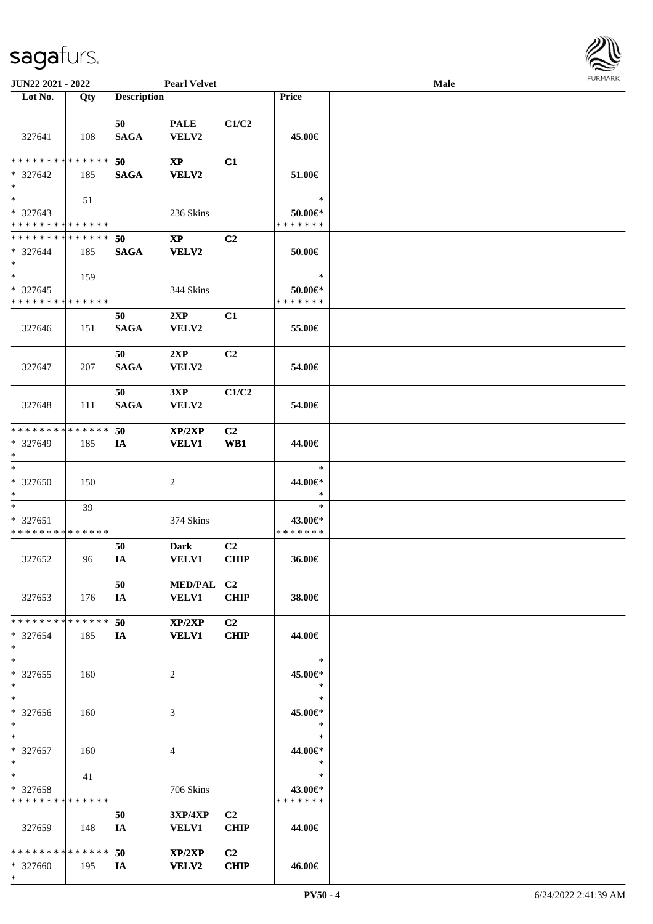\*



| JUN22 2021 - 2022                                                     |     |                    | <b>Pearl Velvet</b>                               |                               |                                    | Male |  |
|-----------------------------------------------------------------------|-----|--------------------|---------------------------------------------------|-------------------------------|------------------------------------|------|--|
| Lot No.                                                               | Qty | <b>Description</b> |                                                   |                               | Price                              |      |  |
| 327641                                                                | 108 | 50<br><b>SAGA</b>  | <b>PALE</b><br>VELV2                              | C1/C2                         | 45.00€                             |      |  |
| * * * * * * * * * * * * * *                                           |     | 50                 | $\bold{XP}$                                       | C1                            |                                    |      |  |
| * 327642<br>$\ast$                                                    | 185 | <b>SAGA</b>        | <b>VELV2</b>                                      |                               | 51.00€                             |      |  |
| $\overline{\phantom{0}}$<br>$* 327643$<br>* * * * * * * * * * * * * * | 51  |                    | 236 Skins                                         |                               | $\ast$<br>50.00€*<br>* * * * * * * |      |  |
| ******** <mark>*****</mark> *                                         |     | 50                 | $\bold{XP}$                                       | C <sub>2</sub>                |                                    |      |  |
| $* 327644$<br>$\ast$                                                  | 185 | <b>SAGA</b>        | <b>VELV2</b>                                      |                               | 50.00€                             |      |  |
| $\ast$                                                                | 159 |                    |                                                   |                               | $\ast$                             |      |  |
| $* 327645$<br>* * * * * * * * * * * * * *                             |     |                    | 344 Skins                                         |                               | $50.00 \in$ *<br>* * * * * * *     |      |  |
| 327646                                                                | 151 | 50<br><b>SAGA</b>  | 2XP<br>VELV2                                      | C1                            | 55.00€                             |      |  |
| 327647                                                                | 207 | 50<br><b>SAGA</b>  | 2XP<br>VELV2                                      | C2                            | 54.00€                             |      |  |
| 327648                                                                | 111 | 50<br><b>SAGA</b>  | 3XP<br>VELV2                                      | C1/C2                         | 54.00€                             |      |  |
| * * * * * * * * * * * * * *<br>* 327649<br>$\ast$                     | 185 | 50<br>IA           | XP/2XP<br><b>VELV1</b>                            | C2<br>WB1                     | 44.00€                             |      |  |
| $\ast$<br>* 327650<br>$\ast$                                          | 150 |                    | $\boldsymbol{2}$                                  |                               | $\ast$<br>44.00€*<br>$\ast$        |      |  |
| $\ast$<br>$* 327651$<br>* * * * * * * * * * * * * *                   | 39  |                    | 374 Skins                                         |                               | $\ast$<br>43.00€*<br>* * * * * * * |      |  |
| 327652                                                                | 96  | 50<br>IA           | <b>Dark</b><br>VELV1                              | C <sub>2</sub><br><b>CHIP</b> | 36.00€                             |      |  |
| 327653                                                                | 176 | 50<br>IA           | MED/PAL C2<br>VELV1                               | <b>CHIP</b>                   | 38.00€                             |      |  |
| * * * * * * * * * * * * * * *<br>* 327654<br>$*$                      | 185 | 50<br>IA           | XP/2XP<br><b>VELV1</b>                            | C <sub>2</sub><br><b>CHIP</b> | 44.00€                             |      |  |
| $\ast$<br>$*327655$<br>$*$                                            | 160 |                    | 2                                                 |                               | $\ast$<br>45.00€*<br>$\ast$        |      |  |
| $\ast$<br>* 327656<br>$*$                                             | 160 |                    | 3                                                 |                               | $\ast$<br>45.00€*<br>$\ast$        |      |  |
| $*$<br>$* 327657$<br>$*$                                              | 160 |                    | 4                                                 |                               | $\ast$<br>44.00€*<br>$\ast$        |      |  |
| $\ast$<br>* 327658<br>* * * * * * * * * * * * * *                     | 41  |                    | 706 Skins                                         |                               | $\ast$<br>43.00€*<br>* * * * * * * |      |  |
| 327659                                                                | 148 | 50<br>IA           | $3{\bf X}{\bf P}/4{\bf X}{\bf P}$<br><b>VELV1</b> | C <sub>2</sub><br><b>CHIP</b> | 44.00€                             |      |  |
| * * * * * * * * * * * * * * *<br>* 327660                             | 195 | 50<br>IA           | XP/2XP<br><b>VELV2</b>                            | C <sub>2</sub><br><b>CHIP</b> | 46.00€                             |      |  |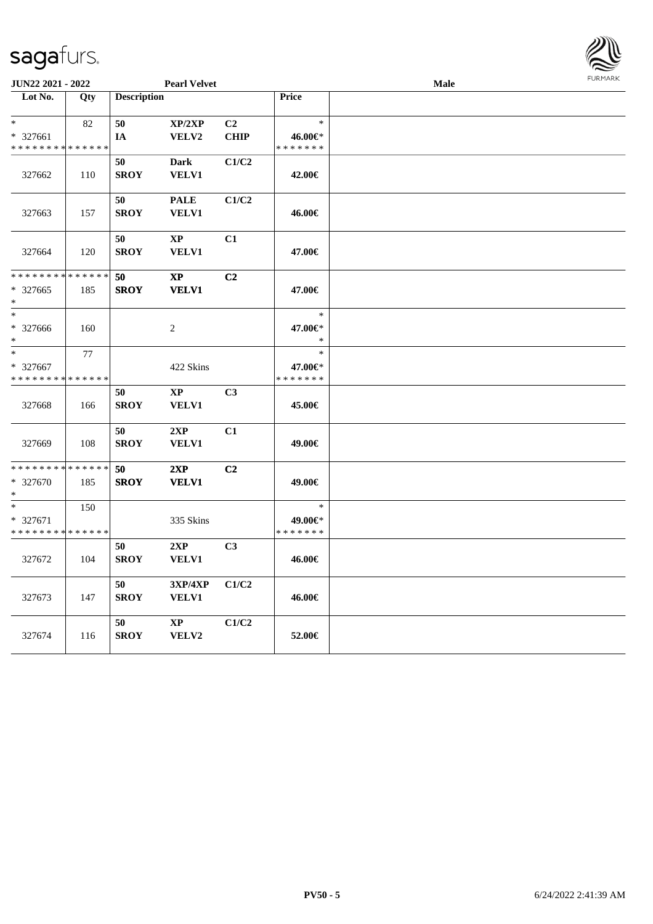| <b>JUN22 2021 - 2022</b>                   |             |                    | <b>Pearl Velvet</b> |                |               | Male | 1.91511111515 |
|--------------------------------------------|-------------|--------------------|---------------------|----------------|---------------|------|---------------|
| Lot No.                                    | Qty         | <b>Description</b> |                     |                | Price         |      |               |
|                                            |             |                    |                     |                |               |      |               |
| $\ast$                                     | 82          | 50                 | XP/2XP              | C <sub>2</sub> | $\ast$        |      |               |
| $* 327661$                                 |             | IA                 | VELV2               | <b>CHIP</b>    | 46.00€*       |      |               |
| * * * * * * * * <mark>* * * * * * *</mark> |             |                    |                     |                | * * * * * * * |      |               |
|                                            |             | 50                 | Dark                | C1/C2          |               |      |               |
| 327662                                     | 110         | <b>SROY</b>        | VELV1               |                | 42.00€        |      |               |
|                                            |             |                    |                     |                |               |      |               |
|                                            |             | 50                 | <b>PALE</b>         | C1/C2          |               |      |               |
| 327663                                     | 157         | <b>SROY</b>        | <b>VELV1</b>        |                | 46.00€        |      |               |
|                                            |             |                    |                     |                |               |      |               |
|                                            |             | 50                 | <b>XP</b>           | C1             |               |      |               |
| 327664                                     | 120         | <b>SROY</b>        | <b>VELV1</b>        |                | 47.00€        |      |               |
|                                            |             |                    |                     |                |               |      |               |
| * * * * * * * *                            | * * * * * * | 50                 | $\bold{XP}$         | C <sub>2</sub> |               |      |               |
| * 327665                                   | 185         | <b>SROY</b>        | <b>VELV1</b>        |                | 47.00€        |      |               |
| *                                          |             |                    |                     |                |               |      |               |
| $\ast$                                     |             |                    |                     |                | $\ast$        |      |               |
| * 327666                                   | 160         |                    | $\overline{c}$      |                | 47.00€*       |      |               |
| *.                                         |             |                    |                     |                | $\ast$        |      |               |
| $\ast$                                     | 77          |                    |                     |                | $\ast$        |      |               |
| * 327667                                   |             |                    | 422 Skins           |                | 47.00€*       |      |               |
| * * * * * * * *                            | * * * * * * |                    |                     |                | * * * * * * * |      |               |
|                                            |             | 50                 | $\bold{XP}$         | C <sub>3</sub> |               |      |               |
| 327668                                     | 166         | <b>SROY</b>        | VELV1               |                | 45.00€        |      |               |
|                                            |             |                    |                     |                |               |      |               |
|                                            |             | 50                 | 2XP                 | C1             |               |      |               |
| 327669                                     | 108         | <b>SROY</b>        | <b>VELV1</b>        |                | 49.00€        |      |               |
| * * * * * * * *                            | * * * * * * | 50                 |                     | C <sub>2</sub> |               |      |               |
| * 327670                                   |             | <b>SROY</b>        | 2XP<br><b>VELV1</b> |                | 49.00€        |      |               |
|                                            | 185         |                    |                     |                |               |      |               |
| $\ast$                                     | 150         |                    |                     |                | $\ast$        |      |               |
| * 327671                                   |             |                    | 335 Skins           |                | 49.00€*       |      |               |
| * * * * * * * *                            | * * * * * * |                    |                     |                | * * * * * * * |      |               |
|                                            |             | 50                 | 2XP                 | C <sub>3</sub> |               |      |               |
| 327672                                     | 104         | <b>SROY</b>        | VELV1               |                | 46.00€        |      |               |
|                                            |             |                    |                     |                |               |      |               |
|                                            |             | 50                 | 3XP/4XP             | C1/C2          |               |      |               |
| 327673                                     | 147         | <b>SROY</b>        | VELV1               |                | 46.00€        |      |               |
|                                            |             |                    |                     |                |               |      |               |
|                                            |             | 50                 | $\bold{XP}$         | C1/C2          |               |      |               |
| 327674                                     | 116         | <b>SROY</b>        | VELV2               |                | 52.00€        |      |               |
|                                            |             |                    |                     |                |               |      |               |
|                                            |             |                    |                     |                |               |      |               |

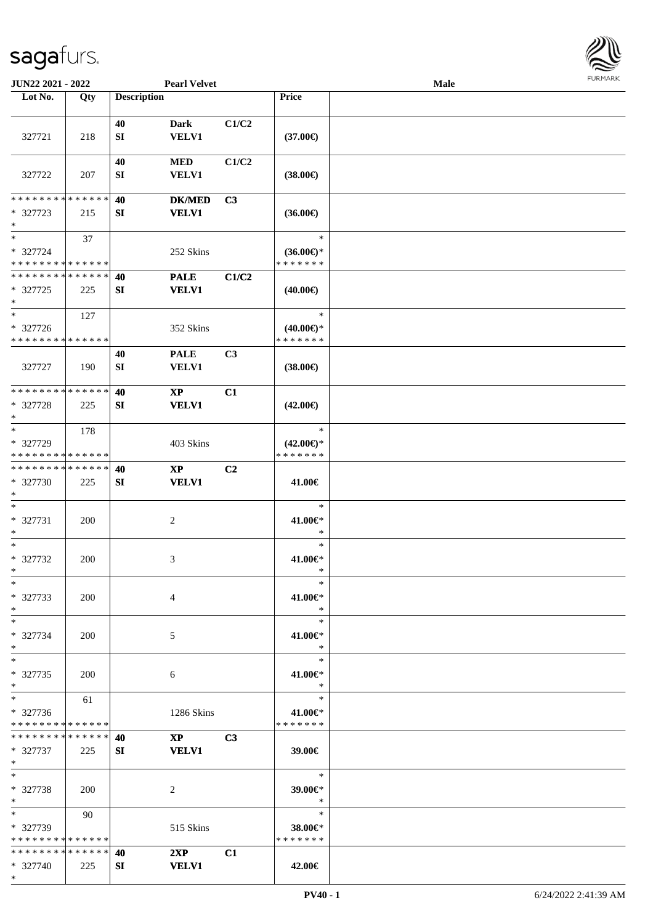

| <b>JUN22 2021 - 2022</b>                |     |                    | <b>Pearl Velvet</b>         |                |                                      | <b>Male</b> |  |
|-----------------------------------------|-----|--------------------|-----------------------------|----------------|--------------------------------------|-------------|--|
| Lot No.                                 | Qty | <b>Description</b> |                             |                | Price                                |             |  |
|                                         |     |                    |                             |                |                                      |             |  |
|                                         |     | 40                 | <b>Dark</b>                 | C1/C2          |                                      |             |  |
| 327721                                  | 218 | SI                 | <b>VELV1</b>                |                | $(37.00\epsilon)$                    |             |  |
|                                         |     |                    |                             |                |                                      |             |  |
|                                         |     | 40                 | $\bf MED$                   | C1/C2          |                                      |             |  |
| 327722                                  | 207 | SI                 | <b>VELV1</b>                |                | $(38.00\epsilon)$                    |             |  |
|                                         |     |                    |                             |                |                                      |             |  |
| * * * * * * * * * * * * * *             |     | 40                 | <b>DK/MED</b>               | C3             |                                      |             |  |
| * 327723                                | 215 | ${\bf SI}$         | <b>VELV1</b>                |                | $(36.00\epsilon)$                    |             |  |
| $*$                                     |     |                    |                             |                |                                      |             |  |
| $\ast$                                  | 37  |                    |                             |                | $\ast$                               |             |  |
| $* 327724$                              |     |                    | 252 Skins                   |                | $(36.00\epsilon)$ *                  |             |  |
| * * * * * * * * * * * * * *             |     |                    |                             |                | * * * * * * *                        |             |  |
| * * * * * * * * * * * * * *             |     | 40                 | <b>PALE</b>                 | C1/C2          |                                      |             |  |
| * 327725                                | 225 | SI                 | <b>VELV1</b>                |                | $(40.00\epsilon)$                    |             |  |
| $\ast$                                  |     |                    |                             |                |                                      |             |  |
| $\ast$                                  | 127 |                    |                             |                | $\ast$                               |             |  |
| * 327726                                |     |                    | 352 Skins                   |                | $(40.00\epsilon)$ *                  |             |  |
| * * * * * * * * * * * * * *             |     |                    |                             |                | * * * * * * *                        |             |  |
|                                         |     | 40                 | <b>PALE</b>                 | C3             |                                      |             |  |
| 327727                                  | 190 | SI                 | VELV1                       |                | $(38.00\epsilon)$                    |             |  |
|                                         |     |                    |                             |                |                                      |             |  |
| * * * * * * * * * * * * * *             |     | 40                 | $\bold{XP}$                 | C1             |                                      |             |  |
| * 327728                                | 225 | SI                 | <b>VELV1</b>                |                | $(42.00\epsilon)$                    |             |  |
| $\ast$<br>$\ast$                        |     |                    |                             |                |                                      |             |  |
|                                         | 178 |                    |                             |                | $\ast$                               |             |  |
| * 327729<br>* * * * * * * * * * * * * * |     |                    | 403 Skins                   |                | $(42.00\epsilon)$ *<br>* * * * * * * |             |  |
| * * * * * * * * * * * * * *             |     |                    |                             |                |                                      |             |  |
| * 327730                                |     | 40<br>SI           | $\bold{XP}$<br><b>VELV1</b> | C <sub>2</sub> |                                      |             |  |
| $*$                                     | 225 |                    |                             |                | 41.00€                               |             |  |
| $*$                                     |     |                    |                             |                | $\ast$                               |             |  |
| * 327731                                | 200 |                    | $\overline{c}$              |                | 41.00€*                              |             |  |
| $\ast$                                  |     |                    |                             |                | $\ast$                               |             |  |
| $\ast$                                  |     |                    |                             |                | $\ast$                               |             |  |
| $* 327732$                              | 200 |                    | 3                           |                | 41.00€*                              |             |  |
| $*$                                     |     |                    |                             |                | *                                    |             |  |
| $*$                                     |     |                    |                             |                | $\ast$                               |             |  |
| * 327733                                | 200 |                    | 4                           |                | 41.00€*                              |             |  |
| $*$                                     |     |                    |                             |                | $\ast$                               |             |  |
| $*$                                     |     |                    |                             |                | $\ast$                               |             |  |
| * 327734                                | 200 |                    | 5                           |                | 41.00€*                              |             |  |
| $*$                                     |     |                    |                             |                | $\ast$                               |             |  |
| $*$                                     |     |                    |                             |                | $\ast$                               |             |  |
| * 327735                                | 200 |                    | 6                           |                | 41.00€*                              |             |  |
| $*$                                     |     |                    |                             |                | $\ast$                               |             |  |
| $\ast$                                  | 61  |                    |                             |                | $\ast$                               |             |  |
| * 327736                                |     |                    | 1286 Skins                  |                | 41.00€*                              |             |  |
| * * * * * * * * * * * * * *             |     |                    |                             |                | * * * * * * *                        |             |  |
| * * * * * * * * * * * * * * *           |     | 40                 | $\mathbf{X}\mathbf{P}$      | C <sub>3</sub> |                                      |             |  |
| * 327737                                | 225 | SI                 | <b>VELV1</b>                |                | 39.00€                               |             |  |
| $*$                                     |     |                    |                             |                |                                      |             |  |
| $*$                                     |     |                    |                             |                | $\ast$                               |             |  |
| * 327738                                | 200 |                    | 2                           |                | 39.00€*                              |             |  |
| $*$                                     |     |                    |                             |                | $\ast$                               |             |  |
| $*$                                     | 90  |                    |                             |                | $\ast$                               |             |  |
| * 327739                                |     |                    | 515 Skins                   |                | 38.00€*                              |             |  |
| * * * * * * * * * * * * * *             |     |                    |                             |                | * * * * * * *                        |             |  |
| * * * * * * * * * * * * * * *           |     | 40                 | 2XP                         | C1             |                                      |             |  |
| * 327740                                | 225 | SI                 | <b>VELV1</b>                |                | 42.00€                               |             |  |
| $*$                                     |     |                    |                             |                |                                      |             |  |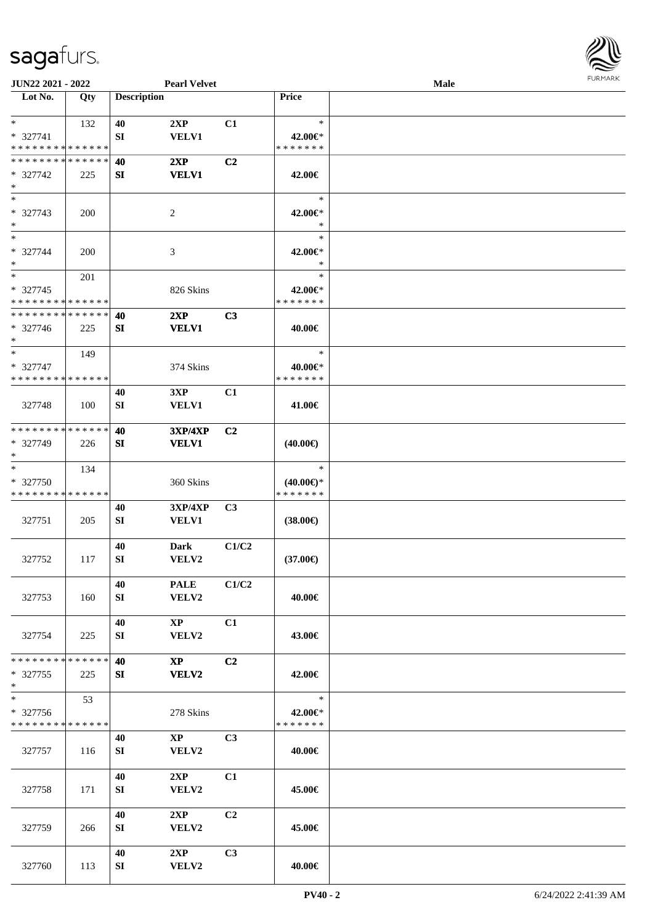

| JUN22 2021 - 2022                                          |     |                    | <b>Pearl Velvet</b>         |                |                     | Male |  |
|------------------------------------------------------------|-----|--------------------|-----------------------------|----------------|---------------------|------|--|
| Lot No.                                                    | Qty | <b>Description</b> |                             |                | Price               |      |  |
| $*$                                                        |     |                    |                             |                | $\ast$              |      |  |
| * 327741                                                   | 132 | 40<br>${\bf SI}$   | 2XP<br><b>VELV1</b>         | C1             | 42.00€*             |      |  |
| * * * * * * * * * * * * * *                                |     |                    |                             |                | * * * * * * *       |      |  |
| * * * * * * * * * * * * * *                                |     | 40                 | 2XP                         | C <sub>2</sub> |                     |      |  |
| $* 327742$                                                 | 225 | SI                 | <b>VELV1</b>                |                | 42.00€              |      |  |
| $\ast$                                                     |     |                    |                             |                |                     |      |  |
| $\ast$                                                     |     |                    |                             |                | $\ast$              |      |  |
| * 327743                                                   | 200 |                    | 2                           |                | 42.00€*             |      |  |
| $\ast$                                                     |     |                    |                             |                | $\ast$              |      |  |
| $\ast$                                                     |     |                    |                             |                | $\ast$              |      |  |
| * 327744                                                   | 200 |                    | $\ensuremath{\mathfrak{Z}}$ |                | 42.00€*             |      |  |
| $\ast$                                                     |     |                    |                             |                | $\ast$              |      |  |
| $\ast$                                                     | 201 |                    |                             |                | $\ast$              |      |  |
| * 327745                                                   |     |                    | 826 Skins                   |                | 42.00€*             |      |  |
| * * * * * * * * * * * * * *<br>* * * * * * * * * * * * * * |     |                    |                             |                | * * * * * * *       |      |  |
|                                                            |     | 40                 | 2XP                         | C3             |                     |      |  |
| $* 327746$<br>$*$                                          | 225 | SI                 | <b>VELV1</b>                |                | 40.00€              |      |  |
| $\ast$                                                     | 149 |                    |                             |                | $\ast$              |      |  |
| * 327747                                                   |     |                    | 374 Skins                   |                | 40.00€*             |      |  |
| * * * * * * * * * * * * * *                                |     |                    |                             |                | * * * * * * *       |      |  |
|                                                            |     | 40                 | 3XP                         | C1             |                     |      |  |
| 327748                                                     | 100 | SI                 | <b>VELV1</b>                |                | 41.00€              |      |  |
|                                                            |     |                    |                             |                |                     |      |  |
| * * * * * * * * * * * * * *                                |     | 40                 | <b>3XP/4XP</b>              | C <sub>2</sub> |                     |      |  |
| * 327749                                                   | 226 | SI                 | <b>VELV1</b>                |                | $(40.00\epsilon)$   |      |  |
| $\ast$                                                     |     |                    |                             |                |                     |      |  |
| $\ast$                                                     | 134 |                    |                             |                | $\ast$              |      |  |
| * 327750                                                   |     |                    | 360 Skins                   |                | $(40.00\epsilon)$ * |      |  |
| * * * * * * * * * * * * * *                                |     |                    |                             |                | * * * * * * *       |      |  |
|                                                            |     | 40                 | 3XP/4XP                     | C <sub>3</sub> |                     |      |  |
| 327751                                                     | 205 | SI                 | VELV1                       |                | $(38.00\epsilon)$   |      |  |
|                                                            |     | 40                 | <b>Dark</b>                 | C1/C2          |                     |      |  |
| 327752                                                     | 117 | SI                 | VELV2                       |                | $(37.00\epsilon)$   |      |  |
|                                                            |     |                    |                             |                |                     |      |  |
|                                                            |     | 40                 | <b>PALE</b>                 | C1/C2          |                     |      |  |
| 327753                                                     | 160 | SI                 | VELV2                       |                | 40.00€              |      |  |
|                                                            |     |                    |                             |                |                     |      |  |
|                                                            |     | 40                 | $\mathbf{X}\mathbf{P}$      | C1             |                     |      |  |
| 327754                                                     | 225 | SI                 | VELV2                       |                | 43.00€              |      |  |
|                                                            |     |                    |                             |                |                     |      |  |
| * * * * * * * * * * * * * *                                |     | 40                 | $\mathbf{X}\mathbf{P}$      | C <sub>2</sub> |                     |      |  |
| $*327755$<br>$*$                                           | 225 | SI                 | VELV2                       |                | 42.00€              |      |  |
| $\overline{\phantom{1}}$                                   | 53  |                    |                             |                | $\ast$              |      |  |
| * 327756                                                   |     |                    | 278 Skins                   |                | 42.00€*             |      |  |
| * * * * * * * * * * * * * *                                |     |                    |                             |                | * * * * * * *       |      |  |
|                                                            |     | 40                 | $\mathbf{XP}$               | C3             |                     |      |  |
| 327757                                                     | 116 | SI                 | VELV2                       |                | 40.00€              |      |  |
|                                                            |     |                    |                             |                |                     |      |  |
|                                                            |     | 40                 | 2XP                         | C1             |                     |      |  |
| 327758                                                     | 171 | SI                 | VELV2                       |                | 45.00€              |      |  |
|                                                            |     |                    |                             |                |                     |      |  |
|                                                            |     | 40                 | 2XP                         | C2             |                     |      |  |
| 327759                                                     | 266 | SI                 | <b>VELV2</b>                |                | 45.00€              |      |  |
|                                                            |     |                    |                             |                |                     |      |  |
|                                                            |     | 40                 | 2XP                         | C3             |                     |      |  |
| 327760                                                     | 113 | SI                 | VELV2                       |                | 40.00€              |      |  |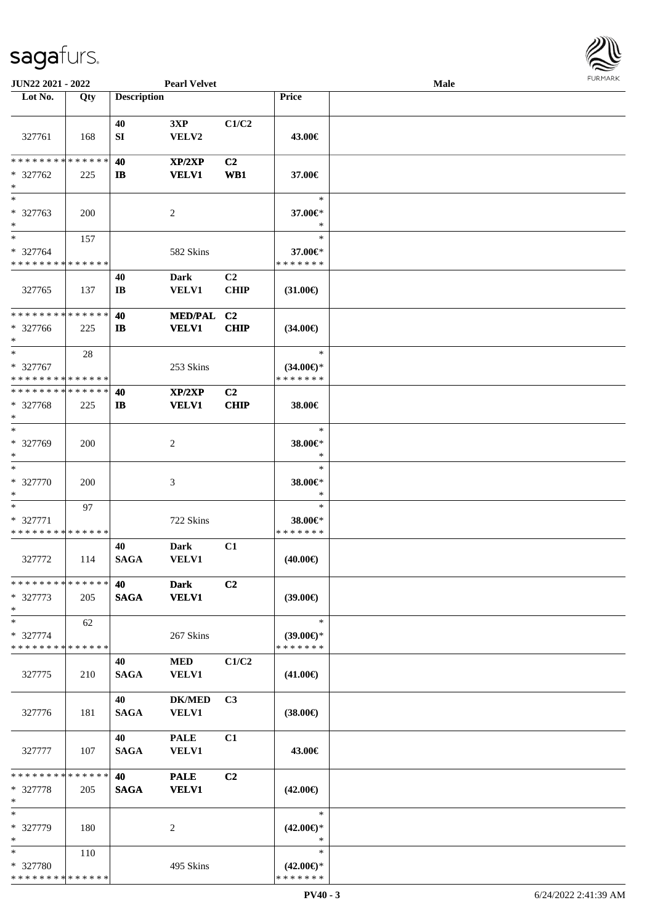

| JUN22 2021 - 2022                         |     |                    | <b>Pearl Velvet</b>  |                |                                      | Male |  |
|-------------------------------------------|-----|--------------------|----------------------|----------------|--------------------------------------|------|--|
| Lot No.                                   | Qty | <b>Description</b> |                      |                | Price                                |      |  |
|                                           |     |                    |                      |                |                                      |      |  |
|                                           |     | 40                 | 3XP                  | C1/C2          |                                      |      |  |
| 327761                                    | 168 | ${\bf SI}$         | VELV2                |                | 43.00€                               |      |  |
|                                           |     |                    |                      |                |                                      |      |  |
| * * * * * * * * * * * * * *               |     | 40                 | XP/2XP               | C <sub>2</sub> |                                      |      |  |
| * 327762                                  | 225 | $\mathbf{I}$       | <b>VELV1</b>         | WB1            | 37.00€                               |      |  |
| $\ast$<br>$\ast$                          |     |                    |                      |                |                                      |      |  |
|                                           |     |                    |                      |                | $\ast$                               |      |  |
| * 327763<br>$\ast$                        | 200 |                    | $\overline{c}$       |                | 37.00€*<br>*                         |      |  |
| $\ast$                                    | 157 |                    |                      |                | $\ast$                               |      |  |
| * 327764                                  |     |                    | 582 Skins            |                | 37.00€*                              |      |  |
| * * * * * * * * * * * * * *               |     |                    |                      |                | * * * * * * *                        |      |  |
|                                           |     | 40                 | <b>Dark</b>          | C <sub>2</sub> |                                      |      |  |
| 327765                                    | 137 | IB                 | VELV1                | <b>CHIP</b>    | $(31.00\epsilon)$                    |      |  |
|                                           |     |                    |                      |                |                                      |      |  |
| * * * * * * * * * * * * * *               |     | 40                 | <b>MED/PAL</b>       | C <sub>2</sub> |                                      |      |  |
| * 327766                                  | 225 | $\mathbf{I}$       | <b>VELV1</b>         | <b>CHIP</b>    | $(34.00\epsilon)$                    |      |  |
| $\ast$                                    |     |                    |                      |                |                                      |      |  |
| $\ast$                                    | 28  |                    |                      |                | $\ast$                               |      |  |
| * 327767                                  |     |                    | 253 Skins            |                | $(34.00\epsilon)$ *                  |      |  |
| * * * * * * * * * * * * * *               |     |                    |                      |                | * * * * * * *                        |      |  |
| * * * * * * * * * * * * * *               |     | 40                 | XP/2XP               | C <sub>2</sub> |                                      |      |  |
| * 327768                                  | 225 | $\mathbf{I}$       | <b>VELV1</b>         | <b>CHIP</b>    | 38.00€                               |      |  |
| $\ast$                                    |     |                    |                      |                |                                      |      |  |
| $\ast$                                    |     |                    |                      |                | $\ast$                               |      |  |
| * 327769                                  | 200 |                    | $\overline{c}$       |                | 38.00€*                              |      |  |
| $\ast$                                    |     |                    |                      |                | $\ast$                               |      |  |
| $\ast$                                    |     |                    |                      |                | $\ast$                               |      |  |
| $* 327770$                                | 200 |                    | 3                    |                | 38.00€*                              |      |  |
| $\ast$                                    |     |                    |                      |                | $\ast$                               |      |  |
| $\ast$                                    | 97  |                    |                      |                | $\ast$                               |      |  |
| $* 327771$<br>* * * * * * * * * * * * * * |     |                    | 722 Skins            |                | 38.00€*<br>* * * * * * *             |      |  |
|                                           |     | 40                 |                      |                |                                      |      |  |
|                                           |     | <b>SAGA</b>        | <b>Dark</b><br>VELV1 | C1             |                                      |      |  |
| 327772                                    | 114 |                    |                      |                | $(40.00\epsilon)$                    |      |  |
| * * * * * * * * * * * * * *               |     | 40                 | <b>Dark</b>          | C2             |                                      |      |  |
| $* 327773$                                | 205 | <b>SAGA</b>        | <b>VELV1</b>         |                | $(39.00\epsilon)$                    |      |  |
| $*$                                       |     |                    |                      |                |                                      |      |  |
| $\ast$                                    | 62  |                    |                      |                | $\ast$                               |      |  |
| * 327774                                  |     |                    | 267 Skins            |                | $(39.00\epsilon)$ *                  |      |  |
| * * * * * * * * * * * * * *               |     |                    |                      |                | * * * * * * *                        |      |  |
|                                           |     | 40                 | <b>MED</b>           | C1/C2          |                                      |      |  |
| 327775                                    | 210 | <b>SAGA</b>        | <b>VELV1</b>         |                | $(41.00\epsilon)$                    |      |  |
|                                           |     |                    |                      |                |                                      |      |  |
|                                           |     | 40                 | <b>DK/MED</b>        | C3             |                                      |      |  |
| 327776                                    | 181 | <b>SAGA</b>        | <b>VELV1</b>         |                | $(38.00\epsilon)$                    |      |  |
|                                           |     |                    |                      |                |                                      |      |  |
|                                           |     | 40                 | <b>PALE</b>          | C1             |                                      |      |  |
| 327777                                    | 107 | <b>SAGA</b>        | <b>VELV1</b>         |                | 43.00€                               |      |  |
|                                           |     |                    |                      |                |                                      |      |  |
| ******** <mark>******</mark>              |     | 40                 | <b>PALE</b>          | C2             |                                      |      |  |
| * 327778                                  | 205 | <b>SAGA</b>        | <b>VELV1</b>         |                | $(42.00\epsilon)$                    |      |  |
| $\ast$                                    |     |                    |                      |                |                                      |      |  |
| $\ast$                                    |     |                    |                      |                | $\ast$                               |      |  |
| * 327779<br>$\ast$                        | 180 |                    | 2                    |                | $(42.00\epsilon)$ *<br>$\ast$        |      |  |
| $*$                                       |     |                    |                      |                | $\ast$                               |      |  |
| * 327780                                  | 110 |                    | 495 Skins            |                |                                      |      |  |
| * * * * * * * * * * * * * *               |     |                    |                      |                | $(42.00\epsilon)$ *<br>* * * * * * * |      |  |
|                                           |     |                    |                      |                |                                      |      |  |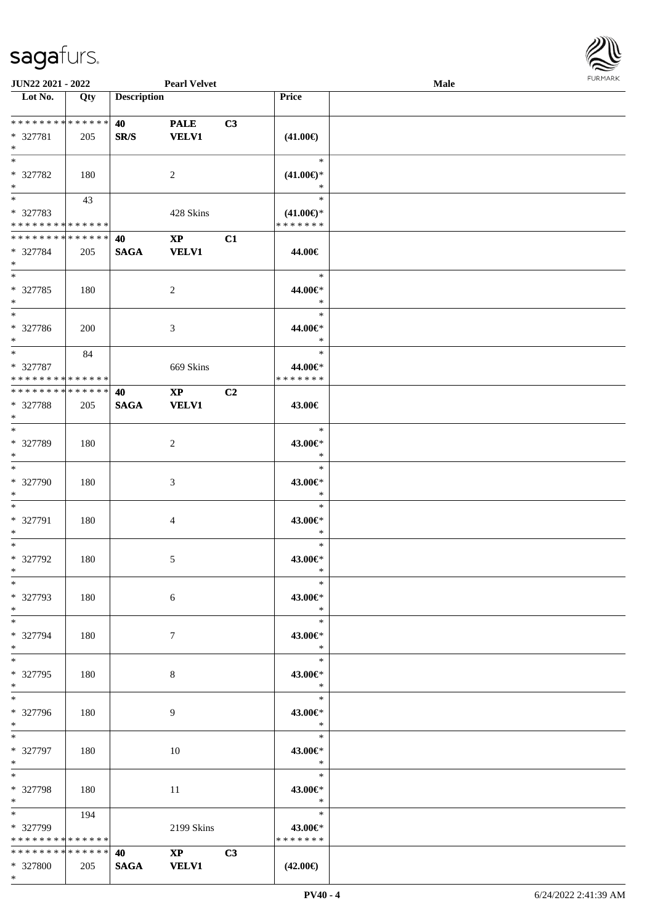\*



| JUN22 2021 - 2022                          |     |                    | <b>Pearl Velvet</b>    |    |                     | Male |  |
|--------------------------------------------|-----|--------------------|------------------------|----|---------------------|------|--|
| Lot No.                                    | Qty | <b>Description</b> |                        |    | Price               |      |  |
|                                            |     |                    |                        |    |                     |      |  |
| ******** <mark>******</mark>               |     | 40                 | <b>PALE</b>            | C3 |                     |      |  |
| * 327781                                   | 205 | SR/S               | <b>VELV1</b>           |    | $(41.00\epsilon)$   |      |  |
| $\ast$                                     |     |                    |                        |    |                     |      |  |
| $\overline{\ast}$                          |     |                    |                        |    | $\ast$              |      |  |
| * 327782                                   | 180 |                    | $\overline{2}$         |    | $(41.00\epsilon)$ * |      |  |
| $\ast$                                     |     |                    |                        |    | $\ast$              |      |  |
| $\overline{\phantom{0}}$                   | 43  |                    |                        |    | $\ast$              |      |  |
| * 327783                                   |     |                    | 428 Skins              |    | $(41.00\epsilon)$ * |      |  |
| * * * * * * * * * * * * * *                |     |                    |                        |    | * * * * * * *       |      |  |
| **************                             |     | 40                 | $\mathbf{XP}$          | C1 |                     |      |  |
| * 327784                                   | 205 | <b>SAGA</b>        | <b>VELV1</b>           |    | 44.00€              |      |  |
| $*$                                        |     |                    |                        |    |                     |      |  |
| $\overline{\phantom{0}}$                   |     |                    |                        |    | $\ast$              |      |  |
|                                            |     |                    |                        |    |                     |      |  |
| $* 327785$                                 | 180 |                    | $\overline{c}$         |    | 44.00€*             |      |  |
| $\ast$<br>$\overline{\phantom{1}}$         |     |                    |                        |    | $\ast$              |      |  |
|                                            |     |                    |                        |    | $\ast$              |      |  |
| * 327786                                   | 200 |                    | 3                      |    | 44.00€*             |      |  |
| $*$                                        |     |                    |                        |    | $\ast$              |      |  |
| $\ast$                                     | 84  |                    |                        |    | $\ast$              |      |  |
| * 327787                                   |     |                    | 669 Skins              |    | 44.00€*             |      |  |
| * * * * * * * * <mark>* * * * * * *</mark> |     |                    |                        |    | * * * * * * *       |      |  |
| * * * * * * * * * * * * * *                |     | 40                 | $\mathbf{X}\mathbf{P}$ | C2 |                     |      |  |
| * 327788                                   | 205 | <b>SAGA</b>        | <b>VELV1</b>           |    | 43.00€              |      |  |
| $\ast$                                     |     |                    |                        |    |                     |      |  |
| $\ast$                                     |     |                    |                        |    | $\ast$              |      |  |
| * 327789                                   | 180 |                    | $\overline{c}$         |    | 43.00€*             |      |  |
| $\ast$                                     |     |                    |                        |    | $\ast$              |      |  |
| $\overline{\ast}$                          |     |                    |                        |    | $\ast$              |      |  |
| * 327790                                   | 180 |                    | $\mathfrak{Z}$         |    | 43.00€*             |      |  |
| $\ast$                                     |     |                    |                        |    | $\ast$              |      |  |
| $\ast$                                     |     |                    |                        |    | $\ast$              |      |  |
| * 327791                                   | 180 |                    | $\overline{4}$         |    | 43.00€*             |      |  |
| $\ast$                                     |     |                    |                        |    | $\ast$              |      |  |
| $\ast$                                     |     |                    |                        |    | $\ast$              |      |  |
| * 327792                                   | 180 |                    | 5                      |    | 43.00€*             |      |  |
| $*$                                        |     |                    |                        |    | $\ast$              |      |  |
| $*$                                        |     |                    |                        |    | $\ast$              |      |  |
| * 327793                                   | 180 |                    | 6                      |    | 43.00€*             |      |  |
| $*$                                        |     |                    |                        |    | $\ast$              |      |  |
| $\ast$                                     |     |                    |                        |    | $\ast$              |      |  |
| * 327794                                   | 180 |                    | $\tau$                 |    | 43.00€*             |      |  |
| $*$                                        |     |                    |                        |    | $\ast$              |      |  |
| $\overline{\phantom{a}^*}$                 |     |                    |                        |    | $\ast$              |      |  |
|                                            |     |                    |                        |    |                     |      |  |
| * 327795<br>$*$                            | 180 |                    | 8                      |    | 43.00€*<br>$\ast$   |      |  |
| $\overline{\phantom{0}}$                   |     |                    |                        |    | $\ast$              |      |  |
|                                            |     |                    |                        |    |                     |      |  |
| * 327796                                   | 180 |                    | 9                      |    | 43.00€*             |      |  |
| $*$                                        |     |                    |                        |    | $\ast$              |      |  |
| $*$                                        |     |                    |                        |    | $\ast$              |      |  |
| * 327797                                   | 180 |                    | 10                     |    | 43.00€*             |      |  |
| $*$                                        |     |                    |                        |    | $\ast$              |      |  |
| $\ast$                                     |     |                    |                        |    | $\ast$              |      |  |
| * 327798                                   | 180 |                    | 11                     |    | 43.00€*             |      |  |
| $*$                                        |     |                    |                        |    | $\ast$              |      |  |
| $*$ and $*$                                | 194 |                    |                        |    | $\ast$              |      |  |
| * 327799                                   |     |                    | 2199 Skins             |    | 43.00€*             |      |  |
| * * * * * * * * * * * * * *                |     |                    |                        |    | * * * * * * *       |      |  |
| ******** <mark>******</mark>               |     | 40                 | $XP$ $C3$              |    |                     |      |  |
| * 327800                                   | 205 | <b>SAGA</b>        | <b>VELV1</b>           |    | $(42.00\epsilon)$   |      |  |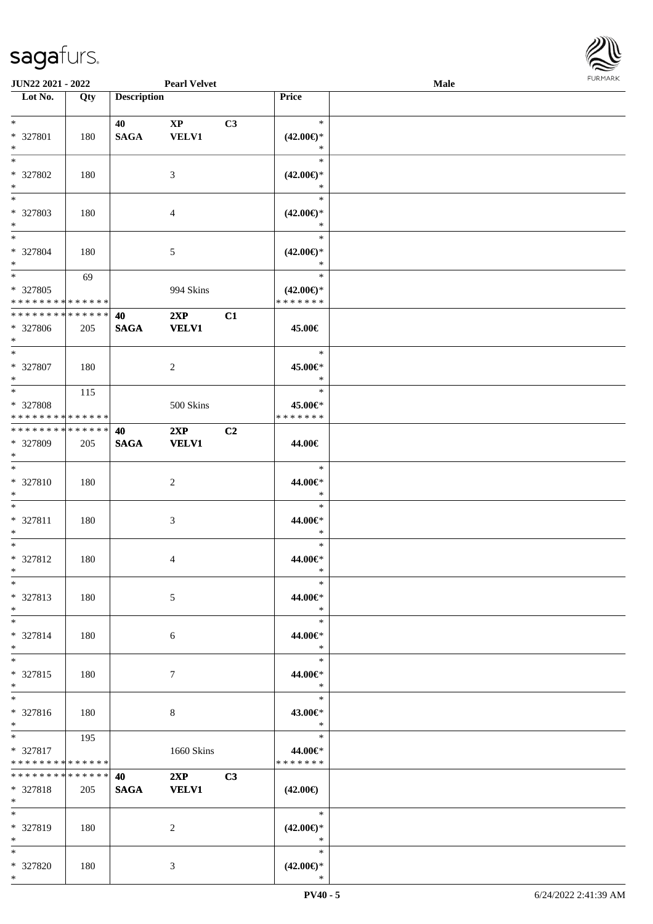\*



| <b>JUN22 2021 - 2022</b>                               |     |                    | <b>Pearl Velvet</b>                    |    |                                                | <b>Male</b> |  |
|--------------------------------------------------------|-----|--------------------|----------------------------------------|----|------------------------------------------------|-------------|--|
| Lot No.                                                | Qty | <b>Description</b> |                                        |    | Price                                          |             |  |
| $*$<br>* 327801                                        | 180 | 40<br><b>SAGA</b>  | $\mathbf{X}\mathbf{P}$<br><b>VELV1</b> | C3 | $\ast$<br>$(42.00\epsilon)$ *                  |             |  |
| $\ast$<br>$*$                                          |     |                    |                                        |    | $\ast$<br>$\ast$                               |             |  |
| * 327802<br>$*$                                        | 180 |                    | 3                                      |    | $(42.00\epsilon)$ *<br>*                       |             |  |
| * 327803<br>$*$                                        | 180 |                    | 4                                      |    | $\ast$<br>$(42.00\epsilon)$ *<br>$\ast$        |             |  |
| $*$<br>* 327804<br>$*$                                 | 180 |                    | 5                                      |    | $\ast$<br>$(42.00\epsilon)$ *<br>$\ast$        |             |  |
| $*$<br>* 327805<br>* * * * * * * * * * * * * *         | 69  |                    | 994 Skins                              |    | $\ast$<br>$(42.00\epsilon)$ *<br>* * * * * * * |             |  |
| * * * * * * * * <mark>* * * * * * *</mark>             |     | 40                 | 2XP                                    | C1 |                                                |             |  |
| * 327806<br>$*$                                        | 205 | <b>SAGA</b>        | <b>VELV1</b>                           |    | 45.00€                                         |             |  |
| $*$<br>* 327807<br>$*$                                 | 180 |                    | 2                                      |    | $\ast$<br>45.00€*<br>$\ast$                    |             |  |
| * 327808<br>* * * * * * * * * * * * * *                | 115 |                    | 500 Skins                              |    | $\ast$<br>45.00€*<br>* * * * * * *             |             |  |
| * * * * * * * * * * * * * * *                          |     | 40                 | 2XP                                    | C2 |                                                |             |  |
| * 327809<br>$*$                                        | 205 | <b>SAGA</b>        | <b>VELV1</b>                           |    | 44.00€                                         |             |  |
| $*$<br>* 327810<br>$*$                                 | 180 |                    | $\overline{c}$                         |    | $\ast$<br>44.00€*<br>$\ast$                    |             |  |
| $*$<br>* 327811<br>$*$                                 | 180 |                    | 3                                      |    | $\ast$<br>44.00€*<br>$\ast$                    |             |  |
| $*$<br>* 327812<br>$*$                                 | 180 |                    | 4                                      |    | $\ast$<br>44.00€*<br>$\ast$                    |             |  |
| $*$<br>* 327813<br>$*$                                 | 180 |                    | 5                                      |    | $\ast$<br>44.00€*<br>$\ast$                    |             |  |
| $*$<br>* 327814<br>$*$                                 | 180 |                    | 6                                      |    | $\ast$<br>44.00€*<br>$\ast$                    |             |  |
| $*$<br>* 327815<br>$*$                                 | 180 |                    | $\tau$                                 |    | $\ast$<br>44.00€*<br>$\ast$                    |             |  |
| $*$<br>* 327816<br>$*$                                 | 180 |                    | 8                                      |    | $\ast$<br>43.00€*<br>$\ast$                    |             |  |
| $*$ and $*$<br>* 327817<br>* * * * * * * * * * * * * * | 195 |                    | 1660 Skins                             |    | $\ast$<br>44.00€*<br>* * * * * * *             |             |  |
| * * * * * * * * * * * * * * *<br>* 327818<br>$*$       | 205 | 40<br><b>SAGA</b>  | 2XP<br><b>VELV1</b>                    | C3 | $(42.00\epsilon)$                              |             |  |
| $*$<br>* 327819<br>$*$                                 | 180 |                    | 2                                      |    | $\ast$<br>$(42.00\epsilon)$ *<br>$\ast$        |             |  |
| $*$<br>* 327820<br>$*$                                 | 180 |                    | 3                                      |    | $\ast$<br>$(42.00\epsilon)$ *<br>$\ast$        |             |  |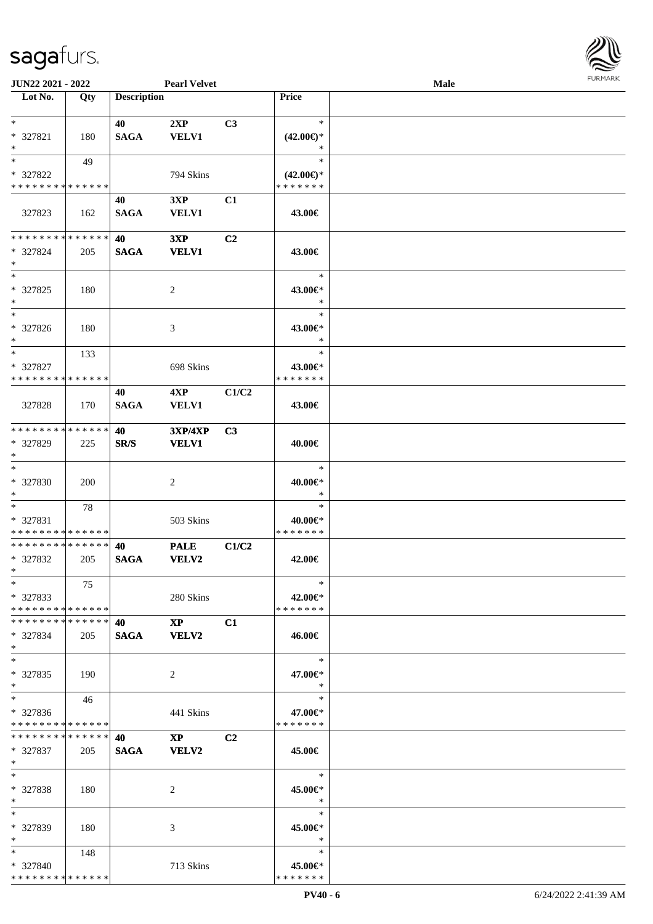

| JUN22 2021 - 2022             |            |                    | <b>Pearl Velvet</b>         |                |                     | Male |  |
|-------------------------------|------------|--------------------|-----------------------------|----------------|---------------------|------|--|
| Lot No.                       | Qty        | <b>Description</b> |                             |                | Price               |      |  |
|                               |            |                    |                             |                |                     |      |  |
| $\ast$                        |            | 40                 | 2XP                         | C3             | $\ast$              |      |  |
| * 327821                      | 180        | <b>SAGA</b>        | <b>VELV1</b>                |                | $(42.00\epsilon)$ * |      |  |
| $\ast$                        |            |                    |                             |                | ∗                   |      |  |
| $\ast$                        | 49         |                    |                             |                | $\ast$              |      |  |
| * 327822                      |            |                    | 794 Skins                   |                | $(42.00\epsilon)$ * |      |  |
| * * * * * * * * * * * * * *   |            |                    |                             |                | * * * * * * *       |      |  |
|                               |            | 40                 | 3XP                         | C1             |                     |      |  |
| 327823                        | 162        | <b>SAGA</b>        | <b>VELV1</b>                |                | 43.00€              |      |  |
|                               |            |                    |                             |                |                     |      |  |
| **************                |            | 40                 | 3XP                         | C2             |                     |      |  |
| * 327824                      | 205        | <b>SAGA</b>        | <b>VELV1</b>                |                | 43.00€              |      |  |
| $\ast$                        |            |                    |                             |                |                     |      |  |
| $\ast$                        |            |                    |                             |                | $\ast$              |      |  |
| $* 327825$                    | 180        |                    | $\overline{c}$              |                | 43.00€*             |      |  |
| $\ast$                        |            |                    |                             |                | $\ast$              |      |  |
| $\overline{\phantom{1}}$      |            |                    |                             |                | $\ast$              |      |  |
| * 327826                      | 180        |                    | 3                           |                | 43.00€*             |      |  |
| $*$                           |            |                    |                             |                | $\ast$              |      |  |
| $\ast$                        | 133        |                    |                             |                | $\ast$              |      |  |
| * 327827                      |            |                    | 698 Skins                   |                | 43.00€*             |      |  |
| * * * * * * * * * * * * * *   |            |                    |                             |                | * * * * * * *       |      |  |
|                               |            | 40                 | 4XP                         | C1/C2          |                     |      |  |
| 327828                        | 170        | <b>SAGA</b>        | <b>VELV1</b>                |                | 43.00€              |      |  |
|                               |            |                    |                             |                |                     |      |  |
| * * * * * * * * * * * * * *   |            | 40                 | <b>3XP/4XP</b>              | C3             |                     |      |  |
| * 327829                      | 225        | SR/S               | <b>VELV1</b>                |                | 40.00€              |      |  |
| $\ast$                        |            |                    |                             |                |                     |      |  |
| $\ast$                        |            |                    |                             |                | $\ast$              |      |  |
| * 327830                      | <b>200</b> |                    | $\overline{c}$              |                | 40.00€*             |      |  |
| $*$                           |            |                    |                             |                | $\ast$              |      |  |
| $*$                           | 78         |                    |                             |                | $\ast$              |      |  |
| * 327831                      |            |                    | 503 Skins                   |                | 40.00€*             |      |  |
| * * * * * * * * * * * * * *   |            |                    |                             |                | * * * * * * *       |      |  |
| * * * * * * * * * * * * * *   |            | 40                 |                             |                |                     |      |  |
| * 327832                      |            | <b>SAGA</b>        | <b>PALE</b><br><b>VELV2</b> | C1/C2          | 42.00€              |      |  |
| $*$                           | 205        |                    |                             |                |                     |      |  |
| $*$                           | 75         |                    |                             |                | $\ast$              |      |  |
| $*327833$                     |            |                    | 280 Skins                   |                | 42.00€*             |      |  |
| * * * * * * * * * * * * * * * |            |                    |                             |                | * * * * * * *       |      |  |
| * * * * * * * * * * * * * * * |            |                    | $\mathbf{XP}$               | C1             |                     |      |  |
| * 327834                      |            | SAGA VELV2         |                             |                |                     |      |  |
| $\ast$                        | 205        |                    |                             |                | 46.00€              |      |  |
| $*$                           |            |                    |                             |                | $\ast$              |      |  |
| * 327835                      | 190        |                    | 2                           |                | 47.00€*             |      |  |
| $*$                           |            |                    |                             |                | $\ast$              |      |  |
| $*$                           | 46         |                    |                             |                | $\ast$              |      |  |
| * 327836                      |            |                    | 441 Skins                   |                | 47.00€*             |      |  |
| * * * * * * * * * * * * * *   |            |                    |                             |                | * * * * * * *       |      |  |
| * * * * * * * * * * * * * * * |            | 40                 |                             |                |                     |      |  |
|                               |            |                    | $\mathbf{XP}$               | C <sub>2</sub> |                     |      |  |
| * 327837<br>$*$               | 205        | <b>SAGA</b>        | <b>VELV2</b>                |                | 45.00€              |      |  |
| $\ast$                        |            |                    |                             |                | $\ast$              |      |  |
|                               |            |                    |                             |                |                     |      |  |
| * 327838                      | 180        |                    | 2                           |                | 45.00€*<br>$\ast$   |      |  |
| $*$<br>$*$                    |            |                    |                             |                |                     |      |  |
|                               |            |                    |                             |                | $\ast$              |      |  |
| * 327839                      | 180        |                    | 3                           |                | 45.00€*             |      |  |
| $*$                           |            |                    |                             |                | $\ast$              |      |  |
| $*$ and $*$                   | 148        |                    |                             |                | $\ast$              |      |  |
| * 327840                      |            |                    | 713 Skins                   |                | 45.00€*             |      |  |
| * * * * * * * * * * * * * *   |            |                    |                             |                | * * * * * * *       |      |  |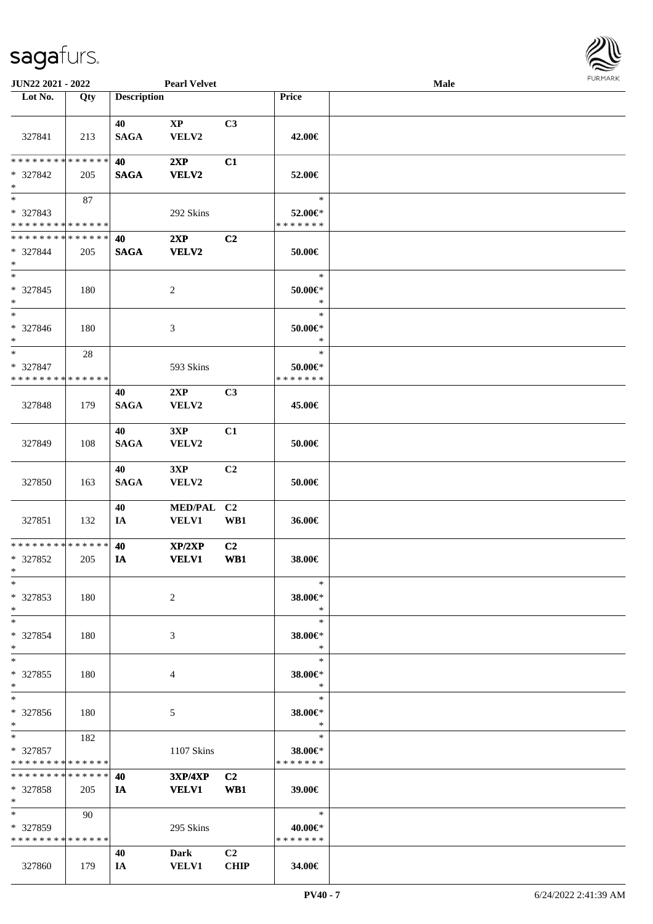

| JUN22 2021 - 2022                                      |             |                    | <b>Pearl Velvet</b>    |                               |                                        | <b>Male</b> |  |
|--------------------------------------------------------|-------------|--------------------|------------------------|-------------------------------|----------------------------------------|-------------|--|
| Lot No.                                                | Qty         | <b>Description</b> |                        |                               | Price                                  |             |  |
|                                                        |             |                    |                        |                               |                                        |             |  |
| 327841                                                 | 213         | 40<br><b>SAGA</b>  | $\mathbf{XP}$<br>VELV2 | C3                            | 42.00€                                 |             |  |
| ********                                               | * * * * * * | 40                 | 2XP                    | C1                            |                                        |             |  |
| * 327842<br>$\ast$                                     | 205         | <b>SAGA</b>        | <b>VELV2</b>           |                               | 52.00€                                 |             |  |
| $\overline{\phantom{0}}$                               | 87          |                    |                        |                               | $\ast$                                 |             |  |
| * 327843                                               |             |                    | 292 Skins              |                               | 52.00€*                                |             |  |
| * * * * * * * * * * * * * *                            |             |                    |                        |                               | * * * * * * *                          |             |  |
| * * * * * * * * * * * * * *                            |             | 40                 | 2XP                    | C <sub>2</sub>                |                                        |             |  |
| * 327844<br>$\ast$                                     | 205         | <b>SAGA</b>        | <b>VELV2</b>           |                               | 50.00€                                 |             |  |
| $\ast$<br>* 327845<br>∗                                | 180         |                    | $\sqrt{2}$             |                               | $\ast$<br>$50.00 \in$<br>$\ast$        |             |  |
| $\overline{\phantom{a}}$<br>* 327846<br>$*$            | 180         |                    | $\mathfrak{Z}$         |                               | $\ast$<br>$50.00 \in$<br>$\ast$        |             |  |
| $\ast$<br>* 327847<br>* * * * * * * * * * * * * *      | $28\,$      |                    | 593 Skins              |                               | $\ast$<br>$50.00 \in$<br>* * * * * * * |             |  |
|                                                        |             | 40                 | 2XP                    | C3                            |                                        |             |  |
| 327848                                                 | 179         | <b>SAGA</b>        | VELV2                  |                               | 45.00€                                 |             |  |
| 327849                                                 | 108         | 40<br><b>SAGA</b>  | 3XP<br>VELV2           | C1                            | 50.00€                                 |             |  |
| 327850                                                 | 163         | 40<br><b>SAGA</b>  | 3XP<br>VELV2           | C <sub>2</sub>                | 50.00€                                 |             |  |
| 327851                                                 | 132         | 40<br>IA           | MED/PAL C2<br>VELV1    | WB1                           | 36.00€                                 |             |  |
| * * * * * * * * * * * * * *<br>* 327852<br>$*$         | 205         | 40<br>IA           | XP/2XP<br><b>VELV1</b> | C2<br>WB1                     | 38.00€                                 |             |  |
| $*$<br>* 327853<br>$*$                                 | 180         |                    | 2                      |                               | $\ast$<br>38.00€*<br>$\ast$            |             |  |
| $\ast$<br>* 327854<br>$\ast$                           | 180         |                    | 3                      |                               | $\ast$<br>38.00€*<br>$\ast$            |             |  |
| $\ast$<br>* 327855<br>$\ast$                           | 180         |                    | 4                      |                               | $\ast$<br>38.00€*<br>$\ast$            |             |  |
| $\ast$<br>* 327856<br>$*$                              | 180         |                    | 5                      |                               | $\ast$<br>38.00€*<br>$\ast$            |             |  |
| $*$ and $*$<br>* 327857<br>* * * * * * * * * * * * * * | 182         |                    | 1107 Skins             |                               | $\ast$<br>38.00€*<br>* * * * * * *     |             |  |
| * * * * * * * * * * * * * *                            |             | 40                 | $3XP/4XP$ $C2$         |                               |                                        |             |  |
| * 327858<br>$*$                                        | 205         | IA                 | <b>VELV1</b>           | WB1                           | 39.00€                                 |             |  |
| $\ast$<br>$*327859$<br>* * * * * * * * * * * * * *     | 90          |                    | 295 Skins              |                               | $\ast$<br>40.00€*<br>* * * * * * *     |             |  |
| 327860                                                 | 179         | 40<br>IA           | Dark<br><b>VELV1</b>   | C <sub>2</sub><br><b>CHIP</b> | 34.00€                                 |             |  |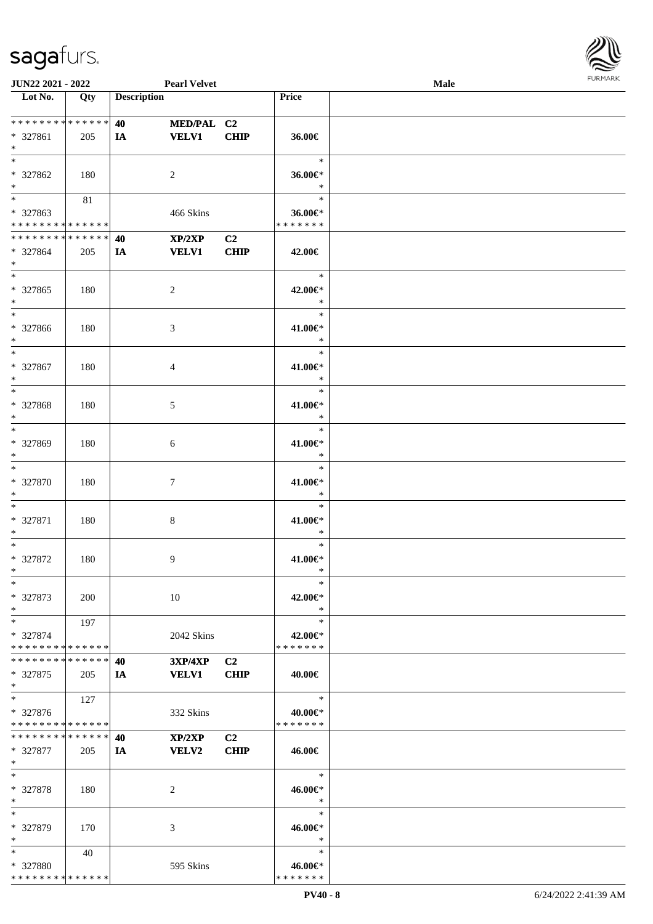

| JUN22 2021 - 2022                                                     |            |                                       | <b>Pearl Velvet</b>        |                               |                                    | Male |  |
|-----------------------------------------------------------------------|------------|---------------------------------------|----------------------------|-------------------------------|------------------------------------|------|--|
| Lot No.                                                               | Qty        | <b>Description</b>                    |                            |                               | Price                              |      |  |
| * * * * * * * * * * * * * *<br>* 327861<br>$\ast$                     | 205        | <b>40</b> and the set of $\sim$<br>IA | MED/PAL C2<br><b>VELV1</b> | <b>CHIP</b>                   | 36.00€                             |      |  |
| $\overline{\ast}$<br>* 327862<br>$\ast$                               | 180        |                                       | 2                          |                               | $\ast$<br>36.00€*<br>$\ast$        |      |  |
| $\overline{\phantom{a}^*}$<br>* 327863<br>* * * * * * * * * * * * * * | $81\,$     |                                       | 466 Skins                  |                               | $\ast$<br>36.00€*<br>* * * * * * * |      |  |
| * * * * * * * * * * * * * *<br>* 327864<br>$\ast$                     | 205        | 40<br>IA                              | XP/2XP<br><b>VELV1</b>     | C2<br>CHIP                    | 42.00€                             |      |  |
| $\overline{\phantom{0}}$<br>* 327865<br>$\ast$                        | 180        |                                       | $\overline{c}$             |                               | $\ast$<br>42.00€*<br>$\ast$        |      |  |
| $\overline{\phantom{a}^*}$<br>* 327866<br>$\ast$                      | 180        |                                       | 3                          |                               | $\ast$<br>41.00€*<br>$\ast$        |      |  |
| $\ast$<br>$* 327867$<br>$\ast$                                        | 180        |                                       | 4                          |                               | $\ast$<br>41.00€*<br>$\ast$        |      |  |
| $\ast$<br>* 327868<br>$\ast$                                          | 180        |                                       | 5                          |                               | $\ast$<br>41.00€*<br>$\ast$        |      |  |
| $\ast$<br>* 327869<br>$\ast$                                          | 180        |                                       | 6                          |                               | $\ast$<br>41.00€*<br>$\ast$        |      |  |
| $\ast$<br>* 327870<br>$\ast$                                          | 180        |                                       | $\tau$                     |                               | $\ast$<br>41.00€*<br>$\ast$        |      |  |
| $\ast$<br>* 327871<br>$\ast$                                          | 180        |                                       | $\,8\,$                    |                               | $\ast$<br>41.00€*<br>$\ast$        |      |  |
| $\ast$<br>$* 327872$<br>$*$                                           | 180        |                                       | 9                          |                               | $\ast$<br>$41.00 \in$<br>$\ast$    |      |  |
| $*$<br>* 327873<br>$\ast$                                             | <b>200</b> |                                       | 10                         |                               | $\ast$<br>42.00€*<br>$\ast$        |      |  |
| $*$<br>* 327874<br>* * * * * * * * * * * * * *                        | 197        |                                       | 2042 Skins                 |                               | $\ast$<br>42.00€*<br>* * * * * * * |      |  |
| * * * * * * * * * * * * * * *<br>* 327875<br>$*$                      | 205        | 40<br>IA                              | 3XP/4XP<br><b>VELV1</b>    | C <sub>2</sub><br><b>CHIP</b> | 40.00€                             |      |  |
| $\ast$<br>* 327876<br>* * * * * * * * * * * * * *                     | 127        |                                       | 332 Skins                  |                               | $\ast$<br>40.00€*<br>* * * * * * * |      |  |
| * * * * * * * * * * * * * * *<br>* 327877<br>$*$                      | 205        | 40<br>IA                              | XP/2XP<br><b>VELV2</b>     | C2<br><b>CHIP</b>             | 46.00€                             |      |  |
| $\ast$<br>* 327878<br>$*$                                             | 180        |                                       | 2                          |                               | $\ast$<br>46.00€*<br>$\ast$        |      |  |
| $\ast$<br>* 327879<br>$*$                                             | 170        |                                       | 3                          |                               | $\ast$<br>46.00€*<br>$\ast$        |      |  |
| $*$<br>* 327880<br>* * * * * * * * * * * * * *                        | 40         |                                       | 595 Skins                  |                               | $\ast$<br>46.00€*<br>* * * * * * * |      |  |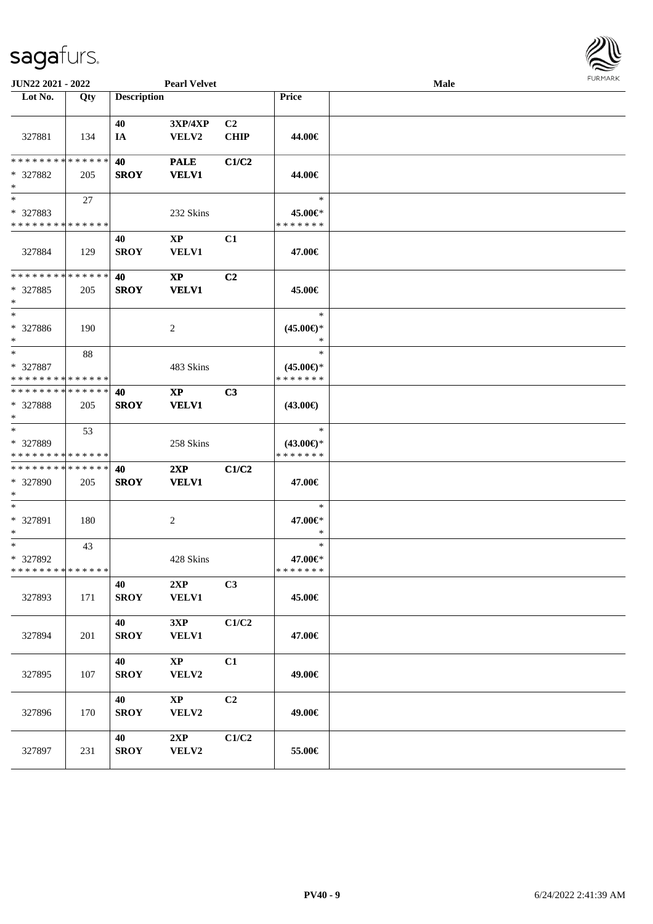| JUN22 2021 - 2022                                                   |     |                    | <b>Pearl Velvet</b>                        |                               |                                                | Male |  |
|---------------------------------------------------------------------|-----|--------------------|--------------------------------------------|-------------------------------|------------------------------------------------|------|--|
| Lot No.                                                             | Qty | <b>Description</b> |                                            |                               | Price                                          |      |  |
| 327881                                                              | 134 | 40<br>IA           | 3XP/4XP<br>VELV2                           | C <sub>2</sub><br><b>CHIP</b> | 44.00€                                         |      |  |
| * * * * * * * * * * * * * *<br>* 327882<br>$\ast$                   | 205 | 40<br><b>SROY</b>  | <b>PALE</b><br><b>VELV1</b>                | C1/C2                         | 44.00€                                         |      |  |
| $\overline{\phantom{0}}$<br>* 327883<br>* * * * * * * * * * * * * * | 27  |                    | 232 Skins                                  |                               | $\ast$<br>45.00€*<br>* * * * * * *             |      |  |
| 327884                                                              | 129 | 40<br><b>SROY</b>  | $\mathbf{X}\mathbf{P}$<br><b>VELV1</b>     | C1                            | 47.00€                                         |      |  |
| * * * * * * * * * * * * * *<br>$*327885$<br>$\ast$                  | 205 | 40<br><b>SROY</b>  | $\boldsymbol{\mathrm{XP}}$<br><b>VELV1</b> | C <sub>2</sub>                | 45.00€                                         |      |  |
| $\overline{\phantom{1}}$<br>* 327886<br>$\ast$                      | 190 |                    | $\overline{2}$                             |                               | $\ast$<br>$(45.00\epsilon)$ *<br>$\ast$        |      |  |
| $\ast$<br>* 327887<br>* * * * * * * * * * * * * *                   | 88  |                    | 483 Skins                                  |                               | $\ast$<br>$(45.00\epsilon)$ *<br>* * * * * * * |      |  |
| * * * * * * * * * * * * * *<br>* 327888<br>$\ast$                   | 205 | 40<br><b>SROY</b>  | $\mathbf{X}\mathbf{P}$<br><b>VELV1</b>     | C3                            | $(43.00\epsilon)$                              |      |  |
| $\ast$<br>* 327889<br>* * * * * * * * * * * * * *                   | 53  |                    | 258 Skins                                  |                               | $\ast$<br>$(43.00\epsilon)$ *<br>* * * * * * * |      |  |
| ******** <mark>*****</mark> *<br>* 327890<br>$\ast$                 | 205 | 40<br><b>SROY</b>  | 2XP<br><b>VELV1</b>                        | C1/C2                         | 47.00€                                         |      |  |
| $\ast$<br>* 327891<br>$\ast$                                        | 180 |                    | $\overline{c}$                             |                               | $\ast$<br>47.00€*<br>$\ast$                    |      |  |
| $\ast$<br>* 327892<br>**************                                | 43  |                    | 428 Skins                                  |                               | $\ast$<br>47.00€*<br>* * * * * * *             |      |  |
| 327893                                                              | 171 | 40<br><b>SROY</b>  | 2XP<br><b>VELV1</b>                        | C3                            | 45.00€                                         |      |  |
| 327894                                                              | 201 | 40<br><b>SROY</b>  | 3XP<br><b>VELV1</b>                        | C1/C2                         | 47.00€                                         |      |  |
| 327895                                                              | 107 | 40<br><b>SROY</b>  | $\mathbf{X}\mathbf{P}$<br>VELV2            | C1                            | 49.00€                                         |      |  |
| 327896                                                              | 170 | 40<br><b>SROY</b>  | $\mathbf{XP}$<br>VELV2                     | C2                            | 49.00€                                         |      |  |
| 327897                                                              | 231 | 40<br><b>SROY</b>  | 2XP<br>VELV2                               | C1/C2                         | 55.00€                                         |      |  |

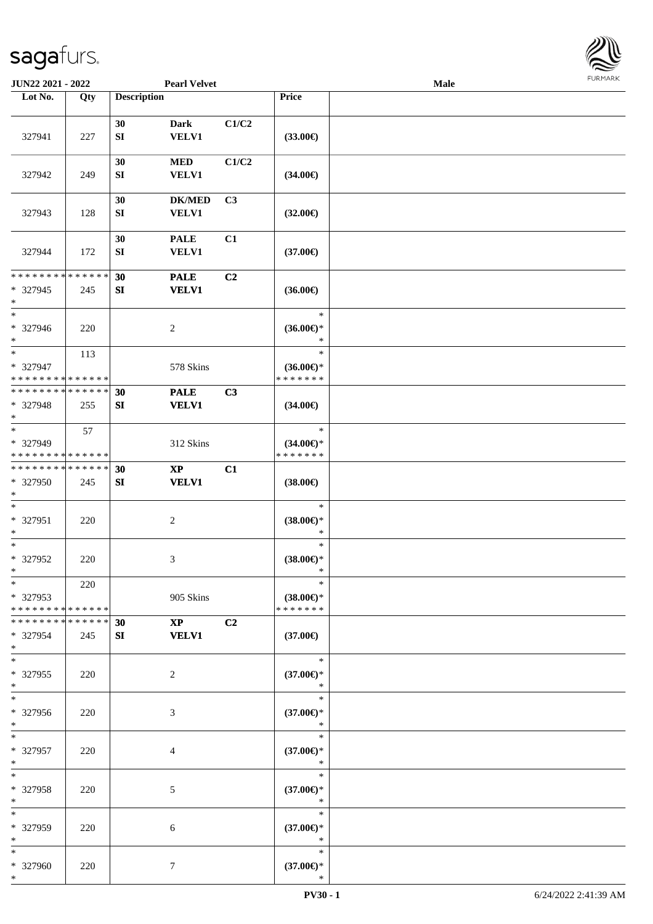

| JUN22 2021 - 2022                                                     |     |                        | <b>Pearl Velvet</b>           |                |                                                | Male |  |
|-----------------------------------------------------------------------|-----|------------------------|-------------------------------|----------------|------------------------------------------------|------|--|
| Lot No.                                                               | Qty | <b>Description</b>     |                               |                | Price                                          |      |  |
| 327941                                                                | 227 | 30<br>${\bf S}{\bf I}$ | <b>Dark</b><br><b>VELV1</b>   | C1/C2          | $(33.00\epsilon)$                              |      |  |
| 327942                                                                | 249 | 30<br>SI               | $\bf MED$<br><b>VELV1</b>     | C1/C2          | $(34.00\epsilon)$                              |      |  |
| 327943                                                                | 128 | 30<br>${\bf S}{\bf I}$ | <b>DK/MED</b><br>VELV1        | C <sub>3</sub> | $(32.00\epsilon)$                              |      |  |
| 327944                                                                | 172 | 30<br>${\bf SI}$       | <b>PALE</b><br><b>VELV1</b>   | C1             | $(37.00\epsilon)$                              |      |  |
| * * * * * * * * * * * * * *                                           |     | 30                     | <b>PALE</b>                   | C2             |                                                |      |  |
| * 327945<br>$\ast$                                                    | 245 | ${\bf S}{\bf I}$       | <b>VELV1</b>                  |                | $(36.00\epsilon)$                              |      |  |
| $\ast$<br>* 327946<br>$\ast$                                          | 220 |                        | $\sqrt{2}$                    |                | $\ast$<br>$(36.00\epsilon)$ *<br>$\ast$        |      |  |
| $\ast$<br>* 327947<br>* * * * * * * * * * * * * *                     | 113 |                        | 578 Skins                     |                | $\ast$<br>$(36.00\epsilon)$ *<br>* * * * * * * |      |  |
| * * * * * * * * * * * * * *                                           |     |                        |                               |                |                                                |      |  |
| * 327948<br>$\ast$                                                    | 255 | 30<br>${\bf S}{\bf I}$ | <b>PALE</b><br><b>VELV1</b>   | C3             | $(34.00\epsilon)$                              |      |  |
| $\overline{\phantom{a}^*}$<br>* 327949<br>* * * * * * * * * * * * * * | 57  |                        | 312 Skins                     |                | $\ast$<br>$(34.00\epsilon)$ *<br>* * * * * * * |      |  |
| **************                                                        |     | 30                     | $\bold{XP}$                   | C1             |                                                |      |  |
| * 327950<br>$\ast$                                                    | 245 | ${\bf S}{\bf I}$       | <b>VELV1</b>                  |                | $(38.00\epsilon)$                              |      |  |
| $\ast$<br>* 327951<br>$\ast$                                          | 220 |                        | $\sqrt{2}$                    |                | $\ast$<br>$(38.00\in)^\ast$<br>$\ast$          |      |  |
| $\ast$<br>* 327952<br>$*$                                             | 220 |                        | 3                             |                | $\ast$<br>$(38.00\epsilon)$ *<br>$\ast$        |      |  |
| $*$<br>* 327953<br>* * * * * * * * * * * * * *                        | 220 |                        | 905 Skins                     |                | $\ast$<br>$(38.00\epsilon)$ *<br>* * * * * * * |      |  |
| * * * * * * * * * * * * * *<br>* 327954<br>$*$                        | 245 | 30<br>SI               | $\mathbf{XP}$<br><b>VELV1</b> | C2             | $(37.00\epsilon)$                              |      |  |
| $\ast$<br>* 327955<br>$*$                                             | 220 |                        | 2                             |                | $\ast$<br>$(37.00\in)^\ast$<br>$\ast$          |      |  |
| $\overline{\ast}$<br>* 327956<br>$*$                                  | 220 |                        | 3                             |                | $\ast$<br>$(37.00\epsilon)$ *<br>$\ast$        |      |  |
| $*$<br>* 327957<br>$\ast$                                             | 220 |                        | 4                             |                | $\ast$<br>$(37.00\epsilon)$ *<br>$\ast$        |      |  |
| $\ast$<br>* 327958<br>$\ast$                                          | 220 |                        | $\mathfrak{S}$                |                | $\ast$<br>$(37.00\epsilon)$ *<br>$\ast$        |      |  |
| $\ast$<br>* 327959<br>$*$                                             | 220 |                        | 6                             |                | $\ast$<br>$(37.00\epsilon)$ *<br>$\ast$        |      |  |
| $*$<br>* 327960<br>$*$                                                | 220 |                        | $\tau$                        |                | $\ast$<br>$(37.00\epsilon)$ *<br>∗             |      |  |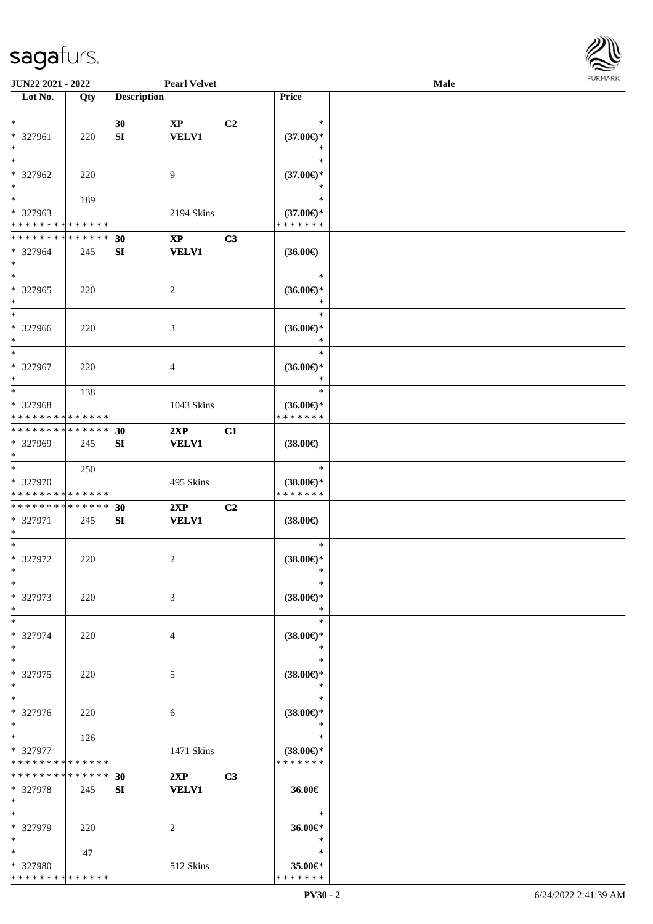

|                                                    | JUN22 2021 - 2022<br><b>Pearl Velvet</b> |                    |                                        |                |                                                | <b>Male</b> | <b>FURMARK</b> |
|----------------------------------------------------|------------------------------------------|--------------------|----------------------------------------|----------------|------------------------------------------------|-------------|----------------|
| $\overline{\phantom{1}}$ Lot No.                   | Qty                                      | <b>Description</b> |                                        |                | Price                                          |             |                |
| $*$<br>* 327961<br>$\ast$                          | 220                                      | 30<br>SI           | $\mathbf{X}\mathbf{P}$<br><b>VELV1</b> | C <sub>2</sub> | $\ast$<br>$(37.00\epsilon)$ *<br>$\ast$        |             |                |
| $\ast$<br>* 327962<br>$\ast$                       | 220                                      |                    | $\overline{9}$                         |                | $\ast$<br>$(37.00\epsilon)$ *<br>$\ast$        |             |                |
| $\ast$<br>* 327963<br>* * * * * * * * * * * * * *  | 189                                      |                    | 2194 Skins                             |                | $\ast$<br>$(37.00\epsilon)$ *<br>* * * * * * * |             |                |
| * * * * * * * * * * * * * *<br>* 327964<br>$\ast$  | 245                                      | 30<br>SI           | $\mathbf{X}\mathbf{P}$<br><b>VELV1</b> | C3             | $(36.00\epsilon)$                              |             |                |
| $\ast$<br>* 327965<br>$\ast$<br>$_{\ast}^{-}$      | 220                                      |                    | $\sqrt{2}$                             |                | $\ast$<br>$(36.00\epsilon)$ *<br>$\ast$        |             |                |
| * 327966<br>$\ast$                                 | 220                                      |                    | $\mathfrak{Z}$                         |                | $\ast$<br>$(36.00\epsilon)$ *<br>$\ast$        |             |                |
| $\ast$<br>* 327967<br>$\ast$                       | 220                                      |                    | $\overline{4}$                         |                | $\ast$<br>$(36.00\epsilon)$ *<br>$\ast$        |             |                |
| $\ast$<br>* 327968<br>* * * * * * * * * * * * * *  | 138                                      |                    | 1043 Skins                             |                | $\ast$<br>$(36.00\epsilon)$ *<br>* * * * * * * |             |                |
| * * * * * * * * * * * * * *<br>* 327969<br>$\ast$  | 245                                      | 30<br>SI           | 2XP<br><b>VELV1</b>                    | C1             | $(38.00\epsilon)$                              |             |                |
| $*$<br>* 327970<br>* * * * * * * * * * * * * *     | 250                                      |                    | 495 Skins                              |                | $\ast$<br>$(38.00\epsilon)$ *<br>* * * * * * * |             |                |
| ******** <mark>******</mark><br>* 327971<br>$\ast$ | 245                                      | 30<br>SI           | 2XP<br><b>VELV1</b>                    | C2             | $(38.00\epsilon)$                              |             |                |
| $\ast$<br>* 327972<br>$\ast$                       | 220                                      |                    | 2                                      |                | $\ast$<br>$(38.00\epsilon)$ *<br>*             |             |                |
| $\ast$<br>* 327973<br>$\ast$                       | 220                                      |                    | 3                                      |                | $\ast$<br>$(38.00\epsilon)$ *<br>$\ast$        |             |                |
| $\ast$<br>* 327974<br>$\ast$                       | 220                                      |                    | 4                                      |                | $\ast$<br>$(38.00\epsilon)$ *<br>$\ast$        |             |                |
| $\overline{\phantom{a}^*}$<br>* 327975<br>$\ast$   | 220                                      |                    | $\sqrt{5}$                             |                | $\ast$<br>$(38.00\epsilon)$ *<br>$\ast$        |             |                |
| $\overline{\phantom{1}}$<br>* 327976<br>$\ast$     | 220                                      |                    | $\sqrt{6}$                             |                | $\ast$<br>$(38.00\epsilon)$ *<br>$\ast$        |             |                |
| $\ast$<br>* 327977<br>* * * * * * * * * * * * * *  | 126                                      |                    | 1471 Skins                             |                | $\ast$<br>$(38.00\epsilon)$ *<br>* * * * * * * |             |                |
| * * * * * * * * * * * * * *<br>* 327978<br>$\ast$  | 245                                      | 30<br>SI           | 2XP<br><b>VELV1</b>                    | C3             | 36.00€                                         |             |                |
| $\ast$<br>* 327979<br>$\ast$                       | 220                                      |                    | $\overline{2}$                         |                | $\ast$<br>36.00€*<br>$\ast$                    |             |                |
| $\ast$<br>* 327980<br>* * * * * * * * * * * * * *  | 47                                       |                    | 512 Skins                              |                | $\ast$<br>35.00€*<br>* * * * * * *             |             |                |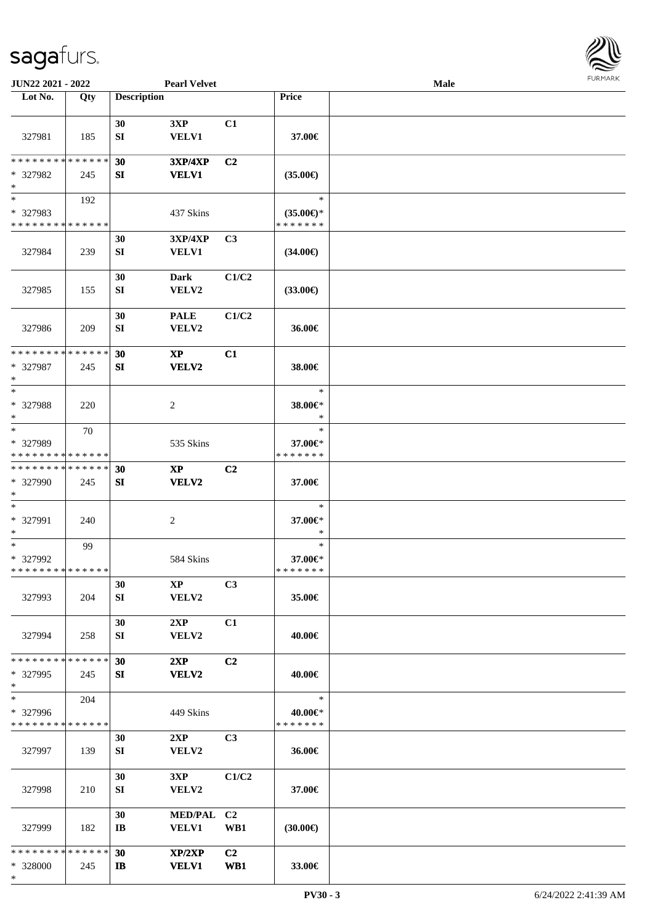

| JUN22 2021 - 2022                                                   |     |                        | <b>Pearl Velvet</b>            |                       |                                                | Male |  |
|---------------------------------------------------------------------|-----|------------------------|--------------------------------|-----------------------|------------------------------------------------|------|--|
| Lot No.                                                             | Qty | <b>Description</b>     |                                |                       | Price                                          |      |  |
| 327981                                                              | 185 | 30<br>${\bf S}{\bf I}$ | 3XP<br><b>VELV1</b>            | C1                    | 37.00€                                         |      |  |
| * * * * * * * * * * * * * *<br>* 327982<br>$\ast$                   | 245 | 30<br>SI               | <b>3XP/4XP</b><br><b>VELV1</b> | C <sub>2</sub>        | $(35.00\epsilon)$                              |      |  |
| $\overline{\phantom{1}}$<br>* 327983<br>* * * * * * * * * * * * * * | 192 |                        | 437 Skins                      |                       | $\ast$<br>$(35.00\epsilon)$ *<br>* * * * * * * |      |  |
| 327984                                                              | 239 | 30<br>${\bf SI}$       | 3XP/4XP<br><b>VELV1</b>        | C3                    | $(34.00\epsilon)$                              |      |  |
| 327985                                                              | 155 | 30<br>${\bf SI}$       | <b>Dark</b><br>VELV2           | C1/C2                 | $(33.00\epsilon)$                              |      |  |
| 327986                                                              | 209 | 30<br>SI               | <b>PALE</b><br>VELV2           | C1/C2                 | 36.00€                                         |      |  |
| * * * * * * * * * * * * * *<br>* 327987<br>$\ast$                   | 245 | 30<br>SI               | $\mathbf{XP}$<br><b>VELV2</b>  | C1                    | 38.00€                                         |      |  |
| $\ast$<br>* 327988<br>$\ast$                                        | 220 |                        | $\overline{c}$                 |                       | $\ast$<br>38.00€*<br>$\ast$                    |      |  |
| $\ast$<br>* 327989<br>* * * * * * * * * * * * * *                   | 70  |                        | 535 Skins                      |                       | $\ast$<br>37.00€*<br>* * * * * * *             |      |  |
| **************<br>* 327990<br>$\ast$                                | 245 | 30<br>SI               | $\bold{XP}$<br><b>VELV2</b>    | C <sub>2</sub>        | 37.00€                                         |      |  |
| $\ast$<br>* 327991<br>$\ast$                                        | 240 |                        | $\overline{c}$                 |                       | $\ast$<br>37.00€*<br>$\ast$                    |      |  |
| $\ast$<br>* 327992<br>**************                                | 99  |                        | 584 Skins                      |                       | $\ast$<br>37.00€*<br>* * * * * * *             |      |  |
| 327993                                                              | 204 | 30<br>SI               | $\bold{XP}$<br>VELV2           | C3                    | 35.00€                                         |      |  |
| 327994                                                              | 258 | 30<br>SI               | 2XP<br><b>VELV2</b>            | C1                    | 40.00€                                         |      |  |
| * * * * * * * * * * * * * *<br>* 327995<br>$\ast$                   | 245 | 30<br><b>SI</b>        | 2XP<br>VELV2                   | C <sub>2</sub>        | 40.00€                                         |      |  |
| $\ast$<br>* 327996<br>* * * * * * * * * * * * * *                   | 204 |                        | 449 Skins                      |                       | $\ast$<br>40.00€*<br>* * * * * * *             |      |  |
| 327997                                                              | 139 | 30<br>SI               | 2XP<br>VELV2                   | C3                    | 36.00€                                         |      |  |
| 327998                                                              | 210 | 30<br>SI               | 3XP<br>VELV2                   | C1/C2                 | 37.00€                                         |      |  |
| 327999                                                              | 182 | 30<br>IB               | MED/PAL C2<br><b>VELV1</b>     | WB1                   | (30.00)                                        |      |  |
| * * * * * * * * * * * * * *<br>* 328000<br>$*$                      | 245 | 30<br>IB               | XP/2XP<br><b>VELV1</b>         | C <sub>2</sub><br>WB1 | 33.00€                                         |      |  |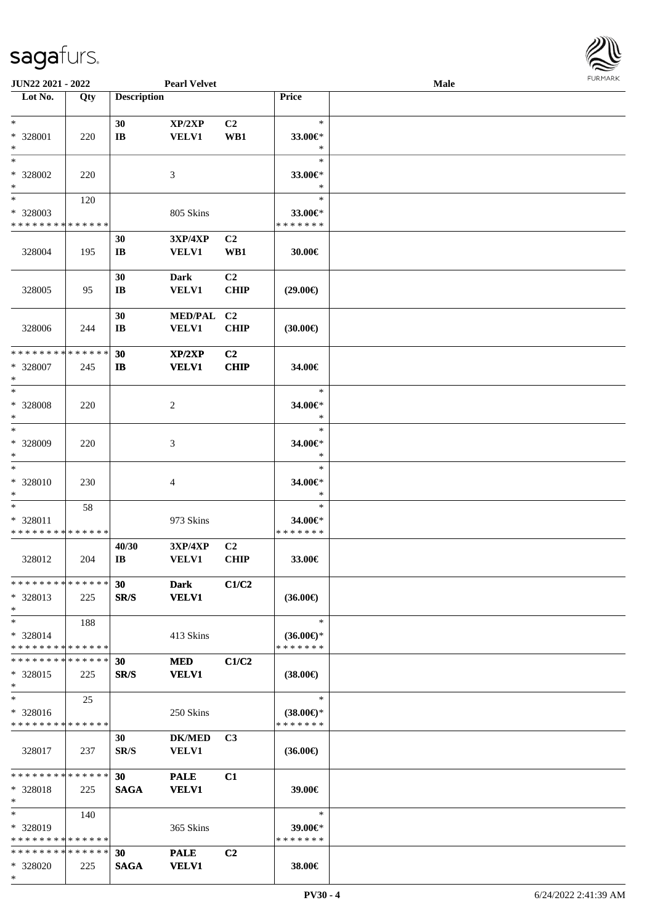\*

\* 328020 225

**SAGA VELV1**

**Lot No. Qty Description Price**

| $\ast$<br>* 328001<br>$\ast$                        | 220 | 30<br>IB                       | XP/2XP<br><b>VELV1</b>         | C2<br>WB1                     | $\ast$<br>33.00€*<br>$\ast$                    |  |
|-----------------------------------------------------|-----|--------------------------------|--------------------------------|-------------------------------|------------------------------------------------|--|
| $\ast$<br>* 328002<br>$\ast$                        | 220 |                                | 3                              |                               | $\ast$<br>33.00€*<br>$\ast$                    |  |
| $\ast$<br>* 328003<br>* * * * * * * * * * * * * *   | 120 |                                | 805 Skins                      |                               | $\ast$<br>33.00€*<br>* * * * * * *             |  |
| 328004                                              | 195 | 30<br>IB                       | 3XP/4XP<br><b>VELV1</b>        | C2<br>WB1                     | 30.00€                                         |  |
| 328005                                              | 95  | 30<br>$\mathbf{I}$ <b>B</b>    | <b>Dark</b><br><b>VELV1</b>    | C <sub>2</sub><br><b>CHIP</b> | $(29.00\epsilon)$                              |  |
| 328006                                              | 244 | 30<br>IB                       | MED/PAL C2<br><b>VELV1</b>     | <b>CHIP</b>                   | $(30.00\epsilon)$                              |  |
| * * * * * * * * * * * * * *<br>* 328007<br>$\ast$   | 245 | 30<br>$\mathbf{I}$             | XP/2XP<br><b>VELV1</b>         | C2<br><b>CHIP</b>             | 34.00€                                         |  |
| $\ast$<br>* 328008<br>$\ast$                        | 220 |                                | 2                              |                               | $\ast$<br>34.00€*<br>$\ast$                    |  |
| $\ast$<br>* 328009<br>$\ast$                        | 220 |                                | 3                              |                               | $\ast$<br>34.00€*<br>$\ast$                    |  |
| $\ast$<br>* 328010<br>$\ast$                        | 230 |                                | 4                              |                               | $\ast$<br>34.00€*<br>$\ast$                    |  |
| $\ast$<br>* 328011<br>* * * * * * * * * * * * * *   | 58  |                                | 973 Skins                      |                               | $\ast$<br>34.00€*<br>* * * * * * *             |  |
| 328012                                              | 204 | 40/30<br>$\mathbf{I}$ <b>B</b> | <b>3XP/4XP</b><br><b>VELV1</b> | C2<br><b>CHIP</b>             | 33.00€                                         |  |
| **************<br>* 328013<br>$\ast$                | 225 | 30<br>SR/S                     | <b>Dark</b><br><b>VELV1</b>    | C1/C2                         | $(36.00\epsilon)$                              |  |
| $\ast$<br>* 328014<br>* * * * * * * * * * * * * *   | 188 |                                | 413 Skins                      |                               | $\ast$<br>$(36.00\epsilon)$ *<br>* * * * * * * |  |
| * * * * * * * * * * * * * *<br>$*328015$<br>$\ast$  | 225 | 30<br>SR/S                     | <b>MED</b><br><b>VELV1</b>     | C1/C2                         | $(38.00\epsilon)$                              |  |
| $\ast$<br>* 328016<br>* * * * * * * * * * * * * *   | 25  |                                | 250 Skins                      |                               | $\ast$<br>$(38.00\epsilon)$ *<br>* * * * * * * |  |
| 328017                                              | 237 | 30<br>SR/S                     | <b>DK/MED</b><br><b>VELV1</b>  | C <sub>3</sub>                | $(36.00\epsilon)$                              |  |
| * * * * * * * * * * * * * *<br>* 328018<br>$\ast$   | 225 | 30<br><b>SAGA</b>              | <b>PALE</b><br><b>VELV1</b>    | C1                            | 39.00€                                         |  |
| $\ast$<br>* 328019<br>* * * * * * * * * * * * * * * | 140 |                                | 365 Skins                      |                               | $\ast$<br>39.00€*<br>* * * * * * *             |  |
| ************** 30                                   |     |                                | <b>PALE</b>                    | C2                            |                                                |  |

**38.00€**



**JUN22 2021 - 2022 Pearl Velvet Male**

 $\overline{\phantom{a}}$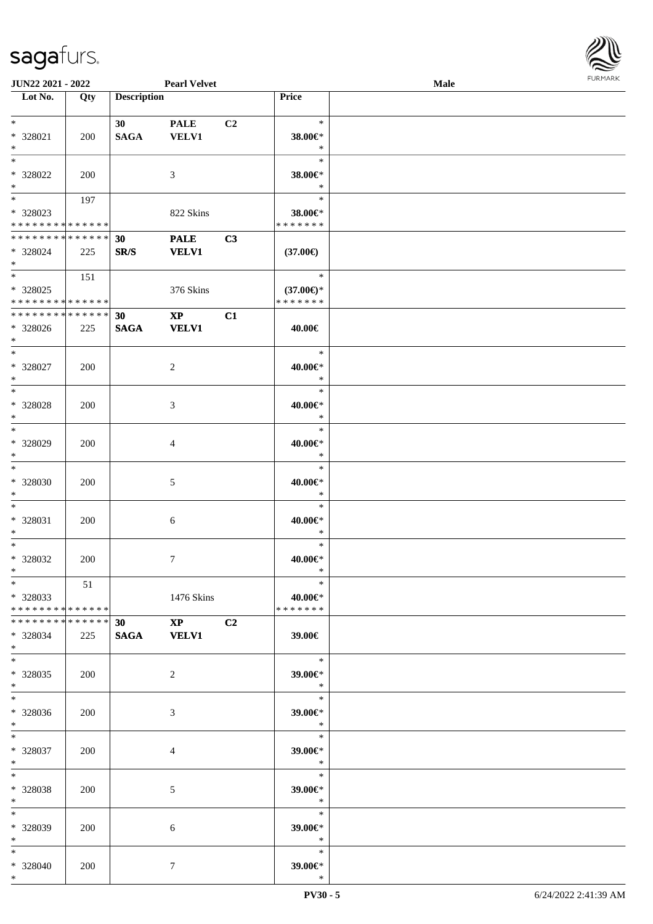

| JUN22 2021 - 2022             |     |                    | <b>Pearl Velvet</b> |                |                      | Male |  |
|-------------------------------|-----|--------------------|---------------------|----------------|----------------------|------|--|
| Lot No.                       | Qty | <b>Description</b> |                     |                | Price                |      |  |
|                               |     |                    |                     |                |                      |      |  |
| $\ast$                        |     | 30 <sup>°</sup>    | <b>PALE</b>         | C <sub>2</sub> | $\ast$               |      |  |
| $* 328021$                    | 200 | <b>SAGA</b>        | <b>VELV1</b>        |                | 38.00€*              |      |  |
| $\ast$                        |     |                    |                     |                | $\ast$               |      |  |
| $\ast$                        |     |                    |                     |                | $\ast$               |      |  |
|                               |     |                    |                     |                |                      |      |  |
| * 328022                      | 200 |                    | 3                   |                | 38.00€*              |      |  |
| $\ast$                        |     |                    |                     |                | $\ast$               |      |  |
| $\overline{\phantom{0}}$      | 197 |                    |                     |                | $\ast$               |      |  |
| $* 328023$                    |     |                    | 822 Skins           |                | 38.00€*              |      |  |
| * * * * * * * * * * * * * *   |     |                    |                     |                | * * * * * * *        |      |  |
| * * * * * * * * * * * * * *   |     | 30                 | <b>PALE</b>         | C3             |                      |      |  |
| * 328024                      | 225 | SR/S               | <b>VELV1</b>        |                | $(37.00\epsilon)$    |      |  |
| $*$                           |     |                    |                     |                |                      |      |  |
| $*$                           |     |                    |                     |                | $\ast$               |      |  |
|                               | 151 |                    |                     |                |                      |      |  |
| * 328025                      |     |                    | 376 Skins           |                | $(37.00\epsilon)$ *  |      |  |
| * * * * * * * * * * * * * *   |     |                    |                     |                | * * * * * * *        |      |  |
| * * * * * * * * * * * * * *   |     | 30                 | $\mathbf{XP}$       | C1             |                      |      |  |
| * 328026                      | 225 | <b>SAGA</b>        | <b>VELV1</b>        |                | 40.00€               |      |  |
| $*$                           |     |                    |                     |                |                      |      |  |
| $\ast$                        |     |                    |                     |                | $\ast$               |      |  |
|                               |     |                    |                     |                |                      |      |  |
| * 328027                      | 200 |                    | $\overline{2}$      |                | 40.00€*              |      |  |
| $\ast$                        |     |                    |                     |                | $\ast$               |      |  |
| $\ast$                        |     |                    |                     |                | $\ast$               |      |  |
| $* 328028$                    | 200 |                    | 3                   |                | 40.00€*              |      |  |
| $\ast$                        |     |                    |                     |                | $\ast$               |      |  |
| $\overline{\phantom{a}^*}$    |     |                    |                     |                | $\ast$               |      |  |
| * 328029                      | 200 |                    | 4                   |                | 40.00€*              |      |  |
| $\ast$                        |     |                    |                     |                | $\ast$               |      |  |
| $\ast$                        |     |                    |                     |                | $\ast$               |      |  |
|                               |     |                    |                     |                |                      |      |  |
| * 328030                      | 200 |                    | 5                   |                | $40.00 \textrm{E}^*$ |      |  |
| $\ast$                        |     |                    |                     |                | $\ast$               |      |  |
| $\ast$                        |     |                    |                     |                | $\ast$               |      |  |
| $* 328031$                    | 200 |                    | $\sqrt{6}$          |                | 40.00€*              |      |  |
| $\ast$                        |     |                    |                     |                | $\ast$               |      |  |
| $*$                           |     |                    |                     |                | $\ast$               |      |  |
| $* 328032$                    | 200 |                    | $\tau$              |                | 40.00€*              |      |  |
| $*$                           |     |                    |                     |                | $\ast$               |      |  |
| $*$                           |     |                    |                     |                | $\ast$               |      |  |
|                               | 51  |                    |                     |                |                      |      |  |
| * 328033                      |     |                    | 1476 Skins          |                | 40.00€*              |      |  |
| * * * * * * * * * * * * * * * |     |                    |                     |                | * * * * * * *        |      |  |
| * * * * * * * * * * * * * * * |     | 30                 | $XP$ $C2$           |                |                      |      |  |
| * 328034                      | 225 |                    | SAGA VELV1          |                | 39.00€               |      |  |
| $*$                           |     |                    |                     |                |                      |      |  |
| $*$                           |     |                    |                     |                | $\ast$               |      |  |
| * 328035                      | 200 |                    | $\overline{2}$      |                | 39.00€*              |      |  |
| $*$                           |     |                    |                     |                | $\ast$               |      |  |
|                               |     |                    |                     |                |                      |      |  |
| $*$                           |     |                    |                     |                | $\ast$               |      |  |
| * 328036                      | 200 |                    | 3                   |                | 39.00€*              |      |  |
| $*$                           |     |                    |                     |                | $\ddot{x}$           |      |  |
| $*$                           |     |                    |                     |                | $\ast$               |      |  |
| * 328037                      | 200 |                    | 4                   |                | 39.00€*              |      |  |
| $*$                           |     |                    |                     |                | $\ast$               |      |  |
| $\ast$                        |     |                    |                     |                | $\ast$               |      |  |
|                               |     |                    |                     |                |                      |      |  |
| * 328038                      | 200 |                    | $5\phantom{.0}$     |                | 39.00€*              |      |  |
| $*$                           |     |                    |                     |                | $\bullet$ $\bullet$  |      |  |
| $*$                           |     |                    |                     |                | $\ast$               |      |  |
| * 328039                      | 200 |                    | 6                   |                | 39.00€*              |      |  |
| $*$                           |     |                    |                     |                | $\ast$               |      |  |
| $*$                           |     |                    |                     |                | $\ast$               |      |  |
| * 328040                      | 200 |                    | 7                   |                | 39.00€*              |      |  |
| $*$                           |     |                    |                     |                | $\ast$               |      |  |
|                               |     |                    |                     |                |                      |      |  |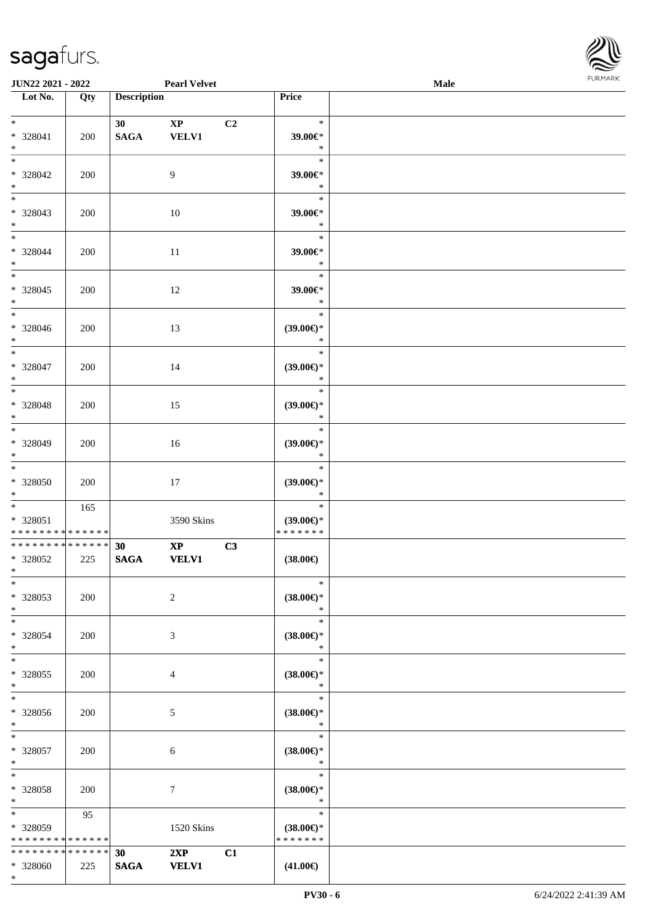\*



| <b>JUN22 2021 - 2022</b>                       |     |                    | <b>Pearl Velvet</b>                    |                                                | Male |  |
|------------------------------------------------|-----|--------------------|----------------------------------------|------------------------------------------------|------|--|
| Lot No.                                        | Qty | <b>Description</b> |                                        | Price                                          |      |  |
| $*$<br>* 328041<br>$*$                         | 200 | 30<br><b>SAGA</b>  | $\mathbf{X}\mathbf{P}$<br><b>VELV1</b> | C2<br>$\ast$<br>39.00€*<br>$\ast$              |      |  |
| $*$<br>* 328042<br>$\ast$                      | 200 |                    | 9                                      | $\ast$<br>39.00€*<br>$\ast$                    |      |  |
| $\overline{\phantom{0}}$<br>* 328043<br>$*$    | 200 |                    | $10\,$                                 | $\ast$<br>39.00€*<br>$\ast$                    |      |  |
| $*$<br>* 328044<br>$*$                         | 200 |                    | 11                                     | $\ast$<br>$39.00 \text{E}$<br>$\ast$           |      |  |
| $\overline{\ast}$<br>$* 328045$<br>$\ast$      | 200 |                    | 12                                     | $\ast$<br>39.00€*<br>$\ast$                    |      |  |
| $\ast$<br>* 328046<br>$*$                      | 200 |                    | 13                                     | $\ast$<br>$(39.00\epsilon)$ *<br>$\ast$        |      |  |
| $\ast$<br>* 328047<br>$*$                      | 200 |                    | 14                                     | $\ast$<br>$(39.00\epsilon)$ *<br>$\ast$        |      |  |
| $*$<br>* 328048<br>$*$                         | 200 |                    | 15                                     | $\ast$<br>$(39.00\epsilon)$ *<br>$\ast$        |      |  |
| $*$<br>$* 328049$<br>$*$                       | 200 |                    | 16                                     | $\ast$<br>$(39.00\epsilon)$ *<br>$\ast$        |      |  |
| $*$<br>$* 328050$<br>$*$                       | 200 |                    | 17                                     | $\ast$<br>$(39.00\epsilon)$ *<br>$\ast$        |      |  |
| $*$<br>* 328051<br>* * * * * * * * * * * * * * | 165 |                    | 3590 Skins                             | $\ast$<br>$(39.00\epsilon)$ *<br>* * * * * * * |      |  |
| * * * * * * * * * * * * * *                    |     | 30                 | $\mathbf{XP}$                          | C3                                             |      |  |
| $* 328052$<br>$*$                              | 225 | <b>SAGA</b>        | <b>VELV1</b>                           | $(38.00\epsilon)$                              |      |  |
| $*$<br>* 328053<br>$*$                         | 200 |                    | $\sqrt{2}$                             | $\ast$<br>$(38.00\epsilon)$ *<br>$\ast$        |      |  |
| $*$<br>* 328054<br>$*$                         | 200 |                    | 3                                      | $\ast$<br>$(38.00\epsilon)$ *<br>$\ast$        |      |  |
| $*$<br>* 328055<br>$*$                         | 200 |                    | 4                                      | $\ast$<br>$(38.00\epsilon)$ *<br>$\ast$        |      |  |
| $*$<br>$* 328056$<br>$*$                       | 200 |                    | 5                                      | $\ast$<br>$(38.00\epsilon)$ *<br>$\ast$        |      |  |
| $*$<br>* 328057<br>$*$                         | 200 |                    | 6                                      | $\ast$<br>$(38.00\epsilon)$ *<br>$\ast$        |      |  |
| $*$<br>* 328058<br>$*$                         | 200 |                    | 7                                      | $\ast$<br>$(38.00\epsilon)$ *<br>$\ast$        |      |  |
| $*$<br>* 328059<br>* * * * * * * * * * * * * * | 95  |                    | 1520 Skins                             | $\ast$<br>$(38.00\epsilon)$ *<br>* * * * * * * |      |  |
| * * * * * * * * * * * * * *                    |     | 30                 | 2XP                                    | C1                                             |      |  |
| * 328060                                       | 225 | <b>SAGA</b>        | <b>VELV1</b>                           | $(41.00\epsilon)$                              |      |  |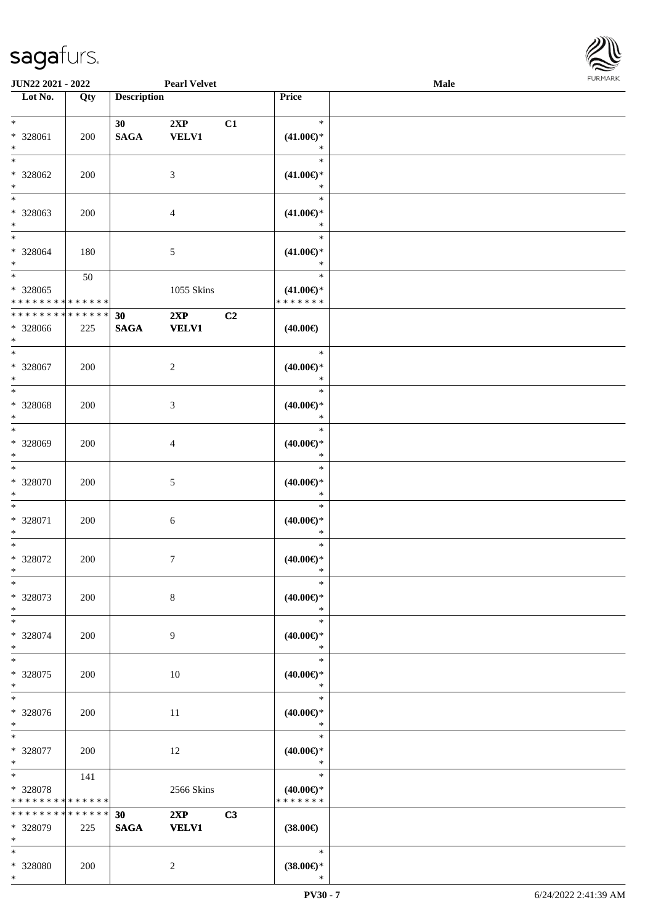

| <b>JUN22 2021 - 2022</b>    |             |                    | <b>Pearl Velvet</b> |    |                        | Male |  |
|-----------------------------|-------------|--------------------|---------------------|----|------------------------|------|--|
| Lot No.                     | Qty         | <b>Description</b> |                     |    | Price                  |      |  |
|                             |             |                    |                     |    |                        |      |  |
| $*$                         |             | 30                 | 2XP                 | C1 | $\ast$                 |      |  |
| * 328061                    | 200         | <b>SAGA</b>        | <b>VELV1</b>        |    | $(41.00\epsilon)$ *    |      |  |
| $\ast$                      |             |                    |                     |    | $\ast$                 |      |  |
| $\overline{\ast}$           |             |                    |                     |    | $\ast$                 |      |  |
| * 328062                    | 200         |                    | 3                   |    | $(41.00\epsilon)$ *    |      |  |
| $\ast$                      |             |                    |                     |    | $\ast$                 |      |  |
| $\overline{\phantom{0}}$    |             |                    |                     |    | $\ast$                 |      |  |
| * 328063                    | 200         |                    | 4                   |    | $(41.00\epsilon)$ *    |      |  |
| $*$                         |             |                    |                     |    | $\ast$                 |      |  |
| $*$                         |             |                    |                     |    | $\ast$                 |      |  |
| $* 328064$                  | 180         |                    | 5                   |    | $(41.00\epsilon)$ *    |      |  |
| $*$                         |             |                    |                     |    | $\ast$                 |      |  |
| $*$                         | 50          |                    |                     |    | $\ast$                 |      |  |
| $* 328065$                  |             |                    | 1055 Skins          |    | $(41.00\epsilon)$ *    |      |  |
| * * * * * * * * * * * * * * |             |                    |                     |    | * * * * * * *          |      |  |
| * * * * * * * *             | * * * * * * | 30                 | 2XP                 | C2 |                        |      |  |
| * 328066                    | 225         | $\mathbf{SAGA}$    | <b>VELV1</b>        |    | $(40.00\epsilon)$      |      |  |
| $*$                         |             |                    |                     |    |                        |      |  |
| $\ast$                      |             |                    |                     |    | $\ast$                 |      |  |
| $* 328067$                  | 200         |                    | $\overline{c}$      |    | $(40.00\epsilon)$ *    |      |  |
| $*$                         |             |                    |                     |    | $\ast$                 |      |  |
| $\ast$                      |             |                    |                     |    | $\ast$                 |      |  |
| $* 328068$                  | 200         |                    | 3                   |    | $(40.00\epsilon)$ *    |      |  |
| $\ast$                      |             |                    |                     |    | $\ast$                 |      |  |
| $*$                         |             |                    |                     |    | $\ast$                 |      |  |
| * 328069                    | 200         |                    | 4                   |    | $(40.00\epsilon)$ *    |      |  |
| $*$                         |             |                    |                     |    | $\ast$                 |      |  |
| $\ast$                      |             |                    |                     |    | $\ast$                 |      |  |
| $* 328070$                  | 200         |                    | 5                   |    | $(40.00\epsilon)$ *    |      |  |
| $*$                         |             |                    |                     |    | $\ast$                 |      |  |
| $*$                         |             |                    |                     |    | $\ast$                 |      |  |
| * 328071                    | 200         |                    | 6                   |    | $(40.00\epsilon)$ *    |      |  |
| $*$                         |             |                    |                     |    | $\ast$                 |      |  |
| $*$                         |             |                    |                     |    | $\ast$                 |      |  |
| * 328072                    | 200         |                    | 7                   |    | $(40.00\varepsilon)$ * |      |  |
| $*$                         |             |                    |                     |    | $\ast$                 |      |  |
| $\ast$                      |             |                    |                     |    | $\ast$                 |      |  |
| * 328073                    | 200         |                    | 8                   |    | $(40.00\epsilon)$ *    |      |  |
| $*$                         |             |                    |                     |    | $\ast$                 |      |  |
| $*$                         |             |                    |                     |    | $\ast$                 |      |  |
| * 328074                    | 200         |                    | 9                   |    | $(40.00\epsilon)$ *    |      |  |
| $*$                         |             |                    |                     |    | $\ast$                 |      |  |
| $*$                         |             |                    |                     |    | $\ast$                 |      |  |
| * 328075                    | 200         |                    | 10                  |    | $(40.00\epsilon)$ *    |      |  |
| $*$                         |             |                    |                     |    | $\ast$                 |      |  |
| $\ast$                      |             |                    |                     |    | $\ast$                 |      |  |
| * 328076                    | 200         |                    | 11                  |    | $(40.00\epsilon)$ *    |      |  |
| $*$                         |             |                    |                     |    | $\ast$                 |      |  |
| $*$                         |             |                    |                     |    | $\ast$                 |      |  |
| * 328077                    | 200         |                    | $12\,$              |    | $(40.00\epsilon)$ *    |      |  |
| $*$                         |             |                    |                     |    | $\ast$                 |      |  |
| $*$                         | 141         |                    |                     |    | $\ast$                 |      |  |
| $* 328078$                  |             |                    | 2566 Skins          |    | $(40.00\epsilon)$ *    |      |  |
| * * * * * * * *             | * * * * * * |                    |                     |    | * * * * * * *          |      |  |
| * * * * * * * *             | * * * * * * | 30                 | 2XP                 | C3 |                        |      |  |
| * 328079                    | 225         | <b>SAGA</b>        | <b>VELV1</b>        |    | $(38.00\epsilon)$      |      |  |
| $*$                         |             |                    |                     |    |                        |      |  |
| $*$                         |             |                    |                     |    | $\ast$                 |      |  |
| * 328080                    | 200         |                    | $\overline{c}$      |    | $(38.00\epsilon)$ *    |      |  |
| $*$                         |             |                    |                     |    | $\ast$                 |      |  |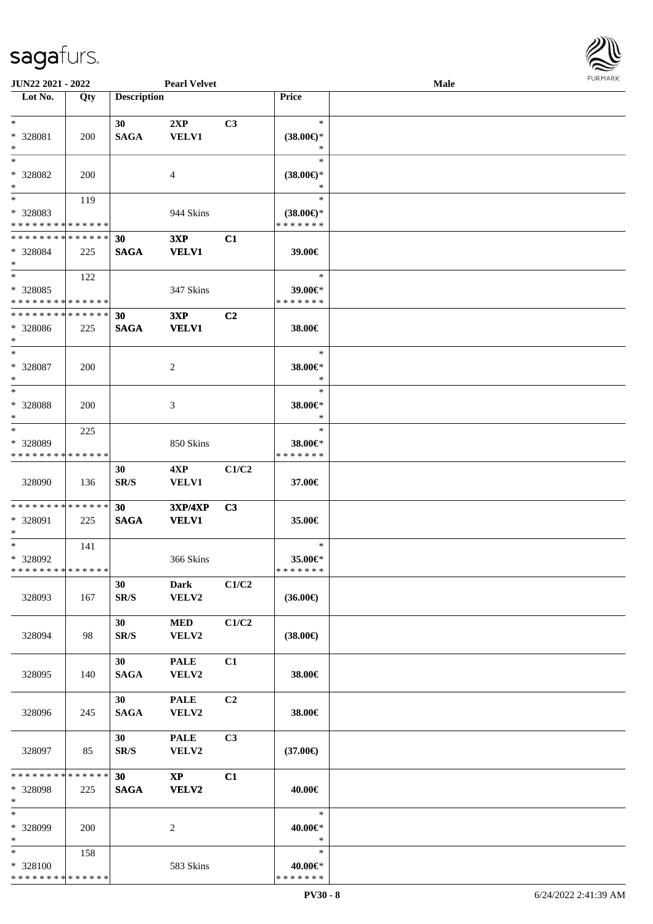

| JUN22 2021 - 2022           |     |                    | <b>Pearl Velvet</b>    |       |                     | <b>Male</b> |  |
|-----------------------------|-----|--------------------|------------------------|-------|---------------------|-------------|--|
| Lot No.                     | Qty | <b>Description</b> |                        |       | Price               |             |  |
|                             |     |                    |                        |       |                     |             |  |
| $*$                         |     | 30                 | 2XP                    | C3    | $\ast$              |             |  |
| * 328081                    | 200 | <b>SAGA</b>        | <b>VELV1</b>           |       | $(38.00\epsilon)$ * |             |  |
| $\ast$                      |     |                    |                        |       | ∗                   |             |  |
| $*$                         |     |                    |                        |       | $\ast$              |             |  |
| * 328082                    | 200 |                    | 4                      |       | $(38.00\epsilon)$ * |             |  |
| $\ast$                      |     |                    |                        |       | ∗                   |             |  |
| $\overline{\ast}$           | 119 |                    |                        |       | $\ast$              |             |  |
| * 328083                    |     |                    | 944 Skins              |       | $(38.00\epsilon)$ * |             |  |
| * * * * * * * * * * * * * * |     |                    |                        |       | * * * * * * *       |             |  |
| * * * * * * * * * * * * * * |     |                    |                        |       |                     |             |  |
|                             |     | 30                 | 3XP                    | C1    |                     |             |  |
| * 328084                    | 225 | <b>SAGA</b>        | <b>VELV1</b>           |       | 39.00€              |             |  |
| $*$                         |     |                    |                        |       |                     |             |  |
| $*$                         | 122 |                    |                        |       | $\ast$              |             |  |
| * 328085                    |     |                    | 347 Skins              |       | 39.00€*             |             |  |
| * * * * * * * * * * * * * * |     |                    |                        |       | * * * * * * *       |             |  |
| * * * * * * * * * * * * * * |     | 30                 | 3XP                    | C2    |                     |             |  |
| * 328086                    | 225 | <b>SAGA</b>        | <b>VELV1</b>           |       | 38.00€              |             |  |
| $*$                         |     |                    |                        |       |                     |             |  |
| $\ast$                      |     |                    |                        |       | $\ast$              |             |  |
| $*328087$                   | 200 |                    | 2                      |       | 38.00€*             |             |  |
| $\ast$                      |     |                    |                        |       | $\ast$              |             |  |
| $\ast$                      |     |                    |                        |       | $\ast$              |             |  |
| * 328088                    | 200 |                    | 3                      |       | 38.00€*             |             |  |
| $\ast$                      |     |                    |                        |       | $\ast$              |             |  |
| $\ast$                      |     |                    |                        |       | $\ast$              |             |  |
|                             | 225 |                    |                        |       |                     |             |  |
| * 328089                    |     |                    | 850 Skins              |       | 38.00€*             |             |  |
| * * * * * * * * * * * * * * |     |                    |                        |       | * * * * * * *       |             |  |
|                             |     | 30                 | 4XP                    | C1/C2 |                     |             |  |
| 328090                      | 136 | SR/S               | <b>VELV1</b>           |       | 37.00€              |             |  |
|                             |     |                    |                        |       |                     |             |  |
| * * * * * * * * * * * * * * |     | 30                 | <b>3XP/4XP</b>         | C3    |                     |             |  |
| * 328091                    | 225 | <b>SAGA</b>        | <b>VELV1</b>           |       | 35.00€              |             |  |
| $*$                         |     |                    |                        |       |                     |             |  |
| $*$                         | 141 |                    |                        |       | $\ast$              |             |  |
| $* 328092$                  |     |                    | 366 Skins              |       | 35.00€*             |             |  |
| * * * * * * * * * * * * * * |     |                    |                        |       | * * * * * * *       |             |  |
|                             |     | 30                 | Dark                   | C1/C2 |                     |             |  |
| 328093                      | 167 | SR/S               | VELV2                  |       | $(36.00\epsilon)$   |             |  |
|                             |     |                    |                        |       |                     |             |  |
|                             |     | 30                 | $\bf MED$              | C1/C2 |                     |             |  |
|                             |     |                    |                        |       |                     |             |  |
| 328094                      | 98  | SR/S               | <b>VELV2</b>           |       | $(38.00\epsilon)$   |             |  |
|                             |     |                    |                        |       |                     |             |  |
|                             |     | 30                 | <b>PALE</b>            | C1    |                     |             |  |
| 328095                      | 140 | <b>SAGA</b>        | VELV2                  |       | 38.00€              |             |  |
|                             |     |                    |                        |       |                     |             |  |
|                             |     | 30                 | <b>PALE</b>            | C2    |                     |             |  |
| 328096                      | 245 | <b>SAGA</b>        | VELV2                  |       | 38.00€              |             |  |
|                             |     |                    |                        |       |                     |             |  |
|                             |     | 30                 | <b>PALE</b>            | C3    |                     |             |  |
| 328097                      | 85  | SR/S               | VELV2                  |       | $(37.00\epsilon)$   |             |  |
|                             |     |                    |                        |       |                     |             |  |
| * * * * * * * * * * * * * * |     | 30                 | $\mathbf{X}\mathbf{P}$ | C1    |                     |             |  |
| * 328098                    | 225 | <b>SAGA</b>        | VELV2                  |       | 40.00€              |             |  |
| $\ast$                      |     |                    |                        |       |                     |             |  |
| $\ast$                      |     |                    |                        |       | $\ast$              |             |  |
| * 328099                    | 200 |                    |                        |       | 40.00€*             |             |  |
| $*$                         |     |                    | 2                      |       | $\ast$              |             |  |
| $*$                         |     |                    |                        |       | $\ast$              |             |  |
|                             | 158 |                    |                        |       |                     |             |  |
| * 328100                    |     |                    | 583 Skins              |       | 40.00€*             |             |  |
| * * * * * * * * * * * * * * |     |                    |                        |       | * * * * * * *       |             |  |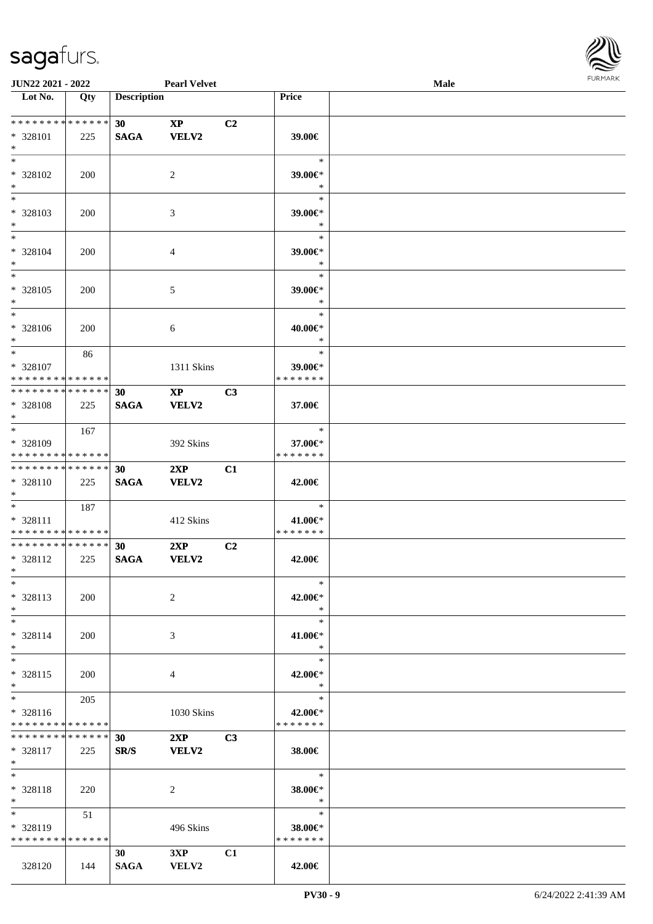

| <b>JUN22 2021 - 2022</b>                                            |     |                                | <b>Pearl Velvet</b>                    |                |                                    | <b>Male</b> |  |
|---------------------------------------------------------------------|-----|--------------------------------|----------------------------------------|----------------|------------------------------------|-------------|--|
| Lot No.                                                             | Qty | <b>Description</b>             |                                        |                | Price                              |             |  |
|                                                                     |     |                                |                                        |                |                                    |             |  |
| * * * * * * * * * * * * * * *<br>* 328101<br>$*$                    | 225 | 30 <sup>°</sup><br><b>SAGA</b> | $\mathbf{X}\mathbf{P}$<br><b>VELV2</b> | C2             | 39.00€                             |             |  |
| $\overline{\ast}$                                                   |     |                                |                                        |                | $\ast$                             |             |  |
| * 328102<br>$*$                                                     | 200 |                                | 2                                      |                | 39.00€*<br>$\ast$                  |             |  |
| $*$<br>* 328103<br>$\ast$                                           | 200 |                                | 3                                      |                | $\ast$<br>39.00€*<br>$\ast$        |             |  |
| $*$<br>* 328104<br>$*$                                              | 200 |                                | $\overline{4}$                         |                | $\ast$<br>39.00€*<br>$\ast$        |             |  |
| $*$<br>* 328105<br>$\ast$                                           | 200 |                                | 5                                      |                | $\ast$<br>39.00€*<br>$\ast$        |             |  |
| $*$<br>* 328106<br>$\ddot{x}$                                       | 200 |                                | 6                                      |                | $\ast$<br>40.00€*<br>$\ast$        |             |  |
| $*$<br>* 328107<br>* * * * * * * * <mark>* * * * * *</mark>         | 86  |                                | 1311 Skins                             |                | $\ast$<br>39.00€*<br>* * * * * * * |             |  |
| * * * * * * * * <mark>* * * * * * *</mark><br>* 328108              | 225 | 30<br><b>SAGA</b>              | $\mathbf{X}\mathbf{P}$<br>VELV2        | C3             | 37.00€                             |             |  |
| $\ast$                                                              |     |                                |                                        |                |                                    |             |  |
| $*$<br>* 328109<br>* * * * * * * * * * * * * *                      | 167 |                                | 392 Skins                              |                | $\ast$<br>37.00€*<br>* * * * * * * |             |  |
| * * * * * * * * <mark>* * * * * * *</mark>                          |     | 30                             | 2XP                                    | C1             |                                    |             |  |
| * 328110<br>$*$                                                     | 225 | <b>SAGA</b>                    | <b>VELV2</b>                           |                | 42.00€                             |             |  |
| $*$ $-$<br>* 328111<br>* * * * * * * * <mark>* * * * * *</mark>     | 187 |                                | 412 Skins                              |                | $\ast$<br>41.00€*<br>*******       |             |  |
| * * * * * * * * <mark>* * * * * * *</mark><br>* 328112<br>$*$ $-$   | 225 | 30<br><b>SAGA</b>              | 2XP<br>VELV2                           | C <sub>2</sub> | 42.00€                             |             |  |
| $\ast$<br>* 328113<br>$*$                                           | 200 |                                | 2                                      |                | $\ast$<br>42.00€*<br>$\ast$        |             |  |
| $\ast$<br>$* 328114$<br>$\ast$                                      | 200 |                                | 3                                      |                | $\ast$<br>41.00€*<br>$\ast$        |             |  |
| $*$<br>* 328115<br>$\ast$                                           | 200 |                                | 4                                      |                | $\ast$<br>42.00€*<br>$\ast$        |             |  |
| $*$ $-$<br>$* 328116$<br>* * * * * * * * <mark>* * * * * *</mark> * | 205 |                                | 1030 Skins                             |                | $\ast$<br>42.00€*<br>* * * * * * * |             |  |
| * * * * * * * * * * * * * * <mark>*</mark><br>* 328117<br>$*$ $-$   | 225 | 30<br>SR/S                     | 2XP<br><b>VELV2</b>                    | C <sub>3</sub> | 38.00€                             |             |  |
| $*$ $-$<br>* 328118<br>$*$ $-$                                      | 220 |                                | 2                                      |                | $\ast$<br>38.00€*<br>$\ast$        |             |  |
| $*$ and $*$<br>* 328119<br>* * * * * * * * * * * * * * *            | 51  |                                | 496 Skins                              |                | $\ast$<br>38.00€*<br>* * * * * * * |             |  |
| 328120                                                              | 144 | 30<br>SAGA                     | 3XP<br>VELV2                           | C1             | 42.00€                             |             |  |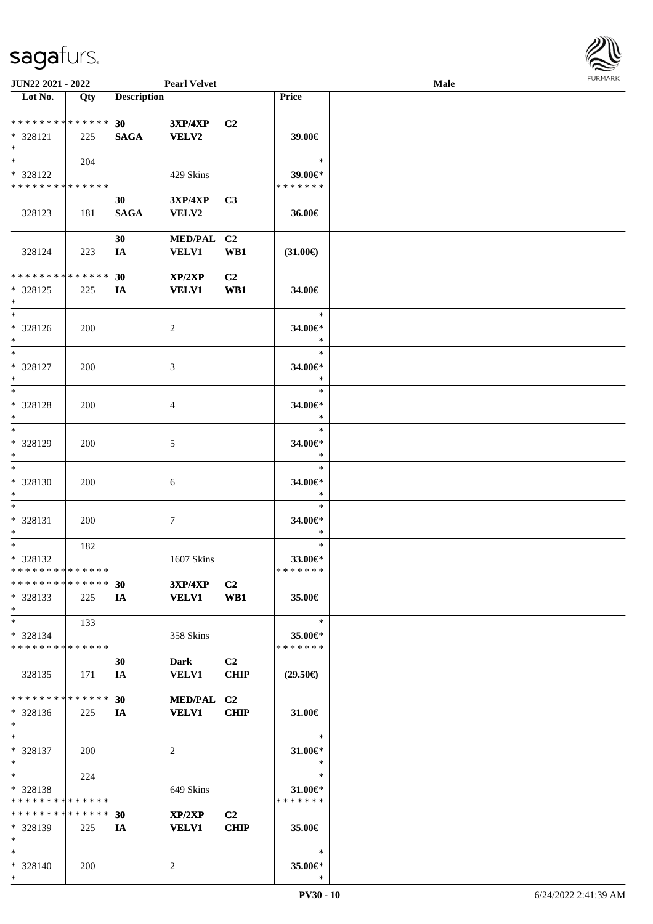

| JUN22 2021 - 2022           |             |                    | <b>Pearl Velvet</b> |                |                   | Male |  |
|-----------------------------|-------------|--------------------|---------------------|----------------|-------------------|------|--|
| Lot No.                     | Qty         | <b>Description</b> |                     |                | Price             |      |  |
|                             |             |                    |                     |                |                   |      |  |
| **************              |             | 30 <sub>1</sub>    | 3XP/4XP             | C2             |                   |      |  |
| * 328121                    | 225         | <b>SAGA</b>        | <b>VELV2</b>        |                | 39.00€            |      |  |
| $\ast$                      |             |                    |                     |                |                   |      |  |
| $*$                         | 204         |                    |                     |                | $\ast$            |      |  |
| * 328122                    |             |                    | 429 Skins           |                | 39.00€*           |      |  |
| * * * * * * * * * * * * * * |             |                    |                     |                | * * * * * * *     |      |  |
|                             |             | 30                 | 3XP/4XP             | C3             |                   |      |  |
| 328123                      | 181         | <b>SAGA</b>        | VELV2               |                | 36.00€            |      |  |
|                             |             |                    |                     |                |                   |      |  |
|                             |             | 30                 | MED/PAL C2          |                |                   |      |  |
| 328124                      | 223         | IA                 | <b>VELV1</b>        | WB1            | $(31.00\epsilon)$ |      |  |
|                             |             |                    |                     |                |                   |      |  |
| * * * * * * * *             | * * * * * * | 30                 | XP/2XP              | C2             |                   |      |  |
| * 328125                    | 225         | IA                 | <b>VELV1</b>        | WB1            | 34.00€            |      |  |
| $\ast$                      |             |                    |                     |                |                   |      |  |
| $\ast$                      |             |                    |                     |                | $\ast$            |      |  |
| * 328126                    | 200         |                    | $\overline{c}$      |                | 34.00€*           |      |  |
| $\ast$                      |             |                    |                     |                | $\ast$            |      |  |
| $\overline{\phantom{a}^*}$  |             |                    |                     |                | $\ast$            |      |  |
| * 328127                    | 200         |                    | 3                   |                | 34.00€*           |      |  |
| $\ast$                      |             |                    |                     |                | $\ast$            |      |  |
| $\ast$                      |             |                    |                     |                | $\ast$            |      |  |
| * 328128                    | 200         |                    | $\overline{4}$      |                | 34.00€*           |      |  |
| $\ast$                      |             |                    |                     |                | $\ast$            |      |  |
| $\ast$                      |             |                    |                     |                | $\ast$            |      |  |
| * 328129                    | 200         |                    | $\mathfrak{S}$      |                | 34.00€*           |      |  |
| $\ast$                      |             |                    |                     |                | $\ast$            |      |  |
| $\ast$                      |             |                    |                     |                | $\ast$            |      |  |
| * 328130                    | 200         |                    | $\sqrt{6}$          |                | 34.00€*           |      |  |
| $\ast$                      |             |                    |                     |                | $\ast$            |      |  |
| $\ast$                      |             |                    |                     |                | $\ast$            |      |  |
| * 328131                    | 200         |                    | $\tau$              |                | 34.00€*           |      |  |
| $\ast$                      |             |                    |                     |                | $\ast$            |      |  |
| $\ast$                      | 182         |                    |                     |                | $\ast$            |      |  |
| * 328132                    |             |                    | 1607 Skins          |                | 33.00€*           |      |  |
| **************              |             |                    |                     |                | * * * * * * *     |      |  |
| * * * * * * * * * * * * * * |             | 30                 | <b>3XP/4XP</b>      | C <sub>2</sub> |                   |      |  |
| * 328133                    | 225         | IA                 | <b>VELV1</b>        | WB1            | 35.00€            |      |  |
| $\ast$                      |             |                    |                     |                |                   |      |  |
| $\ast$                      | 133         |                    |                     |                | $\ast$            |      |  |
| * 328134                    |             |                    | 358 Skins           |                | 35.00€*           |      |  |
| * * * * * * * * * * * * * * |             |                    |                     |                | * * * * * * *     |      |  |
|                             |             | 30                 | <b>Dark</b>         | C <sub>2</sub> |                   |      |  |
| 328135                      | 171         | IA                 | <b>VELV1</b>        | <b>CHIP</b>    | $(29.50\epsilon)$ |      |  |
|                             |             |                    |                     |                |                   |      |  |
| * * * * * * * * * * * * * * |             | 30                 | MED/PAL C2          |                |                   |      |  |
| * 328136                    | 225         | IA                 | <b>VELV1</b>        | CHIP           | 31.00€            |      |  |
| $*$                         |             |                    |                     |                |                   |      |  |
| $\ast$                      |             |                    |                     |                | $\ast$            |      |  |
| * 328137                    | 200         |                    | $\sqrt{2}$          |                | 31.00€*           |      |  |
| $\ast$                      |             |                    |                     |                | $\ast$            |      |  |
| $\ast$                      | 224         |                    |                     |                | $\ast$            |      |  |
| * 328138                    |             |                    | 649 Skins           |                | 31.00€*           |      |  |
| * * * * * * * * * * * * * * |             |                    |                     |                | * * * * * * *     |      |  |
| * * * * * * * * * * * * * * |             | 30                 | XP/2XP              | C <sub>2</sub> |                   |      |  |
| * 328139                    | 225         | IA                 | <b>VELV1</b>        | <b>CHIP</b>    | 35.00€            |      |  |
| $\ast$                      |             |                    |                     |                |                   |      |  |
| $*$                         |             |                    |                     |                | $\ast$            |      |  |
| * 328140                    | 200         |                    | $\overline{c}$      |                | 35.00€*           |      |  |
| $*$                         |             |                    |                     |                | $\ast$            |      |  |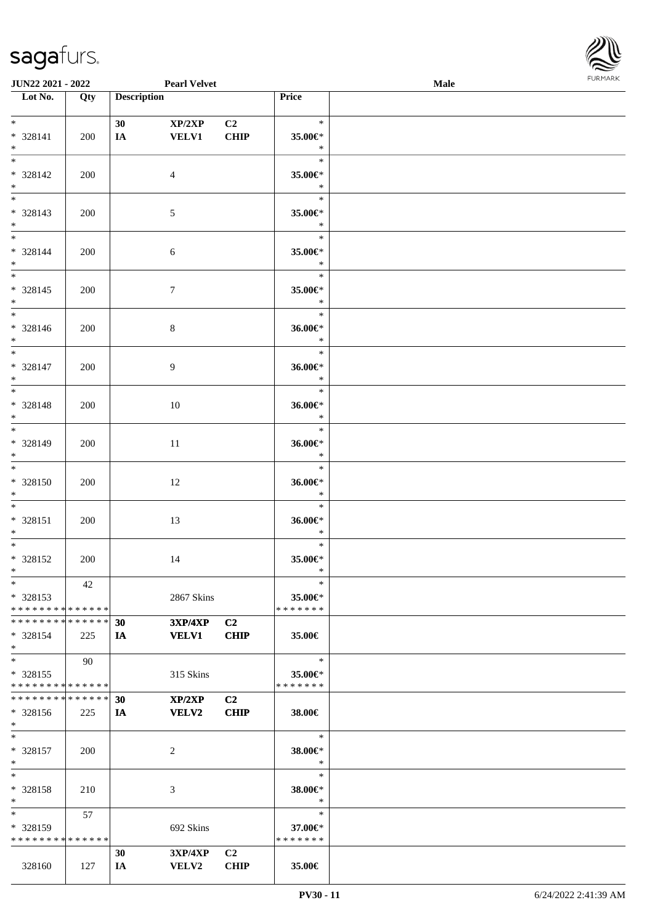

| <b>JUN22 2021 - 2022</b>      |     |                    | <b>Pearl Velvet</b>               |                |               | Male |  |
|-------------------------------|-----|--------------------|-----------------------------------|----------------|---------------|------|--|
| Lot No.                       | Qty | <b>Description</b> |                                   |                | Price         |      |  |
|                               |     |                    |                                   |                |               |      |  |
| $*$ $*$                       |     | 30 <sup>°</sup>    | XP/2XP                            | C <sub>2</sub> | $\ast$        |      |  |
| * 328141                      | 200 | IA                 | <b>VELV1</b>                      | <b>CHIP</b>    | 35.00€*       |      |  |
| $*$                           |     |                    |                                   |                | $\ast$        |      |  |
| $*$                           |     |                    |                                   |                | $\ast$        |      |  |
| * 328142                      | 200 |                    | 4                                 |                | 35.00€*       |      |  |
|                               |     |                    |                                   |                |               |      |  |
| $*$                           |     |                    |                                   |                | $\ast$        |      |  |
|                               |     |                    |                                   |                | $\ast$        |      |  |
| * 328143                      | 200 |                    | 5                                 |                | 35.00€*       |      |  |
| $*$                           |     |                    |                                   |                | $\ast$        |      |  |
| $*$                           |     |                    |                                   |                | $\ast$        |      |  |
| * 328144                      | 200 |                    | 6                                 |                | 35.00€*       |      |  |
| $*$                           |     |                    |                                   |                | $\ast$        |      |  |
| $*$                           |     |                    |                                   |                | $\ast$        |      |  |
| $* 328145$                    |     |                    |                                   |                | 35.00€*       |      |  |
|                               | 200 |                    | $\overline{7}$                    |                | $\ast$        |      |  |
| $*$                           |     |                    |                                   |                |               |      |  |
|                               |     |                    |                                   |                | $\ast$        |      |  |
| * 328146                      | 200 |                    | $8\,$                             |                | 36.00€*       |      |  |
| $*$                           |     |                    |                                   |                | $\ast$        |      |  |
| $\overline{\ast}$             |     |                    |                                   |                | $\ast$        |      |  |
| * 328147                      | 200 |                    | 9                                 |                | 36.00€*       |      |  |
| $*$                           |     |                    |                                   |                | $\ast$        |      |  |
| $\overline{\ast}$             |     |                    |                                   |                | $\ast$        |      |  |
| * 328148                      | 200 |                    | 10                                |                | 36.00€*       |      |  |
| $*$                           |     |                    |                                   |                | $\ast$        |      |  |
| $*$                           |     |                    |                                   |                | $\ast$        |      |  |
|                               |     |                    |                                   |                |               |      |  |
| * 328149                      | 200 |                    | 11                                |                | 36.00€*       |      |  |
| $*$                           |     |                    |                                   |                | $\ast$        |      |  |
| $*$                           |     |                    |                                   |                | $\ast$        |      |  |
| * 328150                      | 200 |                    | 12                                |                | 36.00€*       |      |  |
| $*$                           |     |                    |                                   |                | $\ast$        |      |  |
| $*$                           |     |                    |                                   |                | $\ast$        |      |  |
| * 328151                      | 200 |                    | 13                                |                | 36.00€*       |      |  |
| $*$                           |     |                    |                                   |                | $\ast$        |      |  |
| $*$                           |     |                    |                                   |                | $\ast$        |      |  |
| * 328152                      |     |                    |                                   |                | 35.00€*       |      |  |
|                               | 200 |                    | 14                                |                | $\ast$        |      |  |
| $*$                           |     |                    |                                   |                |               |      |  |
| $*$                           | 42  |                    |                                   |                | $\ast$        |      |  |
| $* 328153$                    |     |                    | 2867 Skins                        |                | 35.00€*       |      |  |
| * * * * * * * * * * * * * * * |     |                    |                                   |                | * * * * * * * |      |  |
| * * * * * * * * * * * * * * * |     | 30                 | $3{\bf X}{\bf P}/4{\bf X}{\bf P}$ | C2             |               |      |  |
| * 328154                      | 225 | IA                 | <b>VELV1</b>                      | <b>CHIP</b>    | 35.00€        |      |  |
| $*$                           |     |                    |                                   |                |               |      |  |
| $*$                           | 90  |                    |                                   |                | $\ast$        |      |  |
| * 328155                      |     |                    | 315 Skins                         |                | 35.00€*       |      |  |
| * * * * * * * * * * * * * * * |     |                    |                                   |                | * * * * * * * |      |  |
| * * * * * * * * * * * * * * * |     |                    |                                   |                |               |      |  |
|                               |     | 30                 | XP/2XP                            | C2             |               |      |  |
| * 328156                      | 225 | IA                 | <b>VELV2</b>                      | <b>CHIP</b>    | 38.00€        |      |  |
| $*$                           |     |                    |                                   |                |               |      |  |
| $*$                           |     |                    |                                   |                | $\ast$        |      |  |
| * 328157                      | 200 |                    | 2                                 |                | 38.00€*       |      |  |
| $*$                           |     |                    |                                   |                | $\ast$        |      |  |
| $*$                           |     |                    |                                   |                | $\ast$        |      |  |
| * 328158                      | 210 |                    | 3                                 |                | 38.00€*       |      |  |
| $*$                           |     |                    |                                   |                | $\ast$        |      |  |
| $*$                           | 57  |                    |                                   |                | $\ast$        |      |  |
|                               |     |                    |                                   |                |               |      |  |
| * 328159                      |     |                    | 692 Skins                         |                | 37.00€*       |      |  |
| * * * * * * * * * * * * * *   |     |                    |                                   |                | * * * * * * * |      |  |
|                               |     | 30                 | 3XP/4XP                           | C <sub>2</sub> |               |      |  |
| 328160                        | 127 | IA                 | <b>VELV2</b>                      | <b>CHIP</b>    | 35.00€        |      |  |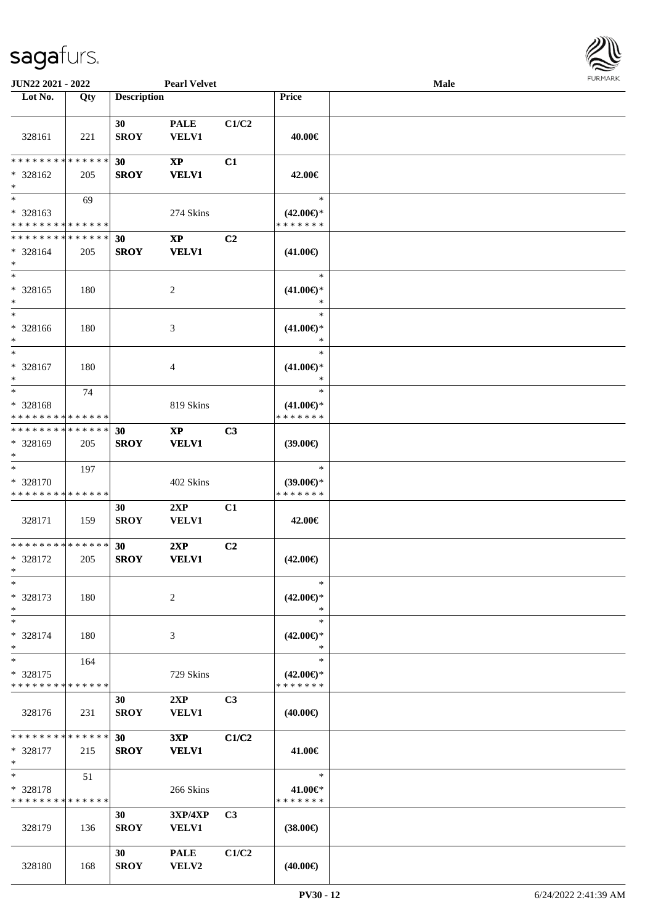

| JUN22 2021 - 2022                                            |     |                    | <b>Pearl Velvet</b>                    |                |                                                | Male |  |
|--------------------------------------------------------------|-----|--------------------|----------------------------------------|----------------|------------------------------------------------|------|--|
| Lot No.                                                      | Qty | <b>Description</b> |                                        |                | Price                                          |      |  |
| 328161                                                       | 221 | 30<br><b>SROY</b>  | <b>PALE</b><br><b>VELV1</b>            | C1/C2          | 40.00€                                         |      |  |
| * * * * * * * * * * * * * *<br>$* 328162$<br>$\ast$          | 205 | 30<br><b>SROY</b>  | $\mathbf{XP}$<br><b>VELV1</b>          | C1             | 42.00€                                         |      |  |
| $\overline{\ast}$<br>* 328163<br>* * * * * * * * * * * * * * | 69  |                    | 274 Skins                              |                | $\ast$<br>$(42.00\epsilon)$ *<br>* * * * * * * |      |  |
| **************<br>$* 328164$<br>$\ast$                       | 205 | 30<br><b>SROY</b>  | $\mathbf{XP}$<br><b>VELV1</b>          | C <sub>2</sub> | $(41.00\epsilon)$                              |      |  |
| $\ast$<br>$* 328165$<br>$\ast$                               | 180 |                    | $\sqrt{2}$                             |                | $\ast$<br>$(41.00\epsilon)$ *<br>$\ast$        |      |  |
| $\overline{\phantom{1}}$<br>$* 328166$<br>$\ast$             | 180 |                    | 3                                      |                | $\ast$<br>$(41.00\epsilon)$ *<br>$\ast$        |      |  |
| $\ast$<br>* 328167<br>$\ast$                                 | 180 |                    | 4                                      |                | $\ast$<br>$(41.00\epsilon)$ *<br>$\ast$        |      |  |
| $\ast$<br>* 328168<br>* * * * * * * * * * * * * *            | 74  |                    | 819 Skins                              |                | $\ast$<br>$(41.00\epsilon)$ *<br>* * * * * * * |      |  |
| * * * * * * * * * * * * * *<br>* 328169<br>$\ast$            | 205 | 30<br><b>SROY</b>  | $\mathbf{X}\mathbf{P}$<br><b>VELV1</b> | C3             | (39.00)                                        |      |  |
| $\ast$<br>* 328170<br>* * * * * * * * * * * * * *            | 197 |                    | 402 Skins                              |                | $\ast$<br>$(39.00\epsilon)$ *<br>* * * * * * * |      |  |
| 328171                                                       | 159 | 30<br><b>SROY</b>  | 2XP<br><b>VELV1</b>                    | C1             | 42.00€                                         |      |  |
| **************<br>* 328172<br>$*$                            | 205 | 30<br><b>SROY</b>  | 2XP<br><b>VELV1</b>                    | C2             | $(42.00\epsilon)$                              |      |  |
| $\ast$<br>$* 328173$<br>$\ast$                               | 180 |                    | 2                                      |                | $\ast$<br>$(42.00\epsilon)$ *<br>∗             |      |  |
| $\ast$<br>* 328174<br>$\ast$                                 | 180 |                    | 3                                      |                | $\ast$<br>$(42.00\epsilon)$ *<br>∗             |      |  |
| $\ast$<br>* 328175<br>* * * * * * * * * * * * * *            | 164 |                    | 729 Skins                              |                | $\ast$<br>$(42.00\epsilon)$ *<br>* * * * * * * |      |  |
| 328176                                                       | 231 | 30<br><b>SROY</b>  | 2XP<br><b>VELV1</b>                    | C <sub>3</sub> | $(40.00\epsilon)$                              |      |  |
| * * * * * * * * * * * * * *<br>* 328177<br>$\ast$            | 215 | 30<br><b>SROY</b>  | 3XP<br><b>VELV1</b>                    | C1/C2          | 41.00€                                         |      |  |
| $\ast$<br>* 328178<br>* * * * * * * * * * * * * *            | 51  |                    | 266 Skins                              |                | $\ast$<br>41.00€*<br>* * * * * * *             |      |  |
| 328179                                                       | 136 | 30<br><b>SROY</b>  | 3XP/4XP<br>VELV1                       | C <sub>3</sub> | $(38.00\epsilon)$                              |      |  |
| 328180                                                       | 168 | 30<br><b>SROY</b>  | <b>PALE</b><br>VELV2                   | C1/C2          | $(40.00\epsilon)$                              |      |  |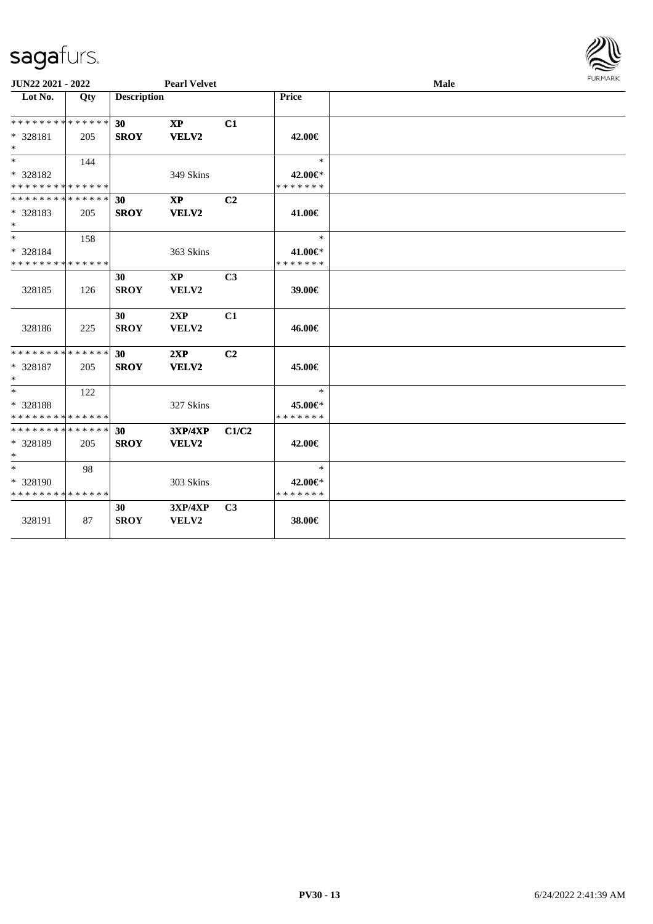

| JUN22 2021 - 2022                                  |     |                    | <b>Pearl Velvet</b>                               |                |                                    | <b>FURMARK</b><br>Male |  |  |
|----------------------------------------------------|-----|--------------------|---------------------------------------------------|----------------|------------------------------------|------------------------|--|--|
| Lot No.                                            | Qty | <b>Description</b> |                                                   |                | Price                              |                        |  |  |
| * * * * * * * * * * * * * *<br>* 328181<br>$*$     | 205 | 30<br><b>SROY</b>  | $\mathbf{X}\mathbf{P}$<br>VELV2                   | C1             | 42.00€                             |                        |  |  |
| $*$<br>* 328182<br>* * * * * * * * * * * * * *     | 144 |                    | 349 Skins                                         |                | $\ast$<br>42.00€*<br>* * * * * * * |                        |  |  |
| * * * * * * * * * * * * * * *<br>* 328183<br>$*$   | 205 | 30<br><b>SROY</b>  | <b>XP</b><br>VELV2                                | C2             | 41.00€                             |                        |  |  |
| $*$ $-$<br>* 328184<br>* * * * * * * * * * * * * * | 158 |                    | 363 Skins                                         |                | $\ast$<br>41.00€*<br>* * * * * * * |                        |  |  |
| 328185                                             | 126 | 30<br><b>SROY</b>  | $\mathbf{X}\mathbf{P}$<br>VELV2                   | C <sub>3</sub> | 39.00€                             |                        |  |  |
| 328186                                             | 225 | 30<br><b>SROY</b>  | 2XP<br>VELV2                                      | C1             | 46.00€                             |                        |  |  |
| * * * * * * * * * * * * * *<br>* 328187<br>$*$     | 205 | 30<br><b>SROY</b>  | 2XP<br>VELV2                                      | C <sub>2</sub> | 45.00€                             |                        |  |  |
| $*$<br>* 328188<br>* * * * * * * * * * * * * *     | 122 |                    | 327 Skins                                         |                | $\ast$<br>45.00€*<br>* * * * * * * |                        |  |  |
| * * * * * * * * * * * * * * *<br>* 328189<br>$*$   | 205 | 30<br><b>SROY</b>  | <b>3XP/4XP</b><br>VELV2                           | C1/C2          | 42.00€                             |                        |  |  |
| $*$<br>* 328190<br>* * * * * * * * * * * * * *     | 98  |                    | 303 Skins                                         |                | $\ast$<br>42.00€*<br>* * * * * * * |                        |  |  |
| 328191                                             | 87  | 30<br><b>SROY</b>  | $3{\bf X}{\bf P}/4{\bf X}{\bf P}$<br><b>VELV2</b> | C <sub>3</sub> | 38.00€                             |                        |  |  |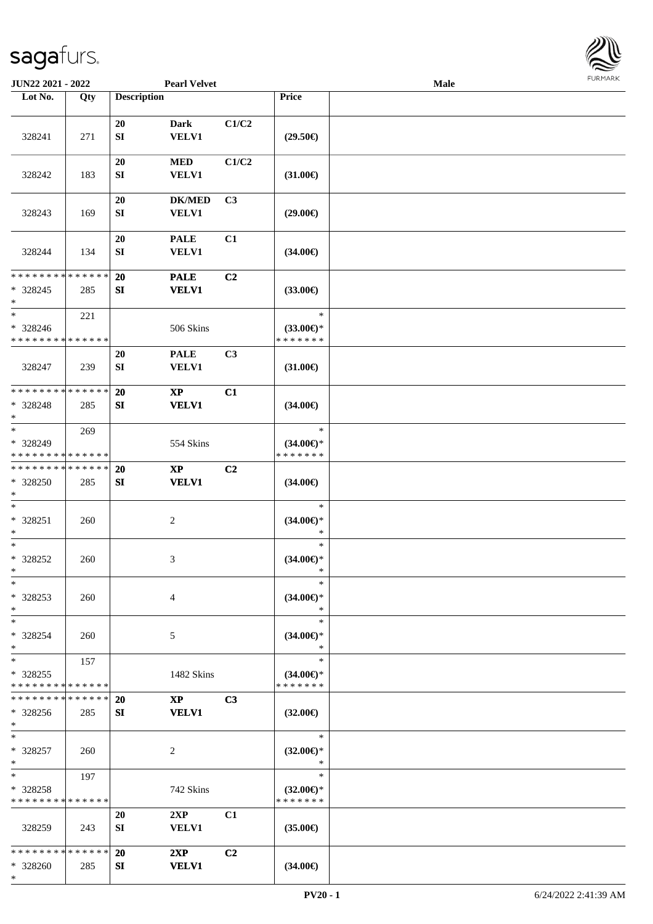\*



| JUN22 2021 - 2022                                 |     |                        | <b>Pearl Velvet</b>                    |                |                                                | <b>Male</b> |  |
|---------------------------------------------------|-----|------------------------|----------------------------------------|----------------|------------------------------------------------|-------------|--|
| Lot No.                                           | Qty | <b>Description</b>     |                                        |                | Price                                          |             |  |
| 328241                                            | 271 | 20<br>${\bf SI}$       | <b>Dark</b><br><b>VELV1</b>            | C1/C2          | $(29.50\epsilon)$                              |             |  |
| 328242                                            | 183 | 20<br>${\bf SI}$       | <b>MED</b><br><b>VELV1</b>             | C1/C2          | $(31.00\epsilon)$                              |             |  |
| 328243                                            | 169 | $20\,$<br>${\bf SI}$   | <b>DK/MED</b><br>VELV1                 | C <sub>3</sub> | $(29.00\epsilon)$                              |             |  |
| 328244                                            | 134 | 20<br>${\bf SI}$       | <b>PALE</b><br>VELV1                   | C1             | $(34.00\epsilon)$                              |             |  |
| * * * * * * * * * * * * * *<br>* 328245<br>$\ast$ | 285 | 20<br>SI               | <b>PALE</b><br><b>VELV1</b>            | C2             | $(33.00\epsilon)$                              |             |  |
| $\ast$<br>* 328246<br>* * * * * * * * * * * * * * | 221 |                        | 506 Skins                              |                | $\ast$<br>$(33.00\epsilon)$ *<br>* * * * * * * |             |  |
| 328247                                            | 239 | 20<br>${\bf SI}$       | <b>PALE</b><br><b>VELV1</b>            | C3             | $(31.00\epsilon)$                              |             |  |
| * * * * * * * * * * * * * *<br>* 328248<br>$\ast$ | 285 | 20<br>SI               | $\bold{XP}$<br><b>VELV1</b>            | C1             | $(34.00\epsilon)$                              |             |  |
| $*$<br>* 328249<br>* * * * * * * * * * * * * *    | 269 |                        | 554 Skins                              |                | $\ast$<br>$(34.00\epsilon)$ *<br>* * * * * * * |             |  |
| * * * * * * * * * * * * * *<br>* 328250<br>$*$    | 285 | 20<br>${\bf S}{\bf I}$ | $\bold{XP}$<br><b>VELV1</b>            | C2             | $(34.00\epsilon)$                              |             |  |
| $*$<br>* 328251<br>$*$                            | 260 |                        | $\boldsymbol{2}$                       |                | $\ast$<br>$(34.00ε)$ *<br>$\ast$               |             |  |
| $\ast$<br>* 328252<br>$*$                         | 260 |                        | 3                                      |                | $\ast$<br>$(34.00\epsilon)$ *<br>$\ast$        |             |  |
| $*$<br>* 328253<br>$*$                            | 260 |                        | $\overline{4}$                         |                | $\ast$<br>$(34.00\epsilon)$ *<br>$\ast$        |             |  |
| $*$<br>* 328254<br>$*$                            | 260 |                        | 5                                      |                | $\ast$<br>$(34.00\epsilon)$ *<br>$\ast$        |             |  |
| $*$<br>* 328255<br>* * * * * * * * * * * * * *    | 157 |                        | 1482 Skins                             |                | $\ast$<br>$(34.00\epsilon)$ *<br>* * * * * * * |             |  |
| * * * * * * * * * * * * * *<br>* 328256<br>$*$    | 285 | <b>20</b><br>SI        | $\mathbf{X}\mathbf{P}$<br><b>VELV1</b> | C <sub>3</sub> | $(32.00\epsilon)$                              |             |  |
| $*$<br>* 328257<br>$*$                            | 260 |                        | 2                                      |                | $\ast$<br>$(32.00\epsilon)$ *<br>$\ast$        |             |  |
| $*$<br>* 328258<br>* * * * * * * * * * * * * *    | 197 |                        | 742 Skins                              |                | $\ast$<br>$(32.00\epsilon)$ *<br>* * * * * * * |             |  |
| 328259                                            | 243 | 20<br>SI               | 2XP<br><b>VELV1</b>                    | C1             | $(35.00\epsilon)$                              |             |  |
| * * * * * * * * * * * * * *<br>* 328260           | 285 | 20<br>SI               | 2XP<br><b>VELV1</b>                    | C <sub>2</sub> | $(34.00\epsilon)$                              |             |  |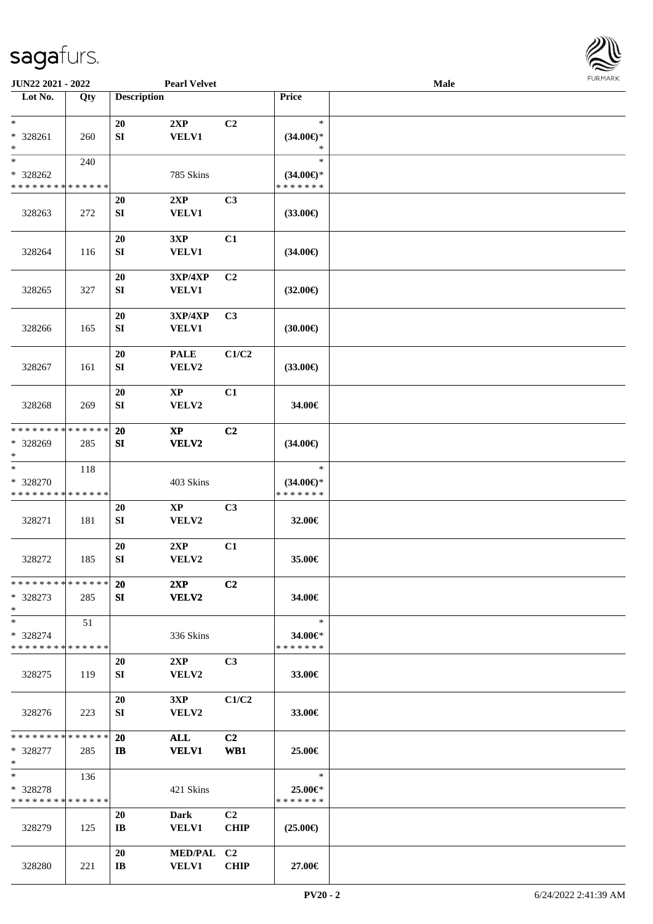

| <b>JUN22 2021 - 2022</b>                   |             |                        | <b>Pearl Velvet</b> |                |                     | Male |  |
|--------------------------------------------|-------------|------------------------|---------------------|----------------|---------------------|------|--|
| Lot No.                                    | Qty         | <b>Description</b>     |                     |                | Price               |      |  |
|                                            |             |                        |                     |                |                     |      |  |
| $\ast$                                     |             | 20                     | 2XP                 | C2             | $\ast$              |      |  |
| * 328261                                   | 260         | ${\bf SI}$             | <b>VELV1</b>        |                | $(34.00\epsilon)$ * |      |  |
| $\ast$                                     |             |                        |                     |                | $\ast$              |      |  |
| $\ast$                                     | 240         |                        |                     |                | $\ast$              |      |  |
| * 328262                                   |             |                        | 785 Skins           |                | $(34.00\epsilon)$ * |      |  |
| * * * * * * * * * * * * * *                |             |                        |                     |                | * * * * * * *       |      |  |
|                                            |             | 20                     | 2XP                 | C3             |                     |      |  |
| 328263                                     | 272         | SI                     | <b>VELV1</b>        |                | $(33.00\epsilon)$   |      |  |
|                                            |             |                        |                     |                |                     |      |  |
|                                            |             | 20                     | 3XP                 | C1             |                     |      |  |
| 328264                                     | 116         | ${\bf SI}$             | <b>VELV1</b>        |                | $(34.00\epsilon)$   |      |  |
|                                            |             |                        |                     |                |                     |      |  |
|                                            |             | 20                     | 3XP/4XP             | C <sub>2</sub> |                     |      |  |
| 328265                                     | 327         | ${\bf SI}$             | <b>VELV1</b>        |                | $(32.00\epsilon)$   |      |  |
|                                            |             | 20                     | 3XP/4XP             | C <sub>3</sub> |                     |      |  |
| 328266                                     | 165         | ${\bf SI}$             | VELV1               |                | (30.00)             |      |  |
|                                            |             |                        |                     |                |                     |      |  |
|                                            |             | 20                     | <b>PALE</b>         | C1/C2          |                     |      |  |
| 328267                                     | 161         | ${\bf SI}$             | VELV2               |                | $(33.00\epsilon)$   |      |  |
|                                            |             |                        |                     |                |                     |      |  |
|                                            |             | 20                     | <b>XP</b>           | C1             |                     |      |  |
| 328268                                     | 269         | SI                     | VELV2               |                | 34.00€              |      |  |
|                                            |             |                        |                     |                |                     |      |  |
| * * * * * * * *                            | * * * * * * | 20                     | $\mathbf{XP}$       | C <sub>2</sub> |                     |      |  |
| * 328269                                   | 285         | SI                     | VELV2               |                | $(34.00\epsilon)$   |      |  |
| $\ast$                                     |             |                        |                     |                |                     |      |  |
| $\ast$                                     | 118         |                        |                     |                | $\ast$              |      |  |
| * 328270                                   |             |                        | 403 Skins           |                | $(34.00\epsilon)$ * |      |  |
| * * * * * * * * * * * * * *                |             |                        |                     |                | *******             |      |  |
| 328271                                     |             | 20                     | $\mathbf{XP}$       | C3             |                     |      |  |
|                                            | 181         | ${\bf SI}$             | VELV2               |                | 32.00€              |      |  |
|                                            |             | 20                     | 2XP                 | C1             |                     |      |  |
| 328272                                     | 185         | SI                     | VELV2               |                | 35.00€              |      |  |
|                                            |             |                        |                     |                |                     |      |  |
| * * * * * * * * <mark>* * * * * * *</mark> |             | 20                     | 2XP                 | C2             |                     |      |  |
| * 328273                                   | 285         | SI                     | <b>VELV2</b>        |                | 34.00€              |      |  |
| $\ast$                                     |             |                        |                     |                |                     |      |  |
| $\ast$                                     | 51          |                        |                     |                | $\ast$              |      |  |
| * 328274                                   |             |                        | 336 Skins           |                | 34.00€*             |      |  |
| * * * * * * * * * * * * * * *              |             |                        |                     |                | * * * * * * *       |      |  |
|                                            |             | 20                     | 2XP                 | C <sub>3</sub> |                     |      |  |
| 328275                                     | 119         | SI                     | VELV2               |                | 33.00€              |      |  |
|                                            |             |                        |                     |                |                     |      |  |
|                                            |             | 20                     | 3XP                 | C1/C2          |                     |      |  |
| 328276                                     | 223         | SI                     | <b>VELV2</b>        |                | 33.00€              |      |  |
| * * * * * * * * <mark>* * * * * *</mark>   |             | <b>20</b>              | ALL                 | C2             |                     |      |  |
| * 328277                                   | 285         | $\mathbf{I}$           | <b>VELV1</b>        | WB1            | 25.00€              |      |  |
| $\ast$                                     |             |                        |                     |                |                     |      |  |
| $*$ and $*$                                | 136         |                        |                     |                | $\ast$              |      |  |
| * 328278                                   |             |                        | 421 Skins           |                | 25.00€*             |      |  |
| * * * * * * * * * * * * * * *              |             |                        |                     |                | * * * * * * *       |      |  |
|                                            |             | 20                     | <b>Dark</b>         | C <sub>2</sub> |                     |      |  |
| 328279                                     | 125         | $\bf{IB}$              | <b>VELV1</b>        | <b>CHIP</b>    | $(25.00\epsilon)$   |      |  |
|                                            |             |                        |                     |                |                     |      |  |
|                                            |             | 20                     | MED/PAL C2          |                |                     |      |  |
| 328280                                     | 221         | $\mathbf{I}\mathbf{B}$ | <b>VELV1</b>        | <b>CHIP</b>    | 27.00€              |      |  |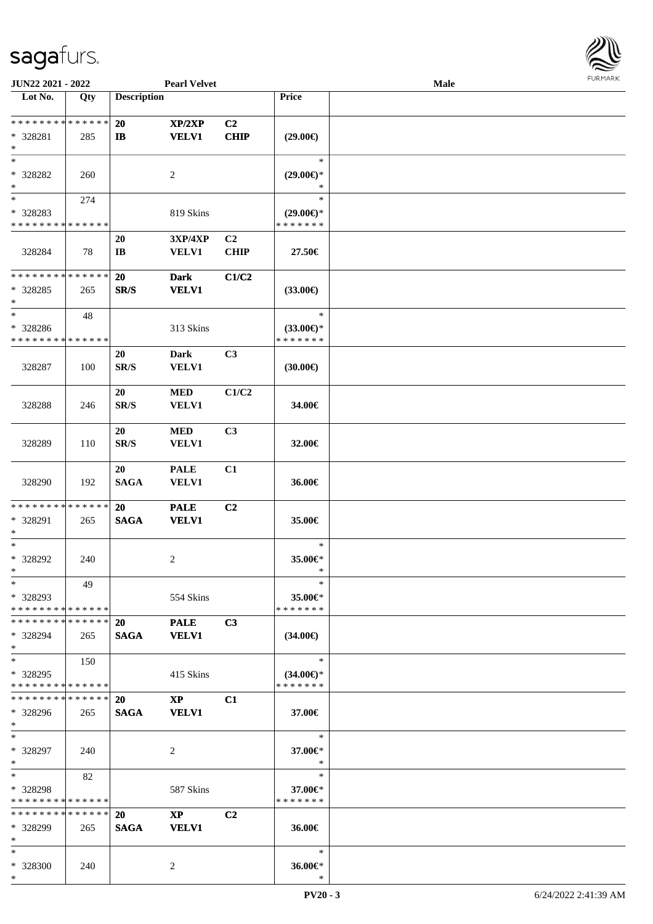

| JUN22 2021 - 2022                                                   |     |                              | <b>Pearl Velvet</b>                    |                               |                                                | Male |  |
|---------------------------------------------------------------------|-----|------------------------------|----------------------------------------|-------------------------------|------------------------------------------------|------|--|
| Lot No.                                                             | Qty | <b>Description</b>           |                                        |                               | Price                                          |      |  |
| **************<br>* 328281<br>$\ast$                                | 285 | 20<br>$\mathbf{I}$           | XP/2XP<br><b>VELV1</b>                 | C <sub>2</sub><br><b>CHIP</b> | $(29.00\epsilon)$                              |      |  |
| $\ast$<br>* 328282<br>$\ast$                                        | 260 |                              | 2                                      |                               | $\ast$<br>$(29.00\epsilon)$ *<br>∗             |      |  |
| $\overline{\phantom{0}}$<br>* 328283<br>* * * * * * * * * * * * * * | 274 |                              | 819 Skins                              |                               | $\ast$<br>$(29.00\epsilon)$ *<br>* * * * * * * |      |  |
| 328284                                                              | 78  | 20<br>$\mathbf{I}\mathbf{B}$ | <b>3XP/4XP</b><br><b>VELV1</b>         | C2<br><b>CHIP</b>             | 27.50€                                         |      |  |
| ******** <mark>******</mark><br>$*328285$<br>$\ast$                 | 265 | <b>20</b><br>SR/S            | <b>Dark</b><br><b>VELV1</b>            | C1/C2                         | $(33.00\epsilon)$                              |      |  |
| $\ast$<br>* 328286<br>* * * * * * * * * * * * * *                   | 48  |                              | 313 Skins                              |                               | $\ast$<br>$(33.00\epsilon)$ *<br>* * * * * * * |      |  |
| 328287                                                              | 100 | 20<br>SR/S                   | <b>Dark</b><br><b>VELV1</b>            | C3                            | (30.00)                                        |      |  |
| 328288                                                              | 246 | 20<br>SR/S                   | $\bf MED$<br><b>VELV1</b>              | C1/C2                         | 34.00€                                         |      |  |
| 328289                                                              | 110 | 20<br>SR/S                   | <b>MED</b><br>VELV1                    | C <sub>3</sub>                | 32.00€                                         |      |  |
| 328290                                                              | 192 | 20<br><b>SAGA</b>            | <b>PALE</b><br>VELV1                   | C1                            | 36.00€                                         |      |  |
| * * * * * * * * * * * * * *<br>* 328291<br>$\ast$                   | 265 | 20<br><b>SAGA</b>            | <b>PALE</b><br><b>VELV1</b>            | C2                            | 35.00€                                         |      |  |
| $\ast$<br>* 328292<br>$\ast$                                        | 240 |                              | $\overline{2}$                         |                               | $\ast$<br>35.00€*<br>$\ast$                    |      |  |
| $*$<br>* 328293<br>* * * * * * * * * * * * * *                      | 49  |                              | 554 Skins                              |                               | $\ast$<br>35.00€*<br>* * * * * * *             |      |  |
| * * * * * * * * * * * * * * *<br>* 328294<br>$*$                    | 265 | 20<br><b>SAGA</b>            | <b>PALE</b><br><b>VELV1</b>            | C3                            | $(34.00\epsilon)$                              |      |  |
| $*$<br>* 328295<br>* * * * * * * * * * * * * *                      | 150 |                              | 415 Skins                              |                               | $\ast$<br>$(34.00\epsilon)$ *<br>* * * * * * * |      |  |
| * * * * * * * * * * * * * *<br>* 328296<br>$*$                      | 265 | <b>20</b><br><b>SAGA</b>     | $\mathbf{X}\mathbf{P}$<br><b>VELV1</b> | C1                            | 37.00€                                         |      |  |
| $*$<br>* 328297<br>$*$                                              | 240 |                              | 2                                      |                               | $\ast$<br>37.00€*<br>$\ast$                    |      |  |
| $*$<br>* 328298<br>* * * * * * * * * * * * * *                      | 82  |                              | 587 Skins                              |                               | $\ast$<br>37.00€*<br>* * * * * * *             |      |  |
| * * * * * * * * * * * * * *<br>* 328299<br>$\ast$                   | 265 | 20<br><b>SAGA</b>            | $\mathbf{XP}$<br><b>VELV1</b>          | C2                            | 36.00€                                         |      |  |
| $*$<br>* 328300<br>$*$                                              | 240 |                              | 2                                      |                               | $\ast$<br>36.00€*<br>$\ast$                    |      |  |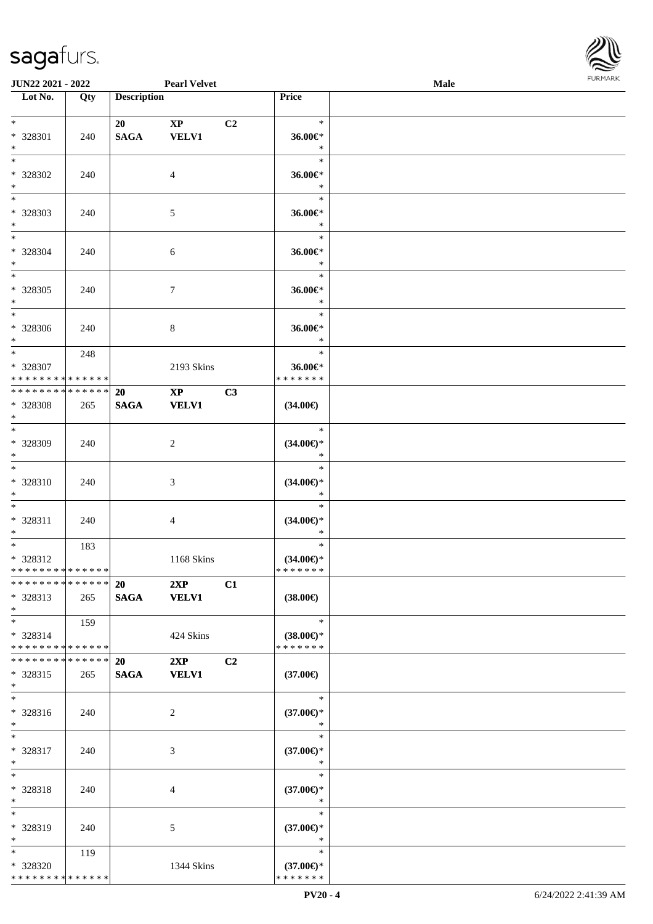

| JUN22 2021 - 2022                       |     |                    | <b>Pearl Velvet</b> |                |                                      | Male |  |
|-----------------------------------------|-----|--------------------|---------------------|----------------|--------------------------------------|------|--|
| Lot No.                                 | Qty | <b>Description</b> |                     |                | Price                                |      |  |
|                                         |     |                    |                     |                |                                      |      |  |
| $*$                                     |     | 20                 | $\mathbf{XP}$       | C <sub>2</sub> | $\ast$                               |      |  |
| * 328301                                | 240 | <b>SAGA</b>        | <b>VELV1</b>        |                | 36.00€*                              |      |  |
| $\ast$                                  |     |                    |                     |                | $\ast$                               |      |  |
| $\overline{\phantom{0}}$                |     |                    |                     |                | $\ast$                               |      |  |
| * 328302                                | 240 |                    | $\overline{4}$      |                | 36.00€*                              |      |  |
| $\ast$                                  |     |                    |                     |                | $\ast$                               |      |  |
| $\overline{\phantom{0}}$                |     |                    |                     |                | $\ast$                               |      |  |
| * 328303                                | 240 |                    | $\mathfrak{S}$      |                | 36.00€*                              |      |  |
| $\ast$                                  |     |                    |                     |                | $\ast$                               |      |  |
| $\overline{\ast}$                       |     |                    |                     |                | $\ast$                               |      |  |
| * 328304                                | 240 |                    | 6                   |                | 36.00€*                              |      |  |
| $\ast$                                  |     |                    |                     |                | $\ast$                               |      |  |
| $\overline{\ast}$                       |     |                    |                     |                | $\ast$                               |      |  |
| $*328305$                               | 240 |                    | $\boldsymbol{7}$    |                | 36.00€*                              |      |  |
| $\ast$                                  |     |                    |                     |                | $\ast$                               |      |  |
| $\overline{\phantom{a}^*}$              |     |                    |                     |                | $\ast$                               |      |  |
| $*328306$                               | 240 |                    | $\,8\,$             |                | 36.00€*                              |      |  |
| $*$                                     |     |                    |                     |                | $\ast$                               |      |  |
| $*$                                     | 248 |                    |                     |                | $\ast$                               |      |  |
| * 328307                                |     |                    | 2193 Skins          |                | 36.00€*                              |      |  |
| * * * * * * * * * * * * * *             |     |                    |                     |                | * * * * * * *                        |      |  |
| **************                          |     | <b>20</b>          | $\mathbf{XP}$       | C3             |                                      |      |  |
| * 328308                                | 265 | <b>SAGA</b>        | <b>VELV1</b>        |                | $(34.00\epsilon)$                    |      |  |
| $\ast$                                  |     |                    |                     |                |                                      |      |  |
| $\overline{\phantom{0}}$                |     |                    |                     |                | $\ast$                               |      |  |
| * 328309                                | 240 |                    | $\overline{2}$      |                | $(34.00\epsilon)$ *                  |      |  |
| $*$                                     |     |                    |                     |                | $\ast$                               |      |  |
| $\overline{\ast}$                       |     |                    |                     |                | $\ast$                               |      |  |
| * 328310                                | 240 |                    | $\mathfrak{Z}$      |                | $(34.00\epsilon)$ *                  |      |  |
| $*$                                     |     |                    |                     |                | $\ast$                               |      |  |
| $*$                                     |     |                    |                     |                | $\ast$                               |      |  |
| * 328311                                | 240 |                    | $\overline{4}$      |                | $(34.00\epsilon)$ *                  |      |  |
| $*$                                     |     |                    |                     |                | $\ast$                               |      |  |
| $*$                                     | 183 |                    |                     |                | $\ast$                               |      |  |
| * 328312                                |     |                    | 1168 Skins          |                | $(34.00\epsilon)$ *                  |      |  |
| **************                          |     |                    |                     |                | *******                              |      |  |
| * * * * * * * * * * * * * * *           |     | 20 2XP             |                     | C1             |                                      |      |  |
| * 328313                                | 265 |                    | SAGA VELV1          |                | $(38.00\epsilon)$                    |      |  |
| $*$                                     |     |                    |                     |                | $\mathbb{R}$                         |      |  |
| $*$ $*$                                 | 159 |                    |                     |                |                                      |      |  |
| * 328314<br>* * * * * * * * * * * * * * |     |                    | 424 Skins           |                | $(38.00\epsilon)$ *<br>* * * * * * * |      |  |
| * * * * * * * * * * * * * * *           |     |                    |                     |                |                                      |      |  |
|                                         |     | <b>20</b>          | 2XP                 | C2             |                                      |      |  |
| * 328315<br>$*$                         | 265 | <b>SAGA</b>        | <b>VELV1</b>        |                | $(37.00\epsilon)$                    |      |  |
| $*$                                     |     |                    |                     |                | $\ast$                               |      |  |
|                                         |     |                    |                     |                |                                      |      |  |
| * 328316<br>$*$                         | 240 |                    | 2                   |                | $(37.00\epsilon)$ *<br>$\ast$        |      |  |
| $*$                                     |     |                    |                     |                | $\ast$                               |      |  |
| * 328317                                |     |                    |                     |                |                                      |      |  |
| $*$                                     | 240 |                    | 3                   |                | $(37.00\epsilon)$ *<br>$\ast$        |      |  |
| $\ast$                                  |     |                    |                     |                | $\ast$                               |      |  |
| * 328318                                | 240 |                    | 4                   |                | $(37.00\epsilon)$ *                  |      |  |
| $*$                                     |     |                    |                     |                | $\ast$                               |      |  |
| $*$                                     |     |                    |                     |                | $\ast$                               |      |  |
| * 328319                                | 240 |                    | 5                   |                | $(37.00\epsilon)$ *                  |      |  |
| $*$                                     |     |                    |                     |                | $\ast$                               |      |  |
| $*$                                     | 119 |                    |                     |                | $\ast$                               |      |  |
| * 328320                                |     |                    | 1344 Skins          |                | $(37.00€)$ *                         |      |  |
| * * * * * * * * * * * * * *             |     |                    |                     |                | * * * * * * *                        |      |  |
|                                         |     |                    |                     |                |                                      |      |  |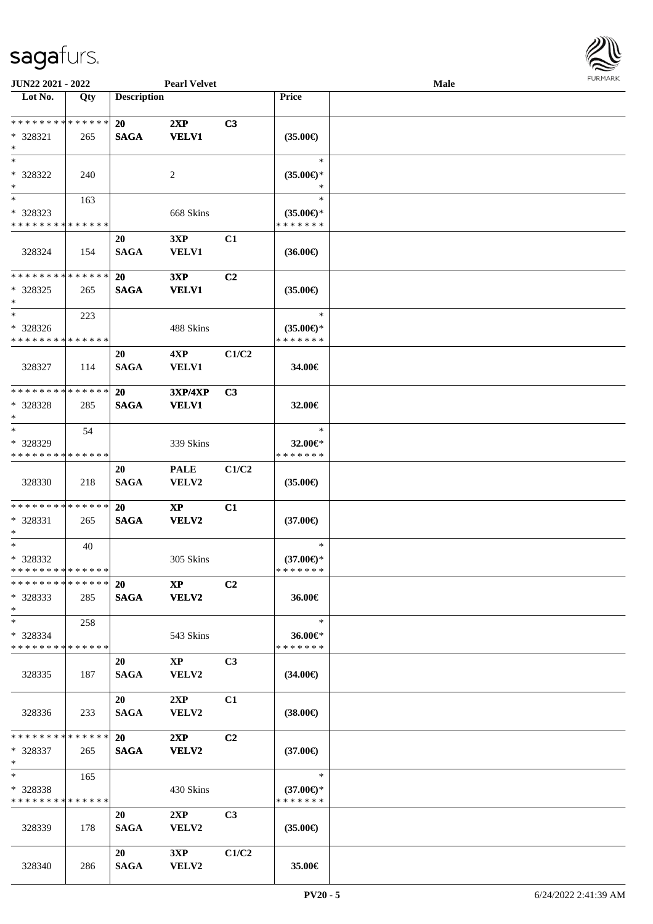

| JUN22 2021 - 2022                                      |     |                          | <b>Pearl Velvet</b>                    |                |                                                | <b>Male</b> |  |
|--------------------------------------------------------|-----|--------------------------|----------------------------------------|----------------|------------------------------------------------|-------------|--|
| Lot No.                                                | Qty | <b>Description</b>       |                                        |                | Price                                          |             |  |
| ******** <mark>******</mark><br>$* 328321$<br>$\ast$   | 265 | <b>20</b><br><b>SAGA</b> | 2XP<br><b>VELV1</b>                    | C3             | $(35.00\epsilon)$                              |             |  |
| $*$<br>* 328322<br>$\ast$                              | 240 |                          | 2                                      |                | $\ast$<br>$(35.00\epsilon)$ *                  |             |  |
| $\ast$<br>* 328323<br>* * * * * * * * * * * * * *      | 163 |                          | 668 Skins                              |                | $\ast$<br>$(35.00\epsilon)$ *<br>* * * * * * * |             |  |
| 328324                                                 | 154 | 20<br><b>SAGA</b>        | 3XP<br><b>VELV1</b>                    | C1             | $(36.00\epsilon)$                              |             |  |
| * * * * * * * * * * * * * *<br>$*328325$<br>$\ast$     | 265 | 20<br><b>SAGA</b>        | 3XP<br><b>VELV1</b>                    | C <sub>2</sub> | $(35.00\epsilon)$                              |             |  |
| $\ast$<br>* 328326<br>* * * * * * * * * * * * * *      | 223 |                          | 488 Skins                              |                | $\ast$<br>$(35.00\epsilon)$ *<br>* * * * * * * |             |  |
| 328327                                                 | 114 | 20<br><b>SAGA</b>        | 4XP<br><b>VELV1</b>                    | C1/C2          | 34.00€                                         |             |  |
| * * * * * * * * * * * * * *<br>$*328328$<br>$\ast$     | 285 | 20<br><b>SAGA</b>        | <b>3XP/4XP</b><br><b>VELV1</b>         | C <sub>3</sub> | 32.00€                                         |             |  |
| $\ast$<br>* 328329<br>* * * * * * * * * * * * * *      | 54  |                          | 339 Skins                              |                | $\ast$<br>32.00€*<br>* * * * * * *             |             |  |
| 328330                                                 | 218 | 20<br><b>SAGA</b>        | <b>PALE</b><br>VELV2                   | C1/C2          | $(35.00\epsilon)$                              |             |  |
| * * * * * * * * * * * * * *<br>* 328331<br>$*$         | 265 | 20<br><b>SAGA</b>        | $\mathbf{XP}$<br><b>VELV2</b>          | C1             | $(37.00\epsilon)$                              |             |  |
| $\ast$<br>* 328332<br>* * * * * * * * * * * * * *      | 40  |                          | 305 Skins                              |                | $\ast$<br>$(37.00\epsilon)$ *<br>* * * * * * * |             |  |
| **************<br>$*328333$<br>$*$                     | 285 | 20                       | $\bold{X}\bold{P}$<br>SAGA VELV2       | C <sub>2</sub> | 36.00€                                         |             |  |
| $*$ $-$<br>* 328334<br>* * * * * * * * * * * * * *     | 258 |                          | 543 Skins                              |                | $\ast$<br>36.00€*<br>* * * * * * *             |             |  |
| 328335                                                 | 187 | <b>20</b><br><b>SAGA</b> | $\mathbf{X}\mathbf{P}$<br><b>VELV2</b> | C <sub>3</sub> | $(34.00\epsilon)$                              |             |  |
| 328336                                                 | 233 | 20<br><b>SAGA</b>        | 2XP<br>VELV2                           | C1             | $(38.00\epsilon)$                              |             |  |
| * * * * * * * * * * * * * * *<br>* 328337<br>$*$ $*$   | 265 | 20<br><b>SAGA</b>        | 2XP<br><b>VELV2</b>                    | C <sub>2</sub> | $(37.00\epsilon)$                              |             |  |
| $*$ and $*$<br>* 328338<br>* * * * * * * * * * * * * * | 165 |                          | 430 Skins                              |                | $\ast$<br>$(37.00\epsilon)$ *<br>* * * * * * * |             |  |
| 328339                                                 | 178 | 20<br><b>SAGA</b>        | 2XP<br><b>VELV2</b>                    | C <sub>3</sub> | $(35.00\epsilon)$                              |             |  |
| 328340                                                 | 286 | 20<br><b>SAGA</b>        | 3XP<br>VELV2                           | C1/C2          | 35.00€                                         |             |  |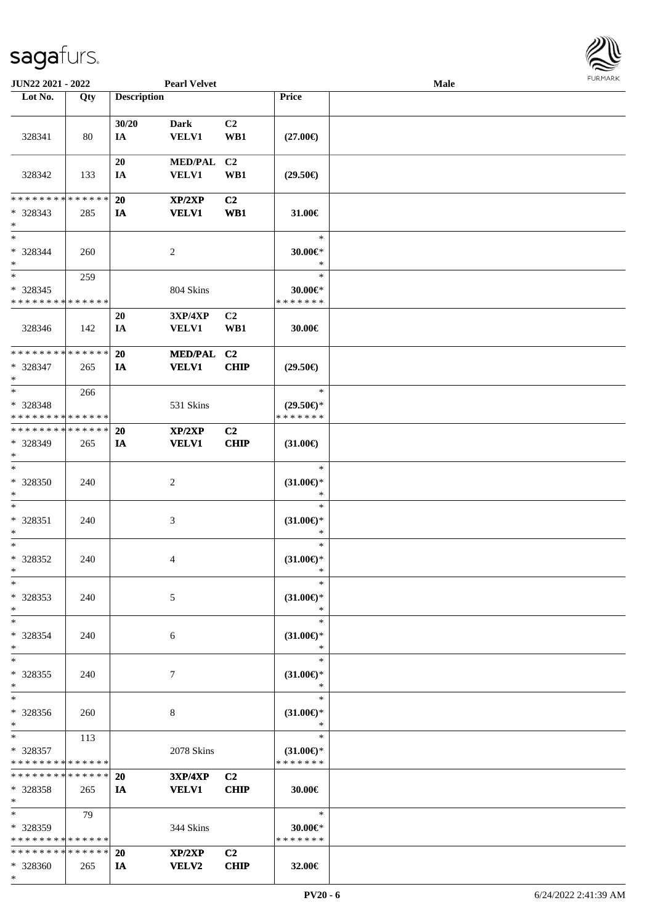**JUN22 2021 - 2022 Pearl Velvet** 

**Lot No. Qty Description Price**

|              | Male | <b>FURMARK</b> |
|--------------|------|----------------|
|              |      |                |
|              |      |                |
| )            |      |                |
| j            |      |                |
| $\ast$<br>¥  |      |                |
| *<br>*       |      |                |
| ¥            |      |                |
| *<br>j       |      |                |
| )            |      |                |
| $\ast$<br>۴ŕ |      |                |
| $\ast$       |      |                |
| )            |      |                |
| $\ast$       |      |                |
| r<br>$\ast$  |      |                |
| $\ast$       |      |                |
| r<br>*       |      |                |
| $\ast$<br>k. |      |                |
|              |      |                |

|                                                                             |     | 30/20           | <b>Dark</b>             | C <sub>2</sub>                |                               |  |
|-----------------------------------------------------------------------------|-----|-----------------|-------------------------|-------------------------------|-------------------------------|--|
| 328341                                                                      | 80  | IA              | <b>VELV1</b>            | WB1                           | $(27.00\epsilon)$             |  |
|                                                                             |     | 20              | MED/PAL C2              |                               |                               |  |
| 328342                                                                      | 133 | IA              | <b>VELV1</b>            | WB1                           | $(29.50\epsilon)$             |  |
|                                                                             |     |                 |                         |                               |                               |  |
| * * * * * * * * * * * * * *                                                 |     | 20              | XP/2XP                  | C <sub>2</sub>                |                               |  |
| $* 328343$                                                                  | 285 | IA              | <b>VELV1</b>            | WB1                           | 31.00€                        |  |
| $*$<br>$*$                                                                  |     |                 |                         |                               | $\ast$                        |  |
| * 328344                                                                    | 260 |                 | 2                       |                               | 30.00€*                       |  |
| $*$                                                                         |     |                 |                         |                               | $\ast$                        |  |
| $\ast$                                                                      | 259 |                 |                         |                               | $\ast$                        |  |
| $* 328345$<br>* * * * * * * * * * * * * *                                   |     |                 | 804 Skins               |                               | 30.00€*<br>* * * * * * *      |  |
|                                                                             |     | 20              | 3XP/4XP                 | C <sub>2</sub>                |                               |  |
| 328346                                                                      | 142 | IA              | <b>VELV1</b>            | WB1                           | 30.00€                        |  |
|                                                                             |     |                 |                         |                               |                               |  |
| * * * * * * * * * * * * * *                                                 |     | 20              | MED/PAL C2              |                               |                               |  |
| $* 328347$<br>$\ast$                                                        | 265 | IA              | <b>VELV1</b>            | <b>CHIP</b>                   | $(29.50\epsilon)$             |  |
| $*$                                                                         | 266 |                 |                         |                               | $\ast$                        |  |
| * 328348                                                                    |     |                 | 531 Skins               |                               | $(29.50\epsilon)$ *           |  |
| * * * * * * * * * * * * * *                                                 |     |                 |                         |                               | * * * * * * *                 |  |
| **************                                                              |     | 20              | XP/2XP                  | C <sub>2</sub>                |                               |  |
| * 328349<br>$\ast$                                                          | 265 | IA              | <b>VELV1</b>            | <b>CHIP</b>                   | $(31.00\epsilon)$             |  |
| $\ast$                                                                      |     |                 |                         |                               | $\ast$                        |  |
| $*328350$                                                                   | 240 |                 | $\overline{c}$          |                               | $(31.00\epsilon)$ *           |  |
| $\ast$                                                                      |     |                 |                         |                               | $\ast$                        |  |
| $\ast$<br>* 328351                                                          | 240 |                 | 3                       |                               | $\ast$<br>$(31.00\epsilon)$ * |  |
| $\ast$                                                                      |     |                 |                         |                               | $\ast$                        |  |
| $\ast$                                                                      |     |                 |                         |                               | $\ast$                        |  |
| * 328352                                                                    | 240 |                 | 4                       |                               | $(31.00\epsilon)$ *           |  |
| $\ast$<br>$\ast$                                                            |     |                 |                         |                               | $\ast$<br>$\ast$              |  |
| * 328353                                                                    | 240 |                 | 5                       |                               | $(31.00\epsilon)$ *           |  |
| $*$                                                                         |     |                 |                         |                               |                               |  |
| $\ast$                                                                      |     |                 |                         |                               | $\ast$                        |  |
| * 328354                                                                    | 240 |                 | 6                       |                               | $(31.00\epsilon)$ *<br>$\ast$ |  |
| $\ast$<br>$_{\ast}$                                                         |     |                 |                         |                               | $\ast$                        |  |
| * 328355                                                                    | 240 |                 | $\tau$                  |                               | $(31.00\epsilon)$ *           |  |
| $\ast$                                                                      |     |                 |                         |                               | $\ast$                        |  |
| $\ast$                                                                      |     |                 |                         |                               | $\ast$                        |  |
| $*328356$<br>$\ast$                                                         | 260 |                 | 8                       |                               | $(31.00\epsilon)$ *<br>$\ast$ |  |
| $\ast$                                                                      | 113 |                 |                         |                               | $\ast$                        |  |
| * 328357                                                                    |     |                 | 2078 Skins              |                               | $(31.00\epsilon)$ *           |  |
| * * * * * * * * * * * * * *                                                 |     |                 |                         |                               | * * * * * * *                 |  |
| * * * * * * * * * * * * * *<br>$*328358$                                    | 265 | 20<br><b>IA</b> | 3XP/4XP<br><b>VELV1</b> | C <sub>2</sub><br><b>CHIP</b> | 30.00€                        |  |
| $\ast$                                                                      |     |                 |                         |                               |                               |  |
| $\ast$                                                                      | 79  |                 |                         |                               | $\ast$                        |  |
| * 328359                                                                    |     |                 | 344 Skins               |                               | 30.00€*                       |  |
| * * * * * * * * <mark>* * * * * * *</mark><br>* * * * * * * * * * * * * * * |     |                 |                         |                               | * * * * * * *                 |  |
| * 328360                                                                    | 265 | 20<br>IA        | XP/2XP<br><b>VELV2</b>  | C <sub>2</sub><br><b>CHIP</b> | 32.00€                        |  |
| $\ast$                                                                      |     |                 |                         |                               |                               |  |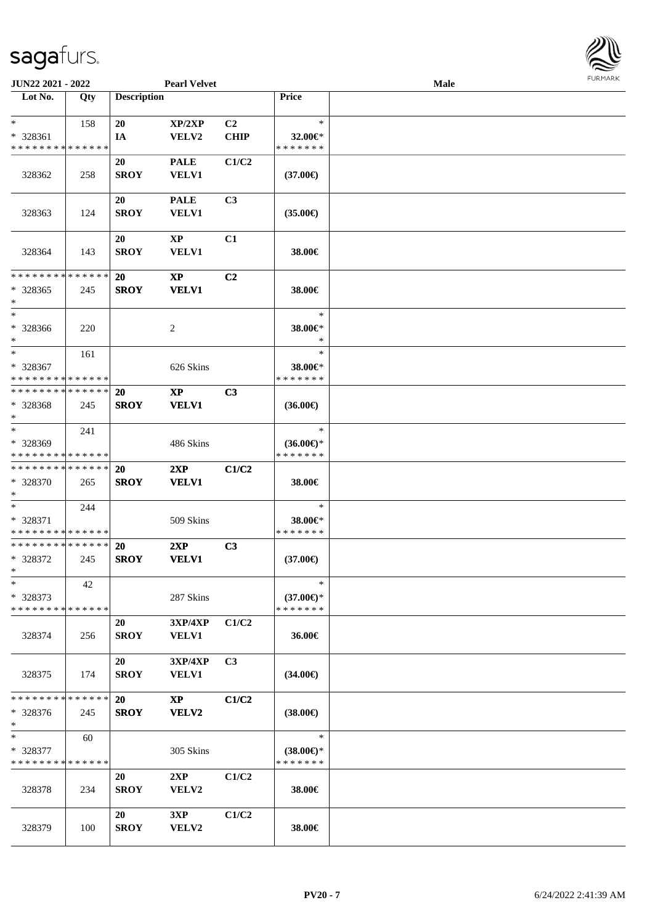| <b>JUN22 2021 - 2022</b>                               |             |                    | <b>Pearl Velvet</b>    |                |                                      | Male |  |
|--------------------------------------------------------|-------------|--------------------|------------------------|----------------|--------------------------------------|------|--|
| Lot No.                                                | Qty         | <b>Description</b> |                        |                | Price                                |      |  |
|                                                        |             |                    |                        |                |                                      |      |  |
| $\ast$                                                 | 158         | 20                 | XP/2XP                 | C <sub>2</sub> | $\ast$                               |      |  |
| * 328361<br>* * * * * * * * * * * * * *                |             | IA                 | VELV2                  | <b>CHIP</b>    | 32.00€*<br>* * * * * * *             |      |  |
|                                                        |             |                    |                        |                |                                      |      |  |
|                                                        |             | 20<br><b>SROY</b>  | <b>PALE</b>            | C1/C2          |                                      |      |  |
| 328362                                                 | 258         |                    | <b>VELV1</b>           |                | $(37.00\epsilon)$                    |      |  |
|                                                        |             | <b>20</b>          | <b>PALE</b>            | C3             |                                      |      |  |
| 328363                                                 | 124         | <b>SROY</b>        | <b>VELV1</b>           |                | $(35.00\epsilon)$                    |      |  |
|                                                        |             |                    |                        |                |                                      |      |  |
|                                                        |             | 20                 | $\mathbf{X}\mathbf{P}$ | C1             |                                      |      |  |
| 328364                                                 | 143         | <b>SROY</b>        | <b>VELV1</b>           |                | 38.00€                               |      |  |
|                                                        |             |                    |                        |                |                                      |      |  |
| * * * * * * * * * * * * * * *                          |             | 20                 | $\mathbf{X}\mathbf{P}$ | C <sub>2</sub> |                                      |      |  |
| * 328365                                               | 245         | <b>SROY</b>        | <b>VELV1</b>           |                | 38.00€                               |      |  |
| $\ast$                                                 |             |                    |                        |                |                                      |      |  |
| $\ast$                                                 |             |                    |                        |                | $\ast$                               |      |  |
| * 328366                                               | 220         |                    | 2                      |                | 38.00€*                              |      |  |
| $\ast$                                                 |             |                    |                        |                | $\ast$                               |      |  |
| $\ast$                                                 | 161         |                    |                        |                | $\ast$                               |      |  |
| * 328367<br>* * * * * * * * <mark>* * * * * * *</mark> |             |                    | 626 Skins              |                | 38.00€*<br>* * * * * * *             |      |  |
| * * * * * * * * * * * * * * *                          |             | 20                 | <b>XP</b>              | C <sub>3</sub> |                                      |      |  |
| * 328368                                               | 245         | <b>SROY</b>        | <b>VELV1</b>           |                | $(36.00\epsilon)$                    |      |  |
| $\ast$                                                 |             |                    |                        |                |                                      |      |  |
| $*$                                                    | 241         |                    |                        |                | $\ast$                               |      |  |
| * 328369                                               |             |                    | 486 Skins              |                | $(36.00\epsilon)$ *                  |      |  |
| * * * * * * * * <mark>* * * * * * *</mark>             |             |                    |                        |                | * * * * * * *                        |      |  |
| * * * * * * * * <mark>* * * * * * *</mark>             |             | <b>20</b>          | 2XP                    | C1/C2          |                                      |      |  |
| * 328370                                               | 265         | <b>SROY</b>        | <b>VELV1</b>           |                | 38.00€                               |      |  |
| $*$                                                    |             |                    |                        |                |                                      |      |  |
| $*$                                                    | 244         |                    |                        |                | $\ast$                               |      |  |
| * 328371                                               |             |                    | 509 Skins              |                | 38.00€*                              |      |  |
| * * * * * * * * * * * * * *                            |             |                    |                        |                | * * * * * * *                        |      |  |
| * * * * * * * * * * * * * * *                          |             | <b>20</b>          | 2XP                    | C3             |                                      |      |  |
| * 328372<br>$*$ $-$                                    | 245         | <b>SROY</b>        | <b>VELV1</b>           |                | $(37.00\epsilon)$                    |      |  |
| $\ast$                                                 | 42          |                    |                        |                | $\ast$                               |      |  |
| * 328373                                               |             |                    | 287 Skins              |                | $(37.00 \in )$ *                     |      |  |
| * * * * * * * * <mark>* * * * * *</mark>               |             |                    |                        |                | * * * * * * *                        |      |  |
|                                                        |             | 20                 | 3XP/4XP                | C1/C2          |                                      |      |  |
| 328374                                                 | 256         | <b>SROY</b>        | <b>VELV1</b>           |                | 36.00€                               |      |  |
|                                                        |             |                    |                        |                |                                      |      |  |
|                                                        |             | 20                 | <b>3XP/4XP</b>         | C3             |                                      |      |  |
| 328375                                                 | 174         | <b>SROY</b>        | <b>VELV1</b>           |                | $(34.00\epsilon)$                    |      |  |
|                                                        |             |                    |                        |                |                                      |      |  |
| * * * * * * * *                                        | * * * * * * | <b>20</b>          | $\mathbf{XP}$          | C1/C2          |                                      |      |  |
| * 328376                                               | 245         | <b>SROY</b>        | VELV2                  |                | $(38.00\epsilon)$                    |      |  |
| $\ast$                                                 |             |                    |                        |                |                                      |      |  |
| $\ast$                                                 | 60          |                    |                        |                | $\ast$                               |      |  |
| * 328377<br>* * * * * * * *                            | * * * * * * |                    | 305 Skins              |                | $(38.00\epsilon)$ *<br>* * * * * * * |      |  |
|                                                        |             | 20                 | 2XP                    | C1/C2          |                                      |      |  |
| 328378                                                 | 234         | <b>SROY</b>        | VELV2                  |                | 38.00€                               |      |  |
|                                                        |             |                    |                        |                |                                      |      |  |
|                                                        |             | 20                 | 3XP                    | C1/C2          |                                      |      |  |
| 328379                                                 | 100         | <b>SROY</b>        | VELV2                  |                | 38.00€                               |      |  |
|                                                        |             |                    |                        |                |                                      |      |  |

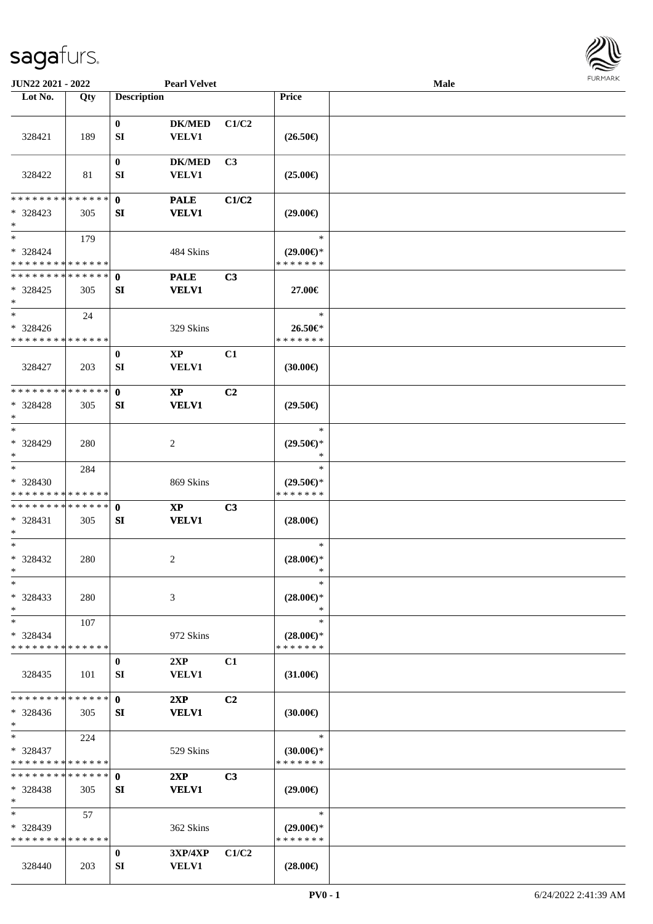

| JUN22 2021 - 2022           |             |                    | <b>Pearl Velvet</b>    |                |                     | <b>Male</b> |  |
|-----------------------------|-------------|--------------------|------------------------|----------------|---------------------|-------------|--|
| Lot No.                     | Qty         | <b>Description</b> |                        |                | Price               |             |  |
|                             |             |                    |                        |                |                     |             |  |
|                             |             | $\bf{0}$           | <b>DK/MED</b>          | C1/C2          |                     |             |  |
| 328421                      | 189         | SI                 | <b>VELV1</b>           |                | $(26.50\in)$        |             |  |
|                             |             |                    |                        |                |                     |             |  |
|                             |             | $\bf{0}$           | <b>DK/MED</b>          | C3             |                     |             |  |
| 328422                      | 81          | SI                 | <b>VELV1</b>           |                | $(25.00\epsilon)$   |             |  |
|                             |             |                    |                        |                |                     |             |  |
| * * * * * * * * * * * * * * |             | $\mathbf 0$        | <b>PALE</b>            | C1/C2          |                     |             |  |
| * 328423                    | 305         | SI                 | <b>VELV1</b>           |                | $(29.00\epsilon)$   |             |  |
| $\ast$                      |             |                    |                        |                |                     |             |  |
| $\ast$                      | 179         |                    |                        |                | $\ast$              |             |  |
| * 328424                    |             |                    | 484 Skins              |                | $(29.00\epsilon)$ * |             |  |
| * * * * * * * * * * * * * * |             |                    |                        |                | * * * * * * *       |             |  |
| * * * * * * * * * * * * * * |             | $\mathbf{0}$       | <b>PALE</b>            | C3             |                     |             |  |
| $* 328425$                  | 305         | SI                 | <b>VELV1</b>           |                | 27.00€              |             |  |
| $\ast$                      |             |                    |                        |                |                     |             |  |
| $\ast$                      | 24          |                    |                        |                | $\ast$              |             |  |
| * 328426                    |             |                    | 329 Skins              |                | 26.50€*             |             |  |
| * * * * * * * * * * * * * * |             |                    |                        |                | * * * * * * *       |             |  |
|                             |             |                    | $\mathbf{X}\mathbf{P}$ |                |                     |             |  |
|                             |             | $\bf{0}$           |                        | C1             |                     |             |  |
| 328427                      | 203         | SI                 | <b>VELV1</b>           |                | (30.00)             |             |  |
| * * * * * * * *             | * * * * * * |                    |                        |                |                     |             |  |
|                             |             | $\mathbf 0$        | $\mathbf{X}\mathbf{P}$ | C <sub>2</sub> |                     |             |  |
| $* 328428$                  | 305         | SI                 | <b>VELV1</b>           |                | $(29.50\epsilon)$   |             |  |
| $\ast$                      |             |                    |                        |                |                     |             |  |
| $\ast$                      |             |                    |                        |                | $\ast$              |             |  |
| * 328429                    | 280         |                    | $\overline{c}$         |                | $(29.50\epsilon)$ * |             |  |
| $\ast$                      |             |                    |                        |                | *                   |             |  |
| $\ast$                      | 284         |                    |                        |                | $\ast$              |             |  |
| * 328430                    |             |                    | 869 Skins              |                | $(29.50\epsilon)$ * |             |  |
| * * * * * * * * * * * * * * |             |                    |                        |                | * * * * * * *       |             |  |
| * * * * * * * * * * * * * * |             | $\mathbf 0$        | $\mathbf{X}\mathbf{P}$ | C3             |                     |             |  |
| * 328431                    | 305         | SI                 | <b>VELV1</b>           |                | $(28.00\epsilon)$   |             |  |
| $\ast$                      |             |                    |                        |                |                     |             |  |
| $\ast$                      |             |                    |                        |                | $\ast$              |             |  |
| * 328432                    | 280         |                    | 2                      |                | $(28.00\epsilon)$ * |             |  |
| $*$                         |             |                    |                        |                | $\ast$              |             |  |
| $\ast$                      |             |                    |                        |                | $\ast$              |             |  |
| $* 328433$                  | 280         |                    | 3                      |                | $(28.00\epsilon)$ * |             |  |
| $\ast$                      |             |                    |                        |                | ∗                   |             |  |
| $\ast$                      | 107         |                    |                        |                | $\ast$              |             |  |
| * 328434                    |             |                    | 972 Skins              |                | $(28.00\epsilon)$ * |             |  |
| * * * * * * * * * * * * * * |             |                    |                        |                | * * * * * * *       |             |  |
|                             |             | $\bf{0}$           | 2XP                    | C1             |                     |             |  |
| 328435                      | 101         | SI                 | <b>VELV1</b>           |                | $(31.00\epsilon)$   |             |  |
|                             |             |                    |                        |                |                     |             |  |
| * * * * * * * * * * * * * * |             | $\mathbf{0}$       | 2XP                    | C <sub>2</sub> |                     |             |  |
| $* 328436$                  | 305         | SI                 | <b>VELV1</b>           |                | $(30.00\epsilon)$   |             |  |
| $\ast$                      |             |                    |                        |                |                     |             |  |
| $\ast$                      | 224         |                    |                        |                | $\ast$              |             |  |
| * 328437                    |             |                    | 529 Skins              |                | $(30.00\epsilon)$ * |             |  |
| * * * * * * * * * * * * * * |             |                    |                        |                | * * * * * * *       |             |  |
| * * * * * * * * * * * * * * |             | $\mathbf{0}$       | 2XP                    | C <sub>3</sub> |                     |             |  |
| $* 328438$                  | 305         | <b>SI</b>          | <b>VELV1</b>           |                | $(29.00\epsilon)$   |             |  |
| $\ast$                      |             |                    |                        |                |                     |             |  |
| $\ast$                      | 57          |                    |                        |                | $\ast$              |             |  |
| $*328439$                   |             |                    | 362 Skins              |                | $(29.00\epsilon)$ * |             |  |
| * * * * * * * * * * * * * * |             |                    |                        |                | * * * * * * *       |             |  |
|                             |             | $\bf{0}$           | 3XP/4XP                | C1/C2          |                     |             |  |
|                             |             |                    |                        |                |                     |             |  |
| 328440                      | 203         | SI                 | <b>VELV1</b>           |                | $(28.00\epsilon)$   |             |  |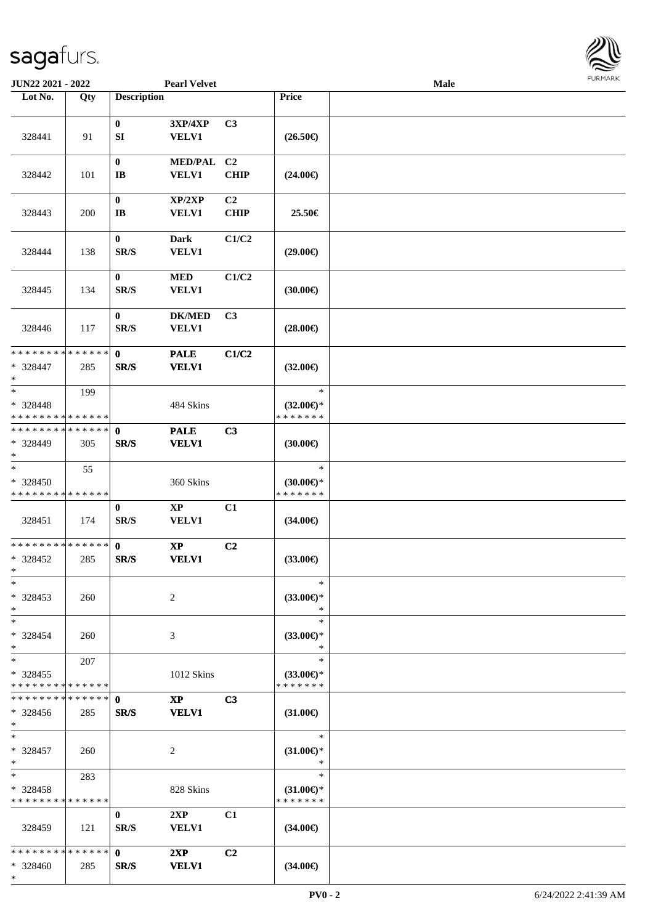\*

| <b>JUN22 2021 - 2022</b>                                      |     |                                      | <b>Pearl Velvet</b>           |                               |                                                | Male | <b>LOKINKY</b> |
|---------------------------------------------------------------|-----|--------------------------------------|-------------------------------|-------------------------------|------------------------------------------------|------|----------------|
| Lot No.                                                       | Qty | <b>Description</b>                   |                               |                               | Price                                          |      |                |
| 328441                                                        | 91  | $\bf{0}$<br>SI                       | 3XP/4XP<br><b>VELV1</b>       | C3                            | $(26.50\epsilon)$                              |      |                |
| 328442                                                        | 101 | $\bf{0}$<br>$\mathbf{I}\mathbf{B}$   | MED/PAL C2<br><b>VELV1</b>    | <b>CHIP</b>                   | $(24.00\epsilon)$                              |      |                |
| 328443                                                        | 200 | $\bf{0}$<br>$\mathbf{I}$ <b>B</b>    | XP/2XP<br><b>VELV1</b>        | C <sub>2</sub><br><b>CHIP</b> | 25.50€                                         |      |                |
| 328444                                                        | 138 | $\pmb{0}$<br>SR/S                    | Dark<br><b>VELV1</b>          | C1/C2                         | $(29.00\epsilon)$                              |      |                |
| 328445                                                        | 134 | $\bf{0}$<br>SR/S                     | <b>MED</b><br><b>VELV1</b>    | C1/C2                         | (30.00)                                        |      |                |
| 328446                                                        | 117 | $\bf{0}$<br>SR/S                     | <b>DK/MED</b><br><b>VELV1</b> | C <sub>3</sub>                | $(28.00\epsilon)$                              |      |                |
| * * * * * * * * * * * * * * *<br>* 328447<br>$\ast$           | 285 | $\mathbf 0$<br>SR/S                  | <b>PALE</b><br><b>VELV1</b>   | C1/C2                         | $(32.00\epsilon)$                              |      |                |
| $*$<br>* 328448<br>* * * * * * * * <mark>* * * * * * *</mark> | 199 |                                      | 484 Skins                     |                               | $\ast$<br>$(32.00\epsilon)$ *<br>* * * * * * * |      |                |
| * * * * * * * * * * * * * * *<br>* 328449<br>$*$              | 305 | $\mathbf 0$<br>SR/S                  | <b>PALE</b><br><b>VELV1</b>   | C3                            | (30.00)                                        |      |                |
| $\ast$<br>* 328450<br>* * * * * * * * * * * * * *             | 55  |                                      | 360 Skins                     |                               | $\ast$<br>$(30.00\epsilon)$ *<br>* * * * * * * |      |                |
| 328451                                                        | 174 | $\bf{0}$<br>$\mathbf{SR}/\mathbf{S}$ | <b>XP</b><br><b>VELV1</b>     | C1                            | $(34.00\epsilon)$                              |      |                |
| * * * * * * * * * * * * * *<br>* 328452<br>$*$ $-$            | 285 | $\mathbf{0}$<br>SR/S                 | $\bold{XP}$<br><b>VELV1</b>   | C <sub>2</sub>                | $(33.00\in)$                                   |      |                |
| $\ast$<br>$* 328453$<br>$\ast$                                | 260 |                                      | 2                             |                               | $\ast$<br>$(33.00\epsilon)$ *<br>$\ast$        |      |                |
| $*$<br>* 328454<br>$*$                                        | 260 |                                      | 3                             |                               | $\ast$<br>$(33.00€)$ *<br>$\ast$               |      |                |
| $*$<br>* 328455<br>* * * * * * * * <mark>* * * * * *</mark> * | 207 |                                      | 1012 Skins                    |                               | $\ast$<br>$(33.00€)$ *<br>* * * * * * *        |      |                |
| * * * * * * * * * * * * * * *<br>$* 328456$<br>$\ast$         | 285 | $\mathbf{0}$<br>SR/S                 | $\mathbf{XP}$<br><b>VELV1</b> | C3                            | $(31.00\epsilon)$                              |      |                |
| $*$<br>* 328457<br>$*$                                        | 260 |                                      | 2                             |                               | $\ast$<br>$(31.00\epsilon)$ *<br>$\ast$        |      |                |
| $*$ $-$<br>* 328458<br>* * * * * * * * * * * * * * *          | 283 |                                      | 828 Skins                     |                               | $\ast$<br>$(31.00\epsilon)$ *<br>* * * * * * * |      |                |
| 328459                                                        | 121 | $\bf{0}$<br>SR/S                     | 2XP<br><b>VELV1</b>           | C1                            | $(34.00\epsilon)$                              |      |                |
| * * * * * * * * <mark>* * * * * *</mark> *<br>* 328460        | 285 | $\mathbf{0}$<br>SR/S                 | 2XP<br><b>VELV1</b>           | C <sub>2</sub>                | $(34.00\epsilon)$                              |      |                |

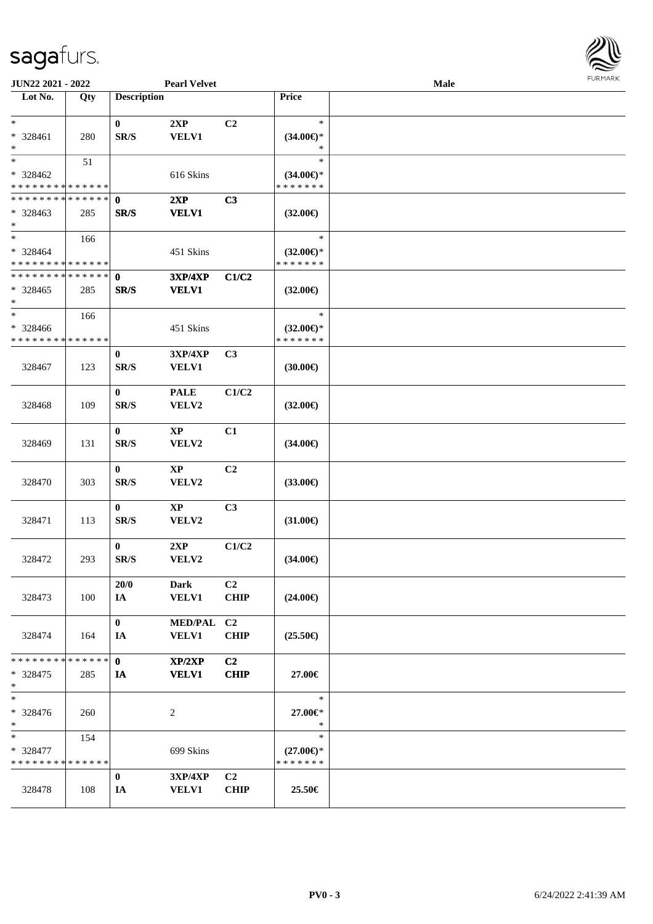

| <b>JUN22 2021 - 2022</b>                                      |               |                                          | <b>Pearl Velvet</b>             |                               |                                                | Male |  |
|---------------------------------------------------------------|---------------|------------------------------------------|---------------------------------|-------------------------------|------------------------------------------------|------|--|
| Lot No.                                                       | Qty           | <b>Description</b>                       |                                 |                               | Price                                          |      |  |
| $\ast$<br>* 328461<br>$\ast$                                  | 280           | $\bf{0}$<br>SR/S                         | 2XP<br><b>VELV1</b>             | C2                            | $\ast$<br>$(34.00\epsilon)$ *<br>∗             |      |  |
| $*$<br>* 328462<br>* * * * * * * * * * * * * *                | 51            |                                          | 616 Skins                       |                               | $\ast$<br>$(34.00\epsilon)$ *<br>* * * * * * * |      |  |
| * * * * * * * * <mark>* * * * * *</mark><br>$* 328463$<br>$*$ | 285           | $\mathbf{0}$<br>SR/S                     | 2XP<br><b>VELV1</b>             | C3                            | $(32.00\epsilon)$                              |      |  |
| $\ast$<br>* 328464<br>* * * * * * * * * * * * * *             | 166           |                                          | 451 Skins                       |                               | $\ast$<br>$(32.00\epsilon)$ *<br>* * * * * * * |      |  |
| * * * * * * * * * * * * * *<br>* 328465<br>$\ast$             | 285           | $\mathbf{0}$<br>SR/S                     | <b>3XP/4XP</b><br><b>VELV1</b>  | C1/C2                         | $(32.00\epsilon)$                              |      |  |
| $*$<br>* 328466<br>* * * * * * * * * * * * * *                | 166           |                                          | 451 Skins                       |                               | $\ast$<br>$(32.00\epsilon)$ *<br>* * * * * * * |      |  |
| 328467                                                        | 123           | $\bf{0}$<br>$\mathbf{SR}/\mathbf{S}$     | 3XP/4XP<br>VELV1                | C <sub>3</sub>                | (30.00)                                        |      |  |
| 328468                                                        | 109           | $\bf{0}$<br>SR/S                         | <b>PALE</b><br>VELV2            | C1/C2                         | $(32.00\epsilon)$                              |      |  |
| 328469                                                        | 131           | $\bf{0}$<br>SR/S                         | XP<br>VELV2                     | C1                            | $(34.00\epsilon)$                              |      |  |
| 328470                                                        | 303           | $\mathbf{0}$<br>$\mathbf{SR}/\mathbf{S}$ | $\mathbf{X}\mathbf{P}$<br>VELV2 | C2                            | $(33.00\epsilon)$                              |      |  |
| 328471                                                        | 113           | $\bf{0}$<br>SR/S                         | $\bold{XP}$<br>VELV2            | C3                            | $(31.00\epsilon)$                              |      |  |
| 328472                                                        | 293           | $\bf{0}$<br>SR/S                         | 2XP<br>VELV2                    | C1/C2                         | $(34.00\epsilon)$                              |      |  |
| 328473                                                        | 100           | 20/0<br>IA                               | <b>Dark</b><br><b>VELV1</b>     | C <sub>2</sub><br><b>CHIP</b> | $(24.00\epsilon)$                              |      |  |
| 328474                                                        | 164           | $\bf{0}$<br>IA                           | MED/PAL C2<br>VELV1             | <b>CHIP</b>                   | $(25.50\epsilon)$                              |      |  |
| * * * * * * * *<br>$* 328475$<br>$*$                          | ******<br>285 | $\mathbf{0}$<br>IA                       | XP/2XP<br><b>VELV1</b>          | C <sub>2</sub><br><b>CHIP</b> | 27.00€                                         |      |  |
| $\ast$<br>* 328476<br>$*$                                     | 260           |                                          | $\overline{c}$                  |                               | $\ast$<br>27.00€*<br>$\ast$                    |      |  |
| $*$<br>* 328477<br>* * * * * * * * * * * * * *                | 154           |                                          | 699 Skins                       |                               | $\ast$<br>$(27.00\epsilon)$ *<br>* * * * * * * |      |  |
| 328478                                                        | 108           | $\bf{0}$<br>IA                           | <b>3XP/4XP</b><br><b>VELV1</b>  | C <sub>2</sub><br><b>CHIP</b> | 25.50€                                         |      |  |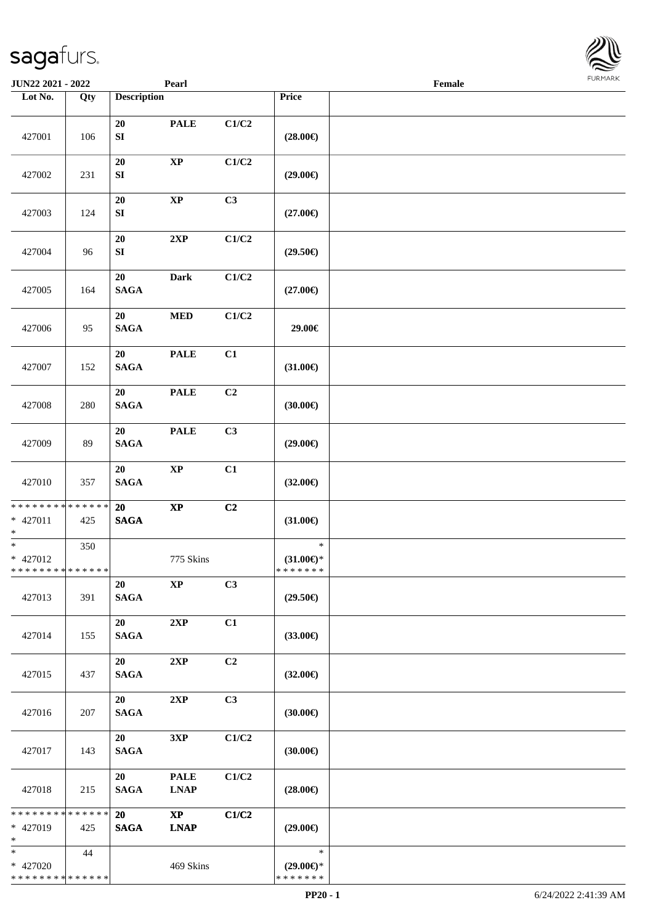427001 106

**JUN22 2021 - 2022 Pearl**<br> **Family Lot No. Pearl Pearl** 

**Loty Description Price** 

**SI** (28.00€)

**20 PALE C1/C2**

| $\ensuremath{\textnormal{\textbf{Female}}}$ | <b>FURMARK</b> |  |
|---------------------------------------------|----------------|--|
|                                             |                |  |
|                                             |                |  |
|                                             |                |  |
|                                             |                |  |
|                                             |                |  |
|                                             |                |  |
|                                             |                |  |
|                                             |                |  |
|                                             |                |  |
|                                             |                |  |
|                                             |                |  |
|                                             |                |  |
|                                             |                |  |
|                                             |                |  |

| 427002                                                             | 231 | 20<br>${\bf SI}$         | $\mathbf{X}\mathbf{P}$                | C1/C2          | $(29.00\epsilon)$                              |                      |
|--------------------------------------------------------------------|-----|--------------------------|---------------------------------------|----------------|------------------------------------------------|----------------------|
| 427003                                                             | 124 | $20\,$<br>${\bf SI}$     | $\bold{XP}$                           | C3             | $(27.00\epsilon)$                              |                      |
| 427004                                                             | 96  | 20<br>SI                 | 2XP                                   | C1/C2          | $(29.50\epsilon)$                              |                      |
| 427005                                                             | 164 | 20<br><b>SAGA</b>        | <b>Dark</b>                           | C1/C2          | $(27.00\epsilon)$                              |                      |
| 427006                                                             | 95  | 20<br><b>SAGA</b>        | $\bf MED$                             | C1/C2          | 29.00€                                         |                      |
| 427007                                                             | 152 | 20<br><b>SAGA</b>        | <b>PALE</b>                           | C1             | $(31.00\epsilon)$                              |                      |
| 427008                                                             | 280 | 20<br><b>SAGA</b>        | <b>PALE</b>                           | C2             | $(30.00\epsilon)$                              |                      |
| 427009                                                             | 89  | 20<br><b>SAGA</b>        | <b>PALE</b>                           | C3             | $(29.00\epsilon)$                              |                      |
| 427010                                                             | 357 | 20<br>$\mathbf{SAGA}$    | $\bold{XP}$                           | C1             | $(32.00\epsilon)$                              |                      |
| * * * * * * * * <mark>* * * * * * *</mark><br>$* 427011$<br>$\ast$ | 425 | 20<br><b>SAGA</b>        | $\bold{XP}$                           | C2             | $(31.00\epsilon)$                              |                      |
| $\ast$<br>* 427012<br>* * * * * * * * <mark>* * * * * * *</mark>   | 350 |                          | 775 Skins                             |                | $\ast$<br>$(31.00\epsilon)$ *<br>* * * * * * * |                      |
| 427013                                                             | 391 | 20<br>$\mathbf{SAGA}$    | <b>XP</b>                             | C3             | $(29.50\epsilon)$                              |                      |
| 427014                                                             | 155 | 20<br><b>SAGA</b>        | 2XP                                   | C1             | $(33.00\epsilon)$                              |                      |
| 427015                                                             | 437 | 20<br>$\mathbf{SAGA}$    | 2XP                                   | C2             | $(32.00\epsilon)$                              |                      |
| 427016                                                             | 207 | 20<br><b>SAGA</b>        | 2XP                                   | C <sub>3</sub> | $(30.00\epsilon)$                              |                      |
| 427017                                                             | 143 | 20<br><b>SAGA</b>        | 3XP                                   | C1/C2          | $(30.00\epsilon)$                              |                      |
| 427018                                                             | 215 | 20<br><b>SAGA</b>        | <b>PALE</b><br><b>LNAP</b>            | $\rm C1/C2$    | $(28.00\epsilon)$                              |                      |
| * * * * * * * * * * * * * * *<br>* 427019<br>$\ast$                | 425 | <b>20</b><br><b>SAGA</b> | $\mathbf{X}\mathbf{P}$<br><b>LNAP</b> | C1/C2          | $(29.00\epsilon)$                              |                      |
| $\ast$<br>* 427020<br>* * * * * * * * <mark>* * * * * * *</mark>   | 44  |                          | 469 Skins                             |                | $\ast$<br>$(29.00\epsilon)$ *<br>* * * * * * * |                      |
|                                                                    |     |                          |                                       |                | $PP20 - 1$                                     | 6/24/2022 2:41:39 AM |

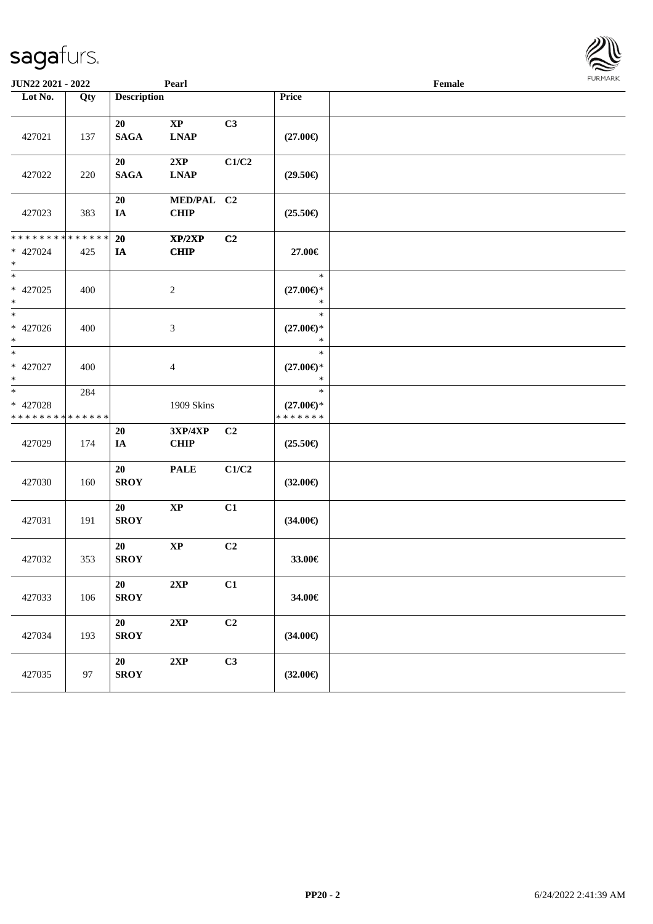| <b>JUN22 2021 - 2022</b>                                                    |     |                    | Pearl                        |                |                                                | Female | $1.9151$ <i>W</i> $11.915$ |
|-----------------------------------------------------------------------------|-----|--------------------|------------------------------|----------------|------------------------------------------------|--------|----------------------------|
| Lot No.                                                                     | Qty | <b>Description</b> |                              |                | Price                                          |        |                            |
| 427021                                                                      | 137 | 20<br><b>SAGA</b>  | $\mathbf{XP}$<br><b>LNAP</b> | C3             | $(27.00\epsilon)$                              |        |                            |
| 427022                                                                      | 220 | 20<br><b>SAGA</b>  | 2XP<br><b>LNAP</b>           | C1/C2          | $(29.50\epsilon)$                              |        |                            |
| 427023                                                                      | 383 | 20<br>IA           | MED/PAL C2<br><b>CHIP</b>    |                | $(25.50\epsilon)$                              |        |                            |
| * * * * * * * * * * * * * *<br>* 427024<br>$\ast$                           | 425 | 20<br>IA           | XP/2XP<br><b>CHIP</b>        | C2             | 27.00€                                         |        |                            |
| $\ast$<br>* 427025<br>$\ast$                                                | 400 |                    | $\overline{2}$               |                | $\ast$<br>$(27.00\epsilon)$ *<br>$\ast$        |        |                            |
| $\ast$<br>* 427026<br>$\ast$                                                | 400 |                    | $\mathfrak{Z}$               |                | $\ast$<br>$(27.00\epsilon)$ *<br>$\ast$        |        |                            |
| $\overline{\ast}$<br>* 427027<br>$\ast$                                     | 400 |                    | $\overline{4}$               |                | $\ast$<br>$(27.00\epsilon)$ *<br>$\ast$        |        |                            |
| $\overline{\ast}$<br>* 427028<br>* * * * * * * * <mark>* * * * * * *</mark> | 284 |                    | 1909 Skins                   |                | $\ast$<br>$(27.00\epsilon)$ *<br>* * * * * * * |        |                            |
| 427029                                                                      | 174 | 20<br>IA           | 3XP/4XP<br><b>CHIP</b>       | C2             | $(25.50\epsilon)$                              |        |                            |
| 427030                                                                      | 160 | 20<br><b>SROY</b>  | <b>PALE</b>                  | C1/C2          | $(32.00\epsilon)$                              |        |                            |
| 427031                                                                      | 191 | 20<br><b>SROY</b>  | $\bold{XP}$                  | C1             | $(34.00\epsilon)$                              |        |                            |
| 427032                                                                      | 353 | 20<br><b>SROY</b>  | $\bold{XP}$                  | C2             | 33.00€                                         |        |                            |
| 427033                                                                      | 106 | 20<br><b>SROY</b>  | 2XP                          | C1             | 34.00€                                         |        |                            |
| 427034                                                                      | 193 | 20<br>${\bf SROY}$ | 2XP                          | C <sub>2</sub> | $(34.00\epsilon)$                              |        |                            |
| 427035                                                                      | 97  | 20<br><b>SROY</b>  | $2{\bf XP}$                  | C <sub>3</sub> | $(32.00\epsilon)$                              |        |                            |

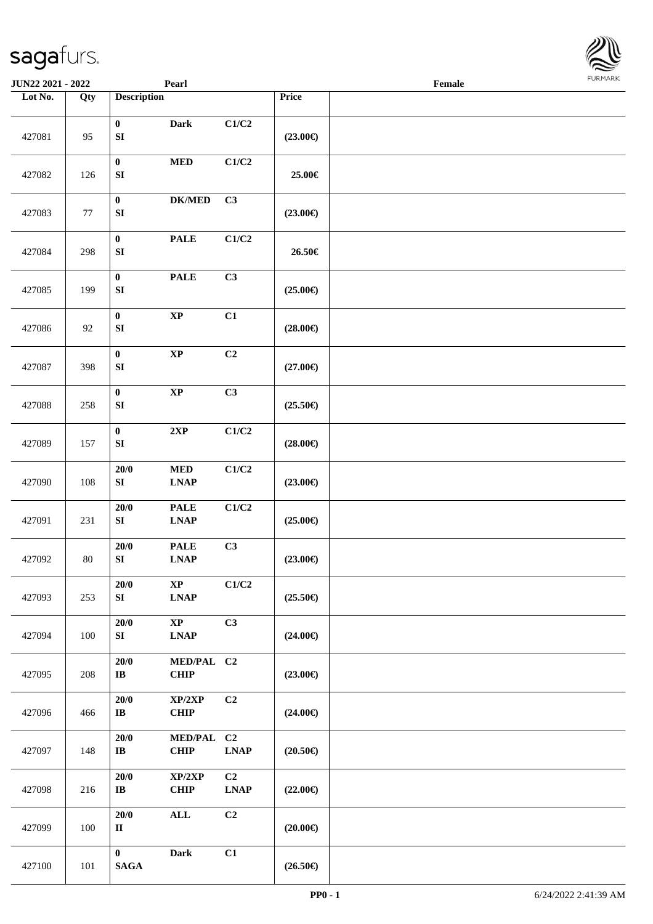**Lot No. Qty Description** 

| 427081 | 95  | $\pmb{0}$<br>${\bf SI}$        | <b>Dark</b>                           | C1/C2                                     | $(23.00\epsilon)$ |  |
|--------|-----|--------------------------------|---------------------------------------|-------------------------------------------|-------------------|--|
| 427082 | 126 | $\pmb{0}$<br>${\bf S}{\bf I}$  | $\bf MED$                             | C1/C2                                     | 25.00€            |  |
| 427083 | 77  | $\bf{0}$<br>${\bf S}{\bf I}$   | $DK/MED$                              | C3                                        | $(23.00\epsilon)$ |  |
| 427084 | 298 | $\pmb{0}$<br>${\bf SI}$        | <b>PALE</b>                           | C1/C2                                     | 26.50€            |  |
| 427085 | 199 | $\pmb{0}$<br>${\bf SI}$        | <b>PALE</b>                           | C3                                        | $(25.00\epsilon)$ |  |
| 427086 | 92  | $\pmb{0}$<br>${\bf SI}$        | $\bold{XP}$                           | C1                                        | $(28.00\epsilon)$ |  |
| 427087 | 398 | $\pmb{0}$<br>${\bf SI}$        | $\bold{XP}$                           | C2                                        | $(27.00\epsilon)$ |  |
| 427088 | 258 | $\pmb{0}$<br>SI                | $\bold{XP}$                           | C3                                        | $(25.50\epsilon)$ |  |
| 427089 | 157 | $\bf{0}$<br>${\bf SI}$         | 2XP                                   | C1/C2                                     | $(28.00\in)$      |  |
| 427090 | 108 | $20/0$<br>${\bf SI}$           | $\bf MED$<br><b>LNAP</b>              | C1/C2                                     | $(23.00\epsilon)$ |  |
| 427091 | 231 | $20/0$<br>${\bf SI}$           | <b>PALE</b><br><b>LNAP</b>            | C1/C2                                     | $(25.00\epsilon)$ |  |
| 427092 | 80  | $20/0$<br>${\bf S}{\bf I}$     | <b>PALE</b><br><b>LNAP</b>            | C3                                        | $(23.00\epsilon)$ |  |
| 427093 | 253 | 20/0<br>SI                     | $\bold{XP}$<br><b>LNAP</b>            | C1/C2                                     | $(25.50\in)$      |  |
| 427094 | 100 | 20/0<br>SI                     | $\mathbf{X}\mathbf{P}$<br><b>LNAP</b> | C3                                        | $(24.00\epsilon)$ |  |
| 427095 | 208 | 20/0<br>$\mathbf{I}\mathbf{B}$ | MED/PAL C2<br>CHIP                    |                                           | $(23.00\epsilon)$ |  |
| 427096 | 466 | 20/0<br>$\bf IB$               | XP/2XP<br><b>CHIP</b>                 | C2                                        | $(24.00\epsilon)$ |  |
| 427097 | 148 | 20/0<br>$\bf IB$               | MED/PAL C2<br><b>CHIP</b>             | $\ensuremath{\text{L}N\!AP}\xspace$       | $(20.50\epsilon)$ |  |
| 427098 | 216 | 20/0<br>$\mathbf{I}\mathbf{B}$ | XP/2XP<br>CHIP                        | C2<br>$\ensuremath{\text{L}N\!AP}\xspace$ | $(22.00\epsilon)$ |  |
| 427099 | 100 | 20/0<br>$\mathbf{I}\mathbf{I}$ | $\mathbf{ALL}$                        | C <sub>2</sub>                            | $(20.00\epsilon)$ |  |
| 427100 | 101 | $\bf{0}$<br>$\mathbf{SAGA}$    | <b>Dark</b>                           | C1                                        | $(26.50\in)$      |  |

 $\overline{\phantom{a}}$ 

**JUN22 2021 - 2022 Pearl Female**<br> **Pearl Female**<br> **Price** 

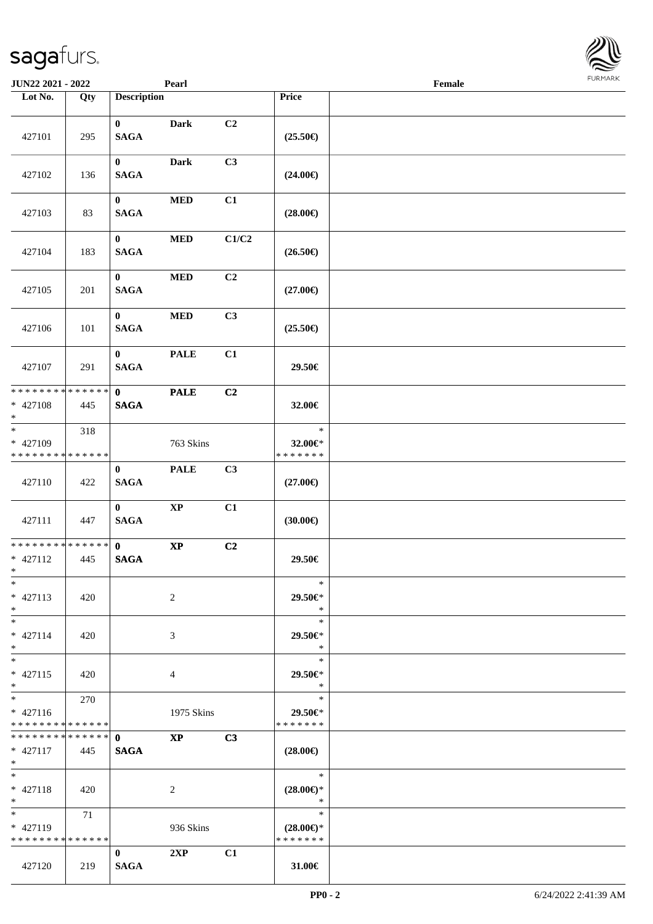| <b>JUN22 2021 - 2022</b>                                                          |                    |                             | Pearl                  |       |                                                | Female |  |
|-----------------------------------------------------------------------------------|--------------------|-----------------------------|------------------------|-------|------------------------------------------------|--------|--|
| Lot No.                                                                           | Qty                | <b>Description</b>          |                        |       | Price                                          |        |  |
| 427101                                                                            | 295                | $\mathbf{0}$<br><b>SAGA</b> | <b>Dark</b>            | C2    | $(25.50\epsilon)$                              |        |  |
| 427102                                                                            | 136                | $\bf{0}$<br><b>SAGA</b>     | <b>Dark</b>            | C3    | $(24.00\epsilon)$                              |        |  |
| 427103                                                                            | 83                 | $\bf{0}$<br><b>SAGA</b>     | $\bf MED$              | C1    | $(28.00\epsilon)$                              |        |  |
| 427104                                                                            | 183                | $\mathbf{0}$<br><b>SAGA</b> | $\bf MED$              | C1/C2 | $(26.50\in)$                                   |        |  |
| 427105                                                                            | 201                | $\mathbf{0}$<br><b>SAGA</b> | $\bf MED$              | C2    | $(27.00\epsilon)$                              |        |  |
| 427106                                                                            | 101                | $\mathbf{0}$<br><b>SAGA</b> | $\bf MED$              | C3    | $(25.50\epsilon)$                              |        |  |
| 427107                                                                            | 291                | $\mathbf{0}$<br><b>SAGA</b> | <b>PALE</b>            | C1    | 29.50€                                         |        |  |
| * * * * * * * *<br>* 427108<br>$\ast$                                             | * * * * * *<br>445 | $\mathbf{0}$<br><b>SAGA</b> | <b>PALE</b>            | C2    | 32.00€                                         |        |  |
| $*$<br>* 427109<br>* * * * * * * *                                                | 318<br>* * * * * * |                             | 763 Skins              |       | $\ast$<br>32.00€*<br>* * * * * * *             |        |  |
| 427110                                                                            | 422                | $\mathbf{0}$<br><b>SAGA</b> | <b>PALE</b>            | C3    | $(27.00\epsilon)$                              |        |  |
| 427111                                                                            | 447                | $\mathbf{0}$<br><b>SAGA</b> | $\bold{XP}$            | C1    | (30.00)                                        |        |  |
| * * * * * * * * <mark>* * * * * * *</mark><br>$* 427112$<br>$*$ $-$               | 445                | $\mathbf{0}$<br><b>SAGA</b> | $\mathbf{X}\mathbf{P}$ | C2    | 29.50€                                         |        |  |
| $\ast$<br>$* 427113$<br>$*$                                                       | 420                |                             | 2                      |       | $\ast$<br>29.50€*<br>$\ast$                    |        |  |
| $*$ $-$<br>$* 427114$<br>$\ddot{x}$                                               | 420                |                             | 3                      |       | $\ast$<br>29.50€*<br>$*$                       |        |  |
| $*$<br>$* 427115$<br>$\ast$                                                       | 420                |                             | 4                      |       | $\ast$<br>29.50€*<br>$\ast$                    |        |  |
| $\overline{\mathbf{r}}$<br>$* 427116$<br>* * * * * * * * <mark>* * * * * *</mark> | 270                |                             | 1975 Skins             |       | $\ast$<br>29.50€*<br>* * * * * * *             |        |  |
| $* 427117$<br>$*$                                                                 | 445                | <b>SAGA</b>                 | $\mathbf{X}\mathbf{P}$ | C3    | $(28.00\epsilon)$                              |        |  |
| $*$ $-$<br>* 427118<br>$*$                                                        | 420                |                             | 2                      |       | $*$<br>$(28.00\epsilon)$ *<br>$\ast$           |        |  |
| $*$ $-$<br>* 427119<br>* * * * * * * * * * * * * *                                | 71                 |                             | 936 Skins              |       | $\ast$<br>$(28.00\epsilon)$ *<br>* * * * * * * |        |  |
| 427120                                                                            | 219                | $\mathbf{0}$<br><b>SAGA</b> | 2XP                    | C1    | 31.00€                                         |        |  |

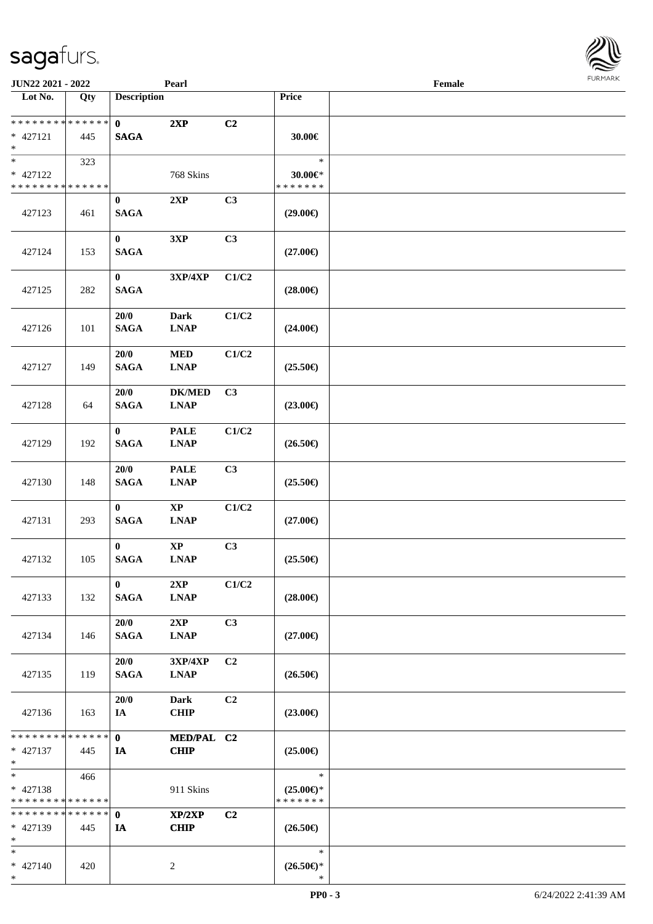\*

| JUN22 2021 - 2022                                                   |     |                             | Pearl                        |                |                                                | Female | <b>FURMARK</b> |
|---------------------------------------------------------------------|-----|-----------------------------|------------------------------|----------------|------------------------------------------------|--------|----------------|
| $\overline{\phantom{1}}$ Lot No.                                    | Qty | <b>Description</b>          |                              |                | Price                                          |        |                |
| * * * * * * * * <mark>* * * * * * *</mark><br>* 427121<br>$*$       | 445 | $\mathbf{0}$<br><b>SAGA</b> | 2XP                          | C <sub>2</sub> | 30.00€                                         |        |                |
| $\overline{\phantom{0}}$<br>* 427122<br>* * * * * * * * * * * * * * | 323 |                             | 768 Skins                    |                | $\ast$<br>$30.00 \in$ *<br>* * * * * * *       |        |                |
| 427123                                                              | 461 | $\bf{0}$<br>$\mathbf{SAGA}$ | 2XP                          | C3             | $(29.00\epsilon)$                              |        |                |
| 427124                                                              | 153 | $\bf{0}$<br><b>SAGA</b>     | 3XP                          | C3             | $(27.00\epsilon)$                              |        |                |
| 427125                                                              | 282 | $\bf{0}$<br><b>SAGA</b>     | 3XP/4XP                      | C1/C2          | $(28.00\epsilon)$                              |        |                |
| 427126                                                              | 101 | 20/0<br><b>SAGA</b>         | <b>Dark</b><br><b>LNAP</b>   | C1/C2          | $(24.00\epsilon)$                              |        |                |
| 427127                                                              | 149 | 20/0<br><b>SAGA</b>         | <b>MED</b><br><b>LNAP</b>    | C1/C2          | $(25.50\epsilon)$                              |        |                |
| 427128                                                              | 64  | 20/0<br><b>SAGA</b>         | <b>DK/MED</b><br><b>LNAP</b> | C <sub>3</sub> | $(23.00\epsilon)$                              |        |                |
| 427129                                                              | 192 | $\bf{0}$<br><b>SAGA</b>     | <b>PALE</b><br><b>LNAP</b>   | C1/C2          | $(26.50\in)$                                   |        |                |
| 427130                                                              | 148 | 20/0<br><b>SAGA</b>         | <b>PALE</b><br><b>LNAP</b>   | C3             | $(25.50\epsilon)$                              |        |                |
| 427131                                                              | 293 | $\bf{0}$<br><b>SAGA</b>     | $\bold{XP}$<br><b>LNAP</b>   | C1/C2          | $(27.00\epsilon)$                              |        |                |
| 427132                                                              | 105 | $\bf{0}$<br><b>SAGA</b>     | $\mathbf{XP}$<br><b>LNAP</b> | C <sub>3</sub> | $(25.50\epsilon)$                              |        |                |
| 427133                                                              | 132 | $\bf{0}$<br><b>SAGA</b>     | 2XP<br><b>LNAP</b>           | C1/C2          | $(28.00\epsilon)$                              |        |                |
| 427134                                                              | 146 | 20/0<br><b>SAGA</b>         | 2XP<br><b>LNAP</b>           | C <sub>3</sub> | $(27.00\epsilon)$                              |        |                |
| 427135                                                              | 119 | 20/0<br><b>SAGA</b>         | 3XP/4XP<br><b>LNAP</b>       | C2             | $(26.50\epsilon)$                              |        |                |
| 427136                                                              | 163 | 20/0<br>IA                  | Dark<br><b>CHIP</b>          | C <sub>2</sub> | $(23.00\epsilon)$                              |        |                |
| * * * * * * * * * * * * * *<br>$* 427137$<br>$*$                    | 445 | $\mathbf{0}$<br>IA          | MED/PAL C2<br><b>CHIP</b>    |                | $(25.00\epsilon)$                              |        |                |
| $*$<br>$* 427138$<br>* * * * * * * * * * * * * *                    | 466 |                             | 911 Skins                    |                | $\ast$<br>$(25.00\epsilon)$ *<br>* * * * * * * |        |                |
| * * * * * * * * * * * * * * *<br>* 427139<br>$*$                    | 445 | $\mathbf 0$<br>IA           | XP/2XP<br><b>CHIP</b>        | C <sub>2</sub> | $(26.50\epsilon)$                              |        |                |
| $*$<br>$* 427140$<br>$*$                                            | 420 |                             | $\overline{c}$               |                | $\ast$<br>$(26.50\epsilon)$ *<br>$\ast$        |        |                |

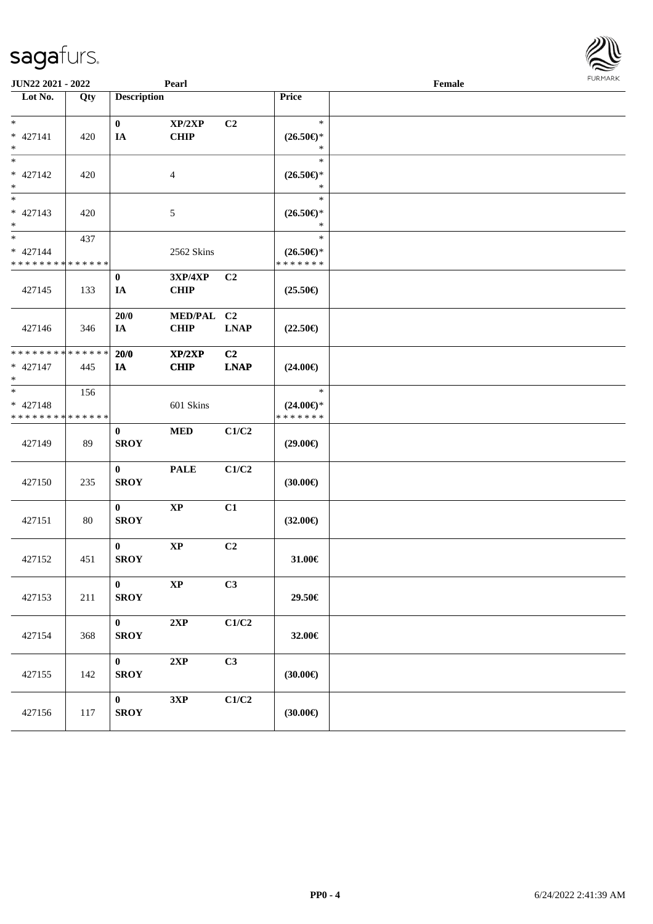| <b>JUN22 2021 - 2022</b>                                           |                    |                             | Pearl                         |                               |                                                | Female | <b>FURPIARA</b> |
|--------------------------------------------------------------------|--------------------|-----------------------------|-------------------------------|-------------------------------|------------------------------------------------|--------|-----------------|
| Lot No.                                                            | Qty                | <b>Description</b>          |                               |                               | Price                                          |        |                 |
| $\ast$<br>* 427141<br>$\ast$                                       | 420                | $\mathbf{0}$<br>IA          | XP/2XP<br><b>CHIP</b>         | C2                            | $\ast$<br>$(26.50\epsilon)$ *<br>$\ast$        |        |                 |
| * 427142<br>$*$                                                    | 420                |                             | $\overline{4}$                |                               | $\ast$<br>$(26.50\epsilon)$ *<br>$\ast$        |        |                 |
| $\overline{\ }$<br>$* 427143$<br>$*$                               | 420                |                             | 5                             |                               | $\ast$<br>$(26.50\epsilon)$ *<br>$\ast$        |        |                 |
| $*$<br>$* 427144$<br>* * * * * * * *                               | 437<br>* * * * * * |                             | 2562 Skins                    |                               | $\ast$<br>$(26.50\epsilon)$ *<br>* * * * * * * |        |                 |
| 427145                                                             | 133                | $\bf{0}$<br>IA              | <b>3XP/4XP</b><br><b>CHIP</b> | C2                            | $(25.50\epsilon)$                              |        |                 |
| 427146                                                             | 346                | 20/0<br>IA                  | MED/PAL C2<br><b>CHIP</b>     | <b>LNAP</b>                   | $(22.50\epsilon)$                              |        |                 |
| * * * * * * * *<br>* 427147<br>$\ast$                              | * * * * * *<br>445 | 20/0<br>IA                  | XP/2XP<br><b>CHIP</b>         | C <sub>2</sub><br><b>LNAP</b> | $(24.00\epsilon)$                              |        |                 |
| $\ast$<br>$* 427148$<br>* * * * * * * * <mark>* * * * * * *</mark> | 156                |                             | 601 Skins                     |                               | $\ast$<br>$(24.00\epsilon)$ *<br>* * * * * * * |        |                 |
| 427149                                                             | 89                 | $\bf{0}$<br><b>SROY</b>     | <b>MED</b>                    | C1/C2                         | $(29.00\epsilon)$                              |        |                 |
| 427150                                                             | 235                | $\bf{0}$<br><b>SROY</b>     | <b>PALE</b>                   | C1/C2                         | (30.00)                                        |        |                 |
| 427151                                                             | 80                 | $\bf{0}$<br><b>SROY</b>     | $\bold{XP}$                   | C1                            | $(32.00\in)$                                   |        |                 |
| 427152                                                             | 451                | $\mathbf{0}$<br><b>SROY</b> | $\bold{XP}$                   | C2                            | 31.00€                                         |        |                 |
| 427153                                                             | 211                | $\bf{0}$<br><b>SROY</b>     | $\bold{XP}$                   | C3                            | 29.50€                                         |        |                 |
| 427154                                                             | 368                | $\mathbf{0}$<br><b>SROY</b> | 2XP                           | C1/C2                         | 32.00€                                         |        |                 |
| 427155                                                             | 142                | $\mathbf{0}$<br><b>SROY</b> | 2XP                           | C3                            | (30.00)                                        |        |                 |
| 427156                                                             | 117                | $\bf{0}$<br><b>SROY</b>     | 3XP                           | C1/C2                         | (30.00)                                        |        |                 |

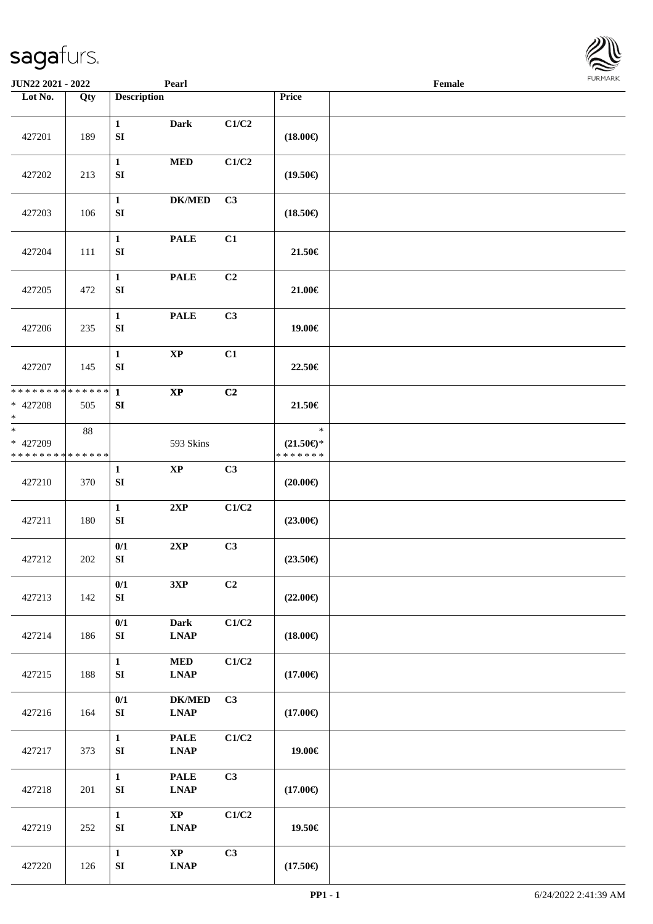| <b>JUN22 2021 - 2022</b>                                         |        |                                  | Pearl                                                       |                           |                                                | Female |  |
|------------------------------------------------------------------|--------|----------------------------------|-------------------------------------------------------------|---------------------------|------------------------------------------------|--------|--|
| Lot No.                                                          | Qty    | <b>Description</b>               |                                                             |                           | Price                                          |        |  |
| 427201                                                           | 189    | $\mathbf{1}$<br>${\bf SI}$       | <b>Dark</b>                                                 | C1/C2                     | $(18.00\epsilon)$                              |        |  |
| 427202                                                           | 213    | $\mathbf{1}$<br>${\bf S}{\bf I}$ | $\bf MED$                                                   | C1/C2                     | $(19.50\epsilon)$                              |        |  |
| 427203                                                           | 106    | $\mathbf{1}$<br>${\bf S}{\bf I}$ | $DK/MED$                                                    | C3                        | $(18.50\epsilon)$                              |        |  |
| 427204                                                           | 111    | $\mathbf{1}$<br>${\bf S}{\bf I}$ | <b>PALE</b>                                                 | C1                        | 21.50€                                         |        |  |
| 427205                                                           | 472    | $\mathbf{1}$<br>${\bf SI}$       | <b>PALE</b>                                                 | C2                        | 21.00€                                         |        |  |
| 427206                                                           | 235    | $\mathbf{1}$<br>${\bf SI}$       | <b>PALE</b>                                                 | C3                        | 19.00€                                         |        |  |
| 427207                                                           | 145    | $\mathbf{1}$<br>${\bf S}{\bf I}$ | $\bold{XP}$                                                 | C1                        | 22.50€                                         |        |  |
| * * * * * * * * * * * * * * <mark>*</mark><br>* 427208<br>$\ast$ | 505    | $\mathbf{1}$<br>SI               | $\bold{XP}$                                                 | C2                        | 21.50€                                         |        |  |
| $\ast$<br>* 427209<br>* * * * * * * * <mark>* * * * * * *</mark> | $88\,$ |                                  | 593 Skins                                                   |                           | $\ast$<br>$(21.50\epsilon)$ *<br>* * * * * * * |        |  |
| 427210                                                           | 370    | $\mathbf{1}$<br>${\bf S}{\bf I}$ | $\bold{XP}$                                                 | C3                        | $(20.00\epsilon)$                              |        |  |
| 427211                                                           | 180    | $\mathbf{1}$<br>${\bf SI}$       | 2XP                                                         | C1/C2                     | $(23.00\epsilon)$                              |        |  |
| 427212                                                           | 202    | 0/1<br>${\bf S}{\bf I}$          | 2XP                                                         | C3                        | $(23.50\epsilon)$                              |        |  |
| 427213                                                           | 142    | 0/1<br>${\bf S}{\bf I}$          | 3XP                                                         | C2                        | $(22.00\epsilon)$                              |        |  |
| 427214                                                           | 186    | 0/1<br>SI                        | <b>Dark</b><br><b>LNAP</b>                                  | $\mathbf{C1}/\mathbf{C2}$ | $(18.00\epsilon)$                              |        |  |
| 427215                                                           | 188    | $\mathbf{1}$<br>${\bf S}{\bf I}$ | $\bf MED$<br><b>LNAP</b>                                    | $\mathbf{C1}/\mathbf{C2}$ | $(17.00\epsilon)$                              |        |  |
| 427216                                                           | 164    | 0/1<br>${\bf S}{\bf I}$          | <b>DK/MED</b><br>$\mathbf{L}\mathbf{N}\mathbf{A}\mathbf{P}$ | C3                        | $(17.00\epsilon)$                              |        |  |
| 427217                                                           | 373    | $\mathbf{1}$<br>${\bf SI}$       | <b>PALE</b><br><b>LNAP</b>                                  | C1/C2                     | 19.00€                                         |        |  |
| 427218                                                           | 201    | $\mathbf{1}$<br>${\bf SI}$       | <b>PALE</b><br><b>LNAP</b>                                  | C3                        | $(17.00\epsilon)$                              |        |  |
| 427219                                                           | 252    | $\mathbf{1}$<br>${\bf S}{\bf I}$ | $\bold{XP}$<br><b>LNAP</b>                                  | C1/C2                     | 19.50€                                         |        |  |
| 427220                                                           | 126    | $\mathbf{1}$<br>${\bf SI}$       | $\mathbf{X}\mathbf{P}$<br><b>LNAP</b>                       | C3                        | $(17.50\epsilon)$                              |        |  |

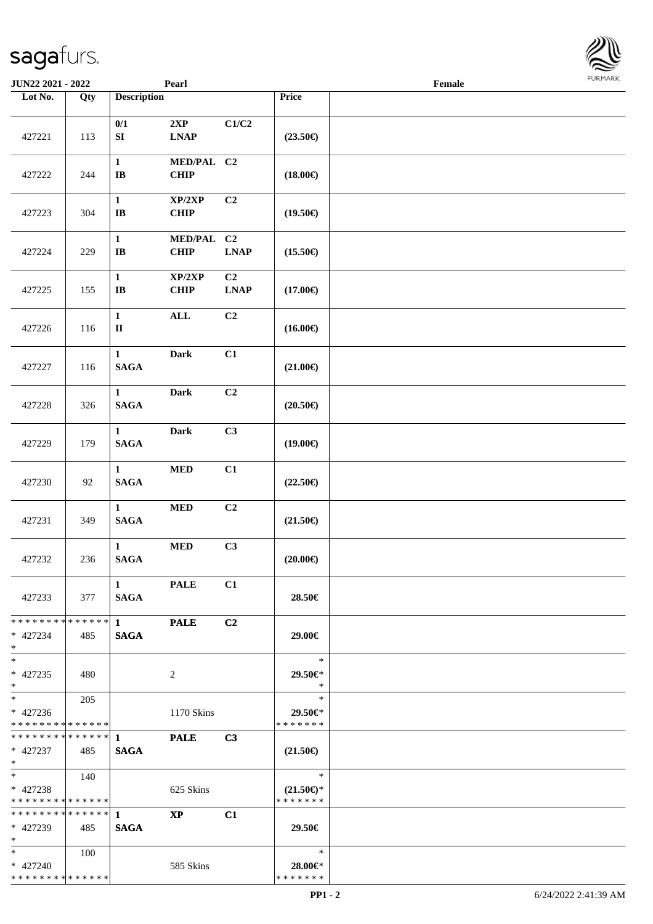| <b>JUN22 2021 - 2022</b>                               |       |                                 | Pearl              |                |                                      | Female |  |
|--------------------------------------------------------|-------|---------------------------------|--------------------|----------------|--------------------------------------|--------|--|
| Lot No.                                                | Qty   | <b>Description</b>              |                    |                | Price                                |        |  |
|                                                        |       |                                 |                    |                |                                      |        |  |
|                                                        |       | 0/1<br>SI                       | 2XP                | C1/C2          |                                      |        |  |
| 427221                                                 | 113   |                                 | <b>LNAP</b>        |                | $(23.50\epsilon)$                    |        |  |
|                                                        |       | $\mathbf{1}$                    | MED/PAL C2         |                |                                      |        |  |
| 427222                                                 | 244   | $\mathbf{I}\mathbf{B}$          | <b>CHIP</b>        |                | $(18.00\epsilon)$                    |        |  |
|                                                        |       |                                 |                    |                |                                      |        |  |
|                                                        |       | $\mathbf{1}$                    | XP/2XP             | C <sub>2</sub> |                                      |        |  |
| 427223                                                 | 304   | $\bf IB$                        | <b>CHIP</b>        |                | $(19.50\epsilon)$                    |        |  |
|                                                        |       | $\mathbf{1}$                    | MED/PAL C2         |                |                                      |        |  |
| 427224                                                 | 229   | $\bf IB$                        | <b>CHIP</b>        | <b>LNAP</b>    | $(15.50\epsilon)$                    |        |  |
|                                                        |       |                                 |                    |                |                                      |        |  |
|                                                        |       | $\mathbf{1}$                    | XP/2XP             | C2             |                                      |        |  |
| 427225                                                 | 155   | $\bf IB$                        | <b>CHIP</b>        | <b>LNAP</b>    | $(17.00\epsilon)$                    |        |  |
|                                                        |       | $\mathbf{1}$                    | <b>ALL</b>         | C2             |                                      |        |  |
| 427226                                                 | 116   | $\rm II$                        |                    |                | $(16.00\epsilon)$                    |        |  |
|                                                        |       |                                 |                    |                |                                      |        |  |
|                                                        |       | $\mathbf{1}$                    | <b>Dark</b>        | C1             |                                      |        |  |
| 427227                                                 | 116   | <b>SAGA</b>                     |                    |                | $(21.00\epsilon)$                    |        |  |
|                                                        |       | $\mathbf{1}$                    | <b>Dark</b>        | C <sub>2</sub> |                                      |        |  |
| 427228                                                 | 326   | <b>SAGA</b>                     |                    |                | $(20.50\epsilon)$                    |        |  |
|                                                        |       |                                 |                    |                |                                      |        |  |
|                                                        |       | $\mathbf{1}$                    | <b>Dark</b>        | C3             |                                      |        |  |
| 427229                                                 | 179   | <b>SAGA</b>                     |                    |                | $(19.00\epsilon)$                    |        |  |
|                                                        |       | $\mathbf{1}$                    |                    |                |                                      |        |  |
| 427230                                                 | 92    | $\mathbf{SAGA}$                 | $\bf MED$          | C1             | $(22.50\epsilon)$                    |        |  |
|                                                        |       |                                 |                    |                |                                      |        |  |
|                                                        |       | $\mathbf{1}$                    | $\bf MED$          | C2             |                                      |        |  |
| 427231                                                 | 349   | <b>SAGA</b>                     |                    |                | $(21.50\epsilon)$                    |        |  |
|                                                        |       |                                 |                    |                |                                      |        |  |
| 427232                                                 | 236   | $\mathbf{1}$<br>$\mathbf{SAGA}$ | <b>MED</b>         | C3             | $(20.00\epsilon)$                    |        |  |
|                                                        |       |                                 |                    |                |                                      |        |  |
|                                                        |       | $\mathbf{1}$                    | <b>PALE</b>        | C1             |                                      |        |  |
| 427233                                                 | 377   | <b>SAGA</b>                     |                    |                | 28.50€                               |        |  |
|                                                        |       |                                 |                    |                |                                      |        |  |
| * * * * * * * * <mark>* * * * * *</mark> *<br>* 427234 |       | $1 \qquad \qquad$               | <b>PALE</b>        | C2             | 29.00€                               |        |  |
| $\ast$                                                 | 485   | <b>SAGA</b>                     |                    |                |                                      |        |  |
| $*$                                                    |       |                                 |                    |                | $\ast$                               |        |  |
| * 427235                                               | 480   |                                 | 2                  |                | 29.50€*                              |        |  |
| $*$                                                    |       |                                 |                    |                | $\ast$                               |        |  |
| $*$ $-$                                                | 205   |                                 |                    |                | $\ast$                               |        |  |
| $* 427236$<br>* * * * * * * * <mark>* * * * * *</mark> |       |                                 | 1170 Skins         |                | 29.50€*<br>* * * * * * *             |        |  |
| ******** <mark>******</mark> 1                         |       |                                 | <b>PALE</b>        | C3             |                                      |        |  |
| * 427237                                               | 485   | <b>SAGA</b>                     |                    |                | $(21.50\epsilon)$                    |        |  |
| $*$ $-$                                                |       |                                 |                    |                |                                      |        |  |
| $*$ and $*$                                            | - 140 |                                 |                    |                | $\ast$                               |        |  |
| $* 427238$<br>* * * * * * * * * * * * * * *            |       |                                 | 625 Skins          |                | $(21.50\epsilon)$ *<br>* * * * * * * |        |  |
|                                                        |       |                                 | $\bold{X}\bold{P}$ | C1             |                                      |        |  |
| * 427239                                               | 485   | <b>SAGA</b>                     |                    |                | 29.50€                               |        |  |
| $\ast$                                                 |       |                                 |                    |                |                                      |        |  |
| $*$                                                    | 100   |                                 |                    |                | $\ast$                               |        |  |
| * 427240<br>* * * * * * * * <mark>* * * * * *</mark>   |       |                                 | 585 Skins          |                | 28.00€*<br>* * * * * * *             |        |  |
|                                                        |       |                                 |                    |                |                                      |        |  |

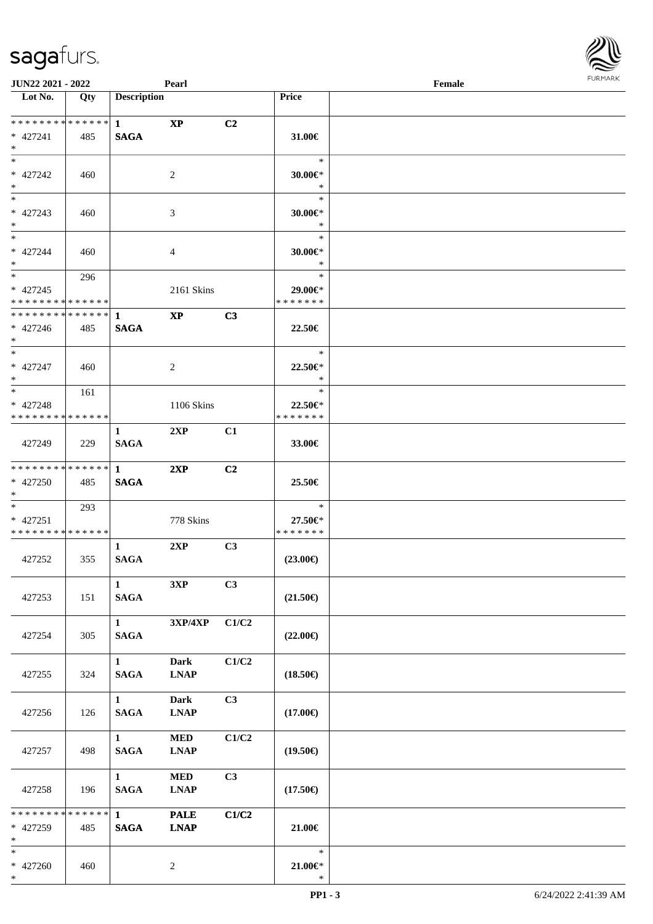

| <b>JUN22 2021 - 2022</b>                                                          |     |                             | Pearl                      |       |                                    | Female |  |
|-----------------------------------------------------------------------------------|-----|-----------------------------|----------------------------|-------|------------------------------------|--------|--|
| Lot No.                                                                           | Qty | <b>Description</b>          |                            |       | <b>Price</b>                       |        |  |
| ************** 1<br>* 427241<br>$*$                                               | 485 | <b>SAGA</b>                 | $\bold{X}\bold{P}$         | C2    | 31.00 $\in$                        |        |  |
| $*$<br>* 427242<br>$\ast$                                                         | 460 |                             | 2                          |       | $\ast$<br>$30.00 \in$ *<br>$\ast$  |        |  |
| $*$<br>$* 427243$<br>$*$                                                          | 460 |                             | 3                          |       | $\ast$<br>$30.00 \in$ *<br>$\ast$  |        |  |
| $\ddot{x}$<br>* 427244<br>$*$                                                     | 460 |                             | $\overline{4}$             |       | $\ast$<br>$30.00 \in$ *<br>$\ast$  |        |  |
| $\overline{\mathbf{r}}$<br>* 427245<br>* * * * * * * * <mark>* * * * * *</mark> * | 296 |                             | 2161 Skins                 |       | $\ast$<br>29.00€*<br>* * * * * * * |        |  |
| * 427246<br>$\ast$                                                                | 485 | <b>SAGA</b>                 | $\boldsymbol{\mathrm{XP}}$ | C3    | 22.50€                             |        |  |
| $*$<br>* 427247<br>$\ddot{x}$                                                     | 460 |                             | 2                          |       | $\ast$<br>$22.50 \in$<br>$\ast$    |        |  |
| * 427248<br>* * * * * * * * <mark>* * * * * *</mark>                              | 161 |                             | 1106 Skins                 |       | $\ast$<br>22.50€*<br>* * * * * * * |        |  |
| 427249                                                                            | 229 | $\mathbf{1}$<br><b>SAGA</b> | 2XP                        | C1    | 33.00€                             |        |  |
| * * * * * * * * <mark>* * * * * * *</mark><br>* 427250<br>$*$                     | 485 | $1 \quad$<br><b>SAGA</b>    | 2XP                        | C2    | 25.50€                             |        |  |
| $*$ $-$<br>$* 427251$<br>* * * * * * * * * * * * * * *                            | 293 |                             | 778 Skins                  |       | $\ast$<br>27.50€*<br>* * * * * * * |        |  |
| 427252                                                                            | 355 | $\mathbf{1}$<br><b>SAGA</b> | 2XP                        | C3    | $(23.00\epsilon)$                  |        |  |
| 427253                                                                            | 151 | $\mathbf{1}$<br><b>SAGA</b> | 3XP                        | C3    | $(21.50\epsilon)$                  |        |  |
| 427254                                                                            | 305 | 1<br><b>SAGA</b>            | 3XP/4XP                    | C1/C2 | $(22.00\epsilon)$                  |        |  |
| 427255                                                                            | 324 | $\mathbf{1}$<br><b>SAGA</b> | <b>Dark</b><br><b>LNAP</b> | C1/C2 | $(18.50\epsilon)$                  |        |  |
| 427256                                                                            | 126 | $\mathbf{1}$<br><b>SAGA</b> | <b>Dark</b><br><b>LNAP</b> | C3    | $(17.00\epsilon)$                  |        |  |
| 427257                                                                            | 498 | 1<br><b>SAGA</b>            | <b>MED</b><br><b>LNAP</b>  | C1/C2 | $(19.50\epsilon)$                  |        |  |
| 427258                                                                            | 196 | $\mathbf{1}$<br><b>SAGA</b> | <b>MED</b><br><b>LNAP</b>  | C3    | $(17.50\epsilon)$                  |        |  |
| * 427259<br>$*$                                                                   | 485 | <b>SAGA</b>                 | <b>PALE</b><br><b>LNAP</b> | C1/C2 | $21.00 \in$                        |        |  |
| * 427260<br>$\ast$                                                                | 460 |                             | 2                          |       | $\ast$<br>$21.00 \in$<br>$\ast$    |        |  |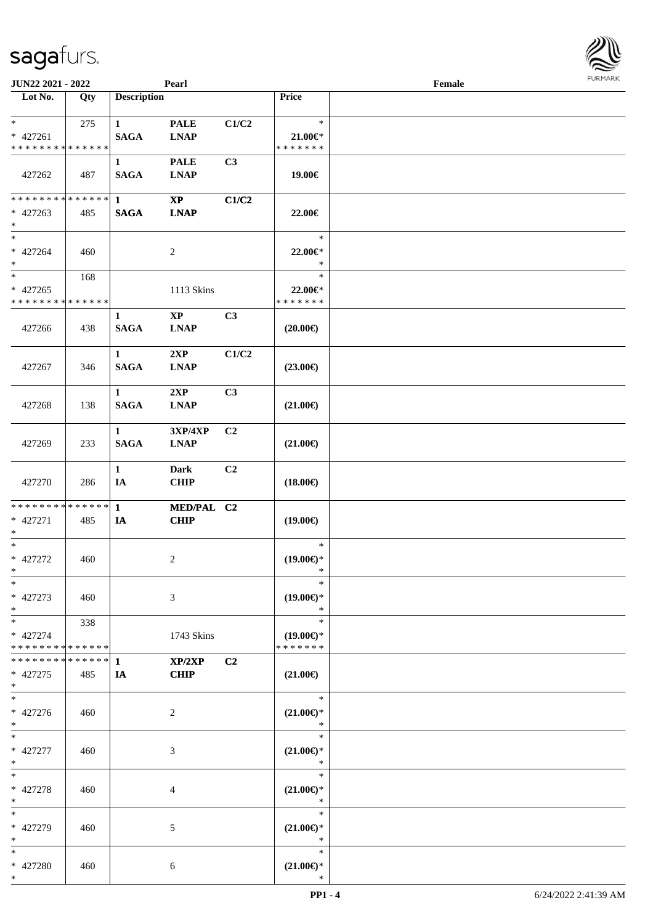| <b>JUN22 2021 - 2022</b>                           |     |                             | Pearl                                 |                |                                                | Female |  |
|----------------------------------------------------|-----|-----------------------------|---------------------------------------|----------------|------------------------------------------------|--------|--|
| Lot No.                                            | Qty | <b>Description</b>          |                                       |                | Price                                          |        |  |
| $*$<br>* 427261<br>* * * * * * * * * * * * * *     | 275 | $\mathbf{1}$<br><b>SAGA</b> | <b>PALE</b><br><b>LNAP</b>            | C1/C2          | $\ast$<br>$21.00 \in$<br>* * * * * * *         |        |  |
| 427262                                             | 487 | $\mathbf{1}$<br><b>SAGA</b> | <b>PALE</b><br><b>LNAP</b>            | C <sub>3</sub> | 19.00€                                         |        |  |
| * * * * * * * * * * * * * * *<br>$* 427263$<br>$*$ | 485 | $\mathbf 1$<br><b>SAGA</b>  | $\mathbf{X}\mathbf{P}$<br><b>LNAP</b> | C1/C2          | 22.00€                                         |        |  |
| $*$<br>* 427264<br>$*$                             | 460 |                             | 2                                     |                | $\ast$<br>22.00€*<br>$\ast$                    |        |  |
| $*$<br>$* 427265$<br>* * * * * * * * * * * * * *   | 168 |                             | 1113 Skins                            |                | $\ast$<br>22.00€*<br>* * * * * * *             |        |  |
| 427266                                             | 438 | $\mathbf{1}$<br><b>SAGA</b> | $\mathbf{X}\mathbf{P}$<br><b>LNAP</b> | C3             | $(20.00\epsilon)$                              |        |  |
| 427267                                             | 346 | $\mathbf{1}$<br><b>SAGA</b> | 2XP<br><b>LNAP</b>                    | C1/C2          | $(23.00\epsilon)$                              |        |  |
| 427268                                             | 138 | $\mathbf{1}$<br><b>SAGA</b> | 2XP<br><b>LNAP</b>                    | C <sub>3</sub> | $(21.00\epsilon)$                              |        |  |
| 427269                                             | 233 | $\mathbf{1}$<br><b>SAGA</b> | <b>3XP/4XP</b><br><b>LNAP</b>         | C <sub>2</sub> | $(21.00\epsilon)$                              |        |  |
| 427270                                             | 286 | $\mathbf{1}$<br>IA          | <b>Dark</b><br><b>CHIP</b>            | C2             | $(18.00\epsilon)$                              |        |  |
| * * * * * * * * * * * * * * *<br>* 427271<br>$*$   | 485 | $\mathbf{1}$<br>IA          | MED/PAL C2<br><b>CHIP</b>             |                | $(19.00\epsilon)$                              |        |  |
| $*$<br>* 427272<br>$*$                             | 460 |                             | 2                                     |                | $\ast$<br>$(19.00\epsilon)$ *<br>$\ast$        |        |  |
| $\ast$<br>* 427273<br>$*$                          | 460 |                             | 3                                     |                | $\ast$<br>$(19.00\epsilon)$ *<br>$\ast$        |        |  |
| $*$<br>* 427274<br>* * * * * * * * * * * * * * *   | 338 |                             | 1743 Skins                            |                | $\ast$<br>$(19.00\epsilon)$ *<br>* * * * * * * |        |  |
| * * * * * * * * * * * * * * *<br>* 427275<br>$*$   | 485 | -1<br>IA                    | XP/2XP<br><b>CHIP</b>                 | C <sub>2</sub> | $(21.00\epsilon)$                              |        |  |
| $*$<br>* 427276<br>$*$                             | 460 |                             | 2                                     |                | $\ast$<br>$(21.00\epsilon)$ *<br>$\ast$        |        |  |
| $*$<br>$* 427277$<br>$*$                           | 460 |                             | 3                                     |                | $\ast$<br>$(21.00\epsilon)$ *<br>$\ast$        |        |  |
| $*$<br>* 427278<br>$*$                             | 460 |                             | 4                                     |                | $\ast$<br>$(21.00\epsilon)$ *<br>$\ast$        |        |  |
| $*$<br>* 427279<br>$*$                             | 460 |                             | 5                                     |                | $\ast$<br>$(21.00\epsilon)$ *<br>$\ast$        |        |  |
| $*$<br>* 427280<br>$*$                             | 460 |                             | 6                                     |                | $\ast$<br>$(21.00\epsilon)$ *<br>$\ast$        |        |  |

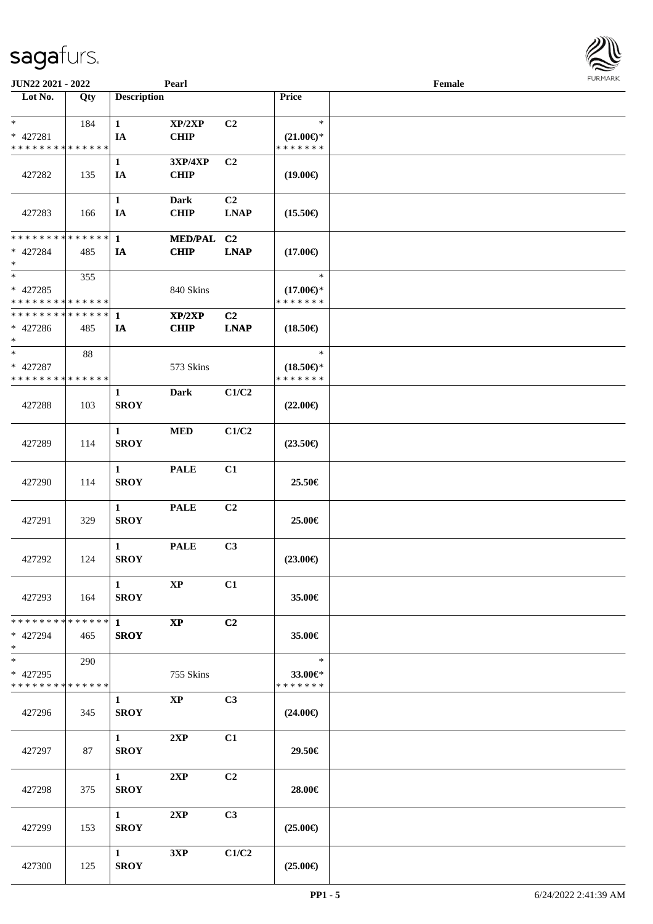| <b>JUN22 2021 - 2022</b>                                      |       |                                       | Pearl                      |                               |                                                | Female |  |
|---------------------------------------------------------------|-------|---------------------------------------|----------------------------|-------------------------------|------------------------------------------------|--------|--|
| Lot No.                                                       | Qty   | <b>Description</b>                    |                            |                               | Price                                          |        |  |
| $*$<br>* 427281<br>* * * * * * * * * * * * * *                | 184   | $\mathbf{1}$<br>IA                    | XP/2XP<br><b>CHIP</b>      | C2                            | $\ast$<br>$(21.00\epsilon)$ *<br>* * * * * * * |        |  |
| 427282                                                        | 135   | $\mathbf{1}$<br>IA                    | 3XP/4XP<br><b>CHIP</b>     | C <sub>2</sub>                | $(19.00\epsilon)$                              |        |  |
| 427283                                                        | 166   | $\mathbf{1}$<br>IA                    | <b>Dark</b><br><b>CHIP</b> | C <sub>2</sub><br>LNAP        | $(15.50\epsilon)$                              |        |  |
| * * * * * * * * <mark>* * * * * * *</mark><br>* 427284<br>$*$ | 485   | $\mathbf{1}$<br>IA                    | MED/PAL C2<br><b>CHIP</b>  | <b>LNAP</b>                   | $(17.00\epsilon)$                              |        |  |
| $*$<br>* 427285<br>* * * * * * * * * * * * * *                | 355   |                                       | 840 Skins                  |                               | $\ast$<br>$(17.00\epsilon)$ *<br>* * * * * * * |        |  |
| * * * * * * * * * * * * * * *<br>$* 427286$<br>$*$            | 485   | $\mathbf{1}$<br>IA                    | XP/2XP<br><b>CHIP</b>      | C <sub>2</sub><br><b>LNAP</b> | $(18.50\epsilon)$                              |        |  |
| $*$<br>* 427287<br>* * * * * * * * * * * * * *                | 88    |                                       | 573 Skins                  |                               | $\ast$<br>$(18.50\epsilon)$ *<br>* * * * * * * |        |  |
| 427288                                                        | 103   | $\mathbf{1}$<br><b>SROY</b>           | Dark                       | C1/C2                         | $(22.00\epsilon)$                              |        |  |
| 427289                                                        | 114   | $\mathbf{1}$<br><b>SROY</b>           | <b>MED</b>                 | C1/C2                         | $(23.50\epsilon)$                              |        |  |
| 427290                                                        | 114   | $\mathbf{1}$<br><b>SROY</b>           | <b>PALE</b>                | C1                            | 25.50€                                         |        |  |
| 427291                                                        | 329   | $\mathbf{1}$<br><b>SROY</b>           | <b>PALE</b>                | C2                            | 25.00€                                         |        |  |
| 427292                                                        | 124   | $\mathbf{1}$<br><b>SROY</b>           | <b>PALE</b>                | C3                            | $(23.00\epsilon)$                              |        |  |
| 427293                                                        | - 164 | $\mathbf{1}$<br><b>SROY</b>           | $\mathbf{X}\mathbf{P}$     | C1                            | 35.00€                                         |        |  |
| * * * * * * * * <mark>* * * * * * *</mark><br>* 427294<br>$*$ | 465   | $\mathbf{1}$<br><b>SROY</b>           | <b>XP</b>                  | C2                            | 35.00€                                         |        |  |
| $*$<br>* 427295<br>* * * * * * * * * * * * * * *              | 290   |                                       | 755 Skins                  |                               | $\ast$<br>33.00€*<br>* * * * * * *             |        |  |
| 427296                                                        | 345   | $\mathbf{1}$<br><b>SROY</b>           | $\mathbf{X}\mathbf{P}$     | C3                            | $(24.00\epsilon)$                              |        |  |
| 427297                                                        | 87    | $1 \qquad \qquad$<br><b>SROY</b>      | 2XP                        | C1                            | 29.50€                                         |        |  |
| 427298                                                        | 375   | $1 \quad \blacksquare$<br><b>SROY</b> | 2XP                        | C <sub>2</sub>                | 28.00€                                         |        |  |
| 427299                                                        | 153   | $1 \quad \blacksquare$<br><b>SROY</b> | 2XP                        | C3                            | $(25.00\epsilon)$                              |        |  |
| 427300                                                        | 125   | $\mathbf{1}$<br><b>SROY</b>           | 3XP                        | C1/C2                         | $(25.00\epsilon)$                              |        |  |

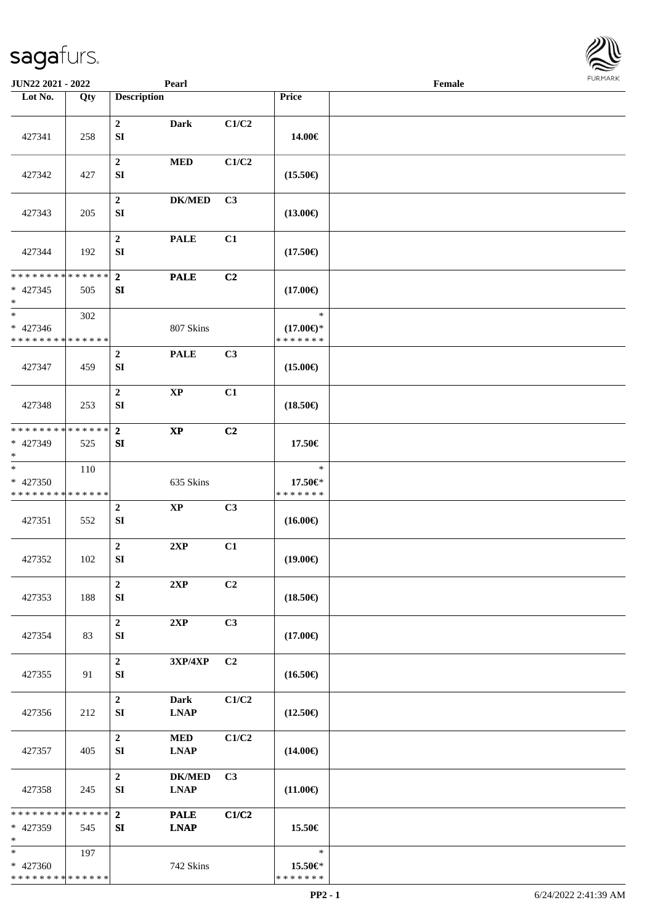| JUN22 2021 - 2022                                   |     | Pearl                                                         |       |                                      | Female | <b>FURMARK</b> |
|-----------------------------------------------------|-----|---------------------------------------------------------------|-------|--------------------------------------|--------|----------------|
| Lot No.                                             | Qty | <b>Description</b>                                            |       | Price                                |        |                |
| 427341                                              | 258 | $\overline{2}$<br>Dark<br>SI                                  | C1/C2 | 14.00€                               |        |                |
| 427342                                              | 427 | $\boldsymbol{2}$<br><b>MED</b><br>SI                          | C1/C2 | $(15.50\epsilon)$                    |        |                |
| 427343                                              | 205 | $\boldsymbol{2}$<br>$DK/MED$<br>SI                            | C3    | $(13.00\epsilon)$                    |        |                |
| 427344                                              | 192 | $\mathbf 2$<br><b>PALE</b><br>${\bf SI}$                      | C1    | $(17.50\epsilon)$                    |        |                |
| **************                                      |     | $\overline{2}$<br><b>PALE</b>                                 | C2    |                                      |        |                |
| $* 427345$<br>$\ast$                                | 505 | SI                                                            |       | $(17.00\epsilon)$                    |        |                |
| $\overline{\phantom{1}}$                            | 302 |                                                               |       | $\ast$                               |        |                |
| * 427346<br>**************                          |     | 807 Skins                                                     |       | $(17.00\epsilon)$ *<br>* * * * * * * |        |                |
| 427347                                              | 459 | $\overline{2}$<br><b>PALE</b><br>${\bf SI}$                   | C3    | $(15.00\epsilon)$                    |        |                |
| 427348                                              | 253 | $\mathbf 2$<br>$\mathbf{XP}$<br>SI                            | C1    | $(18.50\epsilon)$                    |        |                |
| **************                                      |     | $\overline{2}$<br>$\mathbf{X}\mathbf{P}$                      | C2    |                                      |        |                |
| * 427349<br>$\ast$                                  | 525 | ${\bf SI}$                                                    |       | 17.50€                               |        |                |
| $\ast$<br>$* 427350$<br>* * * * * * * * * * * * * * | 110 | 635 Skins                                                     |       | $\ast$<br>17.50€*<br>* * * * * * *   |        |                |
| 427351                                              | 552 | $\overline{2}$<br>$\bold{XP}$<br>SI                           | C3    | $(16.00\epsilon)$                    |        |                |
| 427352                                              | 102 | $\boldsymbol{2}$<br>2XP<br>${\bf SI}$                         | C1    | $(19.00\epsilon)$                    |        |                |
| 427353                                              | 188 | $\mathbf 2$<br>2XP<br>${\bf SI}$                              | C2    | $(18.50\epsilon)$                    |        |                |
| 427354                                              | 83  | $\boldsymbol{2}$<br>2XP<br><b>SI</b>                          | C3    | $(17.00\epsilon)$                    |        |                |
| 427355                                              | 91  | $\mathbf 2$<br>3XP/4XP<br>SI                                  | C2    | $(16.50\epsilon)$                    |        |                |
| 427356                                              | 212 | $\overline{2}$<br><b>Dark</b><br>SI<br><b>LNAP</b>            | C1/C2 | $(12.50\epsilon)$                    |        |                |
| 427357                                              | 405 | $\overline{2}$<br><b>MED</b><br><b>LNAP</b><br><b>SI</b>      | C1/C2 | $(14.00\epsilon)$                    |        |                |
| 427358                                              | 245 | $\boldsymbol{2}$<br><b>DK/MED</b><br><b>LNAP</b><br><b>SI</b> | C3    | $(11.00\epsilon)$                    |        |                |
| **************<br>* 427359<br>$\ast$                | 545 | $\overline{2}$<br><b>PALE</b><br><b>LNAP</b><br>SI            | C1/C2 | 15.50€                               |        |                |
| $\ast$<br>* 427360<br>******** <mark>******</mark>  | 197 | 742 Skins                                                     |       | $\ast$<br>15.50€*<br>* * * * * * *   |        |                |

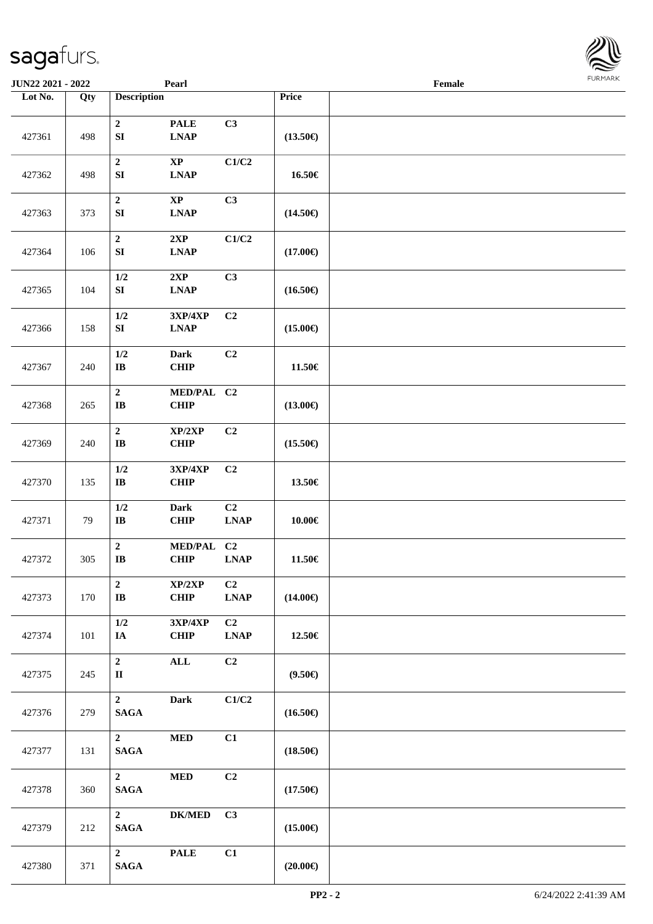| <b>JUN22 2021 - 2022</b> |     |                                            | Pearl                                                     |                                                              |                   | Female |  |
|--------------------------|-----|--------------------------------------------|-----------------------------------------------------------|--------------------------------------------------------------|-------------------|--------|--|
| Lot No.                  | Qty | <b>Description</b>                         |                                                           |                                                              | Price             |        |  |
| 427361                   | 498 | $\boldsymbol{2}$<br>${\bf SI}$             | <b>PALE</b><br>$\mathbf{L}\mathbf{N}\mathbf{A}\mathbf{P}$ | C3                                                           | $(13.50\epsilon)$ |        |  |
| 427362                   | 498 | $\boldsymbol{2}$<br>${\bf SI}$             | $\mathbf{X}\mathbf{P}$<br><b>LNAP</b>                     | C1/C2                                                        | 16.50€            |        |  |
| 427363                   | 373 | $\boldsymbol{2}$<br>${\bf SI}$             | $\bold{XP}$<br><b>LNAP</b>                                | C3                                                           | $(14.50\epsilon)$ |        |  |
| 427364                   | 106 | $\boldsymbol{2}$<br>${\bf S}{\bf I}$       | 2XP<br><b>LNAP</b>                                        | C1/C2                                                        | $(17.00\epsilon)$ |        |  |
| 427365                   | 104 | 1/2<br>${\bf SI}$                          | 2XP<br><b>LNAP</b>                                        | C3                                                           | $(16.50\epsilon)$ |        |  |
| 427366                   | 158 | 1/2<br>${\bf S}{\bf I}$                    | 3XP/4XP<br><b>LNAP</b>                                    | C2                                                           | $(15.00\epsilon)$ |        |  |
| 427367                   | 240 | 1/2<br>$\bf I\bf B$                        | <b>Dark</b><br>CHIP                                       | C <sub>2</sub>                                               | 11.50€            |        |  |
| 427368                   | 265 | $\boldsymbol{2}$<br>$\mathbf{I}\mathbf{B}$ | MED/PAL C2<br><b>CHIP</b>                                 |                                                              | $(13.00\epsilon)$ |        |  |
| 427369                   | 240 | $\boldsymbol{2}$<br>$\mathbf{I}\mathbf{B}$ | XP/2XP<br><b>CHIP</b>                                     | C2                                                           | $(15.50\epsilon)$ |        |  |
| 427370                   | 135 | $1/2$<br>$\bf IB$                          | 3XP/4XP<br><b>CHIP</b>                                    | C <sub>2</sub>                                               | 13.50€            |        |  |
| 427371                   | 79  | 1/2<br>$\mathbf{I}\mathbf{B}$              | Dark<br><b>CHIP</b>                                       | C2<br><b>LNAP</b>                                            | 10.00€            |        |  |
| 427372                   | 305 | $\mathbf 2$<br>IB                          | <b>MED/PAL</b><br><b>CHIP</b>                             | C2<br>LNAP                                                   | 11.50€            |        |  |
| 427373                   | 170 | $\overline{2}$<br>$\bf I\bf B$             | XP/2XP<br>CHIP                                            | C2<br>$\mathbf{L}\mathbf{N}\mathbf{A}\mathbf{P}$             | $(14.00\epsilon)$ |        |  |
| 427374                   | 101 | 1/2<br>IA                                  | 3XP/4XP<br><b>CHIP</b>                                    | C <sub>2</sub><br>$\mathbf{L}\mathbf{N}\mathbf{A}\mathbf{P}$ | 12.50€            |        |  |
| 427375                   | 245 | $\overline{2}$<br>$\mathbf{I}$             | $\mathbf{ALL}$                                            | C2                                                           | $(9.50\epsilon)$  |        |  |
| 427376                   | 279 | $\overline{2}$<br>$\mathbf{SAGA}$          | Dark                                                      | C1/C2                                                        | $(16.50\epsilon)$ |        |  |
| 427377                   | 131 | $2^{\circ}$<br><b>SAGA</b>                 | $\bf MED$                                                 | C1                                                           | $(18.50\epsilon)$ |        |  |
| 427378                   | 360 | $\mathbf{2}$<br><b>SAGA</b>                | <b>MED</b>                                                | C2                                                           | $(17.50\epsilon)$ |        |  |
| 427379                   | 212 | $2^{\circ}$<br><b>SAGA</b>                 | <b>DK/MED</b>                                             | C3                                                           | $(15.00\epsilon)$ |        |  |
| 427380                   | 371 | $\overline{2}$<br><b>SAGA</b>              | <b>PALE</b>                                               | C1                                                           | $(20.00\in)$      |        |  |

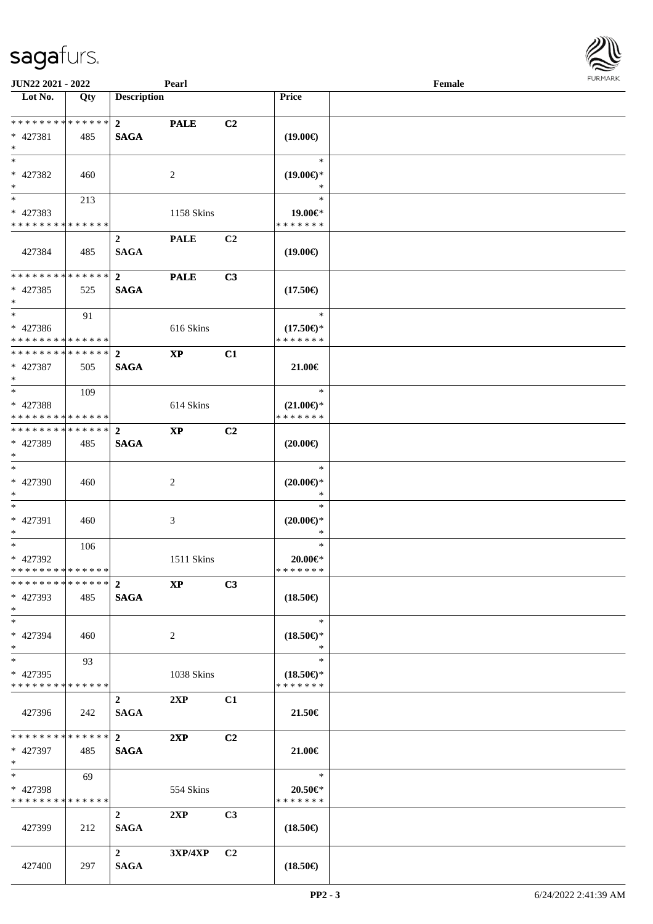| <b>JUN22 2021 - 2022</b>                   |     |                    | Pearl          |                |                     | Female |  |
|--------------------------------------------|-----|--------------------|----------------|----------------|---------------------|--------|--|
| Lot No.                                    | Qty | <b>Description</b> |                |                | <b>Price</b>        |        |  |
| ******** <mark>******</mark>               |     | $\overline{2}$     |                |                |                     |        |  |
| $* 427381$                                 |     | <b>SAGA</b>        | <b>PALE</b>    | C <sub>2</sub> |                     |        |  |
| $*$                                        | 485 |                    |                |                | $(19.00\epsilon)$   |        |  |
| $*$                                        |     |                    |                |                | $\ast$              |        |  |
| * 427382                                   | 460 |                    | 2              |                | $(19.00\epsilon)$ * |        |  |
| $*$                                        |     |                    |                |                | $\ast$              |        |  |
|                                            | 213 |                    |                |                | $\ast$              |        |  |
| * 427383                                   |     |                    | 1158 Skins     |                | 19.00€*             |        |  |
| * * * * * * * * * * * * * *                |     |                    |                |                | * * * * * * *       |        |  |
|                                            |     | $\overline{2}$     | <b>PALE</b>    | C2             |                     |        |  |
| 427384                                     | 485 | <b>SAGA</b>        |                |                | $(19.00\epsilon)$   |        |  |
|                                            |     |                    |                |                |                     |        |  |
| * * * * * * * * <mark>* * * * * * *</mark> |     | $\mathbf{2}$       | <b>PALE</b>    | C3             |                     |        |  |
| * 427385                                   | 525 | <b>SAGA</b>        |                |                | $(17.50\epsilon)$   |        |  |
| $\ast$                                     |     |                    |                |                |                     |        |  |
| $*$                                        | 91  |                    |                |                | $\ast$              |        |  |
| * 427386                                   |     |                    | 616 Skins      |                | $(17.50\epsilon)$ * |        |  |
| * * * * * * * * * * * * * * *              |     |                    |                |                | * * * * * * *       |        |  |
| * * * * * * * * <mark>* * * * * * *</mark> |     | $\mathbf{2}$       | $\bold{XP}$    | C1             |                     |        |  |
| * 427387                                   | 505 | <b>SAGA</b>        |                |                | 21.00€              |        |  |
| $\ast$                                     |     |                    |                |                |                     |        |  |
| $*$                                        | 109 |                    |                |                | $\ast$              |        |  |
| * 427388                                   |     |                    | 614 Skins      |                | $(21.00\epsilon)$ * |        |  |
| * * * * * * * * * * * * * *                |     |                    |                |                | * * * * * * *       |        |  |
|                                            |     |                    | <b>XP</b>      | C <sub>2</sub> |                     |        |  |
| * 427389                                   | 485 | <b>SAGA</b>        |                |                | $(20.00\epsilon)$   |        |  |
| $*$                                        |     |                    |                |                |                     |        |  |
| $*$                                        |     |                    |                |                | $\ast$              |        |  |
| * 427390                                   | 460 |                    | 2              |                | $(20.00\epsilon)$ * |        |  |
| $*$                                        |     |                    |                |                | $\ast$              |        |  |
| $*$                                        |     |                    |                |                | $\ast$              |        |  |
| * 427391                                   | 460 |                    | 3              |                | $(20.00\epsilon)$ * |        |  |
| $\ast$                                     |     |                    |                |                | $\ast$              |        |  |
| $*$                                        | 106 |                    |                |                | $\ast$              |        |  |
| * 427392<br>* * * * * * * * * * * * * * *  |     |                    | 1511 Skins     |                | 20.00€*             |        |  |
|                                            |     |                    |                |                | * * * * * * *       |        |  |
| * 427393                                   | 485 | <b>SAGA</b>        | <b>XP</b>      | C3             | $(18.50\epsilon)$   |        |  |
| $*$                                        |     |                    |                |                |                     |        |  |
| $*$                                        |     |                    |                |                | $\ast$              |        |  |
| * 427394                                   | 460 |                    | $\overline{2}$ |                | $(18.50\epsilon)$ * |        |  |
| $\ast$                                     |     |                    |                |                | $\ast$              |        |  |
| $*$                                        | 93  |                    |                |                | $\ast$              |        |  |
| * 427395                                   |     |                    | 1038 Skins     |                | $(18.50\epsilon)$ * |        |  |
| * * * * * * * * * * * * * *                |     |                    |                |                | * * * * * * *       |        |  |
|                                            |     | $\overline{2}$     | 2XP            | C1             |                     |        |  |
| 427396                                     | 242 | <b>SAGA</b>        |                |                | 21.50€              |        |  |
|                                            |     |                    |                |                |                     |        |  |
| * * * * * * * * <mark>* * * * * *</mark> * |     | $\mathbf{2}$       | 2XP            | C <sub>2</sub> |                     |        |  |
| * 427397                                   | 485 | <b>SAGA</b>        |                |                | 21.00€              |        |  |
| $*$ $-$                                    |     |                    |                |                |                     |        |  |
| $*$ $-$                                    | 69  |                    |                |                | $\ast$              |        |  |
| * 427398                                   |     |                    | 554 Skins      |                | 20.50€*             |        |  |
| * * * * * * * * * * * * * *                |     |                    |                |                | * * * * * * *       |        |  |
|                                            |     | $\overline{2}$     | 2XP            | C3             |                     |        |  |
| 427399                                     | 212 | <b>SAGA</b>        |                |                | $(18.50\epsilon)$   |        |  |
|                                            |     |                    |                |                |                     |        |  |
|                                            |     | $2^{\circ}$        | $3XP/4XP$ $C2$ |                |                     |        |  |
| 427400                                     | 297 | <b>SAGA</b>        |                |                | $(18.50\epsilon)$   |        |  |

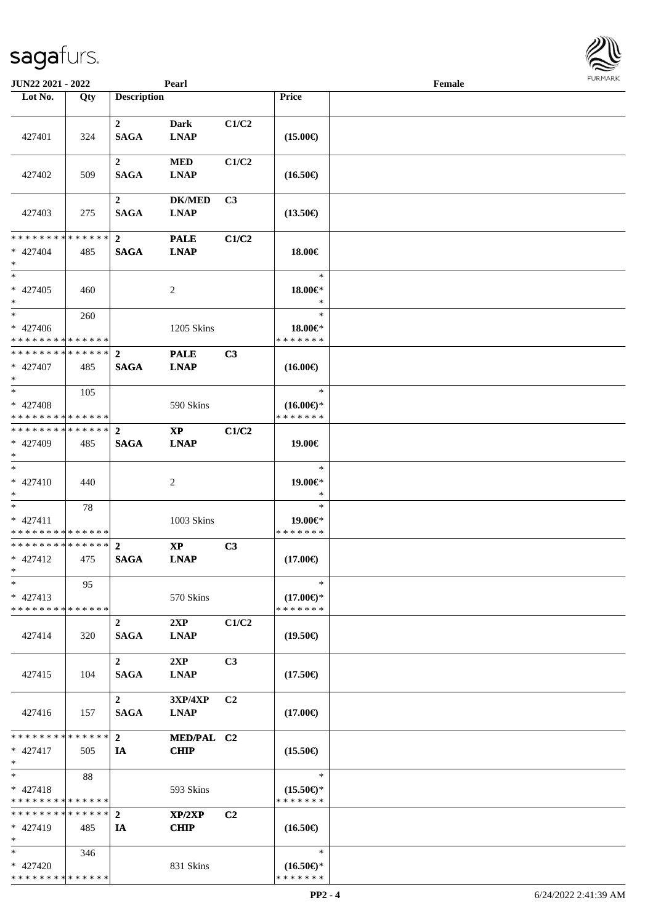| <b>JUN22 2021 - 2022</b>                   |     |                                 | Pearl                        |                |                     | Female |  |
|--------------------------------------------|-----|---------------------------------|------------------------------|----------------|---------------------|--------|--|
| Lot No.                                    | Qty | <b>Description</b>              |                              |                | Price               |        |  |
|                                            |     |                                 |                              |                |                     |        |  |
|                                            |     | $\mathbf{2}$                    | Dark                         | C1/C2          |                     |        |  |
| 427401                                     | 324 | <b>SAGA</b>                     | <b>LNAP</b>                  |                | $(15.00\epsilon)$   |        |  |
|                                            |     |                                 |                              |                |                     |        |  |
|                                            |     | $\mathbf{2}$                    | <b>MED</b>                   | C1/C2          |                     |        |  |
| 427402                                     | 509 | <b>SAGA</b>                     | <b>LNAP</b>                  |                | $(16.50\epsilon)$   |        |  |
|                                            |     |                                 |                              |                |                     |        |  |
| 427403                                     | 275 | $\boldsymbol{2}$<br><b>SAGA</b> | <b>DK/MED</b><br><b>LNAP</b> | C <sub>3</sub> | $(13.50\epsilon)$   |        |  |
|                                            |     |                                 |                              |                |                     |        |  |
| * * * * * * * * * * * * * * *              |     | $\overline{2}$                  | <b>PALE</b>                  | C1/C2          |                     |        |  |
| $* 427404$                                 | 485 | <b>SAGA</b>                     | <b>LNAP</b>                  |                | 18.00€              |        |  |
| $\ast$                                     |     |                                 |                              |                |                     |        |  |
| $*$                                        |     |                                 |                              |                | $\ast$              |        |  |
| * 427405                                   | 460 |                                 | $\overline{c}$               |                | 18.00€*             |        |  |
| $\ast$                                     |     |                                 |                              |                | $\ast$              |        |  |
| $*$                                        | 260 |                                 |                              |                | $\ast$              |        |  |
| * 427406                                   |     |                                 | 1205 Skins                   |                | 18.00€*             |        |  |
| * * * * * * * * <mark>* * * * * *</mark>   |     |                                 |                              |                | * * * * * * *       |        |  |
| * * * * * * * * <mark>* * * * * * *</mark> |     | $\mathbf{2}$                    | <b>PALE</b>                  | C3             |                     |        |  |
| * 427407                                   | 485 | <b>SAGA</b>                     | <b>LNAP</b>                  |                | $(16.00\epsilon)$   |        |  |
| $*$                                        |     |                                 |                              |                |                     |        |  |
| $*$                                        | 105 |                                 |                              |                | $\ast$              |        |  |
| * 427408                                   |     |                                 | 590 Skins                    |                | $(16.00\epsilon)$ * |        |  |
| * * * * * * * * <mark>* * * * * *</mark>   |     |                                 |                              |                | * * * * * * *       |        |  |
| * * * * * * * * * * * * * * <mark>*</mark> |     | $\overline{2}$                  | <b>XP</b>                    | C1/C2          |                     |        |  |
| * 427409                                   | 485 | <b>SAGA</b>                     | <b>LNAP</b>                  |                | 19.00€              |        |  |
| $*$<br>$*$                                 |     |                                 |                              |                |                     |        |  |
|                                            |     |                                 |                              |                | $\ast$              |        |  |
| * 427410                                   | 440 |                                 | 2                            |                | 19.00€*<br>$\ast$   |        |  |
| $*$<br>$*$                                 |     |                                 |                              |                | $\ast$              |        |  |
| $* 427411$                                 | 78  |                                 | 1003 Skins                   |                | 19.00€*             |        |  |
| * * * * * * * * * * * * * *                |     |                                 |                              |                | * * * * * * *       |        |  |
| * * * * * * * * <mark>* * * * * * *</mark> |     | $\overline{2}$                  | $\bold{XP}$                  | C3             |                     |        |  |
| $* 427412$                                 | 475 | <b>SAGA</b>                     | <b>LNAP</b>                  |                | $(17.00\epsilon)$   |        |  |
| $*$ $-$                                    |     |                                 |                              |                |                     |        |  |
| $\ast$                                     | 95  |                                 |                              |                | ∗                   |        |  |
| $* 427413$                                 |     |                                 | 570 Skins                    |                | $(17.00\epsilon)$ * |        |  |
| * * * * * * * * <mark>* * * * * *</mark> * |     |                                 |                              |                | * * * * * * *       |        |  |
|                                            |     | $\overline{2}$                  | 2XP                          | C1/C2          |                     |        |  |
| 427414                                     | 320 | <b>SAGA</b>                     | <b>LNAP</b>                  |                | $(19.50\epsilon)$   |        |  |
|                                            |     |                                 |                              |                |                     |        |  |
|                                            |     | $\overline{2}$                  | 2XP                          | C <sub>3</sub> |                     |        |  |
| 427415                                     | 104 | <b>SAGA</b>                     | <b>LNAP</b>                  |                | $(17.50\epsilon)$   |        |  |
|                                            |     |                                 |                              |                |                     |        |  |
|                                            |     | $\overline{2}$                  | <b>3XP/4XP</b>               | C <sub>2</sub> |                     |        |  |
| 427416                                     | 157 | <b>SAGA</b>                     | <b>LNAP</b>                  |                | $(17.00\epsilon)$   |        |  |
|                                            |     |                                 |                              |                |                     |        |  |
| * * * * * * * * <mark>* * * * * *</mark> * |     | $\overline{2}$                  | MED/PAL C2                   |                |                     |        |  |
| $* 427417$                                 | 505 | IA                              | <b>CHIP</b>                  |                | $(15.50\epsilon)$   |        |  |
| $\ast$<br>$*$                              |     |                                 |                              |                | $\ast$              |        |  |
| $* 427418$                                 | 88  |                                 | 593 Skins                    |                | $(15.50\epsilon)$ * |        |  |
| * * * * * * * * * * * * * *                |     |                                 |                              |                | * * * * * * *       |        |  |
| * * * * * * * * * * * * * * <mark>*</mark> |     | $\mathbf{2}$                    | XP/2XP                       | C <sub>2</sub> |                     |        |  |
| $* 427419$                                 | 485 | IA                              | <b>CHIP</b>                  |                | $(16.50\epsilon)$   |        |  |
| $*$                                        |     |                                 |                              |                |                     |        |  |
| $*$                                        | 346 |                                 |                              |                | $\ast$              |        |  |
| * 427420                                   |     |                                 | 831 Skins                    |                | $(16.50\epsilon)$ * |        |  |
| * * * * * * * * * * * * * *                |     |                                 |                              |                | * * * * * * *       |        |  |

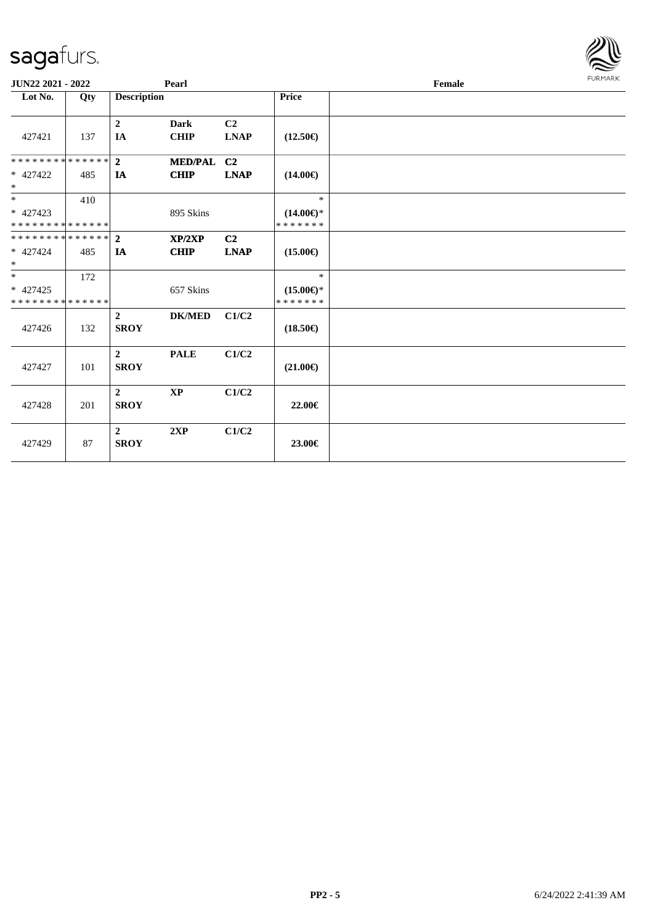| JUN22 2021 - 2022                                                     |     |                                 | Pearl                      |                               | <b>FURMARK</b><br>Female                       |  |  |  |
|-----------------------------------------------------------------------|-----|---------------------------------|----------------------------|-------------------------------|------------------------------------------------|--|--|--|
| Lot No.                                                               | Qty | <b>Description</b>              |                            |                               | Price                                          |  |  |  |
| 427421                                                                | 137 | $\boldsymbol{2}$<br>IA          | <b>Dark</b><br><b>CHIP</b> | C <sub>2</sub><br><b>LNAP</b> | $(12.50\epsilon)$                              |  |  |  |
| * * * * * * * * * * * * * * *                                         |     | $\overline{2}$                  | MED/PAL C2                 |                               |                                                |  |  |  |
| $* 427422$<br>$\ast$                                                  | 485 | IA                              | <b>CHIP</b>                | <b>LNAP</b>                   | $(14.00\epsilon)$                              |  |  |  |
| $*$<br>* 427423<br>* * * * * * * * * * * * * *                        | 410 |                                 | 895 Skins                  |                               | $\ast$<br>$(14.00\epsilon)$ *<br>* * * * * * * |  |  |  |
| * * * * * * * * * * * * * * *<br>* 427424<br>$*$                      | 485 | $\overline{2}$<br>IA            | XP/2XP<br><b>CHIP</b>      | C <sub>2</sub><br><b>LNAP</b> | $(15.00\epsilon)$                              |  |  |  |
| $\overline{\phantom{0}}$<br>$* 427425$<br>* * * * * * * * * * * * * * | 172 |                                 | 657 Skins                  |                               | $\ast$<br>$(15.00\epsilon)$ *<br>* * * * * * * |  |  |  |
| 427426                                                                | 132 | $\overline{2}$<br><b>SROY</b>   | <b>DK/MED</b>              | C1/C2                         | $(18.50\epsilon)$                              |  |  |  |
| 427427                                                                | 101 | $\overline{2}$<br><b>SROY</b>   | <b>PALE</b>                | C1/C2                         | $(21.00\epsilon)$                              |  |  |  |
| 427428                                                                | 201 | $\boldsymbol{2}$<br><b>SROY</b> | $\mathbf{X}\mathbf{P}$     | C1/C2                         | 22.00€                                         |  |  |  |
| 427429                                                                | 87  | $\boldsymbol{2}$<br><b>SROY</b> | 2XP                        | C1/C2                         | 23.00€                                         |  |  |  |

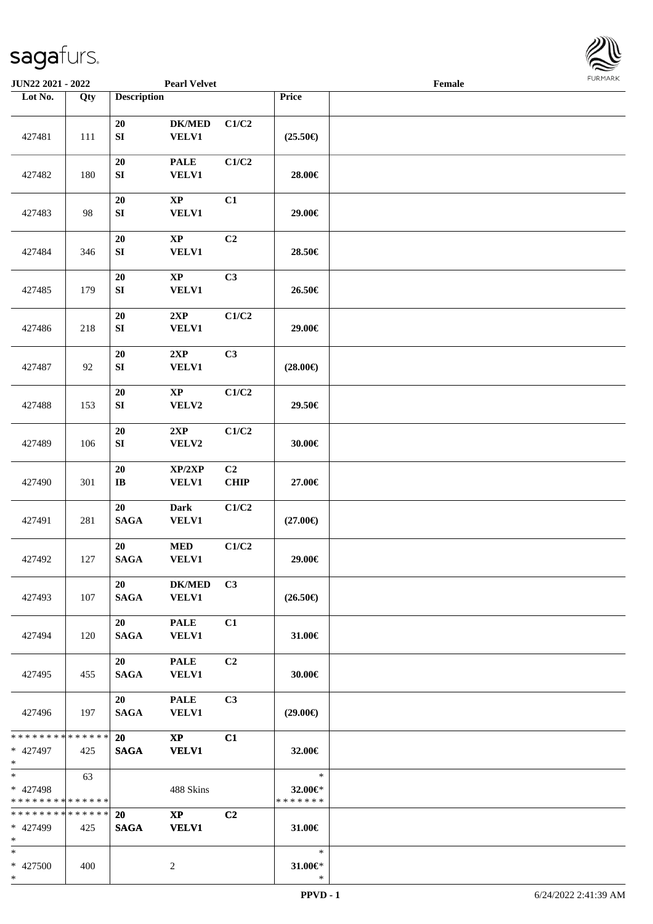

| JUN22 2021 - 2022                                    |     |                                | <b>Pearl Velvet</b>                    |                   |                                    | Female |  |
|------------------------------------------------------|-----|--------------------------------|----------------------------------------|-------------------|------------------------------------|--------|--|
| Lot No.                                              | Qty | <b>Description</b>             |                                        |                   | Price                              |        |  |
|                                                      |     | $20\,$                         | $DK/MED$                               | C1/C2             |                                    |        |  |
| 427481                                               | 111 | ${\bf S}{\bf I}$<br>20         | <b>VELV1</b><br><b>PALE</b>            | C1/C2             | $(25.50\epsilon)$                  |        |  |
| 427482                                               | 180 | ${\bf S}{\bf I}$               | <b>VELV1</b>                           |                   | 28.00€                             |        |  |
| 427483                                               | 98  | $20\,$<br>SI                   | $\bold{XP}$<br>VELV1                   | C1                | 29.00€                             |        |  |
| 427484                                               | 346 | 20<br>${\bf S}{\bf I}$         | $\bold{XP}$<br><b>VELV1</b>            | C2                | 28.50€                             |        |  |
| 427485                                               | 179 | 20<br>${\bf S}{\bf I}$         | $\bold{XP}$<br><b>VELV1</b>            | C3                | 26.50€                             |        |  |
| 427486                                               | 218 | 20<br>${\bf S}{\bf I}$         | 2XP<br>VELV1                           | C1/C2             | 29.00€                             |        |  |
| 427487                                               | 92  | 20<br>${\bf S}{\bf I}$         | 2XP<br><b>VELV1</b>                    | C3                | $(28.00\epsilon)$                  |        |  |
| 427488                                               | 153 | ${\bf 20}$<br>SI               | $\mathbf{XP}$<br>VELV2                 | C1/C2             | 29.50€                             |        |  |
| 427489                                               | 106 | ${\bf 20}$<br>${\bf S}{\bf I}$ | 2XP<br>VELV2                           | C1/C2             | 30.00€                             |        |  |
| 427490                                               | 301 | ${\bf 20}$<br>$\bf{IB}$        | XP/2XP<br><b>VELV1</b>                 | C2<br><b>CHIP</b> | 27.00€                             |        |  |
| 427491                                               | 281 | 20<br><b>SAGA</b>              | <b>Dark</b><br><b>VELV1</b>            | C1/C2             | $(27.00\epsilon)$                  |        |  |
| 427492                                               | 127 | 20<br><b>SAGA</b>              | $\bf MED$<br><b>VELV1</b>              | C1/C2             | 29.00€                             |        |  |
| 427493                                               | 107 | 20<br><b>SAGA</b>              | <b>DK/MED</b><br><b>VELV1</b>          | C3                | $(26.50\epsilon)$                  |        |  |
| 427494                                               | 120 | 20<br><b>SAGA</b>              | <b>PALE</b><br><b>VELV1</b>            | C1                | 31.00€                             |        |  |
| 427495                                               | 455 | 20<br>SAGA                     | <b>PALE</b><br><b>VELV1</b>            | C2                | 30.00€                             |        |  |
| 427496                                               | 197 | 20<br><b>SAGA</b>              | <b>PALE</b><br><b>VELV1</b>            | C3                | $(29.00\epsilon)$                  |        |  |
| * * * * * * * * * * * * * * *<br>* 427497<br>$*$ $*$ | 425 | 20<br><b>SAGA</b>              | $\mathbf{X}\mathbf{P}$<br><b>VELV1</b> | C1                | 32.00€                             |        |  |
| $*$<br>* 427498<br>* * * * * * * * * * * * * *       | 63  |                                | 488 Skins                              |                   | $\ast$<br>32.00€*<br>* * * * * * * |        |  |
| * * * * * * * * * * * * * *<br>* 427499<br>$*$       | 425 | 20<br><b>SAGA</b>              | $\mathbf{XP}$<br><b>VELV1</b>          | C <sub>2</sub>    | 31.00€                             |        |  |
| $*$<br>* 427500<br>$*$                               | 400 |                                | 2                                      |                   | $\ast$<br>31.00€*<br>$\ast$        |        |  |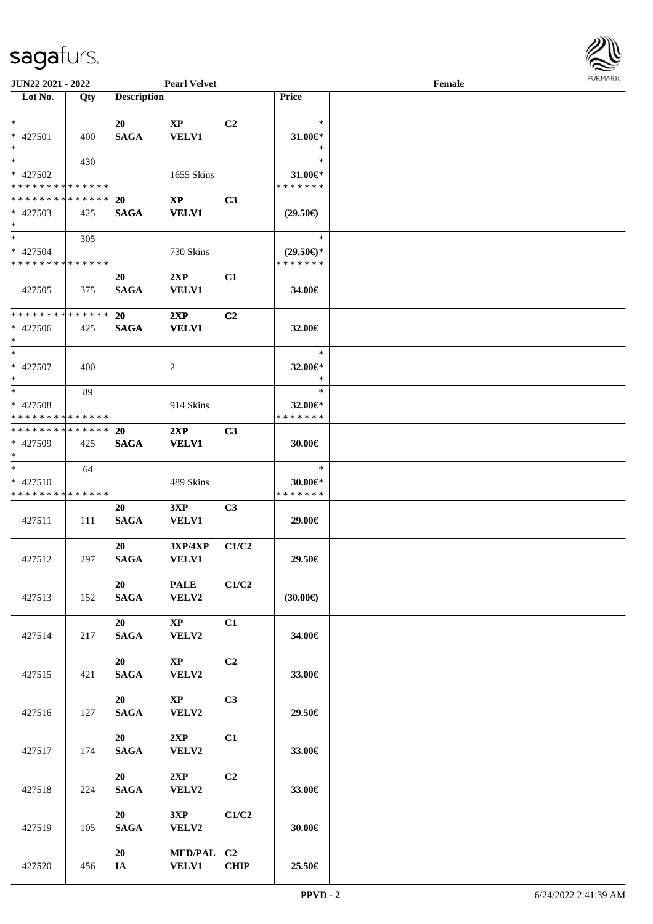

| <b>JUN22 2021 - 2022</b>                   |     |                    | <b>Pearl Velvet</b>        |                |                     | Female |  |
|--------------------------------------------|-----|--------------------|----------------------------|----------------|---------------------|--------|--|
| Lot No.                                    | Qty | <b>Description</b> |                            |                | <b>Price</b>        |        |  |
|                                            |     |                    |                            |                |                     |        |  |
| $*$                                        |     | 20                 | XP                         | C2             | $\ast$              |        |  |
| * 427501                                   | 400 | <b>SAGA</b>        | <b>VELV1</b>               |                | 31.00 $\in$ *       |        |  |
| $*$                                        |     |                    |                            |                | $\ast$              |        |  |
| $*$                                        | 430 |                    |                            |                | $\ast$              |        |  |
| * 427502                                   |     |                    | 1655 Skins                 |                | $31.00 \in$         |        |  |
| * * * * * * * * <mark>* * * * * * *</mark> |     |                    |                            |                | * * * * * * *       |        |  |
| * * * * * * * * * * * * * *                |     | <b>20</b>          | $\boldsymbol{\mathrm{XP}}$ | C <sub>3</sub> |                     |        |  |
| * 427503                                   | 425 | <b>SAGA</b>        | <b>VELV1</b>               |                | $(29.50\epsilon)$   |        |  |
| $*$                                        |     |                    |                            |                |                     |        |  |
| $*$                                        | 305 |                    |                            |                | $\ast$              |        |  |
| * 427504                                   |     |                    | 730 Skins                  |                | $(29.50\epsilon)$ * |        |  |
| * * * * * * * * * * * * * *                |     |                    |                            |                | * * * * * * *       |        |  |
|                                            |     | 20                 | 2XP                        | C1             |                     |        |  |
| 427505                                     | 375 | <b>SAGA</b>        | <b>VELV1</b>               |                | 34.00€              |        |  |
|                                            |     |                    |                            |                |                     |        |  |
| * * * * * * * * <mark>* * * * * * *</mark> |     | 20                 | 2XP                        | C <sub>2</sub> |                     |        |  |
| $* 427506$                                 | 425 | <b>SAGA</b>        | <b>VELV1</b>               |                | 32.00€              |        |  |
| $*$                                        |     |                    |                            |                |                     |        |  |
| $*$                                        |     |                    |                            |                | $\ast$              |        |  |
| * 427507                                   | 400 |                    | 2                          |                | 32.00€*             |        |  |
| $*$                                        |     |                    |                            |                | $\ast$              |        |  |
| $*$                                        | 89  |                    |                            |                | $\ast$              |        |  |
| * 427508                                   |     |                    | 914 Skins                  |                | 32.00€*             |        |  |
| * * * * * * * * * * * * * *                |     |                    |                            |                | * * * * * * *       |        |  |
| * * * * * * * * * * * * * *                |     | <b>20</b>          | 2XP                        | C <sub>3</sub> |                     |        |  |
| * 427509                                   | 425 | <b>SAGA</b>        | <b>VELV1</b>               |                | 30.00€              |        |  |
| $*$                                        |     |                    |                            |                |                     |        |  |
| $\ast$                                     | 64  |                    |                            |                | $\ast$              |        |  |
| $* 427510$                                 |     |                    | 489 Skins                  |                | $30.00 \in$ *       |        |  |
| * * * * * * * * * * * * * *                |     |                    |                            |                | * * * * * * *       |        |  |
|                                            |     | 20                 | 3XP                        | C <sub>3</sub> |                     |        |  |
| 427511                                     | 111 | <b>SAGA</b>        | <b>VELV1</b>               |                | 29.00€              |        |  |
|                                            |     |                    |                            |                |                     |        |  |
|                                            |     | 20                 | <b>3XP/4XP</b>             | C1/C2          |                     |        |  |
| 427512                                     | 297 | <b>SAGA</b>        | <b>VELV1</b>               |                | 29.50€              |        |  |
|                                            |     |                    |                            |                |                     |        |  |
|                                            |     | 20                 | <b>PALE</b>                | C1/C2          |                     |        |  |
| 427513                                     | 152 | <b>SAGA</b>        | VELV2                      |                | $(30.00\epsilon)$   |        |  |
|                                            |     |                    |                            |                |                     |        |  |
|                                            |     | 20                 | $\mathbf{X}\mathbf{P}$     | C1             |                     |        |  |
| 427514                                     | 217 | <b>SAGA</b>        | VELV2                      |                | 34.00€              |        |  |
|                                            |     |                    |                            |                |                     |        |  |
|                                            |     | 20                 | $\mathbf{X}\mathbf{P}$     | C2             |                     |        |  |
| 427515                                     | 421 | <b>SAGA</b>        | VELV2                      |                | 33.00€              |        |  |
|                                            |     |                    |                            |                |                     |        |  |
|                                            |     | 20                 | $\mathbf{X}\mathbf{P}$     | C3             |                     |        |  |
| 427516                                     | 127 | $\mathbf{SAGA}$    | VELV2                      |                | 29.50€              |        |  |
|                                            |     |                    |                            |                |                     |        |  |
|                                            |     | 20                 | 2XP                        | C1             |                     |        |  |
| 427517                                     | 174 | <b>SAGA</b>        | VELV2                      |                | 33.00€              |        |  |
|                                            |     |                    |                            |                |                     |        |  |
|                                            |     | 20                 | 2XP                        | C2             |                     |        |  |
| 427518                                     | 224 | <b>SAGA</b>        | VELV2                      |                | 33.00€              |        |  |
|                                            |     |                    |                            |                |                     |        |  |
|                                            |     | 20                 | 3XP                        | C1/C2          |                     |        |  |
| 427519                                     | 105 | <b>SAGA</b>        | VELV2                      |                | 30.00€              |        |  |
|                                            |     |                    |                            |                |                     |        |  |
|                                            |     | 20                 | MED/PAL C2                 |                |                     |        |  |
| 427520                                     | 456 | IA                 | <b>VELV1</b>               | <b>CHIP</b>    | 25.50€              |        |  |
|                                            |     |                    |                            |                |                     |        |  |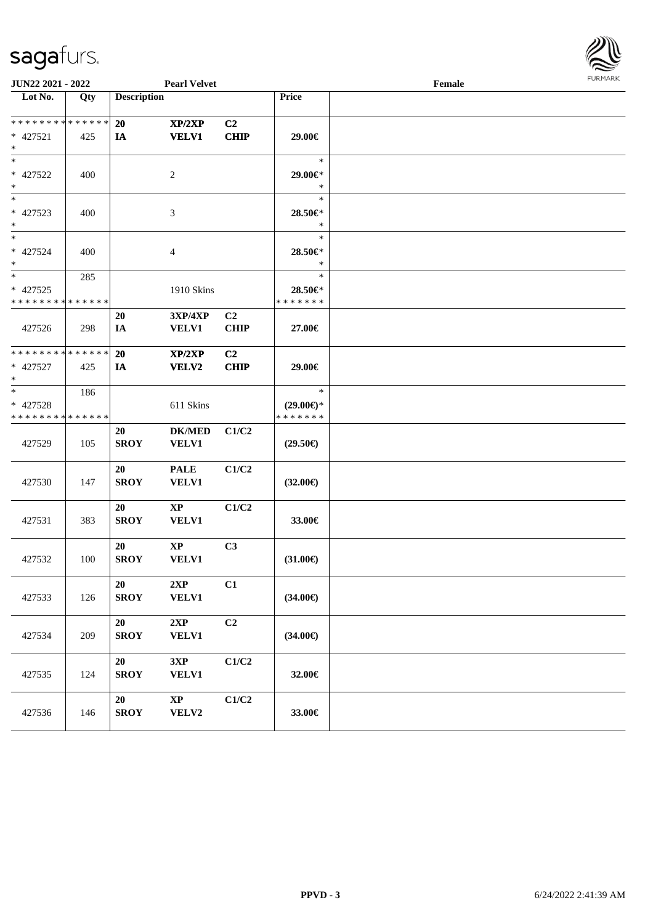

| <b>JUN22 2021 - 2022</b>                               |     |                    | <b>Pearl Velvet</b>                    |                               |                                                | Female | <b>FURPIARR</b> |
|--------------------------------------------------------|-----|--------------------|----------------------------------------|-------------------------------|------------------------------------------------|--------|-----------------|
| $\overline{\text{Lot No.}}$                            | Qty | <b>Description</b> |                                        |                               | Price                                          |        |                 |
| * * * * * * * * * * * * * *<br>* 427521<br>$\ast$      | 425 | 20<br>IA           | XP/2XP<br><b>VELV1</b>                 | C2<br><b>CHIP</b>             | 29.00€                                         |        |                 |
| $*$<br>* 427522<br>$*$                                 | 400 |                    | 2                                      |                               | $\ast$<br>29.00€*<br>$\ast$                    |        |                 |
| $*$<br>* 427523<br>$*$                                 | 400 |                    | 3                                      |                               | $\ast$<br>28.50€*<br>$\ast$                    |        |                 |
| $*$<br>* 427524<br>$*$                                 | 400 |                    | 4                                      |                               | $\ast$<br>28.50€*<br>$\ast$                    |        |                 |
| * 427525<br>* * * * * * * * <mark>* * * * * * *</mark> | 285 |                    | 1910 Skins                             |                               | $\ast$<br>28.50€*<br>* * * * * * *             |        |                 |
| 427526                                                 | 298 | 20<br>IA           | 3XP/4XP<br><b>VELV1</b>                | C <sub>2</sub><br><b>CHIP</b> | 27.00€                                         |        |                 |
| * * * * * * * * * * * * * *<br>* 427527<br>$\ast$      | 425 | 20<br>IA           | XP/2XP<br><b>VELV2</b>                 | C2<br><b>CHIP</b>             | 29.00€                                         |        |                 |
| $*$<br>$* 427528$<br>* * * * * * * * * * * * * *       | 186 |                    | 611 Skins                              |                               | $\ast$<br>$(29.00\epsilon)$ *<br>* * * * * * * |        |                 |
| 427529                                                 | 105 | 20<br><b>SROY</b>  | <b>DK/MED</b><br>VELV1                 | C1/C2                         | $(29.50\epsilon)$                              |        |                 |
| 427530                                                 | 147 | 20<br><b>SROY</b>  | <b>PALE</b><br>VELV1                   | C1/C2                         | $(32.00\epsilon)$                              |        |                 |
| 427531                                                 | 383 | 20<br><b>SROY</b>  | XP<br>VELV1                            | C1/C2                         | 33.00€                                         |        |                 |
| 427532                                                 | 100 | 20<br><b>SROY</b>  | $\mathbf{X}\mathbf{P}$<br><b>VELV1</b> | C3                            | $(31.00\epsilon)$                              |        |                 |
| 427533                                                 | 126 | 20<br><b>SROY</b>  | 2XP<br><b>VELV1</b>                    | C1                            | $(34.00\epsilon)$                              |        |                 |
| 427534                                                 | 209 | 20<br><b>SROY</b>  | 2XP<br><b>VELV1</b>                    | C2                            | $(34.00\epsilon)$                              |        |                 |
| 427535                                                 | 124 | 20<br><b>SROY</b>  | 3XP<br><b>VELV1</b>                    | C1/C2                         | 32.00€                                         |        |                 |
| 427536                                                 | 146 | 20<br><b>SROY</b>  | $\mathbf{X}\mathbf{P}$<br>VELV2        | C1/C2                         | 33.00€                                         |        |                 |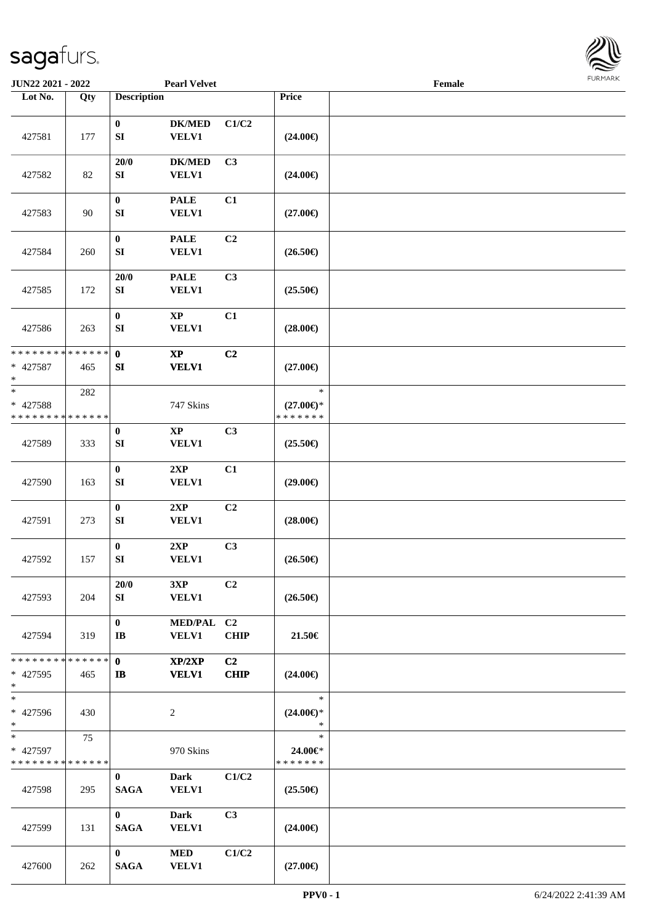

| JUN22 2021 - 2022                                   |                      |                                      | <b>Pearl Velvet</b>           |                               |                                                | Female |  |
|-----------------------------------------------------|----------------------|--------------------------------------|-------------------------------|-------------------------------|------------------------------------------------|--------|--|
| Lot No.                                             | Qty                  | <b>Description</b>                   |                               |                               | Price                                          |        |  |
| 427581                                              | 177                  | $\bf{0}$<br>${\bf S}{\bf I}$         | <b>DK/MED</b><br><b>VELV1</b> | C1/C2                         | $(24.00\epsilon)$                              |        |  |
| 427582                                              | 82                   | 20/0<br>SI                           | <b>DK/MED</b><br>VELV1        | C3                            | $(24.00\epsilon)$                              |        |  |
| 427583                                              | 90                   | $\boldsymbol{0}$<br>SI               | <b>PALE</b><br>VELV1          | C1                            | $(27.00\epsilon)$                              |        |  |
| 427584                                              | 260                  | $\bf{0}$<br>SI                       | <b>PALE</b><br><b>VELV1</b>   | C <sub>2</sub>                | $(26.50\epsilon)$                              |        |  |
| 427585                                              | 172                  | 20/0<br>SI                           | <b>PALE</b><br><b>VELV1</b>   | C3                            | $(25.50\epsilon)$                              |        |  |
| 427586                                              | 263                  | $\bf{0}$<br>SI                       | $\bold{XP}$<br><b>VELV1</b>   | C1                            | $(28.00\epsilon)$                              |        |  |
| * * * * * * * * * * * * * *<br>$* 427587$<br>$\ast$ | 465                  | $\mathbf 0$<br>SI                    | $\bold{XP}$<br><b>VELV1</b>   | C <sub>2</sub>                | $(27.00\epsilon)$                              |        |  |
| $*$<br>* 427588<br>* * * * * * * * * * * * * *      | 282                  |                                      | 747 Skins                     |                               | $\ast$<br>$(27.00\epsilon)$ *<br>* * * * * * * |        |  |
| 427589                                              | 333                  | $\boldsymbol{0}$<br>SI               | $\mathbf{XP}$<br><b>VELV1</b> | C3                            | $(25.50\epsilon)$                              |        |  |
| 427590                                              | 163                  | $\boldsymbol{0}$<br>${\bf S}{\bf I}$ | 2XP<br><b>VELV1</b>           | C1                            | $(29.00\epsilon)$                              |        |  |
| 427591                                              | 273                  | $\pmb{0}$<br>SI                      | 2XP<br><b>VELV1</b>           | C <sub>2</sub>                | $(28.00\epsilon)$                              |        |  |
| 427592                                              | 157                  | $\boldsymbol{0}$<br>${\bf SI}$       | 2XP<br><b>VELV1</b>           | C3                            | $(26.50\epsilon)$                              |        |  |
| 427593                                              | 204                  | 20/0<br>SI                           | 3XP<br><b>VELV1</b>           | C2                            | $(26.50\epsilon)$                              |        |  |
| 427594                                              | 319                  | $\bf{0}$<br>IB                       | MED/PAL C2<br><b>VELV1</b>    | <b>CHIP</b>                   | 21.50€                                         |        |  |
| * * * * * * * *<br>* 427595<br>$*$                  | * * * * * * *<br>465 | $\mathbf{0}$<br>$\mathbf{I}$         | XP/2XP<br><b>VELV1</b>        | C <sub>2</sub><br><b>CHIP</b> | $(24.00\epsilon)$                              |        |  |
| $\ast$<br>* 427596<br>$*$                           | 430                  |                                      | $\boldsymbol{2}$              |                               | $\ast$<br>$(24.00\epsilon)$ *<br>$\ast$        |        |  |
| $*$<br>* 427597<br>* * * * * * * * * * * * * *      | 75                   |                                      | 970 Skins                     |                               | $\ast$<br>24.00€*<br>* * * * * * *             |        |  |
| 427598                                              | 295                  | $\mathbf{0}$<br><b>SAGA</b>          | <b>Dark</b><br><b>VELV1</b>   | C1/C2                         | $(25.50\epsilon)$                              |        |  |
| 427599                                              | 131                  | $\mathbf{0}$<br><b>SAGA</b>          | <b>Dark</b><br><b>VELV1</b>   | C3                            | $(24.00\epsilon)$                              |        |  |
| 427600                                              | 262                  | $\bf{0}$<br><b>SAGA</b>              | $\bf MED$<br><b>VELV1</b>     | C1/C2                         | $(27.00\epsilon)$                              |        |  |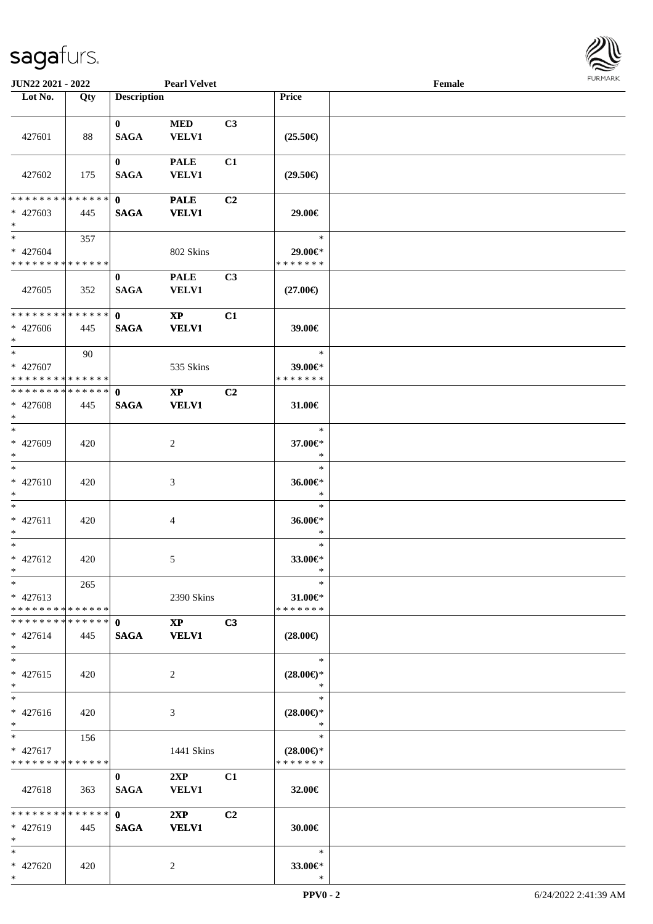

| <b>JUN22 2021 - 2022</b>                             |       |                                              | <b>Pearl Velvet</b>                    |                |                                                | Female |  |
|------------------------------------------------------|-------|----------------------------------------------|----------------------------------------|----------------|------------------------------------------------|--------|--|
| Lot No.                                              | Qty   | <b>Description</b>                           |                                        |                | Price                                          |        |  |
| 427601                                               | 88    | $\mathbf{0}$<br><b>SAGA</b>                  | <b>MED</b><br><b>VELV1</b>             | C3             | $(25.50\epsilon)$                              |        |  |
| 427602                                               | 175   | $\mathbf{0}$<br><b>SAGA</b>                  | <b>PALE</b><br><b>VELV1</b>            | C1             | $(29.50\epsilon)$                              |        |  |
| * * * * * * * * * * * * * * *<br>* 427603<br>$*$     | 445   | $\mathbf{0}$<br><b>SAGA</b>                  | <b>PALE</b><br><b>VELV1</b>            | C2             | 29.00€                                         |        |  |
| $*$<br>* 427604<br>* * * * * * * * * * * * * * *     | 357   |                                              | 802 Skins                              |                | $\ast$<br>29.00€*<br>* * * * * * *             |        |  |
| 427605                                               | 352   | $\bf{0}$<br><b>SAGA</b>                      | <b>PALE</b><br><b>VELV1</b>            | C3             | $(27.00\epsilon)$                              |        |  |
| * * * * * * * * * * * * * * *<br>$* 427606$<br>$*$   | 445   | $\mathbf{0}$<br><b>SAGA</b>                  | $\mathbf{X}\mathbf{P}$<br><b>VELV1</b> | C1             | 39.00€                                         |        |  |
| $\ast$<br>* 427607<br>* * * * * * * * * * * * * * *  | 90    |                                              | 535 Skins                              |                | $\ast$<br>39.00€*<br>* * * * * * *             |        |  |
| * * * * * * * * * * * * * * *<br>* 427608<br>$\ast$  | 445   | $\mathbf{0}$<br><b>SAGA</b>                  | <b>XP</b><br><b>VELV1</b>              | C2             | 31.00€                                         |        |  |
| $*$<br>* 427609<br>$*$                               | 420   |                                              | 2                                      |                | $\ast$<br>37.00€*<br>$\ast$                    |        |  |
| $\ast$<br>$* 427610$<br>$*$                          | 420   |                                              | 3                                      |                | $\ast$<br>36.00€*<br>$\ast$                    |        |  |
| $*$<br>$* 427611$<br>$*$                             | 420   |                                              | 4                                      |                | $\ast$<br>36.00€*<br>$\ast$                    |        |  |
| $*$<br>* 427612<br>$*$                               | 420   |                                              | 5                                      |                | $\ast$<br>33.00€*<br>$\ast$                    |        |  |
| $*$<br>$* 427613$<br>* * * * * * * * * * * * * * *   | 265   |                                              | 2390 Skins                             |                | $\ast$<br>31.00€*<br>* * * * * * *             |        |  |
| * * * * * * * * * * * * * * *<br>$* 427614$<br>$*$   | 445   | $\mathbf{0}$<br><b>SAGA</b>                  | $\mathbf{X}\mathbf{P}$<br><b>VELV1</b> | C3             | $(28.00\epsilon)$                              |        |  |
| $*$<br>$* 427615$<br>$*$                             | 420   |                                              | 2                                      |                | $\ast$<br>$(28.00\epsilon)$ *<br>$\ast$        |        |  |
| $*$<br>* 427616<br>$*$                               | 420   |                                              | 3                                      |                | $\ast$<br>$(28.00\epsilon)$ *<br>$\ast$        |        |  |
| $*$ $-$<br>$* 427617$<br>* * * * * * * * * * * * * * | 156   |                                              | 1441 Skins                             |                | $\ast$<br>$(28.00\epsilon)$ *<br>* * * * * * * |        |  |
| 427618                                               | 363   | $\bf{0}$<br><b>SAGA</b>                      | 2XP<br><b>VELV1</b>                    | C <sub>1</sub> | 32.00€                                         |        |  |
| * * * * * * * * * * * * * * *<br>* 427619<br>$*$     | - 445 | $\mathbf{0}$ and $\mathbf{0}$<br><b>SAGA</b> | 2XP<br><b>VELV1</b>                    | C2             | 30.00€                                         |        |  |
| $*$<br>* 427620<br>$*$                               | 420   |                                              | 2                                      |                | $\ast$<br>33.00€*<br>$\ast$                    |        |  |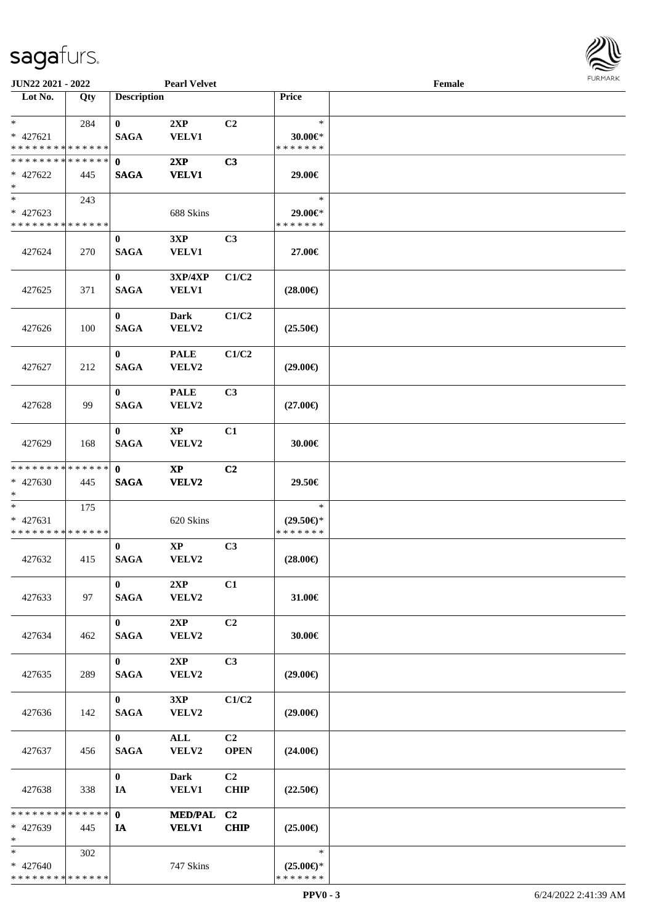

| JUN22 2021 - 2022                                |     |                             | <b>Pearl Velvet</b>            |                               |                                                | Female |  |
|--------------------------------------------------|-----|-----------------------------|--------------------------------|-------------------------------|------------------------------------------------|--------|--|
| Lot No.                                          | Qty | <b>Description</b>          |                                |                               | Price                                          |        |  |
| $*$<br>* 427621<br>* * * * * * * * * * * * * *   | 284 | $\bf{0}$<br><b>SAGA</b>     | 2XP<br><b>VELV1</b>            | C2                            | $\ast$<br>$30.00 \in$ *<br>* * * * * * *       |        |  |
| * * * * * * * * * * * * * *<br>* 427622<br>$*$   | 445 | 0<br><b>SAGA</b>            | 2XP<br><b>VELV1</b>            | C3                            | 29.00€                                         |        |  |
| $*$<br>$* 427623$<br>* * * * * * * * * * * * * * | 243 |                             | 688 Skins                      |                               | $\ast$<br>29.00€*<br>* * * * * * *             |        |  |
| 427624                                           | 270 | $\bf{0}$<br><b>SAGA</b>     | 3XP<br><b>VELV1</b>            | C3                            | 27.00€                                         |        |  |
| 427625                                           | 371 | $\bf{0}$<br><b>SAGA</b>     | 3XP/4XP<br>VELV1               | C1/C2                         | $(28.00\epsilon)$                              |        |  |
| 427626                                           | 100 | $\bf{0}$<br><b>SAGA</b>     | <b>Dark</b><br>VELV2           | C1/C2                         | $(25.50\epsilon)$                              |        |  |
| 427627                                           | 212 | $\bf{0}$<br><b>SAGA</b>     | <b>PALE</b><br>VELV2           | C1/C2                         | $(29.00\epsilon)$                              |        |  |
| 427628                                           | 99  | $\bf{0}$<br><b>SAGA</b>     | <b>PALE</b><br>VELV2           | C3                            | $(27.00\epsilon)$                              |        |  |
| 427629                                           | 168 | $\bf{0}$<br><b>SAGA</b>     | <b>XP</b><br>VELV2             | C1                            | 30.00€                                         |        |  |
| * * * * * * * * * * * * * *<br>* 427630<br>$*$   | 445 | $\mathbf{0}$<br><b>SAGA</b> | $\mathbf{XP}$<br>VELV2         | C2                            | 29.50€                                         |        |  |
| $*$<br>* 427631<br>* * * * * * * * * * * * * *   | 175 |                             | 620 Skins                      |                               | $\ast$<br>$(29.50\epsilon)$ *<br>* * * * * * * |        |  |
| 427632                                           | 415 | $\bf{0}$<br><b>SAGA</b>     | $\bold{XP}$<br>VELV2           | C3                            | $(28.00\epsilon)$                              |        |  |
| 427633                                           | 97  | $\mathbf{0}$<br><b>SAGA</b> | 2XP<br>VELV2                   | C1                            | 31.00€                                         |        |  |
| 427634                                           | 462 | $\mathbf{0}$<br><b>SAGA</b> | 2XP<br><b>VELV2</b>            | C2                            | 30.00€                                         |        |  |
| 427635                                           | 289 | $\mathbf{0}$<br><b>SAGA</b> | 2XP<br>VELV2                   | C <sub>3</sub>                | $(29.00\epsilon)$                              |        |  |
| 427636                                           | 142 | $\mathbf{0}$<br><b>SAGA</b> | 3XP<br>VELV2                   | C1/C2                         | $(29.00\epsilon)$                              |        |  |
| 427637                                           | 456 | $\mathbf{0}$<br><b>SAGA</b> | $\mathbf{ALL}$<br>VELV2        | C2<br><b>OPEN</b>             | $(24.00\epsilon)$                              |        |  |
| 427638                                           | 338 | $\mathbf{0}$<br>IA          | <b>Dark</b><br><b>VELV1</b>    | C <sub>2</sub><br><b>CHIP</b> | $(22.50\epsilon)$                              |        |  |
| * * * * * * * * * * * * * * *<br>* 427639<br>$*$ | 445 | $\mathbf{0}$<br>IA          | <b>MED/PAL</b><br><b>VELV1</b> | C2<br><b>CHIP</b>             | $(25.00\epsilon)$                              |        |  |
| $*$<br>* 427640<br>* * * * * * * * * * * * * *   | 302 |                             | 747 Skins                      |                               | $\ast$<br>$(25.00\epsilon)$ *<br>* * * * * * * |        |  |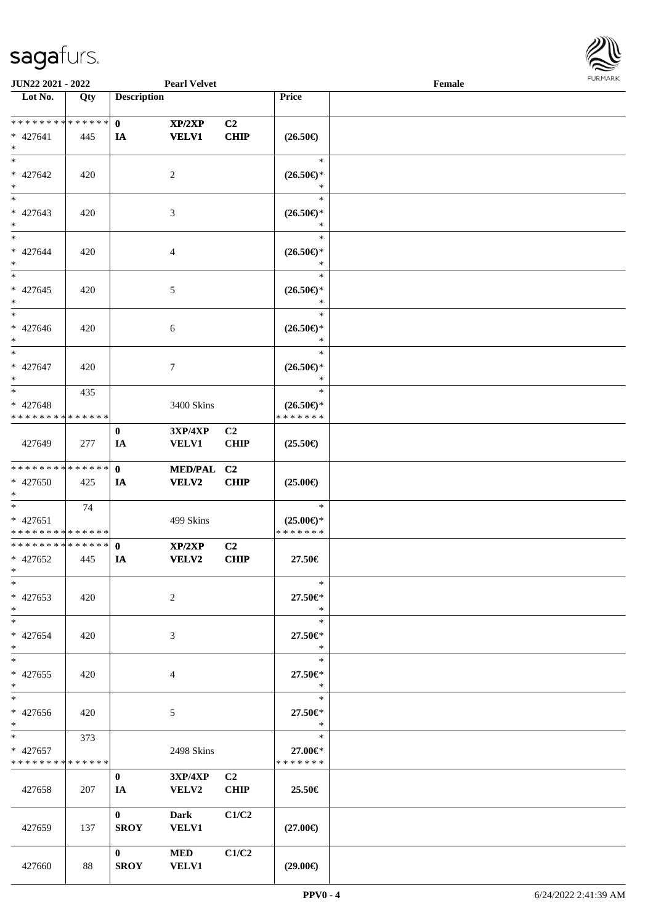

| <b>JUN22 2021 - 2022</b>      |     |                    | <b>Pearl Velvet</b> |                |                     | Female |  |
|-------------------------------|-----|--------------------|---------------------|----------------|---------------------|--------|--|
| Lot No.                       | Qty | <b>Description</b> |                     |                | Price               |        |  |
|                               |     |                    |                     |                |                     |        |  |
| ******** <mark>******</mark>  |     | $\mathbf{0}$       | XP/2XP              | C <sub>2</sub> |                     |        |  |
| $* 427641$                    | 445 | IA                 | <b>VELV1</b>        | <b>CHIP</b>    | $(26.50\epsilon)$   |        |  |
| $*$                           |     |                    |                     |                |                     |        |  |
| $*$                           |     |                    |                     |                | $\ast$              |        |  |
| * 427642                      | 420 |                    | 2                   |                | $(26.50\epsilon)$ * |        |  |
| $\ast$                        |     |                    |                     |                | *                   |        |  |
| $\overline{\phantom{0}}$      |     |                    |                     |                | $\ast$              |        |  |
| $* 427643$                    | 420 |                    | 3                   |                | $(26.50\epsilon)$ * |        |  |
| $\ast$                        |     |                    |                     |                | *                   |        |  |
| $*$                           |     |                    |                     |                | $\ast$              |        |  |
| $* 427644$                    | 420 |                    | 4                   |                | $(26.50\epsilon)$ * |        |  |
| $*$                           |     |                    |                     |                | $\ast$              |        |  |
| $*$                           |     |                    |                     |                | $\ast$              |        |  |
| $* 427645$                    | 420 |                    | 5                   |                | $(26.50\epsilon)$ * |        |  |
| $*$                           |     |                    |                     |                | $\ast$              |        |  |
| $*$                           |     |                    |                     |                | $\ast$              |        |  |
| * 427646                      | 420 |                    | 6                   |                | $(26.50\epsilon)$ * |        |  |
| $*$                           |     |                    |                     |                | $\ast$              |        |  |
| $*$                           |     |                    |                     |                | $\ast$              |        |  |
| * 427647                      | 420 |                    | 7                   |                | $(26.50\epsilon)$ * |        |  |
| $*$                           |     |                    |                     |                | $\ast$              |        |  |
| $*$                           | 435 |                    |                     |                | $\ast$              |        |  |
| $* 427648$                    |     |                    | 3400 Skins          |                | $(26.50\epsilon)$ * |        |  |
| * * * * * * * * * * * * * *   |     |                    |                     |                | * * * * * * *       |        |  |
|                               |     | $\bf{0}$           | <b>3XP/4XP</b>      | C <sub>2</sub> |                     |        |  |
| 427649                        | 277 | IA                 | VELV1               | <b>CHIP</b>    | $(25.50\epsilon)$   |        |  |
|                               |     |                    |                     |                |                     |        |  |
| * * * * * * * * * * * * * * * |     | $\mathbf{0}$       | MED/PAL C2          |                |                     |        |  |
| $* 427650$                    | 425 | IA                 | VELV2               | <b>CHIP</b>    | $(25.00\epsilon)$   |        |  |
| $*$                           |     |                    |                     |                |                     |        |  |
| $*$                           | 74  |                    |                     |                | $\ast$              |        |  |
| * 427651                      |     |                    | 499 Skins           |                | $(25.00\epsilon)$ * |        |  |
| * * * * * * * * * * * * * *   |     |                    |                     |                | * * * * * * *       |        |  |
| * * * * * * * * * * * * * * * |     | $\mathbf{0}$       | XP/2XP              | C2             |                     |        |  |
| $* 427652$                    | 445 | IA                 | <b>VELV2</b>        | <b>CHIP</b>    | 27.50€              |        |  |
| $*$ $*$                       |     |                    |                     |                |                     |        |  |
| $*$                           |     |                    |                     |                | $\ast$              |        |  |
| * 427653                      | 420 |                    | 2                   |                | 27.50€*             |        |  |
| $*$                           |     |                    |                     |                | $\ast$              |        |  |
| $*$                           |     |                    |                     |                | $\ast$              |        |  |
| * 427654                      | 420 |                    | 3                   |                | 27.50€*             |        |  |
| $*$                           |     |                    |                     |                | $\ast$              |        |  |
| $*$                           |     |                    |                     |                | $\ast$              |        |  |
| $* 427655$                    | 420 |                    | 4                   |                | 27.50€*             |        |  |
| $*$                           |     |                    |                     |                | $\ast$              |        |  |
| $\overline{\ast}$             |     |                    |                     |                | $\ast$              |        |  |
| * 427656                      | 420 |                    | 5                   |                | 27.50€*             |        |  |
| $*$                           |     |                    |                     |                | $\ast$              |        |  |
| $*$ and $*$                   | 373 |                    |                     |                | $\ast$              |        |  |
| * 427657                      |     |                    | 2498 Skins          |                | 27.00€*             |        |  |
| * * * * * * * * * * * * * *   |     |                    |                     |                | * * * * * * *       |        |  |
|                               |     | $\bf{0}$           | <b>3XP/4XP</b>      | C2             |                     |        |  |
| 427658                        | 207 | IA                 | <b>VELV2</b>        | <b>CHIP</b>    | 25.50€              |        |  |
|                               |     |                    |                     |                |                     |        |  |
|                               |     | $\mathbf{0}$       | Dark                | C1/C2          |                     |        |  |
| 427659                        | 137 | <b>SROY</b>        | <b>VELV1</b>        |                | $(27.00\epsilon)$   |        |  |
|                               |     |                    |                     |                |                     |        |  |
|                               |     | $\mathbf{0}$       | <b>MED</b>          | C1/C2          |                     |        |  |
| 427660                        | 88  | <b>SROY</b>        | VELV1               |                | $(29.00\epsilon)$   |        |  |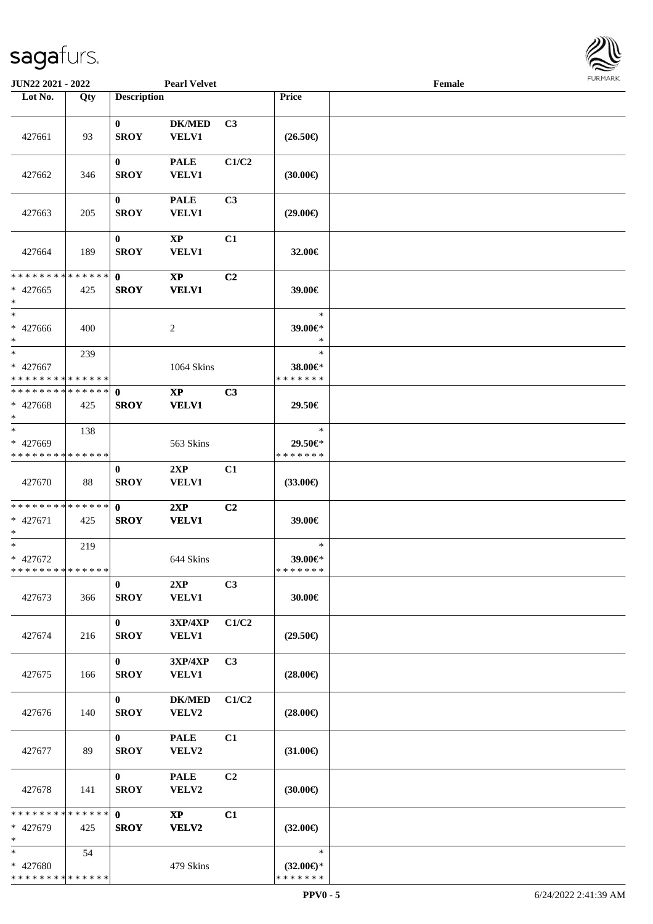

| <b>JUN22 2021 - 2022</b>                            |     |                             | <b>Pearl Velvet</b>             |                |                                                | Female |  |
|-----------------------------------------------------|-----|-----------------------------|---------------------------------|----------------|------------------------------------------------|--------|--|
| Lot No.                                             | Qty | <b>Description</b>          |                                 |                | Price                                          |        |  |
| 427661                                              | 93  | $\bf{0}$<br><b>SROY</b>     | <b>DK/MED</b><br><b>VELV1</b>   | C <sub>3</sub> | $(26.50\epsilon)$                              |        |  |
| 427662                                              | 346 | $\bf{0}$<br><b>SROY</b>     | <b>PALE</b><br><b>VELV1</b>     | C1/C2          | (30.00)                                        |        |  |
| 427663                                              | 205 | $\bf{0}$<br><b>SROY</b>     | <b>PALE</b><br>VELV1            | C3             | $(29.00\epsilon)$                              |        |  |
| 427664                                              | 189 | $\bf{0}$<br><b>SROY</b>     | $\bold{XP}$<br><b>VELV1</b>     | C1             | 32.00€                                         |        |  |
| * * * * * * * * * * * * * *<br>$* 427665$<br>$\ast$ | 425 | $\mathbf{0}$<br><b>SROY</b> | $\bold{XP}$<br><b>VELV1</b>     | C2             | 39.00€                                         |        |  |
| $\ast$<br>$* 427666$<br>$*$                         | 400 |                             | $\overline{c}$                  |                | $\ast$<br>39.00€*<br>$\ast$                    |        |  |
| $\ast$<br>* 427667<br>* * * * * * * * * * * * * *   | 239 |                             | 1064 Skins                      |                | $\ast$<br>38.00€*<br>* * * * * * *             |        |  |
| * * * * * * * * * * * * * *<br>$* 427668$<br>$*$    | 425 | $\mathbf 0$<br><b>SROY</b>  | $\bold{XP}$<br><b>VELV1</b>     | C3             | 29.50€                                         |        |  |
| $\ast$<br>* 427669<br>* * * * * * * * * * * * * *   | 138 |                             | 563 Skins                       |                | $\ast$<br>29.50€*<br>* * * * * * *             |        |  |
| 427670                                              | 88  | $\bf{0}$<br><b>SROY</b>     | 2XP<br>VELV1                    | C1             | $(33.00\epsilon)$                              |        |  |
| * * * * * * * * * * * * * * *<br>* 427671<br>$\ast$ | 425 | $\mathbf{0}$<br><b>SROY</b> | 2XP<br><b>VELV1</b>             | C <sub>2</sub> | 39.00€                                         |        |  |
| $*$<br>$* 427672$<br>* * * * * * * * * * * * * *    | 219 |                             | 644 Skins                       |                | $\ast$<br>39.00€*<br>* * * * * * *             |        |  |
| 427673                                              | 366 | $\bf{0}$<br><b>SROY</b>     | 2XP<br><b>VELV1</b>             | C3             | 30.00€                                         |        |  |
| 427674                                              | 216 | $\mathbf{0}$<br><b>SROY</b> | 3XP/4XP<br><b>VELV1</b>         | C1/C2          | $(29.50\epsilon)$                              |        |  |
| 427675                                              | 166 | $\bf{0}$<br><b>SROY</b>     | 3XP/4XP<br><b>VELV1</b>         | C3             | $(28.00\epsilon)$                              |        |  |
| 427676                                              | 140 | $\mathbf{0}$<br><b>SROY</b> | <b>DK/MED</b><br>VELV2          | C1/C2          | $(28.00\epsilon)$                              |        |  |
| 427677                                              | 89  | $\bf{0}$<br><b>SROY</b>     | <b>PALE</b><br>VELV2            | C1             | $(31.00\epsilon)$                              |        |  |
| 427678                                              | 141 | $\mathbf{0}$<br><b>SROY</b> | <b>PALE</b><br>VELV2            | C2             | $(30.00\epsilon)$                              |        |  |
| * * * * * * * * * * * * * *<br>* 427679<br>$\ast$   | 425 | $\mathbf{0}$<br><b>SROY</b> | $\mathbf{X}\mathbf{P}$<br>VELV2 | C1             | $(32.00\epsilon)$                              |        |  |
| $*$<br>* 427680<br>* * * * * * * * * * * * * *      | 54  |                             | 479 Skins                       |                | $\ast$<br>$(32.00\epsilon)$ *<br>* * * * * * * |        |  |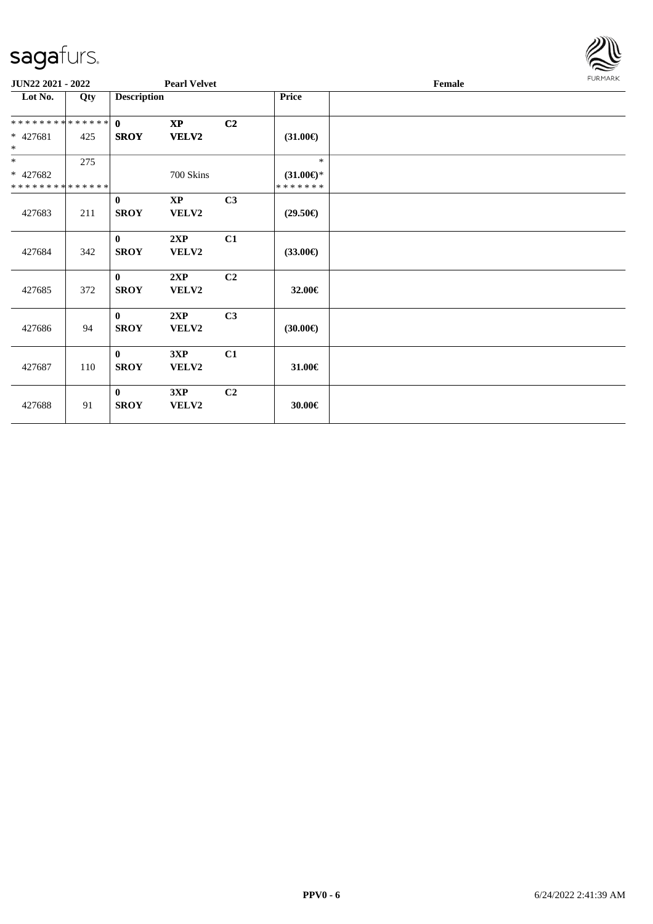

| JUN22 2021 - 2022 |     | <b>Pearl Velvet</b> |                         |                |                     | Female | <b>FURMARK</b> |
|-------------------|-----|---------------------|-------------------------|----------------|---------------------|--------|----------------|
| Lot No.           | Qty | <b>Description</b>  |                         |                | <b>Price</b>        |        |                |
| **************    |     | $\mathbf{0}$        | $\mathbf{X}\mathbf{P}$  | C <sub>2</sub> |                     |        |                |
| $* 427681$<br>$*$ | 425 | <b>SROY</b>         | <b>VELV2</b>            |                | $(31.00\epsilon)$   |        |                |
| $*$               | 275 |                     |                         |                | $\ast$              |        |                |
| * 427682          |     |                     | 700 Skins               |                | $(31.00\epsilon)$ * |        |                |
| **************    |     |                     |                         |                | *******             |        |                |
|                   |     | $\bf{0}$            | $\mathbf{X} \mathbf{P}$ | C3             |                     |        |                |
| 427683            | 211 | <b>SROY</b>         | VELV2                   |                | $(29.50\epsilon)$   |        |                |
|                   |     | $\bf{0}$            | 2XP                     | C1             |                     |        |                |
| 427684            | 342 | <b>SROY</b>         | VELV2                   |                | $(33.00\epsilon)$   |        |                |
|                   |     | $\mathbf{0}$        | 2XP                     | C2             |                     |        |                |
| 427685            | 372 | <b>SROY</b>         | VELV2                   |                | 32.00€              |        |                |
|                   |     | $\mathbf{0}$        | 2XP                     | C3             |                     |        |                |
| 427686            | 94  | <b>SROY</b>         | VELV2                   |                | $(30.00\epsilon)$   |        |                |
|                   |     | $\bf{0}$            | 3XP                     | C1             |                     |        |                |
| 427687            | 110 | <b>SROY</b>         | VELV2                   |                | 31.00€              |        |                |
|                   |     | $\mathbf{0}$        | 3XP                     | C2             |                     |        |                |
| 427688            | 91  | <b>SROY</b>         | VELV2                   |                | 30.00€              |        |                |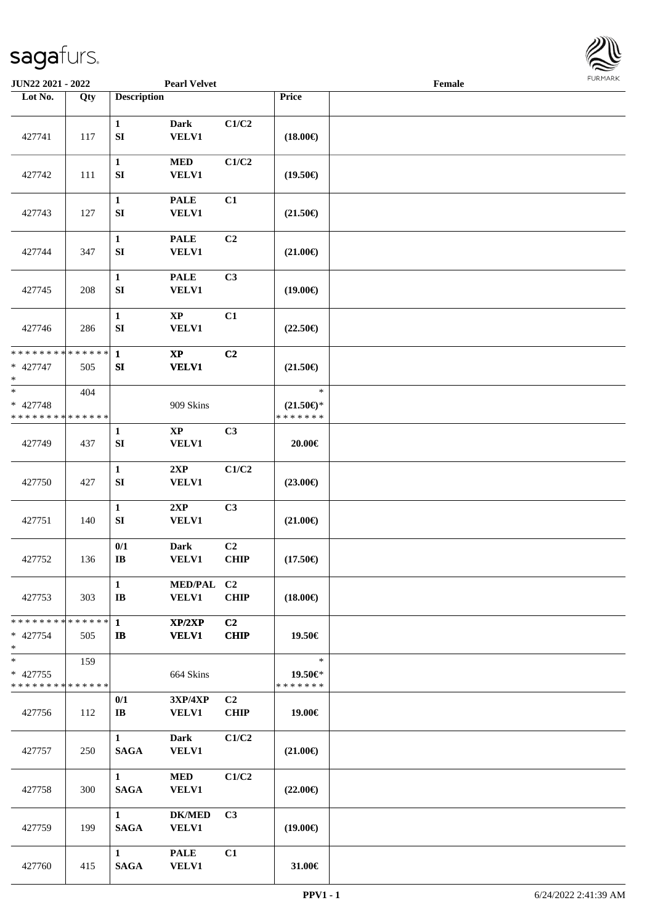

| JUN22 2021 - 2022                                 |     |                                       | <b>Pearl Velvet</b>                               |                   |                                                | Female |  |
|---------------------------------------------------|-----|---------------------------------------|---------------------------------------------------|-------------------|------------------------------------------------|--------|--|
| Lot No.                                           | Qty | <b>Description</b>                    |                                                   |                   | Price                                          |        |  |
| 427741                                            | 117 | $\mathbf{1}$<br>${\bf S}{\bf I}$      | <b>Dark</b><br>VELV1                              | C1/C2             | $(18.00\epsilon)$                              |        |  |
| 427742                                            | 111 | $\mathbf{1}$<br>${\bf S}{\bf I}$      | <b>MED</b><br><b>VELV1</b>                        | C1/C2             | $(19.50\epsilon)$                              |        |  |
| 427743                                            | 127 | $\mathbf{1}$<br>${\bf S}{\bf I}$      | <b>PALE</b><br>VELV1                              | C1                | $(21.50\epsilon)$                              |        |  |
| 427744                                            | 347 | $\mathbf{1}$<br>SI                    | <b>PALE</b><br><b>VELV1</b>                       | C2                | $(21.00\epsilon)$                              |        |  |
| 427745                                            | 208 | $\mathbf{1}$<br>SI                    | <b>PALE</b><br>VELV1                              | C3                | $(19.00\epsilon)$                              |        |  |
| 427746                                            | 286 | $\mathbf{1}$<br>SI                    | $\bold{XP}$<br>VELV1                              | C1                | $(22.50\epsilon)$                              |        |  |
| * * * * * * * * * * * * * *<br>* 427747<br>$\ast$ | 505 | $\mathbf{1}$<br>${\bf SI}$            | $\bold{XP}$<br><b>VELV1</b>                       | C2                | $(21.50\epsilon)$                              |        |  |
| $*$<br>* 427748<br>* * * * * * * * * * * * * *    | 404 |                                       | 909 Skins                                         |                   | $\ast$<br>$(21.50\epsilon)$ *<br>* * * * * * * |        |  |
| 427749                                            | 437 | 1<br>${\bf S}{\bf I}$                 | $\bold{XP}$<br>VELV1                              | C3                | 20.00€                                         |        |  |
| 427750                                            | 427 | $\mathbf 1$<br>SI                     | 2XP<br>VELV1                                      | C1/C2             | $(23.00\epsilon)$                              |        |  |
| 427751                                            | 140 | $\mathbf 1$<br>SI                     | 2XP<br>VELV1                                      | C3                | $(21.00\epsilon)$                              |        |  |
| 427752                                            | 136 | 0/1<br>$\bf IB$                       | <b>Dark</b><br>VELV1                              | C2<br><b>CHIP</b> | $(17.50\epsilon)$                              |        |  |
| 427753                                            | 303 | $\mathbf{1}$<br>$\mathbf{I}$ <b>B</b> | MED/PAL C2<br><b>VELV1</b>                        | <b>CHIP</b>       | $(18.00\epsilon)$                              |        |  |
| * * * * * * * * * * * * * * *<br>* 427754<br>$*$  | 505 | $\mathbf{1}$<br>$\mathbf{I}$          | XP/2XP<br><b>VELV1</b>                            | C2<br><b>CHIP</b> | 19.50€                                         |        |  |
| $*$<br>* 427755<br>* * * * * * * * * * * * * *    | 159 |                                       | 664 Skins                                         |                   | $\ast$<br>19.50€*<br>* * * * * * *             |        |  |
| 427756                                            | 112 | 0/1<br>$\bf{IB}$                      | $3{\bf X}{\bf P}/4{\bf X}{\bf P}$<br><b>VELV1</b> | C2<br><b>CHIP</b> | 19.00€                                         |        |  |
| 427757                                            | 250 | $\mathbf{1}$<br><b>SAGA</b>           | <b>Dark</b><br>VELV1                              | C1/C2             | $(21.00\epsilon)$                              |        |  |
| 427758                                            | 300 | $\mathbf{1}$<br><b>SAGA</b>           | <b>MED</b><br>VELV1                               | C1/C2             | $(22.00\epsilon)$                              |        |  |
| 427759                                            | 199 | $\mathbf{1}$<br><b>SAGA</b>           | <b>DK/MED</b><br><b>VELV1</b>                     | C3                | $(19.00\epsilon)$                              |        |  |
| 427760                                            | 415 | $\mathbf{1}$<br><b>SAGA</b>           | <b>PALE</b><br><b>VELV1</b>                       | C1                | 31.00€                                         |        |  |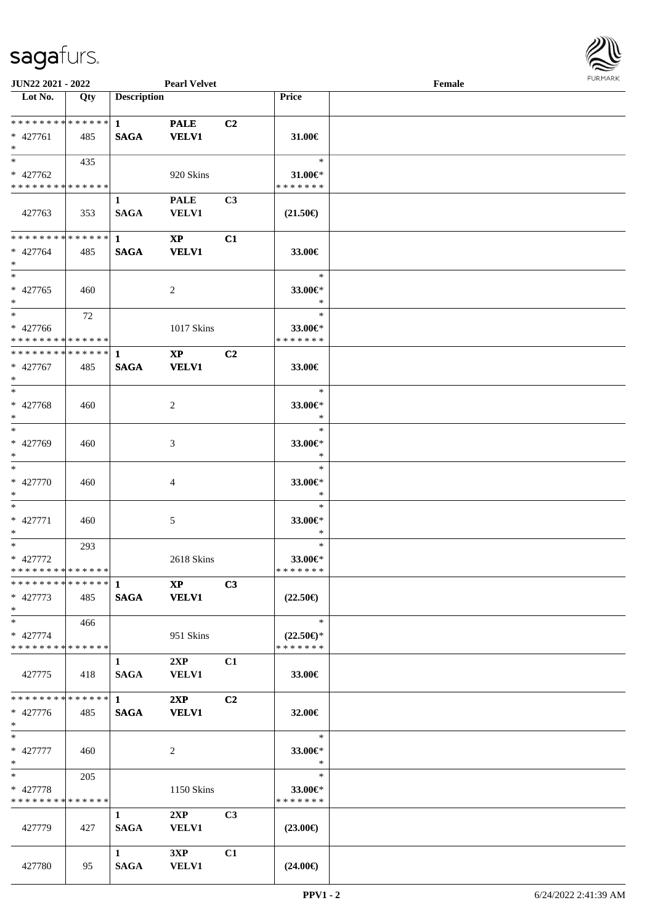

| <b>JUN22 2021 - 2022</b>                               |     |                                       | <b>Pearl Velvet</b>                    |                |                                                | Female |  |
|--------------------------------------------------------|-----|---------------------------------------|----------------------------------------|----------------|------------------------------------------------|--------|--|
| Lot No.                                                | Qty | <b>Description</b>                    |                                        |                | Price                                          |        |  |
| ******** <mark>******</mark><br>* 427761<br>$*$        | 485 | $\mathbf{1}$<br><b>SAGA</b>           | <b>PALE</b><br><b>VELV1</b>            | C2             | 31.00 $\in$                                    |        |  |
| $*$<br>* 427762<br>* * * * * * * * * * * * * *         | 435 |                                       | 920 Skins                              |                | $\ast$<br>31.00€*<br>* * * * * * *             |        |  |
| 427763                                                 | 353 | 1<br><b>SAGA</b>                      | <b>PALE</b><br><b>VELV1</b>            | C <sub>3</sub> | $(21.50\epsilon)$                              |        |  |
| ******** <mark>******</mark><br>* 427764<br>$*$        | 485 | $\mathbf{1}$<br><b>SAGA</b>           | $\mathbf{X}\mathbf{P}$<br><b>VELV1</b> | C1             | 33.00€                                         |        |  |
| $*$<br>$* 427765$<br>$*$                               | 460 |                                       | $\overline{2}$                         |                | $\ast$<br>33.00€*<br>$\ast$                    |        |  |
| $*$<br>* 427766<br>* * * * * * * * * * * * * *         | 72  |                                       | 1017 Skins                             |                | $\ast$<br>33.00€*<br>* * * * * * *             |        |  |
| * * * * * * * * * * * * * * *<br>* 427767<br>$*$       | 485 | $\mathbf{1}$<br><b>SAGA</b>           | $\mathbf{X}\mathbf{P}$<br><b>VELV1</b> | C2             | 33.00€                                         |        |  |
| $*$<br>* 427768<br>$*$                                 | 460 |                                       | $\overline{2}$                         |                | $\ast$<br>33.00€*<br>$\ast$                    |        |  |
| $*$<br>* 427769<br>$*$                                 | 460 |                                       | 3                                      |                | $\ast$<br>33.00€*<br>$\ast$                    |        |  |
| $*$<br>* 427770<br>$*$                                 | 460 |                                       | 4                                      |                | $\ast$<br>33.00€*<br>$\ast$                    |        |  |
| $*$<br>$* 427771$<br>$*$                               | 460 |                                       | $\mathfrak{S}$                         |                | $\ast$<br>33.00€*<br>$\ast$                    |        |  |
| $*$<br>* 427772<br>* * * * * * * * * * * * * *         | 293 |                                       | 2618 Skins                             |                | $\ast$<br>33.00€*<br>* * * * * * *             |        |  |
| * 427773<br>$*$                                        | 485 |                                       | $\bold{X}\bold{P}$<br>SAGA VELV1       | C3             | $(22.50\epsilon)$                              |        |  |
| $*$<br>* 427774<br>* * * * * * * * * * * * * *         | 466 |                                       | 951 Skins                              |                | $\ast$<br>$(22.50\epsilon)$ *<br>* * * * * * * |        |  |
| 427775                                                 | 418 | 1<br><b>SAGA</b>                      | 2XP<br><b>VELV1</b>                    | C1             | 33.00€                                         |        |  |
| * * * * * * * * * * * * * * *<br>* 427776<br>$*$ $*$   | 485 | $1 -$<br><b>SAGA</b>                  | 2XP<br><b>VELV1</b>                    | C2             | 32.00€                                         |        |  |
| $*$ $*$<br>* 427777<br>$*$ $*$                         | 460 |                                       | $\overline{2}$                         |                | $\ast$<br>33.00€*<br>$\ast$                    |        |  |
| $*$ and $*$<br>* 427778<br>* * * * * * * * * * * * * * | 205 |                                       | 1150 Skins                             |                | $\ast$<br>33.00€*<br>* * * * * * *             |        |  |
| 427779                                                 | 427 | $\mathbf{1}$<br><b>SAGA</b>           | 2XP<br><b>VELV1</b>                    | C <sub>3</sub> | $(23.00\epsilon)$                              |        |  |
| 427780                                                 | 95  | $1 \quad \blacksquare$<br><b>SAGA</b> | 3XP<br><b>VELV1</b>                    | C1             | $(24.00\epsilon)$                              |        |  |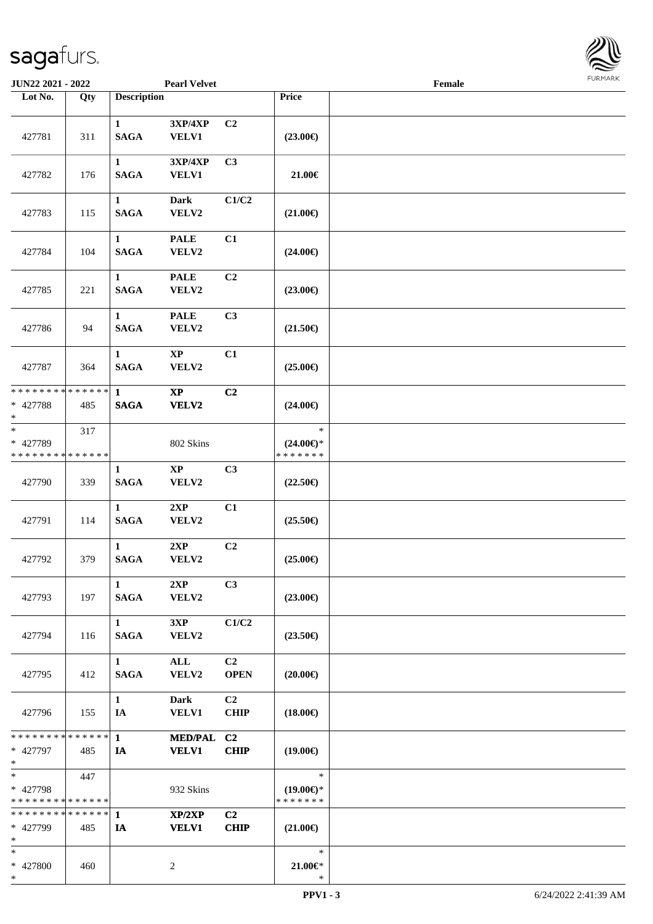

| JUN22 2021 - 2022                                                |     |                             | <b>Pearl Velvet</b>         |                               |                                                | Female |  |
|------------------------------------------------------------------|-----|-----------------------------|-----------------------------|-------------------------------|------------------------------------------------|--------|--|
| Lot No.                                                          | Qty | <b>Description</b>          |                             |                               | Price                                          |        |  |
| 427781                                                           | 311 | $\mathbf{1}$<br><b>SAGA</b> | 3XP/4XP<br>VELV1            | C <sub>2</sub>                | $(23.00\epsilon)$                              |        |  |
| 427782                                                           | 176 | $\mathbf{1}$<br><b>SAGA</b> | 3XP/4XP<br>VELV1            | C3                            | 21.00€                                         |        |  |
| 427783                                                           | 115 | $\mathbf{1}$<br><b>SAGA</b> | <b>Dark</b><br>VELV2        | C1/C2                         | $(21.00\epsilon)$                              |        |  |
| 427784                                                           | 104 | $\mathbf{1}$<br><b>SAGA</b> | <b>PALE</b><br>VELV2        | C1                            | $(24.00\epsilon)$                              |        |  |
| 427785                                                           | 221 | $\mathbf{1}$<br><b>SAGA</b> | <b>PALE</b><br>VELV2        | C <sub>2</sub>                | $(23.00\epsilon)$                              |        |  |
| 427786                                                           | 94  | $\mathbf{1}$<br><b>SAGA</b> | <b>PALE</b><br>VELV2        | C3                            | $(21.50\epsilon)$                              |        |  |
| 427787                                                           | 364 | $\mathbf{1}$<br><b>SAGA</b> | $\bold{XP}$<br>VELV2        | C1                            | $(25.00\epsilon)$                              |        |  |
| * * * * * * * * * * * * * *<br>* 427788<br>$*$                   | 485 | $\mathbf{1}$<br><b>SAGA</b> | $\bold{XP}$<br><b>VELV2</b> | C2                            | $(24.00\epsilon)$                              |        |  |
| $\ast$<br>* 427789<br>* * * * * * * * <mark>* * * * * * *</mark> | 317 |                             | 802 Skins                   |                               | $\ast$<br>$(24.00\epsilon)$ *<br>* * * * * * * |        |  |
| 427790                                                           | 339 | 1<br><b>SAGA</b>            | $\bold{XP}$<br>VELV2        | C3                            | $(22.50\epsilon)$                              |        |  |
| 427791                                                           | 114 | $\mathbf{1}$<br><b>SAGA</b> | 2XP<br>VELV2                | C1                            | $(25.50\epsilon)$                              |        |  |
| 427792                                                           | 379 | $\mathbf{1}$<br><b>SAGA</b> | 2XP<br>VELV2                | C2                            | $(25.00\epsilon)$                              |        |  |
| 427793                                                           | 197 | $\mathbf{1}$<br><b>SAGA</b> | 2XP<br>VELV2                | C3                            | $(23.00\epsilon)$                              |        |  |
| 427794                                                           | 116 | $\mathbf{1}$<br><b>SAGA</b> | 3XP<br>VELV2                | C1/C2                         | $(23.50\epsilon)$                              |        |  |
| 427795                                                           | 412 | $\mathbf{1}$<br><b>SAGA</b> | ALL<br>VELV2                | C <sub>2</sub><br><b>OPEN</b> | $(20.00\epsilon)$                              |        |  |
| 427796                                                           | 155 | $\mathbf{1}$<br>IA          | <b>Dark</b><br><b>VELV1</b> | C <sub>2</sub><br><b>CHIP</b> | $(18.00\epsilon)$                              |        |  |
| * * * * * * * * * * * * * * *<br>* 427797<br>$*$                 | 485 | $\mathbf{1}$<br>IA          | MED/PAL C2<br><b>VELV1</b>  | <b>CHIP</b>                   | $(19.00\epsilon)$                              |        |  |
| $*$<br>* 427798<br>* * * * * * * * * * * * * *                   | 447 |                             | 932 Skins                   |                               | $\ast$<br>$(19.00\epsilon)$ *<br>* * * * * * * |        |  |
| * * * * * * * * * * * * * *<br>* 427799<br>$*$                   | 485 | $\mathbf{1}$<br>IA          | XP/2XP<br><b>VELV1</b>      | C2<br><b>CHIP</b>             | $(21.00\epsilon)$                              |        |  |
| $*$<br>* 427800<br>$*$                                           | 460 |                             | 2                           |                               | $\ast$<br>$21.00 \in$<br>$\ast$                |        |  |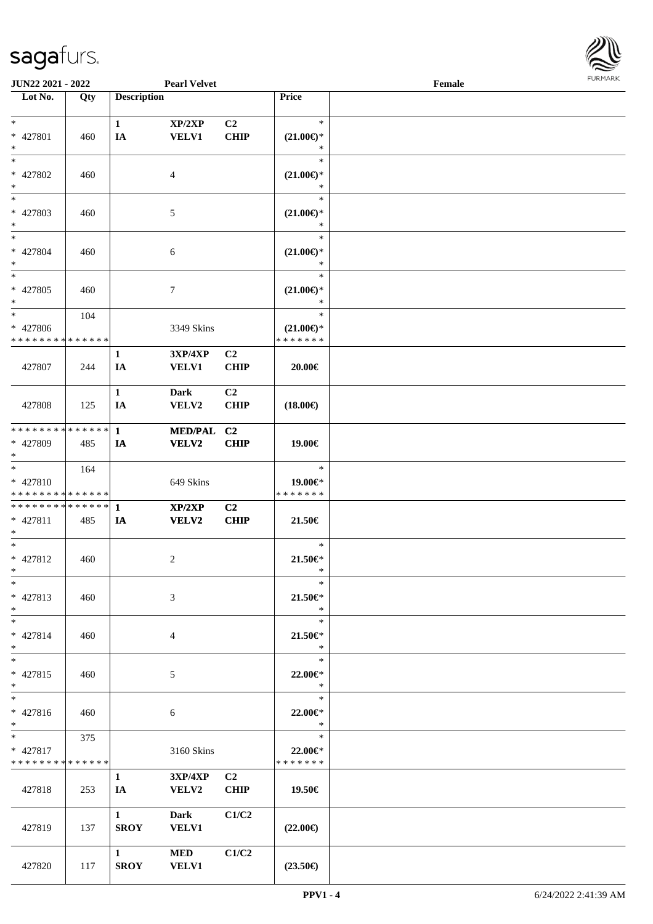

| <b>JUN22 2021 - 2022</b>      |     |                    | <b>Pearl Velvet</b>               |                |                                 | Female |  |
|-------------------------------|-----|--------------------|-----------------------------------|----------------|---------------------------------|--------|--|
| Lot No.                       | Qty | <b>Description</b> |                                   |                | Price                           |        |  |
|                               |     |                    |                                   |                |                                 |        |  |
| $*$                           |     | $\mathbf{1}$       | XP/2XP                            | C2             | $\ast$                          |        |  |
| * 427801                      | 460 | IA                 | <b>VELV1</b>                      | <b>CHIP</b>    | $(21.00\epsilon)$ *             |        |  |
| $\ast$                        |     |                    |                                   |                | $\ast$                          |        |  |
| $*$                           |     |                    |                                   |                | $\ast$                          |        |  |
| * 427802                      | 460 |                    | 4                                 |                | $(21.00\epsilon)$ *             |        |  |
| $\ast$                        |     |                    |                                   |                | $\ast$                          |        |  |
| $\ast$                        |     |                    |                                   |                | $\ast$                          |        |  |
| * 427803                      | 460 |                    | 5                                 |                | $(21.00\epsilon)$ *<br>*        |        |  |
| $\ast$<br>$*$                 |     |                    |                                   |                | $\ast$                          |        |  |
| * 427804                      |     |                    |                                   |                |                                 |        |  |
| $*$                           | 460 |                    | 6                                 |                | $(21.00\mathbb{E})^*$<br>$\ast$ |        |  |
| $*$                           |     |                    |                                   |                | $\ast$                          |        |  |
| $* 427805$                    | 460 |                    | 7                                 |                | $(21.00\epsilon)$ *             |        |  |
| $*$                           |     |                    |                                   |                | $\ast$                          |        |  |
| $*$                           | 104 |                    |                                   |                | $\ast$                          |        |  |
| * 427806                      |     |                    | 3349 Skins                        |                | $(21.00\epsilon)$ *             |        |  |
| * * * * * * * * * * * * * *   |     |                    |                                   |                | * * * * * * *                   |        |  |
|                               |     | $\mathbf{1}$       | $3{\bf X}{\bf P}/4{\bf X}{\bf P}$ | C2             |                                 |        |  |
| 427807                        | 244 | IA                 | <b>VELV1</b>                      | <b>CHIP</b>    | 20.00€                          |        |  |
|                               |     |                    |                                   |                |                                 |        |  |
|                               |     | $\mathbf{1}$       | <b>Dark</b>                       | C <sub>2</sub> |                                 |        |  |
| 427808                        | 125 | IA                 | VELV2                             | <b>CHIP</b>    | $(18.00\epsilon)$               |        |  |
|                               |     |                    |                                   |                |                                 |        |  |
| * * * * * * * * * * * * * * * |     | $\mathbf{1}$       | <b>MED/PAL</b>                    | C <sub>2</sub> |                                 |        |  |
| * 427809<br>$*$               | 485 | IA                 | <b>VELV2</b>                      | <b>CHIP</b>    | 19.00€                          |        |  |
| $*$                           | 164 |                    |                                   |                | $\ast$                          |        |  |
| * 427810                      |     |                    | 649 Skins                         |                | 19.00€*                         |        |  |
| * * * * * * * * * * * * * *   |     |                    |                                   |                | * * * * * * *                   |        |  |
| * * * * * * * * * * * * * * * |     | $\mathbf{1}$       | XP/2XP                            | C2             |                                 |        |  |
| * 427811                      | 485 | IA                 | <b>VELV2</b>                      | <b>CHIP</b>    | 21.50€                          |        |  |
| $*$                           |     |                    |                                   |                |                                 |        |  |
| $*$                           |     |                    |                                   |                | $\ast$                          |        |  |
| * 427812                      | 460 |                    | $\overline{c}$                    |                | $21.50 \in$                     |        |  |
| $*$                           |     |                    |                                   |                | $\ast$                          |        |  |
| $\ast$                        |     |                    |                                   |                | $\ast$                          |        |  |
| * 427813                      | 460 |                    | 3                                 |                | 21.50€*                         |        |  |
| $*$                           |     |                    |                                   |                | $\ast$                          |        |  |
| $*$                           |     |                    |                                   |                | $\ast$                          |        |  |
| * 427814                      | 460 |                    | 4                                 |                | 21.50€*<br>$\ast$               |        |  |
| $*$<br>$*$                    |     |                    |                                   |                | $\ast$                          |        |  |
| $* 427815$                    | 460 |                    | 5                                 |                | 22.00€*                         |        |  |
| $*$                           |     |                    |                                   |                | $\ast$                          |        |  |
| $*$                           |     |                    |                                   |                | $\ast$                          |        |  |
| * 427816                      | 460 |                    | 6                                 |                | 22.00€*                         |        |  |
| $*$                           |     |                    |                                   |                | $\ast$                          |        |  |
| $*$ $*$                       | 375 |                    |                                   |                | $\ast$                          |        |  |
| * 427817                      |     |                    | 3160 Skins                        |                | 22.00€*                         |        |  |
| * * * * * * * * * * * * * *   |     |                    |                                   |                | * * * * * * *                   |        |  |
|                               |     | $\mathbf{1}$       | 3XP/4XP                           | C2             |                                 |        |  |
| 427818                        | 253 | IA                 | <b>VELV2</b>                      | <b>CHIP</b>    | 19.50€                          |        |  |
|                               |     |                    |                                   |                |                                 |        |  |
|                               |     | $\mathbf{1}$       | <b>Dark</b>                       | C1/C2          |                                 |        |  |
| 427819                        | 137 | <b>SROY</b>        | <b>VELV1</b>                      |                | $(22.00\epsilon)$               |        |  |
|                               |     | $\mathbf{1}$       | <b>MED</b>                        | C1/C2          |                                 |        |  |
| 427820                        | 117 | <b>SROY</b>        | <b>VELV1</b>                      |                | $(23.50\epsilon)$               |        |  |
|                               |     |                    |                                   |                |                                 |        |  |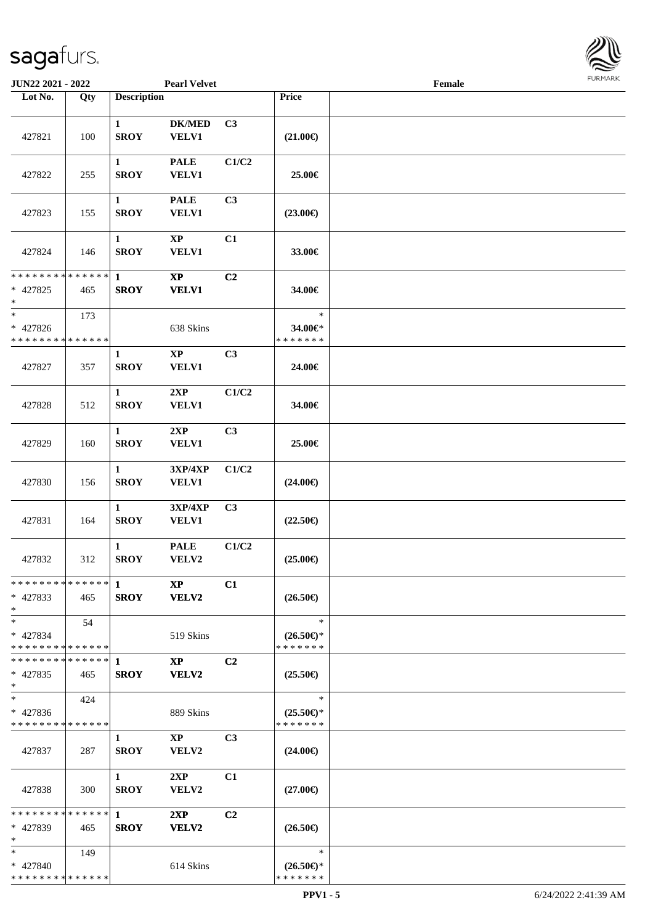

| <b>JUN22 2021 - 2022</b>                            |     |                               | <b>Pearl Velvet</b>             |                |                                                | Female |  |
|-----------------------------------------------------|-----|-------------------------------|---------------------------------|----------------|------------------------------------------------|--------|--|
| Lot No.                                             | Qty | <b>Description</b>            |                                 |                | Price                                          |        |  |
| 427821                                              | 100 | $\mathbf{1}$<br><b>SROY</b>   | <b>DK/MED</b><br><b>VELV1</b>   | C3             | $(21.00\epsilon)$                              |        |  |
| 427822                                              | 255 | $\mathbf{1}$<br><b>SROY</b>   | <b>PALE</b><br><b>VELV1</b>     | C1/C2          | 25.00€                                         |        |  |
| 427823                                              | 155 | 1<br><b>SROY</b>              | <b>PALE</b><br>VELV1            | C3             | $(23.00\epsilon)$                              |        |  |
| 427824                                              | 146 | 1<br><b>SROY</b>              | $\bold{XP}$<br>VELV1            | C1             | 33.00€                                         |        |  |
| * * * * * * * * * * * * * *<br>$* 427825$<br>$\ast$ | 465 | $\mathbf{1}$<br><b>SROY</b>   | $\bold{XP}$<br><b>VELV1</b>     | C2             | 34.00€                                         |        |  |
| $\ast$<br>* 427826<br>* * * * * * * * * * * * * *   | 173 |                               | 638 Skins                       |                | $\ast$<br>34.00€*<br>* * * * * * *             |        |  |
| 427827                                              | 357 | $\mathbf{1}$<br><b>SROY</b>   | $\bold{XP}$<br><b>VELV1</b>     | C3             | 24.00€                                         |        |  |
| 427828                                              | 512 | $\mathbf{1}$<br><b>SROY</b>   | 2XP<br><b>VELV1</b>             | C1/C2          | 34.00€                                         |        |  |
| 427829                                              | 160 | $\mathbf{1}$<br><b>SROY</b>   | 2XP<br>VELV1                    | C3             | 25.00€                                         |        |  |
| 427830                                              | 156 | $\mathbf{1}$<br><b>SROY</b>   | 3XP/4XP<br><b>VELV1</b>         | C1/C2          | $(24.00\epsilon)$                              |        |  |
| 427831                                              | 164 | $\mathbf{1}$<br><b>SROY</b>   | 3XP/4XP<br>VELV1                | C3             | $(22.50\epsilon)$                              |        |  |
| 427832                                              | 312 | $\mathbf{1}$<br><b>SROY</b>   | <b>PALE</b><br>VELV2            | C1/C2          | $(25.00\epsilon)$                              |        |  |
| * * * * * * * * * * * * * * *<br>$* 427833$<br>$*$  | 465 | $\blacksquare$<br><b>SROY</b> | <b>XP</b><br><b>VELV2</b>       | C1             | $(26.50\epsilon)$                              |        |  |
| $*$<br>* 427834<br>* * * * * * * * * * * * * *      | 54  |                               | 519 Skins                       |                | $\ast$<br>$(26.50\epsilon)$ *<br>* * * * * * * |        |  |
| * * * * * * * * * * * * * * *<br>$* 427835$<br>$*$  | 465 | 1<br><b>SROY</b>              | $\mathbf{X}\mathbf{P}$<br>VELV2 | C <sub>2</sub> | $(25.50\epsilon)$                              |        |  |
| $\ast$<br>$* 427836$<br>* * * * * * * * * * * * * * | 424 |                               | 889 Skins                       |                | $\ast$<br>$(25.50\epsilon)$ *<br>* * * * * * * |        |  |
| 427837                                              | 287 | $\mathbf{1}$<br><b>SROY</b>   | $\mathbf{XP}$<br>VELV2          | C <sub>3</sub> | $(24.00\epsilon)$                              |        |  |
| 427838                                              | 300 | $\mathbf{1}$<br><b>SROY</b>   | 2XP<br>VELV2                    | C1             | $(27.00\epsilon)$                              |        |  |
| **************<br>* 427839<br>$*$                   | 465 | $\mathbf 1$<br><b>SROY</b>    | 2XP<br>VELV2                    | C2             | $(26.50\epsilon)$                              |        |  |
| $*$<br>* 427840<br>* * * * * * * * * * * * * *      | 149 |                               | 614 Skins                       |                | $\ast$<br>$(26.50\epsilon)$ *<br>* * * * * * * |        |  |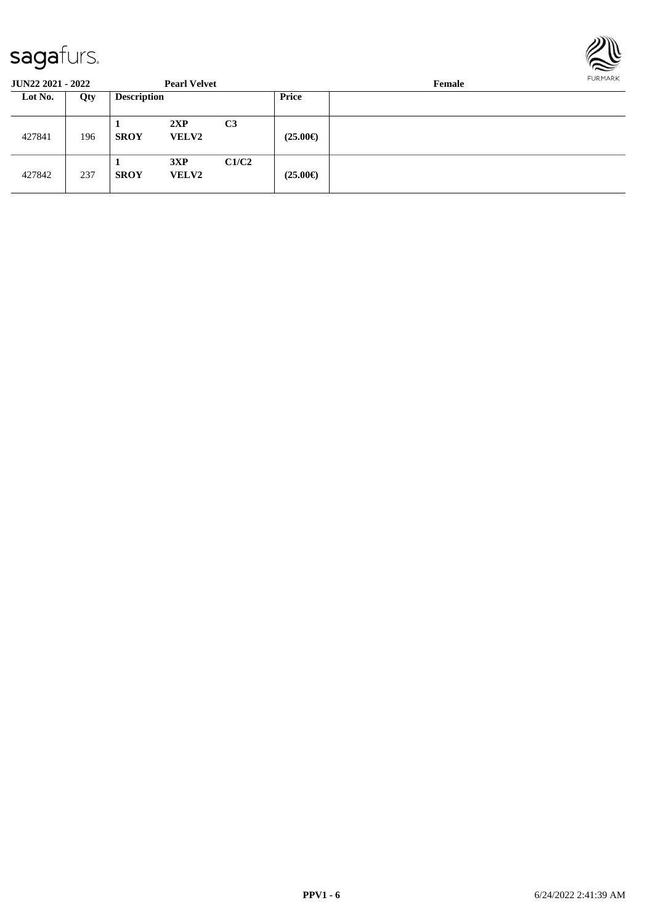

| <b>JUN22 2021 - 2022</b> |     |                    | <b>Pearl Velvet</b> |                |                   | Female | FURMARK |
|--------------------------|-----|--------------------|---------------------|----------------|-------------------|--------|---------|
| Lot No.                  | Qty | <b>Description</b> |                     |                | Price             |        |         |
| 427841                   | 196 | <b>SROY</b>        | 2XP<br><b>VELV2</b> | C <sub>3</sub> | $(25.00\epsilon)$ |        |         |
| 427842                   | 237 | <b>SROY</b>        | 3XP<br><b>VELV2</b> | C1/C2          | $(25.00\epsilon)$ |        |         |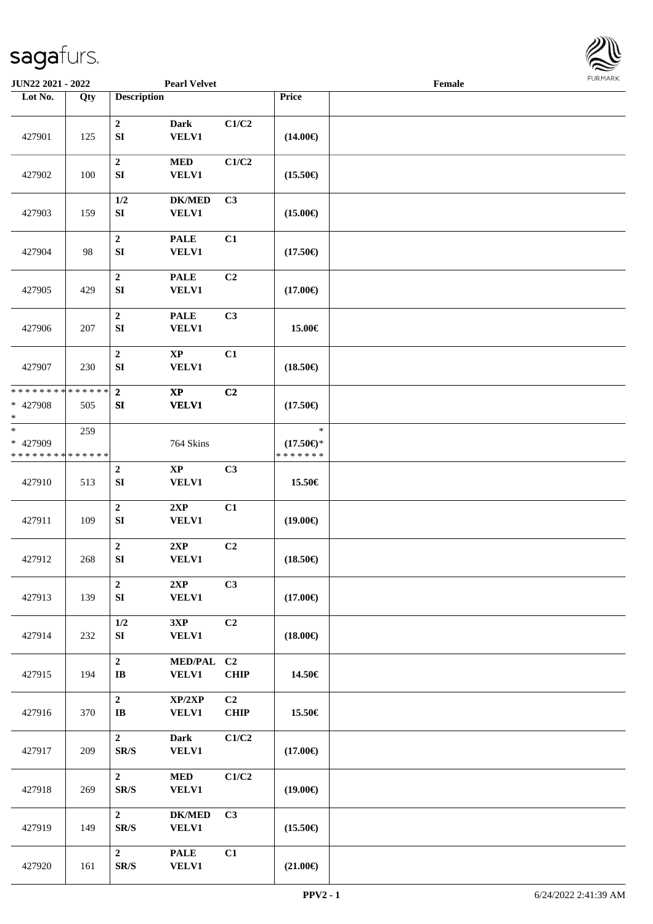

| <b>JUN22 2021 - 2022</b>                          |     |                                               | <b>Pearl Velvet</b>                    |                                |                                                | Female |  |
|---------------------------------------------------|-----|-----------------------------------------------|----------------------------------------|--------------------------------|------------------------------------------------|--------|--|
| Lot No.                                           | Qty | <b>Description</b>                            |                                        |                                | Price                                          |        |  |
| 427901                                            | 125 | $\boldsymbol{2}$<br>${\bf S}{\bf I}$          | Dark<br><b>VELV1</b>                   | C1/C2                          | $(14.00\epsilon)$                              |        |  |
| 427902                                            | 100 | $\boldsymbol{2}$<br>${\bf S}{\bf I}$          | <b>MED</b><br><b>VELV1</b>             | C1/C2                          | $(15.50\epsilon)$                              |        |  |
| 427903                                            | 159 | 1/2<br>${\bf S}{\bf I}$                       | <b>DK/MED</b><br><b>VELV1</b>          | C3                             | $(15.00\epsilon)$                              |        |  |
| 427904                                            | 98  | $\boldsymbol{2}$<br>${\bf SI}$                | <b>PALE</b><br><b>VELV1</b>            | C1                             | $(17.50\epsilon)$                              |        |  |
| 427905                                            | 429 | $\mathbf 2$<br>SI                             | <b>PALE</b><br><b>VELV1</b>            | C2                             | $(17.00\epsilon)$                              |        |  |
| 427906                                            | 207 | $\mathbf 2$<br>SI                             | <b>PALE</b><br><b>VELV1</b>            | C3                             | 15.00€                                         |        |  |
| 427907                                            | 230 | $\boldsymbol{2}$<br>${\bf SI}$                | $\mathbf{XP}$<br>VELV1                 | C1                             | $(18.50\epsilon)$                              |        |  |
| * * * * * * * * * * * * * *<br>* 427908<br>$\ast$ | 505 | $\overline{2}$<br>SI                          | $\mathbf{X}\mathbf{P}$<br><b>VELV1</b> | C2                             | $(17.50\epsilon)$                              |        |  |
| $*$<br>* 427909<br>* * * * * * * * * * * * * *    | 259 |                                               | 764 Skins                              |                                | $\ast$<br>$(17.50\epsilon)$ *<br>* * * * * * * |        |  |
| 427910                                            | 513 | $\boldsymbol{2}$<br>${\bf S}{\bf I}$          | $\bold{XP}$<br><b>VELV1</b>            | C3                             | 15.50€                                         |        |  |
| 427911                                            | 109 | $\mathbf 2$<br>${\bf S}{\bf I}$               | 2XP<br>VELV1                           | C1                             | $(19.00\epsilon)$                              |        |  |
| 427912                                            | 268 | $\mathbf 2$<br>${\bf SI}$                     | $2{\bf XP}$<br><b>VELV1</b>            | C2                             | $(18.50\epsilon)$                              |        |  |
| 427913                                            | 139 | $\mathbf 2$<br>${\bf SI}$                     | 2XP<br><b>VELV1</b>                    | C3                             | $(17.00\epsilon)$                              |        |  |
| 427914                                            | 232 | $1/2$<br>SI                                   | 3XP<br><b>VELV1</b>                    | C2                             | $(18.00\epsilon)$                              |        |  |
| 427915                                            | 194 | $\bf 2$<br>$\mathbf{I}\mathbf{B}$             | <b>MED/PAL</b><br><b>VELV1</b>         | C <sub>2</sub><br><b>CHIP</b>  | 14.50€                                         |        |  |
| 427916                                            | 370 | $\mathbf 2$<br>$\bf I\bf B$                   | XP/2XP<br><b>VELV1</b>                 | $\overline{C2}$<br><b>CHIP</b> | 15.50€                                         |        |  |
| 427917                                            | 209 | $\overline{2}$<br>SR/S                        | Dark<br><b>VELV1</b>                   | C1/C2                          | $(17.00\epsilon)$                              |        |  |
| 427918                                            | 269 | $\overline{2}$<br>SR/S                        | $\bf MED$<br><b>VELV1</b>              | C1/C2                          | $(19.00\epsilon)$                              |        |  |
| 427919                                            | 149 | $\mathbf{2}$<br>SR/S                          | <b>DK/MED</b><br><b>VELV1</b>          | C3                             | $(15.50\epsilon)$                              |        |  |
| 427920                                            | 161 | $\overline{2}$<br>$\mbox{S}\mbox{R}/\mbox{S}$ | <b>PALE</b><br><b>VELV1</b>            | C1                             | $(21.00\in)$                                   |        |  |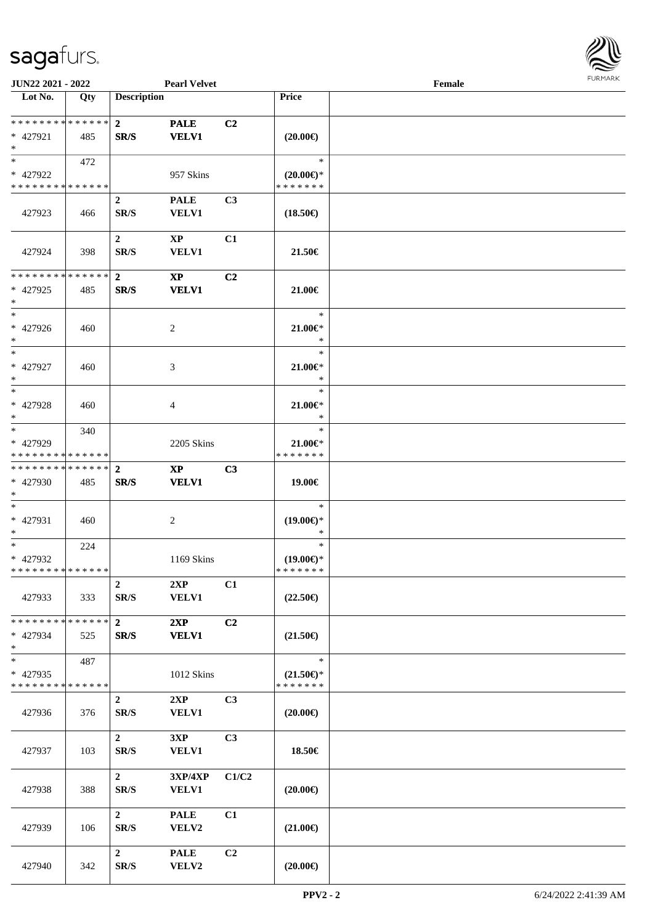

| <b>JUN22 2021 - 2022</b>                         |     |                          | <b>Pearl Velvet</b>                    |                |                                                | Female |  |
|--------------------------------------------------|-----|--------------------------|----------------------------------------|----------------|------------------------------------------------|--------|--|
| Lot No.                                          | Qty | <b>Description</b>       |                                        |                | Price                                          |        |  |
| ******** <mark>******</mark><br>* 427921<br>$*$  | 485 | $\mathbf{2}$<br>SR/S     | <b>PALE</b><br><b>VELV1</b>            | C2             | $(20.00\epsilon)$                              |        |  |
| $*$<br>* 427922<br>* * * * * * * * * * * * * *   | 472 |                          | 957 Skins                              |                | $\ast$<br>$(20.00\epsilon)$ *<br>* * * * * * * |        |  |
| 427923                                           | 466 | $\boldsymbol{2}$<br>SR/S | <b>PALE</b><br>VELV1                   | C3             | $(18.50\epsilon)$                              |        |  |
| 427924                                           | 398 | $\mathbf{2}$<br>SR/S     | $\mathbf{X}\mathbf{P}$<br><b>VELV1</b> | C1             | 21.50€                                         |        |  |
| * * * * * * * * * * * * * *<br>* 427925<br>$*$   | 485 | $\overline{2}$<br>SR/S   | $\mathbf{X}\mathbf{P}$<br><b>VELV1</b> | C2             | 21.00€                                         |        |  |
| $*$<br>$* 427926$<br>$*$                         | 460 |                          | $\overline{2}$                         |                | $\ast$<br>21.00€*<br>$\ast$                    |        |  |
| $\ast$<br>$* 427927$<br>$*$                      | 460 |                          | 3                                      |                | $\ast$<br>$21.00 \in$<br>$\ast$                |        |  |
| $*$<br>* 427928<br>$*$                           | 460 |                          | 4                                      |                | $\ast$<br>$21.00 \in$<br>$\ast$                |        |  |
| $*$<br>* 427929<br>* * * * * * * * * * * * * *   | 340 |                          | 2205 Skins                             |                | $\ast$<br>$21.00 \in$<br>* * * * * * *         |        |  |
| * * * * * * * * * * * * * * *<br>* 427930<br>$*$ | 485 | $\overline{2}$<br>SR/S   | $\mathbf{X}\mathbf{P}$<br><b>VELV1</b> | C3             | 19.00€                                         |        |  |
| $*$<br>* 427931<br>$*$                           | 460 |                          | $\overline{c}$                         |                | $\ast$<br>$(19.00\epsilon)$ *<br>$\ast$        |        |  |
| $*$<br>* 427932<br>* * * * * * * * * * * * * *   | 224 |                          | 1169 Skins                             |                | $\ast$<br>$(19.00\epsilon)$ *<br>* * * * * * * |        |  |
| 427933                                           | 333 | $\overline{2}$<br>SR/S   | 2XP<br><b>VELV1</b>                    | C1             | $(22.50\epsilon)$                              |        |  |
| * * * * * * * * * * * * * * *<br>* 427934<br>$*$ | 525 | $\mathbf{2}$<br>SR/S     | 2XP<br><b>VELV1</b>                    | C2             | $(21.50\epsilon)$                              |        |  |
| $*$<br>* 427935<br>* * * * * * * * * * * * * *   | 487 |                          | 1012 Skins                             |                | $\ast$<br>$(21.50\epsilon)$ *<br>* * * * * * * |        |  |
| 427936                                           | 376 | $\overline{2}$<br>SR/S   | 2XP<br><b>VELV1</b>                    | C3             | $(20.00\epsilon)$                              |        |  |
| 427937                                           | 103 | $\overline{2}$<br>SR/S   | 3XP<br><b>VELV1</b>                    | C3             | 18.50€                                         |        |  |
| 427938                                           | 388 | $\overline{2}$<br>SR/S   | 3XP/4XP<br>VELV1                       | C1/C2          | $(20.00\epsilon)$                              |        |  |
| 427939                                           | 106 | $\overline{2}$<br>SR/S   | <b>PALE</b><br>VELV2                   | C1             | $(21.00\epsilon)$                              |        |  |
| 427940                                           | 342 | $\overline{2}$<br>SR/S   | <b>PALE</b><br>VELV2                   | C <sub>2</sub> | $(20.00\epsilon)$                              |        |  |